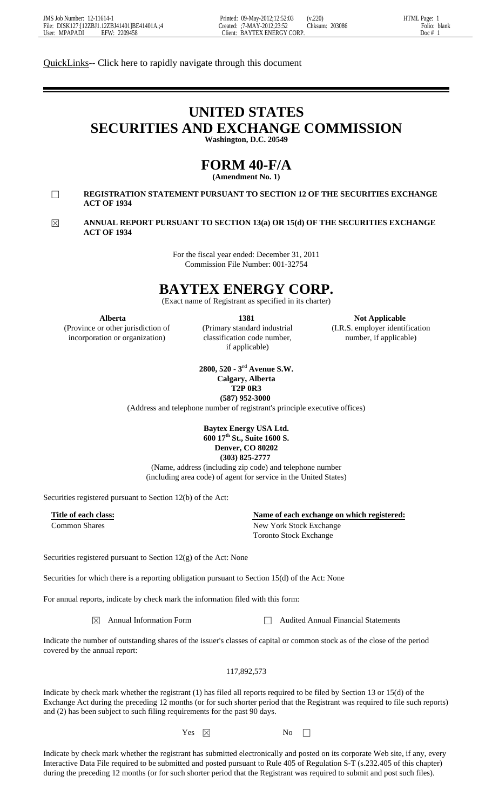# **UNITED STATES SECURITIES AND EXCHANGE COMMISSION**

**Washington, D.C. 20549**

# **FORM 40-F/A**

**(Amendment No. 1)**

 **REGISTRATION STATEMENT PURSUANT TO SECTION 12 OF THE SECURITIES EXCHANGE ACT OF 1934**

#### $\boxtimes$  **ANNUAL REPORT PURSUANT TO SECTION 13(a) OR 15(d) OF THE SECURITIES EXCHANGE ACT OF 1934**

For the fiscal year ended: December 31, 2011 Commission File Number: 001-32754

# **BAYTEX ENERGY CORP.**

(Exact name of Registrant as specified in its charter)

**Alberta**

(Province or other jurisdiction of incorporation or organization)

**1381** (Primary standard industrial classification code number, if applicable)

**Not Applicable** (I.R.S. employer identification number, if applicable)

**2800, 520 - 3rd Avenue S.W. Calgary, Alberta T2P 0R3 (587) 952-3000**

(Address and telephone number of registrant's principle executive offices)

**Baytex Energy USA Ltd. 600 17th St., Suite 1600 S. Denver, CO 80202 (303) 825-2777**

(Name, address (including zip code) and telephone number (including area code) of agent for service in the United States)

Securities registered pursuant to Section 12(b) of the Act:

#### **Title of each class: Name of each exchange on which registered:**

Common Shares New York Stock Exchange Toronto Stock Exchange

Securities registered pursuant to Section 12(g) of the Act: None

Securities for which there is a reporting obligation pursuant to Section 15(d) of the Act: None

For annual reports, indicate by check mark the information filed with this form:

 $\boxtimes$  Annual Information Form

 $\Box$  Audited Annual Financial Statements

Indicate the number of outstanding shares of the issuer's classes of capital or common stock as of the close of the period covered by the annual report:

## 117,892,573

Indicate by check mark whether the registrant (1) has filed all reports required to be filed by Section 13 or 15(d) of the Exchange Act during the preceding 12 months (or for such shorter period that the Registrant was required to file such reports) and (2) has been subject to such filing requirements for the past 90 days.

> Yes  $\boxtimes$ No  $\Box$

Indicate by check mark whether the registrant has submitted electronically and posted on its corporate Web site, if any, every Interactive Data File required to be submitted and posted pursuant to Rule 405 of Regulation S-T (s.232.405 of this chapter) during the preceding 12 months (or for such shorter period that the Registrant was required to submit and post such files).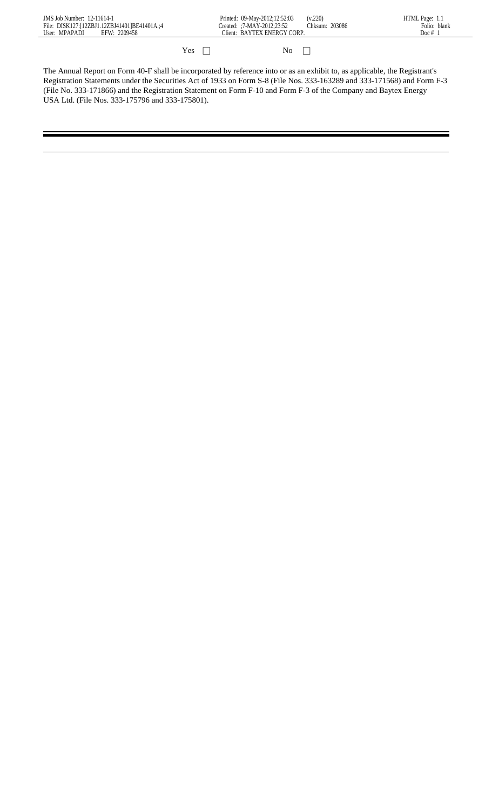Yes  $\Box$  No  $\Box$ 

The Annual Report on Form 40-F shall be incorporated by reference into or as an exhibit to, as applicable, the Registrant's Registration Statements under the Securities Act of 1933 on Form S-8 (File Nos. 333-163289 and 333-171568) and Form F-3 (File No. 333-171866) and the Registration Statement on Form F-10 and Form F-3 of the Company and Baytex Energy USA Ltd. (File Nos. 333-175796 and 333-175801).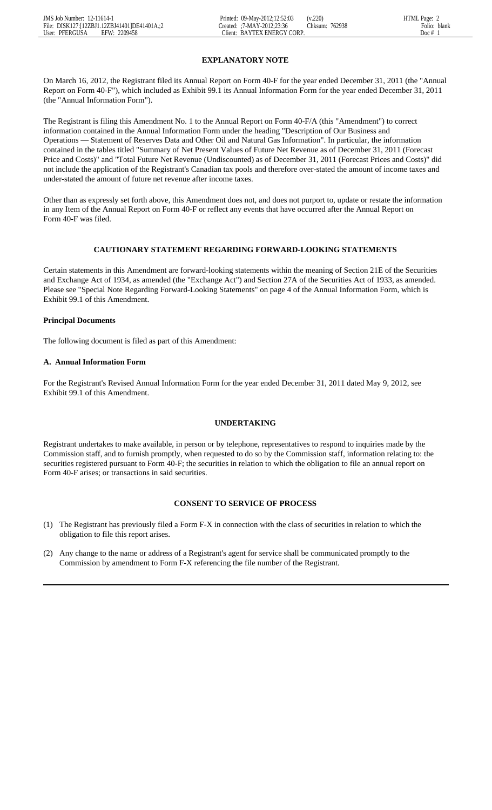#### **EXPLANATORY NOTE**

On March 16, 2012, the Registrant filed its Annual Report on Form 40-F for the year ended December 31, 2011 (the "Annual Report on Form 40-F"), which included as Exhibit 99.1 its Annual Information Form for the year ended December 31, 2011 (the "Annual Information Form").

The Registrant is filing this Amendment No. 1 to the Annual Report on Form 40-F/A (this "Amendment") to correct information contained in the Annual Information Form under the heading "Description of Our Business and Operations — Statement of Reserves Data and Other Oil and Natural Gas Information". In particular, the information contained in the tables titled "Summary of Net Present Values of Future Net Revenue as of December 31, 2011 (Forecast Price and Costs)" and "Total Future Net Revenue (Undiscounted) as of December 31, 2011 (Forecast Prices and Costs)" did not include the application of the Registrant's Canadian tax pools and therefore over-stated the amount of income taxes and under-stated the amount of future net revenue after income taxes.

Other than as expressly set forth above, this Amendment does not, and does not purport to, update or restate the information in any Item of the Annual Report on Form 40-F or reflect any events that have occurred after the Annual Report on Form 40-F was filed.

## **CAUTIONARY STATEMENT REGARDING FORWARD-LOOKING STATEMENTS**

Certain statements in this Amendment are forward-looking statements within the meaning of Section 21E of the Securities and Exchange Act of 1934, as amended (the "Exchange Act") and Section 27A of the Securities Act of 1933, as amended. Please see "Special Note Regarding Forward-Looking Statements" on page 4 of the Annual Information Form, which is Exhibit 99.1 of this Amendment.

## **Principal Documents**

The following document is filed as part of this Amendment:

## **A. Annual Information Form**

For the Registrant's Revised Annual Information Form for the year ended December 31, 2011 dated May 9, 2012, see Exhibit 99.1 of this Amendment.

#### **UNDERTAKING**

Registrant undertakes to make available, in person or by telephone, representatives to respond to inquiries made by the Commission staff, and to furnish promptly, when requested to do so by the Commission staff, information relating to: the securities registered pursuant to Form 40-F; the securities in relation to which the obligation to file an annual report on Form 40-F arises; or transactions in said securities.

## **CONSENT TO SERVICE OF PROCESS**

- (1) The Registrant has previously filed a Form F-X in connection with the class of securities in relation to which the obligation to file this report arises.
- (2) Any change to the name or address of a Registrant's agent for service shall be communicated promptly to the Commission by amendment to Form F-X referencing the file number of the Registrant.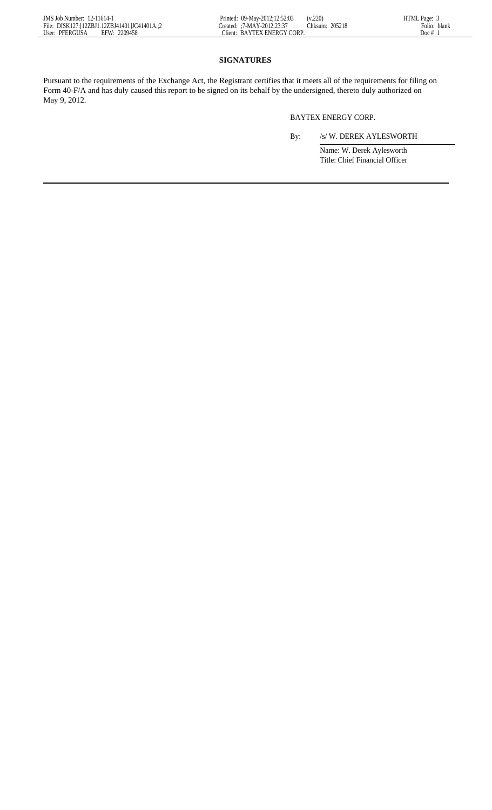### **SIGNATURES**

Pursuant to the requirements of the Exchange Act, the Registrant certifies that it meets all of the requirements for filing on Form 40-F/A and has duly caused this report to be signed on its behalf by the undersigned, thereto duly authorized on May 9, 2012.

## BAYTEX ENERGY CORP.

By: /s/ W. DEREK AYLESWORTH

Name: W. Derek Aylesworth Title: Chief Financial Officer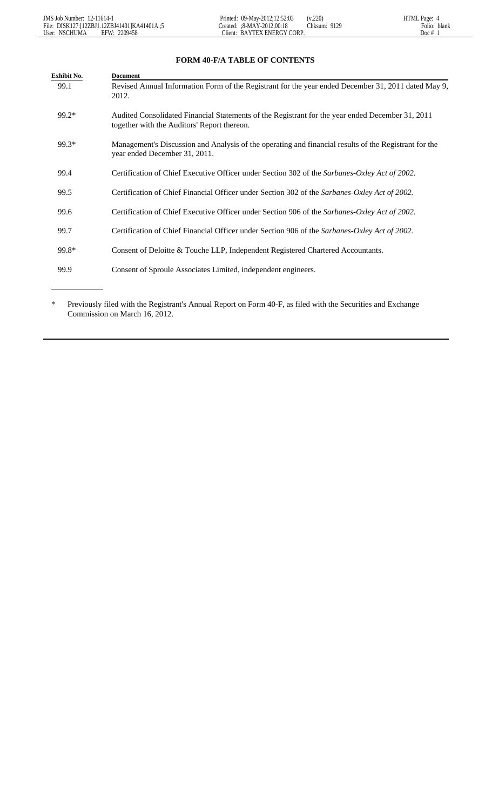# **FORM 40-F/A TABLE OF CONTENTS**

| <b>Exhibit No.</b> | <b>Document</b>                                                                                                                                 |
|--------------------|-------------------------------------------------------------------------------------------------------------------------------------------------|
| 99.1               | Revised Annual Information Form of the Registrant for the year ended December 31, 2011 dated May 9,<br>2012.                                    |
| 99.2*              | Audited Consolidated Financial Statements of the Registrant for the year ended December 31, 2011<br>together with the Auditors' Report thereon. |
| 99.3*              | Management's Discussion and Analysis of the operating and financial results of the Registrant for the<br>year ended December 31, 2011.          |
| 99.4               | Certification of Chief Executive Officer under Section 302 of the Sarbanes-Oxley Act of 2002.                                                   |
| 99.5               | Certification of Chief Financial Officer under Section 302 of the Sarbanes-Oxley Act of 2002.                                                   |
| 99.6               | Certification of Chief Executive Officer under Section 906 of the Sarbanes-Oxley Act of 2002.                                                   |
| 99.7               | Certification of Chief Financial Officer under Section 906 of the Sarbanes-Oxley Act of 2002.                                                   |
| 99.8*              | Consent of Deloitte & Touche LLP, Independent Registered Chartered Accountants.                                                                 |
| 99.9               | Consent of Sproule Associates Limited, independent engineers.                                                                                   |

<sup>\*</sup> Previously filed with the Registrant's Annual Report on Form 40-F, as filed with the Securities and Exchange Commission on March 16, 2012.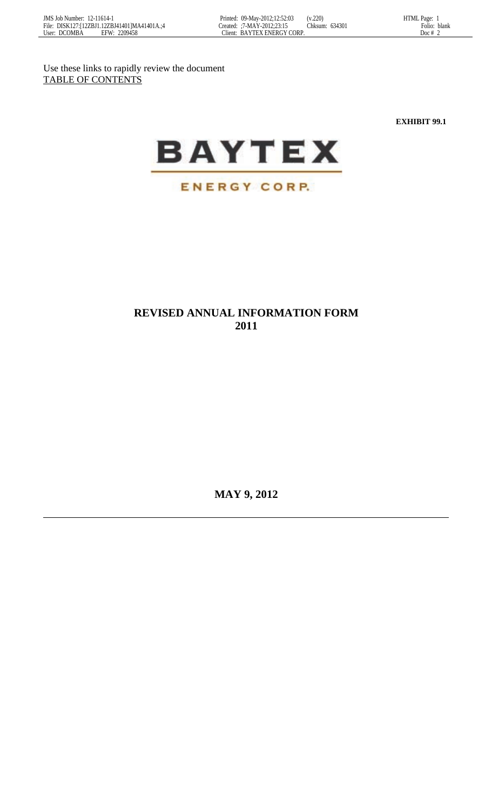**EXHIBIT 99.1** 



# **REVISED ANNUAL INFORMATION FORM 2011**

**MAY 9, 2012**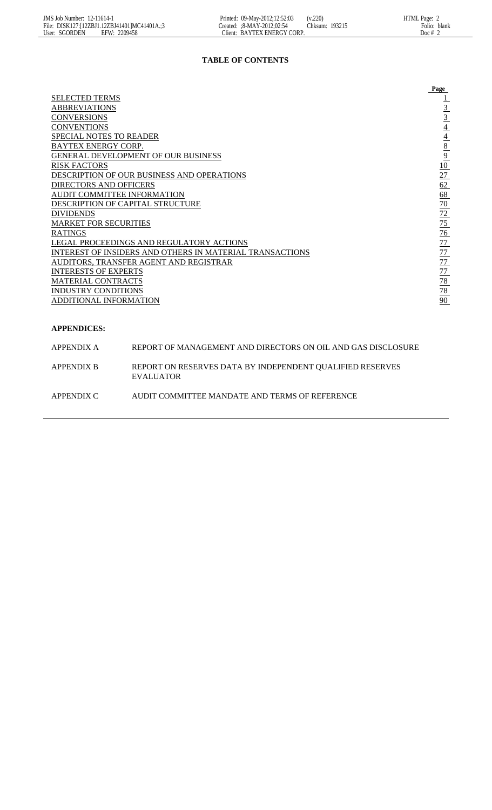|                                                          | rage            |
|----------------------------------------------------------|-----------------|
| <b>SELECTED TERMS</b>                                    |                 |
| <b>ABBREVIATIONS</b>                                     | $\overline{3}$  |
| <b>CONVERSIONS</b>                                       | $\overline{3}$  |
| <b>CONVENTIONS</b>                                       | $\overline{4}$  |
| SPECIAL NOTES TO READER                                  | $\overline{4}$  |
| <b>BAYTEX ENERGY CORP.</b>                               | $\underline{8}$ |
| <b>GENERAL DEVELOPMENT OF OUR BUSINESS</b>               | $\overline{9}$  |
| <b>RISK FACTORS</b>                                      | 10              |
| DESCRIPTION OF OUR BUSINESS AND OPERATIONS               | $\overline{27}$ |
| <b>DIRECTORS AND OFFICERS</b>                            | 62              |
| AUDIT COMMITTEE INFORMATION                              | 68              |
| DESCRIPTION OF CAPITAL STRUCTURE                         | $\overline{10}$ |
| <b>DIVIDENDS</b>                                         | $\frac{72}{2}$  |
| <b>MARKET FOR SECURITIES</b>                             | 75              |
| <b>RATINGS</b>                                           | $\frac{76}{2}$  |
| LEGAL PROCEEDINGS AND REGULATORY ACTIONS                 | 77              |
| INTEREST OF INSIDERS AND OTHERS IN MATERIAL TRANSACTIONS | 77              |
| AUDITORS, TRANSFER AGENT AND REGISTRAR                   | 77              |
| <b>INTERESTS OF EXPERTS</b>                              | 77              |
| <b>MATERIAL CONTRACTS</b>                                | 78              |
| <b>INDUSTRY CONDITIONS</b>                               | $\frac{78}{2}$  |
| <b>ADDITIONAL INFORMATION</b>                            | 90              |
|                                                          |                 |

# **APPENDICES:**

| APPENDIX A | REPORT OF MANAGEMENT AND DIRECTORS ON OIL AND GAS DISCLOSURE                  |
|------------|-------------------------------------------------------------------------------|
| APPENDIX B | REPORT ON RESERVES DATA BY INDEPENDENT QUALIFIED RESERVES<br><b>EVALUATOR</b> |
| APPENDIX C | AUDIT COMMITTEE MANDATE AND TERMS OF REFERENCE                                |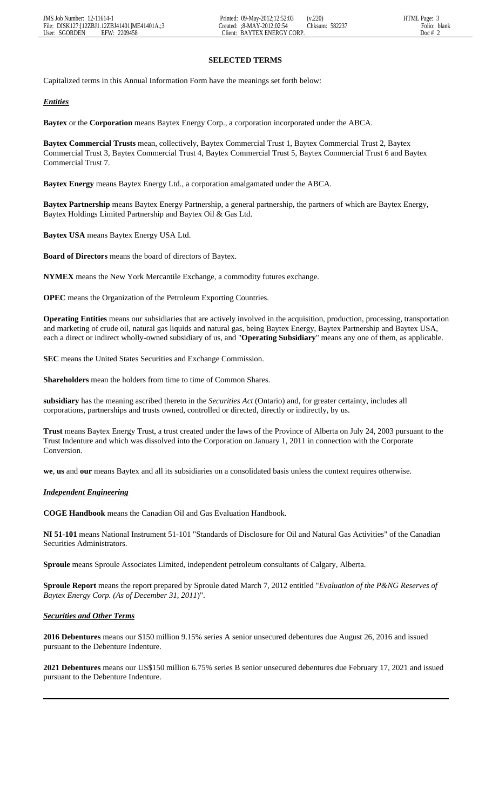#### **SELECTED TERMS**

Capitalized terms in this Annual Information Form have the meanings set forth below:

#### *Entities*

**Baytex** or the **Corporation** means Baytex Energy Corp., a corporation incorporated under the ABCA.

**Baytex Commercial Trusts** mean, collectively, Baytex Commercial Trust 1, Baytex Commercial Trust 2, Baytex Commercial Trust 3, Baytex Commercial Trust 4, Baytex Commercial Trust 5, Baytex Commercial Trust 6 and Baytex Commercial Trust 7.

**Baytex Energy** means Baytex Energy Ltd., a corporation amalgamated under the ABCA.

**Baytex Partnership** means Baytex Energy Partnership, a general partnership, the partners of which are Baytex Energy, Baytex Holdings Limited Partnership and Baytex Oil & Gas Ltd.

**Baytex USA** means Baytex Energy USA Ltd.

**Board of Directors** means the board of directors of Baytex.

**NYMEX** means the New York Mercantile Exchange, a commodity futures exchange.

**OPEC** means the Organization of the Petroleum Exporting Countries.

**Operating Entities** means our subsidiaries that are actively involved in the acquisition, production, processing, transportation and marketing of crude oil, natural gas liquids and natural gas, being Baytex Energy, Baytex Partnership and Baytex USA, each a direct or indirect wholly-owned subsidiary of us, and "**Operating Subsidiary**" means any one of them, as applicable.

**SEC** means the United States Securities and Exchange Commission.

**Shareholders** mean the holders from time to time of Common Shares.

**subsidiary** has the meaning ascribed thereto in the *Securities Act* (Ontario) and, for greater certainty, includes all corporations, partnerships and trusts owned, controlled or directed, directly or indirectly, by us.

**Trust** means Baytex Energy Trust, a trust created under the laws of the Province of Alberta on July 24, 2003 pursuant to the Trust Indenture and which was dissolved into the Corporation on January 1, 2011 in connection with the Corporate Conversion.

**we**, **us** and **our** means Baytex and all its subsidiaries on a consolidated basis unless the context requires otherwise.

#### *Independent Engineering*

**COGE Handbook** means the Canadian Oil and Gas Evaluation Handbook.

**NI 51-101** means National Instrument 51-101 "Standards of Disclosure for Oil and Natural Gas Activities" of the Canadian Securities Administrators.

**Sproule** means Sproule Associates Limited, independent petroleum consultants of Calgary, Alberta.

**Sproule Report** means the report prepared by Sproule dated March 7, 2012 entitled "*Evaluation of the P&NG Reserves of Baytex Energy Corp. (As of December 31, 2011*)".

#### *Securities and Other Terms*

**2016 Debentures** means our \$150 million 9.15% series A senior unsecured debentures due August 26, 2016 and issued pursuant to the Debenture Indenture.

**2021 Debentures** means our US\$150 million 6.75% series B senior unsecured debentures due February 17, 2021 and issued pursuant to the Debenture Indenture.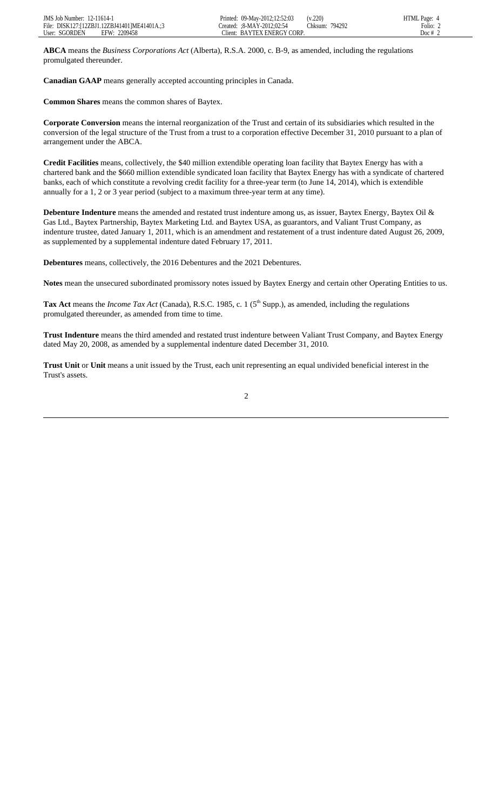**ABCA** means the *Business Corporations Act* (Alberta), R.S.A. 2000, c. B-9, as amended, including the regulations promulgated thereunder.

**Canadian GAAP** means generally accepted accounting principles in Canada.

**Common Shares** means the common shares of Baytex.

**Corporate Conversion** means the internal reorganization of the Trust and certain of its subsidiaries which resulted in the conversion of the legal structure of the Trust from a trust to a corporation effective December 31, 2010 pursuant to a plan of arrangement under the ABCA.

**Credit Facilities** means, collectively, the \$40 million extendible operating loan facility that Baytex Energy has with a chartered bank and the \$660 million extendible syndicated loan facility that Baytex Energy has with a syndicate of chartered banks, each of which constitute a revolving credit facility for a three-year term (to June 14, 2014), which is extendible annually for a 1, 2 or 3 year period (subject to a maximum three-year term at any time).

**Debenture Indenture** means the amended and restated trust indenture among us, as issuer, Baytex Energy, Baytex Oil & Gas Ltd., Baytex Partnership, Baytex Marketing Ltd. and Baytex USA, as guarantors, and Valiant Trust Company, as indenture trustee, dated January 1, 2011, which is an amendment and restatement of a trust indenture dated August 26, 2009, as supplemented by a supplemental indenture dated February 17, 2011.

**Debentures** means, collectively, the 2016 Debentures and the 2021 Debentures.

**Notes** mean the unsecured subordinated promissory notes issued by Baytex Energy and certain other Operating Entities to us.

**Tax Act** means the *Income Tax Act* (Canada), R.S.C. 1985, c. 1 (5<sup>th</sup> Supp.), as amended, including the regulations promulgated thereunder, as amended from time to time.

**Trust Indenture** means the third amended and restated trust indenture between Valiant Trust Company, and Baytex Energy dated May 20, 2008, as amended by a supplemental indenture dated December 31, 2010.

**Trust Unit** or **Unit** means a unit issued by the Trust, each unit representing an equal undivided beneficial interest in the Trust's assets.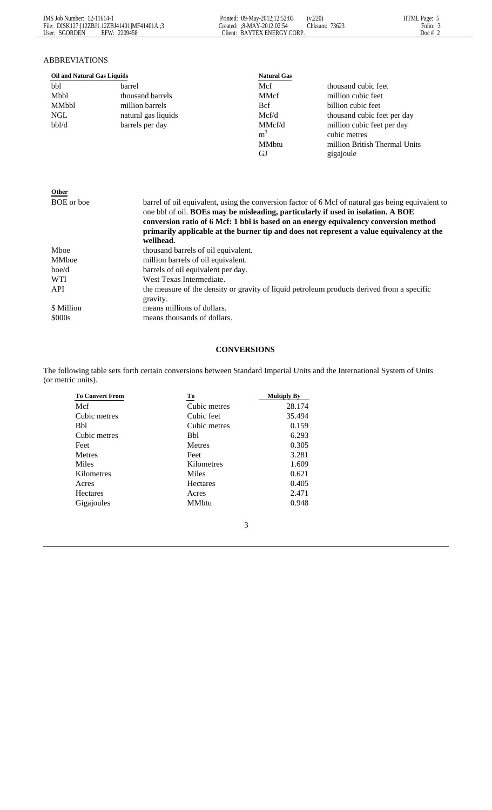## ABBREVIATIONS

| <b>Oil and Natural Gas Liquids</b> |                     | <b>Natural Gas</b> |                               |
|------------------------------------|---------------------|--------------------|-------------------------------|
| bbl                                | barrel              | Mcf                | thousand cubic feet           |
| <b>Mbbl</b>                        | thousand barrels    | <b>MMcf</b>        | million cubic feet            |
| <b>MMbbl</b>                       | million barrels     | <b>B</b> cf        | billion cubic feet            |
| NGL                                | natural gas liquids | Mcf/d              | thousand cubic feet per day   |
| bbl/d                              | barrels per day     | MMcf/d             | million cubic feet per day    |
|                                    |                     | m <sup>3</sup>     | cubic metres                  |
|                                    |                     | <b>MM</b> btu      | million British Thermal Units |
|                                    |                     | GJ                 | gigajoule                     |

| <b>Other</b> |                                                                                                                                                                                                                                                                                                                                                                                               |
|--------------|-----------------------------------------------------------------------------------------------------------------------------------------------------------------------------------------------------------------------------------------------------------------------------------------------------------------------------------------------------------------------------------------------|
| BOE or boe   | barrel of oil equivalent, using the conversion factor of 6 Mcf of natural gas being equivalent to<br>one bbl of oil. <b>BOEs may be misleading, particularly if used in isolation.</b> A BOE<br>conversion ratio of 6 Mcf: 1 bbl is based on an energy equivalency conversion method<br>primarily applicable at the burner tip and does not represent a value equivalency at the<br>wellhead. |
| Mboe         | thousand barrels of oil equivalent.                                                                                                                                                                                                                                                                                                                                                           |
| <b>MMboe</b> | million barrels of oil equivalent.                                                                                                                                                                                                                                                                                                                                                            |
| boe/d        | barrels of oil equivalent per day.                                                                                                                                                                                                                                                                                                                                                            |
| <b>WTI</b>   | West Texas Intermediate.                                                                                                                                                                                                                                                                                                                                                                      |
| API          | the measure of the density or gravity of liquid petroleum products derived from a specific<br>gravity.                                                                                                                                                                                                                                                                                        |
| \$ Million   | means millions of dollars.                                                                                                                                                                                                                                                                                                                                                                    |
| \$000s       | means thousands of dollars.                                                                                                                                                                                                                                                                                                                                                                   |

# **CONVERSIONS**

The following table sets forth certain conversions between Standard Imperial Units and the International System of Units (or metric units).

| <b>To Convert From</b> | To              | <b>Multiply By</b> |
|------------------------|-----------------|--------------------|
| Mcf                    | Cubic metres    | 28.174             |
| Cubic metres           | Cubic feet      | 35.494             |
| <b>Bbl</b>             | Cubic metres    | 0.159              |
| Cubic metres           | <b>Bbl</b>      | 6.293              |
| Feet                   | <b>Metres</b>   | 0.305              |
| <b>Metres</b>          | Feet            | 3.281              |
| Miles                  | Kilometres      | 1.609              |
| Kilometres             | Miles           | 0.621              |
| Acres                  | <b>Hectares</b> | 0.405              |
| <b>Hectares</b>        | Acres           | 2.471              |
| Gigajoules             | <b>MM</b> btu   | 0.948              |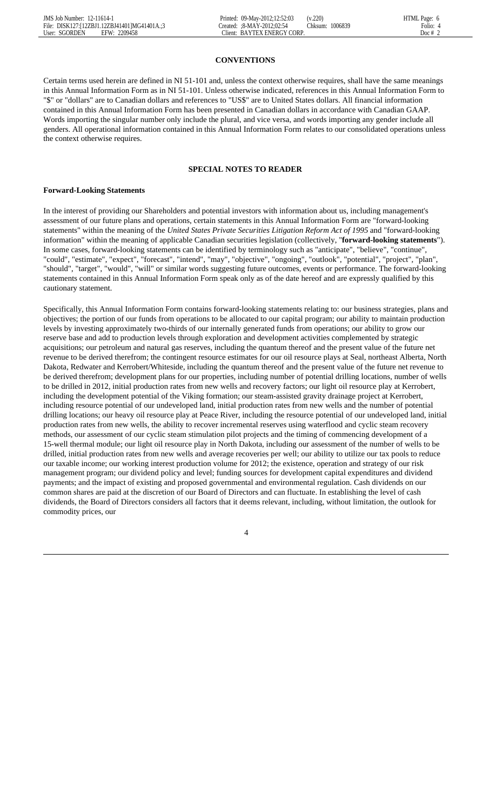#### **CONVENTIONS**

Certain terms used herein are defined in NI 51-101 and, unless the context otherwise requires, shall have the same meanings in this Annual Information Form as in NI 51-101. Unless otherwise indicated, references in this Annual Information Form to "\$" or "dollars" are to Canadian dollars and references to "US\$" are to United States dollars. All financial information contained in this Annual Information Form has been presented in Canadian dollars in accordance with Canadian GAAP. Words importing the singular number only include the plural, and vice versa, and words importing any gender include all genders. All operational information contained in this Annual Information Form relates to our consolidated operations unless the context otherwise requires.

#### **SPECIAL NOTES TO READER**

#### **Forward-Looking Statements**

In the interest of providing our Shareholders and potential investors with information about us, including management's assessment of our future plans and operations, certain statements in this Annual Information Form are "forward-looking statements" within the meaning of the *United States Private Securities Litigation Reform Act of 1995* and "forward-looking information" within the meaning of applicable Canadian securities legislation (collectively, "**forward-looking statements**"). In some cases, forward-looking statements can be identified by terminology such as "anticipate", "believe", "continue", "could", "estimate", "expect", "forecast", "intend", "may", "objective", "ongoing", "outlook", "potential", "project", "plan", "should", "target", "would", "will" or similar words suggesting future outcomes, events or performance. The forward-looking statements contained in this Annual Information Form speak only as of the date hereof and are expressly qualified by this cautionary statement.

Specifically, this Annual Information Form contains forward-looking statements relating to: our business strategies, plans and objectives; the portion of our funds from operations to be allocated to our capital program; our ability to maintain production levels by investing approximately two-thirds of our internally generated funds from operations; our ability to grow our reserve base and add to production levels through exploration and development activities complemented by strategic acquisitions; our petroleum and natural gas reserves, including the quantum thereof and the present value of the future net revenue to be derived therefrom; the contingent resource estimates for our oil resource plays at Seal, northeast Alberta, North Dakota, Redwater and Kerrobert/Whiteside, including the quantum thereof and the present value of the future net revenue to be derived therefrom; development plans for our properties, including number of potential drilling locations, number of wells to be drilled in 2012, initial production rates from new wells and recovery factors; our light oil resource play at Kerrobert, including the development potential of the Viking formation; our steam-assisted gravity drainage project at Kerrobert, including resource potential of our undeveloped land, initial production rates from new wells and the number of potential drilling locations; our heavy oil resource play at Peace River, including the resource potential of our undeveloped land, initial production rates from new wells, the ability to recover incremental reserves using waterflood and cyclic steam recovery methods, our assessment of our cyclic steam stimulation pilot projects and the timing of commencing development of a 15-well thermal module; our light oil resource play in North Dakota, including our assessment of the number of wells to be drilled, initial production rates from new wells and average recoveries per well; our ability to utilize our tax pools to reduce our taxable income; our working interest production volume for 2012; the existence, operation and strategy of our risk management program; our dividend policy and level; funding sources for development capital expenditures and dividend payments; and the impact of existing and proposed governmental and environmental regulation. Cash dividends on our common shares are paid at the discretion of our Board of Directors and can fluctuate. In establishing the level of cash dividends, the Board of Directors considers all factors that it deems relevant, including, without limitation, the outlook for commodity prices, our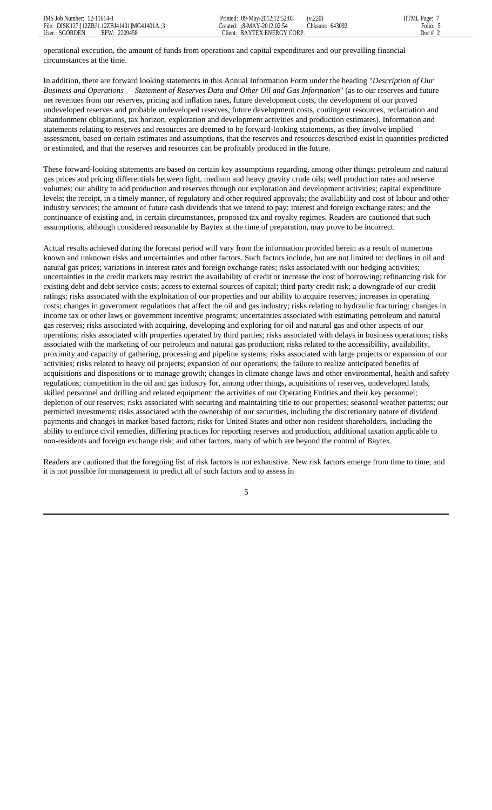operational execution, the amount of funds from operations and capital expenditures and our prevailing financial circumstances at the time.

In addition, there are forward looking statements in this Annual Information Form under the heading "*Description of Our Business and Operations — Statement of Reserves Data and Other Oil and Gas Information*" (as to our reserves and future net revenues from our reserves, pricing and inflation rates, future development costs, the development of our proved undeveloped reserves and probable undeveloped reserves, future development costs, contingent resources, reclamation and abandonment obligations, tax horizon, exploration and development activities and production estimates). Information and statements relating to reserves and resources are deemed to be forward-looking statements, as they involve implied assessment, based on certain estimates and assumptions, that the reserves and resources described exist in quantities predicted or estimated, and that the reserves and resources can be profitably produced in the future.

These forward-looking statements are based on certain key assumptions regarding, among other things: petroleum and natural gas prices and pricing differentials between light, medium and heavy gravity crude oils; well production rates and reserve volumes; our ability to add production and reserves through our exploration and development activities; capital expenditure levels; the receipt, in a timely manner, of regulatory and other required approvals; the availability and cost of labour and other industry services; the amount of future cash dividends that we intend to pay; interest and foreign exchange rates; and the continuance of existing and, in certain circumstances, proposed tax and royalty regimes. Readers are cautioned that such assumptions, although considered reasonable by Baytex at the time of preparation, may prove to be incorrect.

Actual results achieved during the forecast period will vary from the information provided herein as a result of numerous known and unknown risks and uncertainties and other factors. Such factors include, but are not limited to: declines in oil and natural gas prices; variations in interest rates and foreign exchange rates; risks associated with our hedging activities; uncertainties in the credit markets may restrict the availability of credit or increase the cost of borrowing; refinancing risk for existing debt and debt service costs; access to external sources of capital; third party credit risk; a downgrade of our credit ratings; risks associated with the exploitation of our properties and our ability to acquire reserves; increases in operating costs; changes in government regulations that affect the oil and gas industry; risks relating to hydraulic fracturing; changes in income tax or other laws or government incentive programs; uncertainties associated with estimating petroleum and natural gas reserves; risks associated with acquiring, developing and exploring for oil and natural gas and other aspects of our operations; risks associated with properties operated by third parties; risks associated with delays in business operations; risks associated with the marketing of our petroleum and natural gas production; risks related to the accessibility, availability, proximity and capacity of gathering, processing and pipeline systems; risks associated with large projects or expansion of our activities; risks related to heavy oil projects; expansion of our operations; the failure to realize anticipated benefits of acquisitions and dispositions or to manage growth; changes in climate change laws and other environmental, health and safety regulations; competition in the oil and gas industry for, among other things, acquisitions of reserves, undeveloped lands, skilled personnel and drilling and related equipment; the activities of our Operating Entities and their key personnel; depletion of our reserves; risks associated with securing and maintaining title to our properties; seasonal weather patterns; our permitted investments; risks associated with the ownership of our securities, including the discretionary nature of dividend payments and changes in market-based factors; risks for United States and other non-resident shareholders, including the ability to enforce civil remedies, differing practices for reporting reserves and production, additional taxation applicable to non-residents and foreign exchange risk; and other factors, many of which are beyond the control of Baytex.

Readers are cautioned that the foregoing list of risk factors is not exhaustive. New risk factors emerge from time to time, and it is not possible for management to predict all of such factors and to assess in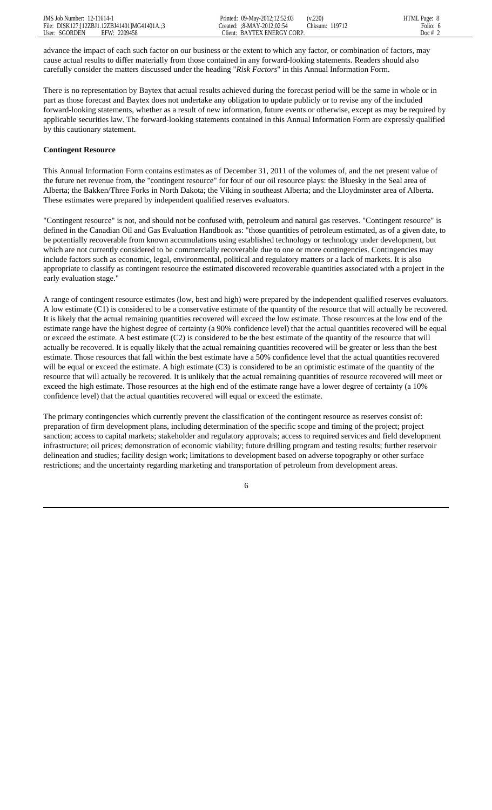advance the impact of each such factor on our business or the extent to which any factor, or combination of factors, may cause actual results to differ materially from those contained in any forward-looking statements. Readers should also carefully consider the matters discussed under the heading "*Risk Factors*" in this Annual Information Form.

There is no representation by Baytex that actual results achieved during the forecast period will be the same in whole or in part as those forecast and Baytex does not undertake any obligation to update publicly or to revise any of the included forward-looking statements, whether as a result of new information, future events or otherwise, except as may be required by applicable securities law. The forward-looking statements contained in this Annual Information Form are expressly qualified by this cautionary statement.

### **Contingent Resource**

This Annual Information Form contains estimates as of December 31, 2011 of the volumes of, and the net present value of the future net revenue from, the "contingent resource" for four of our oil resource plays: the Bluesky in the Seal area of Alberta; the Bakken/Three Forks in North Dakota; the Viking in southeast Alberta; and the Lloydminster area of Alberta. These estimates were prepared by independent qualified reserves evaluators.

"Contingent resource" is not, and should not be confused with, petroleum and natural gas reserves. "Contingent resource" is defined in the Canadian Oil and Gas Evaluation Handbook as: "those quantities of petroleum estimated, as of a given date, to be potentially recoverable from known accumulations using established technology or technology under development, but which are not currently considered to be commercially recoverable due to one or more contingencies. Contingencies may include factors such as economic, legal, environmental, political and regulatory matters or a lack of markets. It is also appropriate to classify as contingent resource the estimated discovered recoverable quantities associated with a project in the early evaluation stage."

A range of contingent resource estimates (low, best and high) were prepared by the independent qualified reserves evaluators. A low estimate (C1) is considered to be a conservative estimate of the quantity of the resource that will actually be recovered. It is likely that the actual remaining quantities recovered will exceed the low estimate. Those resources at the low end of the estimate range have the highest degree of certainty (a 90% confidence level) that the actual quantities recovered will be equal or exceed the estimate. A best estimate (C2) is considered to be the best estimate of the quantity of the resource that will actually be recovered. It is equally likely that the actual remaining quantities recovered will be greater or less than the best estimate. Those resources that fall within the best estimate have a 50% confidence level that the actual quantities recovered will be equal or exceed the estimate. A high estimate (C3) is considered to be an optimistic estimate of the quantity of the resource that will actually be recovered. It is unlikely that the actual remaining quantities of resource recovered will meet or exceed the high estimate. Those resources at the high end of the estimate range have a lower degree of certainty (a 10% confidence level) that the actual quantities recovered will equal or exceed the estimate.

The primary contingencies which currently prevent the classification of the contingent resource as reserves consist of: preparation of firm development plans, including determination of the specific scope and timing of the project; project sanction; access to capital markets; stakeholder and regulatory approvals; access to required services and field development infrastructure; oil prices; demonstration of economic viability; future drilling program and testing results; further reservoir delineation and studies; facility design work; limitations to development based on adverse topography or other surface restrictions; and the uncertainty regarding marketing and transportation of petroleum from development areas.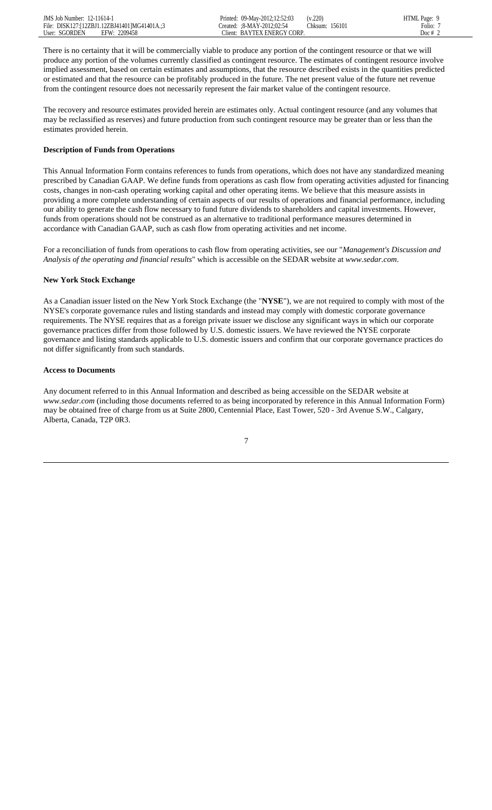There is no certainty that it will be commercially viable to produce any portion of the contingent resource or that we will produce any portion of the volumes currently classified as contingent resource. The estimates of contingent resource involve implied assessment, based on certain estimates and assumptions, that the resource described exists in the quantities predicted or estimated and that the resource can be profitably produced in the future. The net present value of the future net revenue from the contingent resource does not necessarily represent the fair market value of the contingent resource.

The recovery and resource estimates provided herein are estimates only. Actual contingent resource (and any volumes that may be reclassified as reserves) and future production from such contingent resource may be greater than or less than the estimates provided herein.

#### **Description of Funds from Operations**

This Annual Information Form contains references to funds from operations, which does not have any standardized meaning prescribed by Canadian GAAP. We define funds from operations as cash flow from operating activities adjusted for financing costs, changes in non-cash operating working capital and other operating items. We believe that this measure assists in providing a more complete understanding of certain aspects of our results of operations and financial performance, including our ability to generate the cash flow necessary to fund future dividends to shareholders and capital investments. However, funds from operations should not be construed as an alternative to traditional performance measures determined in accordance with Canadian GAAP, such as cash flow from operating activities and net income.

For a reconciliation of funds from operations to cash flow from operating activities, see our "*Management's Discussion and Analysis of the operating and financial results*" which is accessible on the SEDAR website at *www.sedar.com*.

#### **New York Stock Exchange**

As a Canadian issuer listed on the New York Stock Exchange (the "**NYSE**"), we are not required to comply with most of the NYSE's corporate governance rules and listing standards and instead may comply with domestic corporate governance requirements. The NYSE requires that as a foreign private issuer we disclose any significant ways in which our corporate governance practices differ from those followed by U.S. domestic issuers. We have reviewed the NYSE corporate governance and listing standards applicable to U.S. domestic issuers and confirm that our corporate governance practices do not differ significantly from such standards.

#### **Access to Documents**

Any document referred to in this Annual Information and described as being accessible on the SEDAR website at *www.sedar.com* (including those documents referred to as being incorporated by reference in this Annual Information Form) may be obtained free of charge from us at Suite 2800, Centennial Place, East Tower, 520 - 3rd Avenue S.W., Calgary, Alberta, Canada, T2P 0R3.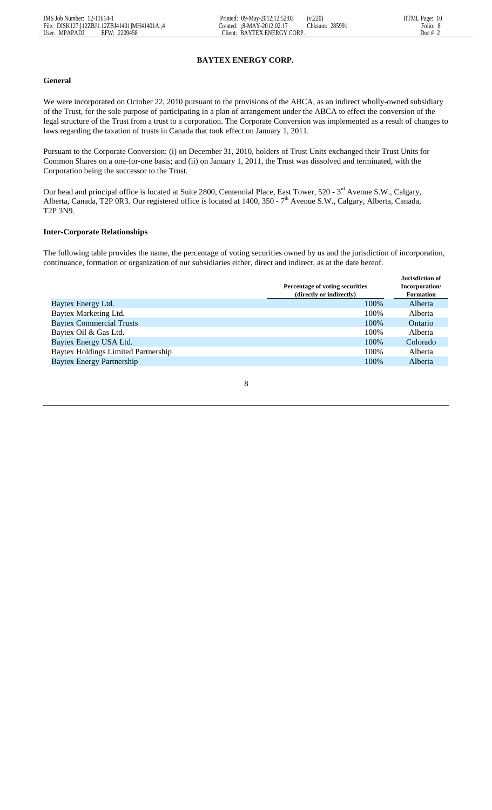#### **BAYTEX ENERGY CORP.**

#### **General**

We were incorporated on October 22, 2010 pursuant to the provisions of the ABCA, as an indirect wholly-owned subsidiary of the Trust, for the sole purpose of participating in a plan of arrangement under the ABCA to effect the conversion of the legal structure of the Trust from a trust to a corporation. The Corporate Conversion was implemented as a result of changes to laws regarding the taxation of trusts in Canada that took effect on January 1, 2011.

Pursuant to the Corporate Conversion: (i) on December 31, 2010, holders of Trust Units exchanged their Trust Units for Common Shares on a one-for-one basis; and (ii) on January 1, 2011, the Trust was dissolved and terminated, with the Corporation being the successor to the Trust.

Our head and principal office is located at Suite 2800, Centennial Place, East Tower, 520 - 3<sup>rd</sup> Avenue S.W., Calgary, Alberta, Canada, T2P 0R3. Our registered office is located at 1400, 350 - 7<sup>th</sup> Avenue S.W., Calgary, Alberta, Canada, T2P 3N9.

#### **Inter-Corporate Relationships**

The following table provides the name, the percentage of voting securities owned by us and the jurisdiction of incorporation, continuance, formation or organization of our subsidiaries either, direct and indirect, as at the date hereof.

|                                            | Percentage of voting securities<br>(directly or indirectly) | Jurisdiction of<br>Incorporation/<br><b>Formation</b> |
|--------------------------------------------|-------------------------------------------------------------|-------------------------------------------------------|
| Baytex Energy Ltd.                         | 100%                                                        | Alberta                                               |
| Baytex Marketing Ltd.                      | 100\%                                                       | Alberta                                               |
| <b>Baytex Commercial Trusts</b>            | 100\%                                                       | Ontario                                               |
| Baytex Oil & Gas Ltd.                      | 100\%                                                       | Alberta                                               |
| Baytex Energy USA Ltd.                     | 100\%                                                       | Colorado                                              |
| <b>Baytex Holdings Limited Partnership</b> | 100\%                                                       | Alberta                                               |
| <b>Baytex Energy Partnership</b>           | 100%                                                        | Alberta                                               |
|                                            |                                                             |                                                       |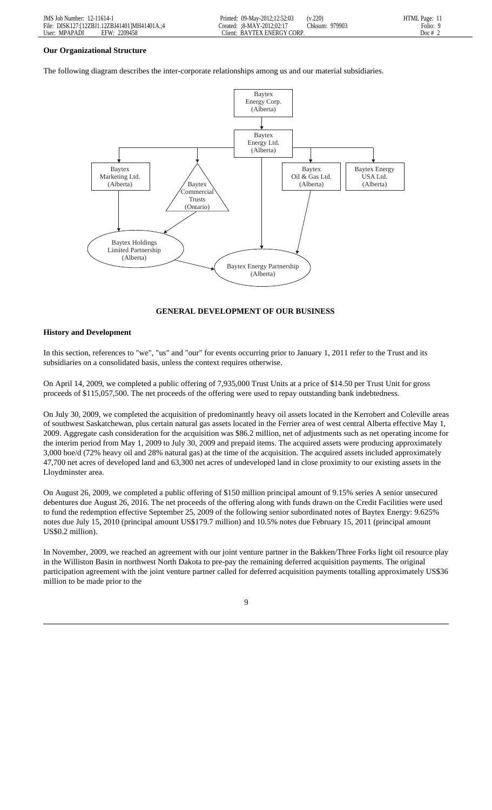#### **Our Organizational Structure**

The following diagram describes the inter-corporate relationships among us and our material subsidiaries.



#### **GENERAL DEVELOPMENT OF OUR BUSINESS**

#### **History and Development**

In this section, references to "we", "us" and "our" for events occurring prior to January 1, 2011 refer to the Trust and its subsidiaries on a consolidated basis, unless the context requires otherwise.

On April 14, 2009, we completed a public offering of 7,935,000 Trust Units at a price of \$14.50 per Trust Unit for gross proceeds of \$115,057,500. The net proceeds of the offering were used to repay outstanding bank indebtedness.

On July 30, 2009, we completed the acquisition of predominantly heavy oil assets located in the Kerrobert and Coleville areas of southwest Saskatchewan, plus certain natural gas assets located in the Ferrier area of west central Alberta effective May 1, 2009. Aggregate cash consideration for the acquisition was \$86.2 million, net of adjustments such as net operating income for the interim period from May 1, 2009 to July 30, 2009 and prepaid items. The acquired assets were producing approximately 3,000 boe/d (72% heavy oil and 28% natural gas) at the time of the acquisition. The acquired assets included approximately 47,700 net acres of developed land and 63,300 net acres of undeveloped land in close proximity to our existing assets in the Lloydminster area.

On August 26, 2009, we completed a public offering of \$150 million principal amount of 9.15% series A senior unsecured debentures due August 26, 2016. The net proceeds of the offering along with funds drawn on the Credit Facilities were used to fund the redemption effective September 25, 2009 of the following senior subordinated notes of Baytex Energy: 9.625% notes due July 15, 2010 (principal amount US\$179.7 million) and 10.5% notes due February 15, 2011 (principal amount US\$0.2 million).

In November, 2009, we reached an agreement with our joint venture partner in the Bakken/Three Forks light oil resource play in the Williston Basin in northwest North Dakota to pre-pay the remaining deferred acquisition payments. The original participation agreement with the joint venture partner called for deferred acquisition payments totalling approximately US\$36 million to be made prior to the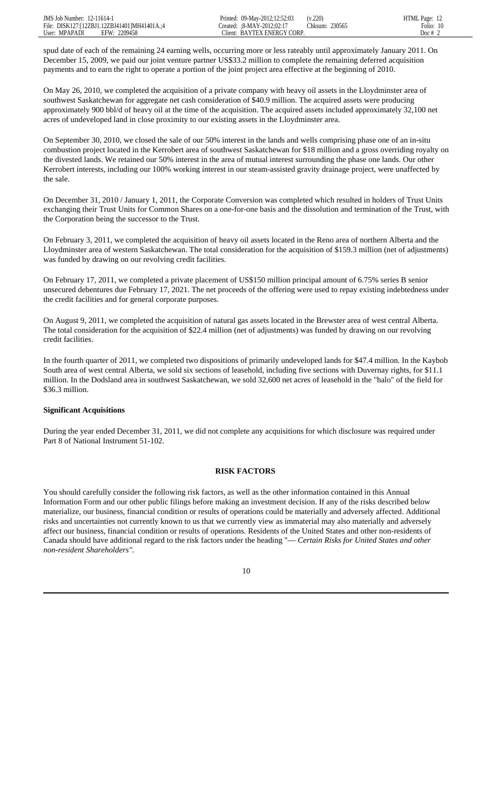spud date of each of the remaining 24 earning wells, occurring more or less rateably until approximately January 2011. On December 15, 2009, we paid our joint venture partner US\$33.2 million to complete the remaining deferred acquisition payments and to earn the right to operate a portion of the joint project area effective at the beginning of 2010.

On May 26, 2010, we completed the acquisition of a private company with heavy oil assets in the Lloydminster area of southwest Saskatchewan for aggregate net cash consideration of \$40.9 million. The acquired assets were producing approximately 900 bbl/d of heavy oil at the time of the acquisition. The acquired assets included approximately 32,100 net acres of undeveloped land in close proximity to our existing assets in the Lloydminster area.

On September 30, 2010, we closed the sale of our 50% interest in the lands and wells comprising phase one of an in-situ combustion project located in the Kerrobert area of southwest Saskatchewan for \$18 million and a gross overriding royalty on the divested lands. We retained our 50% interest in the area of mutual interest surrounding the phase one lands. Our other Kerrobert interests, including our 100% working interest in our steam-assisted gravity drainage project, were unaffected by the sale.

On December 31, 2010 / January 1, 2011, the Corporate Conversion was completed which resulted in holders of Trust Units exchanging their Trust Units for Common Shares on a one-for-one basis and the dissolution and termination of the Trust, with the Corporation being the successor to the Trust.

On February 3, 2011, we completed the acquisition of heavy oil assets located in the Reno area of northern Alberta and the Lloydminster area of western Saskatchewan. The total consideration for the acquisition of \$159.3 million (net of adjustments) was funded by drawing on our revolving credit facilities.

On February 17, 2011, we completed a private placement of US\$150 million principal amount of 6.75% series B senior unsecured debentures due February 17, 2021. The net proceeds of the offering were used to repay existing indebtedness under the credit facilities and for general corporate purposes.

On August 9, 2011, we completed the acquisition of natural gas assets located in the Brewster area of west central Alberta. The total consideration for the acquisition of \$22.4 million (net of adjustments) was funded by drawing on our revolving credit facilities.

In the fourth quarter of 2011, we completed two dispositions of primarily undeveloped lands for \$47.4 million. In the Kaybob South area of west central Alberta, we sold six sections of leasehold, including five sections with Duvernay rights, for \$11.1 million. In the Dodsland area in southwest Saskatchewan, we sold 32,600 net acres of leasehold in the "halo" of the field for \$36.3 million.

#### **Significant Acquisitions**

During the year ended December 31, 2011, we did not complete any acquisitions for which disclosure was required under Part 8 of National Instrument 51-102.

#### **RISK FACTORS**

You should carefully consider the following risk factors, as well as the other information contained in this Annual Information Form and our other public filings before making an investment decision. If any of the risks described below materialize, our business, financial condition or results of operations could be materially and adversely affected. Additional risks and uncertainties not currently known to us that we currently view as immaterial may also materially and adversely affect our business, financial condition or results of operations. Residents of the United States and other non-residents of Canada should have additional regard to the risk factors under the heading "— *Certain Risks for United States and other non-resident Shareholders".*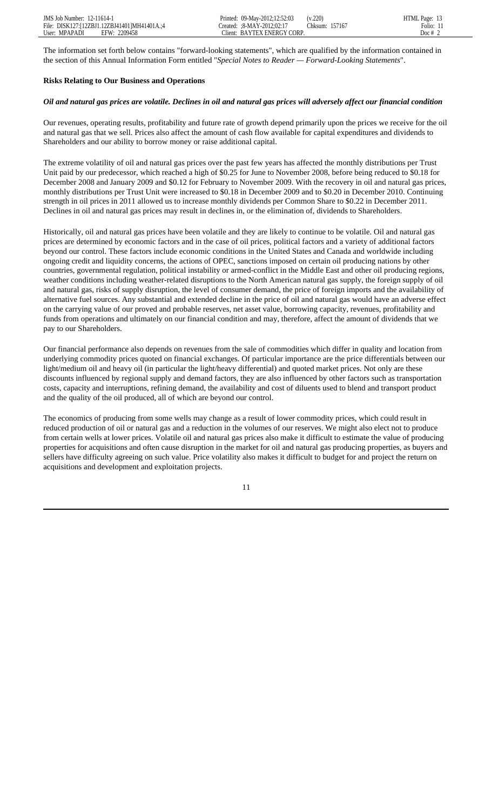The information set forth below contains "forward-looking statements", which are qualified by the information contained in the section of this Annual Information Form entitled "*Special Notes to Reader — Forward-Looking Statements*".

#### **Risks Relating to Our Business and Operations**

#### *Oil and natural gas prices are volatile. Declines in oil and natural gas prices will adversely affect our financial condition*

Our revenues, operating results, profitability and future rate of growth depend primarily upon the prices we receive for the oil and natural gas that we sell. Prices also affect the amount of cash flow available for capital expenditures and dividends to Shareholders and our ability to borrow money or raise additional capital.

The extreme volatility of oil and natural gas prices over the past few years has affected the monthly distributions per Trust Unit paid by our predecessor, which reached a high of \$0.25 for June to November 2008, before being reduced to \$0.18 for December 2008 and January 2009 and \$0.12 for February to November 2009. With the recovery in oil and natural gas prices, monthly distributions per Trust Unit were increased to \$0.18 in December 2009 and to \$0.20 in December 2010. Continuing strength in oil prices in 2011 allowed us to increase monthly dividends per Common Share to \$0.22 in December 2011. Declines in oil and natural gas prices may result in declines in, or the elimination of, dividends to Shareholders.

Historically, oil and natural gas prices have been volatile and they are likely to continue to be volatile. Oil and natural gas prices are determined by economic factors and in the case of oil prices, political factors and a variety of additional factors beyond our control. These factors include economic conditions in the United States and Canada and worldwide including ongoing credit and liquidity concerns, the actions of OPEC, sanctions imposed on certain oil producing nations by other countries, governmental regulation, political instability or armed-conflict in the Middle East and other oil producing regions, weather conditions including weather-related disruptions to the North American natural gas supply, the foreign supply of oil and natural gas, risks of supply disruption, the level of consumer demand, the price of foreign imports and the availability of alternative fuel sources. Any substantial and extended decline in the price of oil and natural gas would have an adverse effect on the carrying value of our proved and probable reserves, net asset value, borrowing capacity, revenues, profitability and funds from operations and ultimately on our financial condition and may, therefore, affect the amount of dividends that we pay to our Shareholders.

Our financial performance also depends on revenues from the sale of commodities which differ in quality and location from underlying commodity prices quoted on financial exchanges. Of particular importance are the price differentials between our light/medium oil and heavy oil (in particular the light/heavy differential) and quoted market prices. Not only are these discounts influenced by regional supply and demand factors, they are also influenced by other factors such as transportation costs, capacity and interruptions, refining demand, the availability and cost of diluents used to blend and transport product and the quality of the oil produced, all of which are beyond our control.

The economics of producing from some wells may change as a result of lower commodity prices, which could result in reduced production of oil or natural gas and a reduction in the volumes of our reserves. We might also elect not to produce from certain wells at lower prices. Volatile oil and natural gas prices also make it difficult to estimate the value of producing properties for acquisitions and often cause disruption in the market for oil and natural gas producing properties, as buyers and sellers have difficulty agreeing on such value. Price volatility also makes it difficult to budget for and project the return on acquisitions and development and exploitation projects.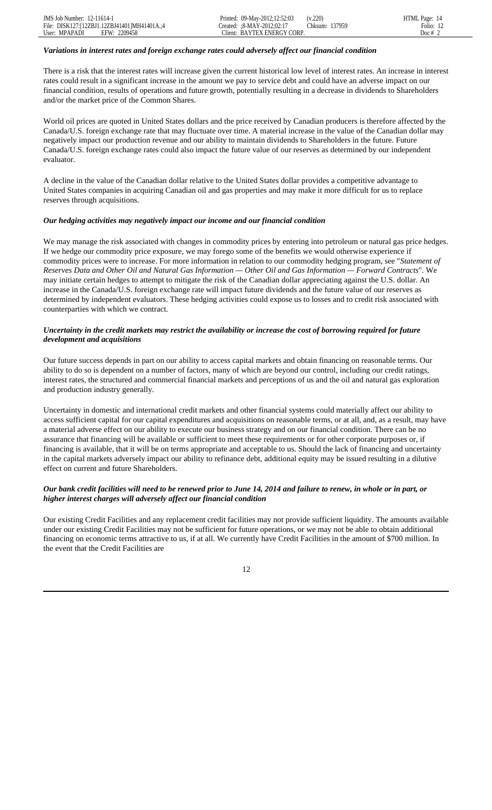## *Variations in interest rates and foreign exchange rates could adversely affect our financial condition*

There is a risk that the interest rates will increase given the current historical low level of interest rates. An increase in interest rates could result in a significant increase in the amount we pay to service debt and could have an adverse impact on our financial condition, results of operations and future growth, potentially resulting in a decrease in dividends to Shareholders and/or the market price of the Common Shares.

World oil prices are quoted in United States dollars and the price received by Canadian producers is therefore affected by the Canada/U.S. foreign exchange rate that may fluctuate over time. A material increase in the value of the Canadian dollar may negatively impact our production revenue and our ability to maintain dividends to Shareholders in the future. Future Canada/U.S. foreign exchange rates could also impact the future value of our reserves as determined by our independent evaluator.

A decline in the value of the Canadian dollar relative to the United States dollar provides a competitive advantage to United States companies in acquiring Canadian oil and gas properties and may make it more difficult for us to replace reserves through acquisitions.

#### *Our hedging activities may negatively impact our income and our financial condition*

We may manage the risk associated with changes in commodity prices by entering into petroleum or natural gas price hedges. If we hedge our commodity price exposure, we may forego some of the benefits we would otherwise experience if commodity prices were to increase. For more information in relation to our commodity hedging program, see "*Statement of Reserves Data and Other Oil and Natural Gas Information — Other Oil and Gas Information — Forward Contracts*". We may initiate certain hedges to attempt to mitigate the risk of the Canadian dollar appreciating against the U.S. dollar. An increase in the Canada/U.S. foreign exchange rate will impact future dividends and the future value of our reserves as determined by independent evaluators. These hedging activities could expose us to losses and to credit risk associated with counterparties with which we contract.

#### *Uncertainty in the credit markets may restrict the availability or increase the cost of borrowing required for future development and acquisitions*

Our future success depends in part on our ability to access capital markets and obtain financing on reasonable terms. Our ability to do so is dependent on a number of factors, many of which are beyond our control, including our credit ratings, interest rates, the structured and commercial financial markets and perceptions of us and the oil and natural gas exploration and production industry generally.

Uncertainty in domestic and international credit markets and other financial systems could materially affect our ability to access sufficient capital for our capital expenditures and acquisitions on reasonable terms, or at all, and, as a result, may have a material adverse effect on our ability to execute our business strategy and on our financial condition. There can be no assurance that financing will be available or sufficient to meet these requirements or for other corporate purposes or, if financing is available, that it will be on terms appropriate and acceptable to us. Should the lack of financing and uncertainty in the capital markets adversely impact our ability to refinance debt, additional equity may be issued resulting in a dilutive effect on current and future Shareholders.

## *Our bank credit facilities will need to be renewed prior to June 14, 2014 and failure to renew, in whole or in part, or higher interest charges will adversely affect our financial condition*

Our existing Credit Facilities and any replacement credit facilities may not provide sufficient liquidity. The amounts available under our existing Credit Facilities may not be sufficient for future operations, or we may not be able to obtain additional financing on economic terms attractive to us, if at all. We currently have Credit Facilities in the amount of \$700 million. In the event that the Credit Facilities are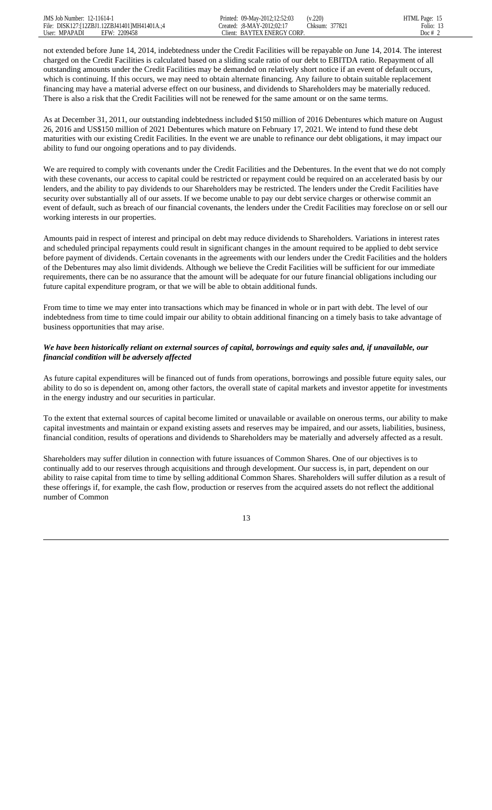not extended before June 14, 2014, indebtedness under the Credit Facilities will be repayable on June 14, 2014. The interest charged on the Credit Facilities is calculated based on a sliding scale ratio of our debt to EBITDA ratio. Repayment of all outstanding amounts under the Credit Facilities may be demanded on relatively short notice if an event of default occurs, which is continuing. If this occurs, we may need to obtain alternate financing. Any failure to obtain suitable replacement financing may have a material adverse effect on our business, and dividends to Shareholders may be materially reduced. There is also a risk that the Credit Facilities will not be renewed for the same amount or on the same terms.

As at December 31, 2011, our outstanding indebtedness included \$150 million of 2016 Debentures which mature on August 26, 2016 and US\$150 million of 2021 Debentures which mature on February 17, 2021. We intend to fund these debt maturities with our existing Credit Facilities. In the event we are unable to refinance our debt obligations, it may impact our ability to fund our ongoing operations and to pay dividends.

We are required to comply with covenants under the Credit Facilities and the Debentures. In the event that we do not comply with these covenants, our access to capital could be restricted or repayment could be required on an accelerated basis by our lenders, and the ability to pay dividends to our Shareholders may be restricted. The lenders under the Credit Facilities have security over substantially all of our assets. If we become unable to pay our debt service charges or otherwise commit an event of default, such as breach of our financial covenants, the lenders under the Credit Facilities may foreclose on or sell our working interests in our properties.

Amounts paid in respect of interest and principal on debt may reduce dividends to Shareholders. Variations in interest rates and scheduled principal repayments could result in significant changes in the amount required to be applied to debt service before payment of dividends. Certain covenants in the agreements with our lenders under the Credit Facilities and the holders of the Debentures may also limit dividends. Although we believe the Credit Facilities will be sufficient for our immediate requirements, there can be no assurance that the amount will be adequate for our future financial obligations including our future capital expenditure program, or that we will be able to obtain additional funds.

From time to time we may enter into transactions which may be financed in whole or in part with debt. The level of our indebtedness from time to time could impair our ability to obtain additional financing on a timely basis to take advantage of business opportunities that may arise.

## *We have been historically reliant on external sources of capital, borrowings and equity sales and, if unavailable, our financial condition will be adversely affected*

As future capital expenditures will be financed out of funds from operations, borrowings and possible future equity sales, our ability to do so is dependent on, among other factors, the overall state of capital markets and investor appetite for investments in the energy industry and our securities in particular.

To the extent that external sources of capital become limited or unavailable or available on onerous terms, our ability to make capital investments and maintain or expand existing assets and reserves may be impaired, and our assets, liabilities, business, financial condition, results of operations and dividends to Shareholders may be materially and adversely affected as a result.

Shareholders may suffer dilution in connection with future issuances of Common Shares. One of our objectives is to continually add to our reserves through acquisitions and through development. Our success is, in part, dependent on our ability to raise capital from time to time by selling additional Common Shares. Shareholders will suffer dilution as a result of these offerings if, for example, the cash flow, production or reserves from the acquired assets do not reflect the additional number of Common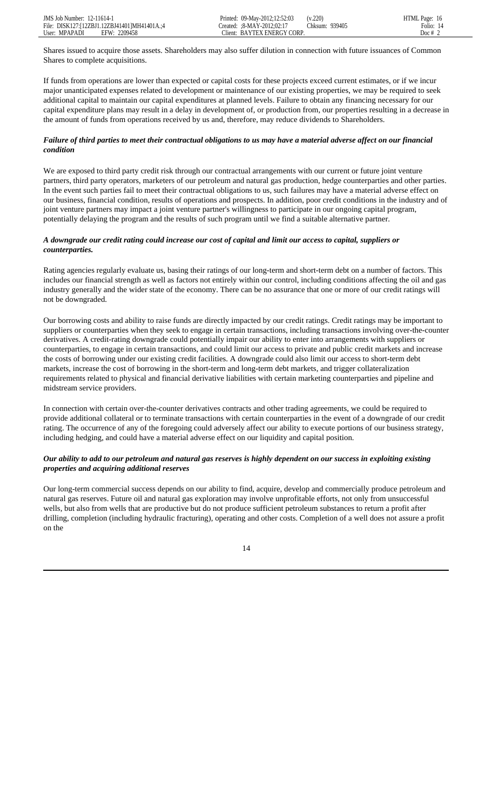Shares issued to acquire those assets. Shareholders may also suffer dilution in connection with future issuances of Common Shares to complete acquisitions.

If funds from operations are lower than expected or capital costs for these projects exceed current estimates, or if we incur major unanticipated expenses related to development or maintenance of our existing properties, we may be required to seek additional capital to maintain our capital expenditures at planned levels. Failure to obtain any financing necessary for our capital expenditure plans may result in a delay in development of, or production from, our properties resulting in a decrease in the amount of funds from operations received by us and, therefore, may reduce dividends to Shareholders.

#### *Failure of third parties to meet their contractual obligations to us may have a material adverse affect on our financial condition*

We are exposed to third party credit risk through our contractual arrangements with our current or future joint venture partners, third party operators, marketers of our petroleum and natural gas production, hedge counterparties and other parties. In the event such parties fail to meet their contractual obligations to us, such failures may have a material adverse effect on our business, financial condition, results of operations and prospects. In addition, poor credit conditions in the industry and of joint venture partners may impact a joint venture partner's willingness to participate in our ongoing capital program, potentially delaying the program and the results of such program until we find a suitable alternative partner.

#### *A downgrade our credit rating could increase our cost of capital and limit our access to capital, suppliers or counterparties.*

Rating agencies regularly evaluate us, basing their ratings of our long-term and short-term debt on a number of factors. This includes our financial strength as well as factors not entirely within our control, including conditions affecting the oil and gas industry generally and the wider state of the economy. There can be no assurance that one or more of our credit ratings will not be downgraded.

Our borrowing costs and ability to raise funds are directly impacted by our credit ratings. Credit ratings may be important to suppliers or counterparties when they seek to engage in certain transactions, including transactions involving over-the-counter derivatives. A credit-rating downgrade could potentially impair our ability to enter into arrangements with suppliers or counterparties, to engage in certain transactions, and could limit our access to private and public credit markets and increase the costs of borrowing under our existing credit facilities. A downgrade could also limit our access to short-term debt markets, increase the cost of borrowing in the short-term and long-term debt markets, and trigger collateralization requirements related to physical and financial derivative liabilities with certain marketing counterparties and pipeline and midstream service providers.

In connection with certain over-the-counter derivatives contracts and other trading agreements, we could be required to provide additional collateral or to terminate transactions with certain counterparties in the event of a downgrade of our credit rating. The occurrence of any of the foregoing could adversely affect our ability to execute portions of our business strategy, including hedging, and could have a material adverse effect on our liquidity and capital position.

#### *Our ability to add to our petroleum and natural gas reserves is highly dependent on our success in exploiting existing properties and acquiring additional reserves*

Our long-term commercial success depends on our ability to find, acquire, develop and commercially produce petroleum and natural gas reserves. Future oil and natural gas exploration may involve unprofitable efforts, not only from unsuccessful wells, but also from wells that are productive but do not produce sufficient petroleum substances to return a profit after drilling, completion (including hydraulic fracturing), operating and other costs. Completion of a well does not assure a profit on the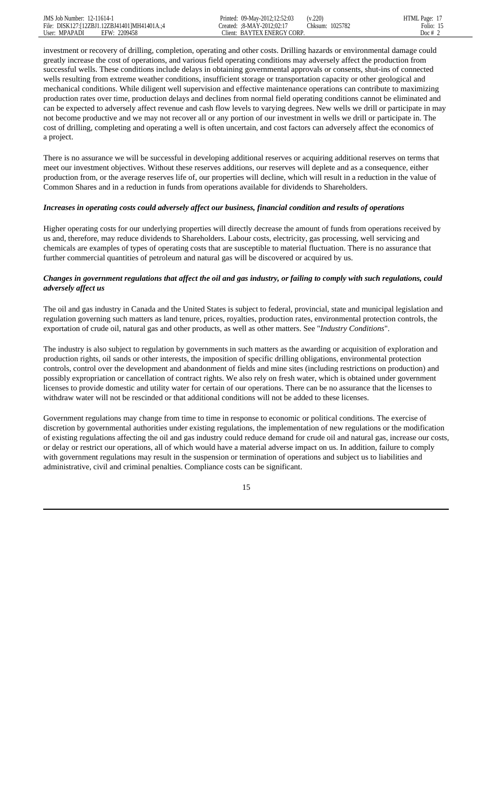investment or recovery of drilling, completion, operating and other costs. Drilling hazards or environmental damage could greatly increase the cost of operations, and various field operating conditions may adversely affect the production from successful wells. These conditions include delays in obtaining governmental approvals or consents, shut-ins of connected wells resulting from extreme weather conditions, insufficient storage or transportation capacity or other geological and mechanical conditions. While diligent well supervision and effective maintenance operations can contribute to maximizing production rates over time, production delays and declines from normal field operating conditions cannot be eliminated and can be expected to adversely affect revenue and cash flow levels to varying degrees. New wells we drill or participate in may not become productive and we may not recover all or any portion of our investment in wells we drill or participate in. The cost of drilling, completing and operating a well is often uncertain, and cost factors can adversely affect the economics of a project.

There is no assurance we will be successful in developing additional reserves or acquiring additional reserves on terms that meet our investment objectives. Without these reserves additions, our reserves will deplete and as a consequence, either production from, or the average reserves life of, our properties will decline, which will result in a reduction in the value of Common Shares and in a reduction in funds from operations available for dividends to Shareholders.

#### *Increases in operating costs could adversely affect our business, financial condition and results of operations*

Higher operating costs for our underlying properties will directly decrease the amount of funds from operations received by us and, therefore, may reduce dividends to Shareholders. Labour costs, electricity, gas processing, well servicing and chemicals are examples of types of operating costs that are susceptible to material fluctuation. There is no assurance that further commercial quantities of petroleum and natural gas will be discovered or acquired by us.

## *Changes in government regulations that affect the oil and gas industry, or failing to comply with such regulations, could adversely affect us*

The oil and gas industry in Canada and the United States is subject to federal, provincial, state and municipal legislation and regulation governing such matters as land tenure, prices, royalties, production rates, environmental protection controls, the exportation of crude oil, natural gas and other products, as well as other matters. See "*Industry Conditions*".

The industry is also subject to regulation by governments in such matters as the awarding or acquisition of exploration and production rights, oil sands or other interests, the imposition of specific drilling obligations, environmental protection controls, control over the development and abandonment of fields and mine sites (including restrictions on production) and possibly expropriation or cancellation of contract rights. We also rely on fresh water, which is obtained under government licenses to provide domestic and utility water for certain of our operations. There can be no assurance that the licenses to withdraw water will not be rescinded or that additional conditions will not be added to these licenses.

Government regulations may change from time to time in response to economic or political conditions. The exercise of discretion by governmental authorities under existing regulations, the implementation of new regulations or the modification of existing regulations affecting the oil and gas industry could reduce demand for crude oil and natural gas, increase our costs, or delay or restrict our operations, all of which would have a material adverse impact on us. In addition, failure to comply with government regulations may result in the suspension or termination of operations and subject us to liabilities and administrative, civil and criminal penalties. Compliance costs can be significant.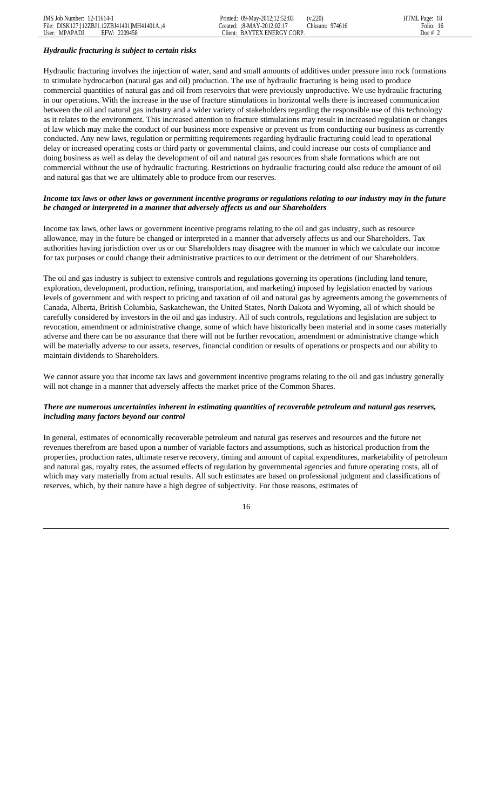#### *Hydraulic fracturing is subject to certain risks*

Hydraulic fracturing involves the injection of water, sand and small amounts of additives under pressure into rock formations to stimulate hydrocarbon (natural gas and oil) production. The use of hydraulic fracturing is being used to produce commercial quantities of natural gas and oil from reservoirs that were previously unproductive. We use hydraulic fracturing in our operations. With the increase in the use of fracture stimulations in horizontal wells there is increased communication between the oil and natural gas industry and a wider variety of stakeholders regarding the responsible use of this technology as it relates to the environment. This increased attention to fracture stimulations may result in increased regulation or changes of law which may make the conduct of our business more expensive or prevent us from conducting our business as currently conducted. Any new laws, regulation or permitting requirements regarding hydraulic fracturing could lead to operational delay or increased operating costs or third party or governmental claims, and could increase our costs of compliance and doing business as well as delay the development of oil and natural gas resources from shale formations which are not commercial without the use of hydraulic fracturing. Restrictions on hydraulic fracturing could also reduce the amount of oil and natural gas that we are ultimately able to produce from our reserves.

#### *Income tax laws or other laws or government incentive programs or regulations relating to our industry may in the future be changed or interpreted in a manner that adversely affects us and our Shareholders*

Income tax laws, other laws or government incentive programs relating to the oil and gas industry, such as resource allowance, may in the future be changed or interpreted in a manner that adversely affects us and our Shareholders. Tax authorities having jurisdiction over us or our Shareholders may disagree with the manner in which we calculate our income for tax purposes or could change their administrative practices to our detriment or the detriment of our Shareholders.

The oil and gas industry is subject to extensive controls and regulations governing its operations (including land tenure, exploration, development, production, refining, transportation, and marketing) imposed by legislation enacted by various levels of government and with respect to pricing and taxation of oil and natural gas by agreements among the governments of Canada, Alberta, British Columbia, Saskatchewan, the United States, North Dakota and Wyoming, all of which should be carefully considered by investors in the oil and gas industry. All of such controls, regulations and legislation are subject to revocation, amendment or administrative change, some of which have historically been material and in some cases materially adverse and there can be no assurance that there will not be further revocation, amendment or administrative change which will be materially adverse to our assets, reserves, financial condition or results of operations or prospects and our ability to maintain dividends to Shareholders.

We cannot assure you that income tax laws and government incentive programs relating to the oil and gas industry generally will not change in a manner that adversely affects the market price of the Common Shares.

#### *There are numerous uncertainties inherent in estimating quantities of recoverable petroleum and natural gas reserves, including many factors beyond our control*

In general, estimates of economically recoverable petroleum and natural gas reserves and resources and the future net revenues therefrom are based upon a number of variable factors and assumptions, such as historical production from the properties, production rates, ultimate reserve recovery, timing and amount of capital expenditures, marketability of petroleum and natural gas, royalty rates, the assumed effects of regulation by governmental agencies and future operating costs, all of which may vary materially from actual results. All such estimates are based on professional judgment and classifications of reserves, which, by their nature have a high degree of subjectivity. For those reasons, estimates of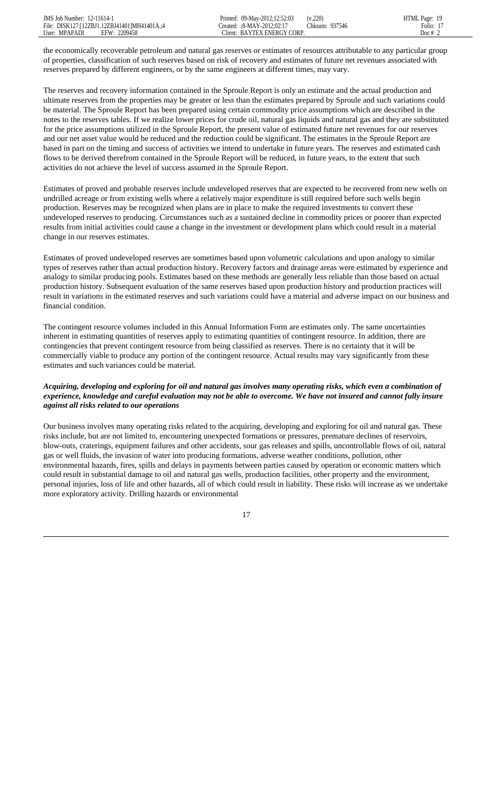the economically recoverable petroleum and natural gas reserves or estimates of resources attributable to any particular group of properties, classification of such reserves based on risk of recovery and estimates of future net revenues associated with reserves prepared by different engineers, or by the same engineers at different times, may vary.

The reserves and recovery information contained in the Sproule Report is only an estimate and the actual production and ultimate reserves from the properties may be greater or less than the estimates prepared by Sproule and such variations could be material. The Sproule Report has been prepared using certain commodity price assumptions which are described in the notes to the reserves tables. If we realize lower prices for crude oil, natural gas liquids and natural gas and they are substituted for the price assumptions utilized in the Sproule Report, the present value of estimated future net revenues for our reserves and our net asset value would be reduced and the reduction could be significant. The estimates in the Sproule Report are based in part on the timing and success of activities we intend to undertake in future years. The reserves and estimated cash flows to be derived therefrom contained in the Sproule Report will be reduced, in future years, to the extent that such activities do not achieve the level of success assumed in the Sproule Report.

Estimates of proved and probable reserves include undeveloped reserves that are expected to be recovered from new wells on undrilled acreage or from existing wells where a relatively major expenditure is still required before such wells begin production. Reserves may be recognized when plans are in place to make the required investments to convert these undeveloped reserves to producing. Circumstances such as a sustained decline in commodity prices or poorer than expected results from initial activities could cause a change in the investment or development plans which could result in a material change in our reserves estimates.

Estimates of proved undeveloped reserves are sometimes based upon volumetric calculations and upon analogy to similar types of reserves rather than actual production history. Recovery factors and drainage areas were estimated by experience and analogy to similar producing pools. Estimates based on these methods are generally less reliable than those based on actual production history. Subsequent evaluation of the same reserves based upon production history and production practices will result in variations in the estimated reserves and such variations could have a material and adverse impact on our business and financial condition.

The contingent resource volumes included in this Annual Information Form are estimates only. The same uncertainties inherent in estimating quantities of reserves apply to estimating quantities of contingent resource. In addition, there are contingencies that prevent contingent resource from being classified as reserves. There is no certainty that it will be commercially viable to produce any portion of the contingent resource. Actual results may vary significantly from these estimates and such variances could be material.

#### *Acquiring, developing and exploring for oil and natural gas involves many operating risks, which even a combination of experience, knowledge and careful evaluation may not be able to overcome. We have not insured and cannot fully insure against all risks related to our operations*

Our business involves many operating risks related to the acquiring, developing and exploring for oil and natural gas. These risks include, but are not limited to, encountering unexpected formations or pressures, premature declines of reservoirs, blow-outs, craterings, equipment failures and other accidents, sour gas releases and spills, uncontrollable flows of oil, natural gas or well fluids, the invasion of water into producing formations, adverse weather conditions, pollution, other environmental hazards, fires, spills and delays in payments between parties caused by operation or economic matters which could result in substantial damage to oil and natural gas wells, production facilities, other property and the environment, personal injuries, loss of life and other hazards, all of which could result in liability. These risks will increase as we undertake more exploratory activity. Drilling hazards or environmental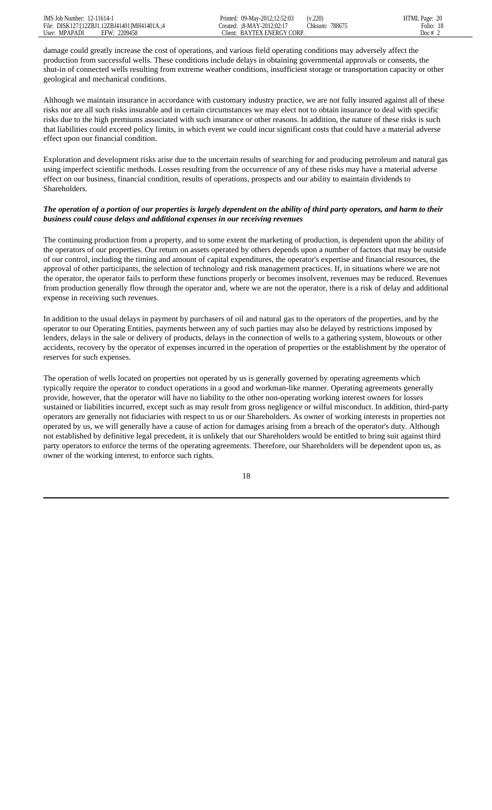damage could greatly increase the cost of operations, and various field operating conditions may adversely affect the production from successful wells. These conditions include delays in obtaining governmental approvals or consents, the shut-in of connected wells resulting from extreme weather conditions, insufficient storage or transportation capacity or other geological and mechanical conditions.

Although we maintain insurance in accordance with customary industry practice, we are not fully insured against all of these risks nor are all such risks insurable and in certain circumstances we may elect not to obtain insurance to deal with specific risks due to the high premiums associated with such insurance or other reasons. In addition, the nature of these risks is such that liabilities could exceed policy limits, in which event we could incur significant costs that could have a material adverse effect upon our financial condition.

Exploration and development risks arise due to the uncertain results of searching for and producing petroleum and natural gas using imperfect scientific methods. Losses resulting from the occurrence of any of these risks may have a material adverse effect on our business, financial condition, results of operations, prospects and our ability to maintain dividends to Shareholders.

#### *The operation of a portion of our properties is largely dependent on the ability of third party operators, and harm to their business could cause delays and additional expenses in our receiving revenues*

The continuing production from a property, and to some extent the marketing of production, is dependent upon the ability of the operators of our properties. Our return on assets operated by others depends upon a number of factors that may be outside of our control, including the timing and amount of capital expenditures, the operator's expertise and financial resources, the approval of other participants, the selection of technology and risk management practices. If, in situations where we are not the operator, the operator fails to perform these functions properly or becomes insolvent, revenues may be reduced. Revenues from production generally flow through the operator and, where we are not the operator, there is a risk of delay and additional expense in receiving such revenues.

In addition to the usual delays in payment by purchasers of oil and natural gas to the operators of the properties, and by the operator to our Operating Entities, payments between any of such parties may also be delayed by restrictions imposed by lenders, delays in the sale or delivery of products, delays in the connection of wells to a gathering system, blowouts or other accidents, recovery by the operator of expenses incurred in the operation of properties or the establishment by the operator of reserves for such expenses.

The operation of wells located on properties not operated by us is generally governed by operating agreements which typically require the operator to conduct operations in a good and workman-like manner. Operating agreements generally provide, however, that the operator will have no liability to the other non-operating working interest owners for losses sustained or liabilities incurred, except such as may result from gross negligence or wilful misconduct. In addition, third-party operators are generally not fiduciaries with respect to us or our Shareholders. As owner of working interests in properties not operated by us, we will generally have a cause of action for damages arising from a breach of the operator's duty. Although not established by definitive legal precedent, it is unlikely that our Shareholders would be entitled to bring suit against third party operators to enforce the terms of the operating agreements. Therefore, our Shareholders will be dependent upon us, as owner of the working interest, to enforce such rights.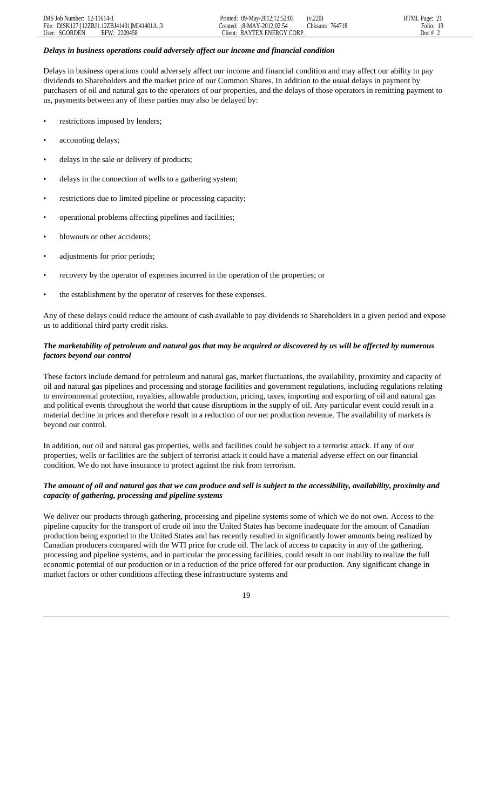#### *Delays in business operations could adversely affect our income and financial condition*

Delays in business operations could adversely affect our income and financial condition and may affect our ability to pay dividends to Shareholders and the market price of our Common Shares. In addition to the usual delays in payment by purchasers of oil and natural gas to the operators of our properties, and the delays of those operators in remitting payment to us, payments between any of these parties may also be delayed by:

- restrictions imposed by lenders;
- accounting delays;
- delays in the sale or delivery of products;
- delays in the connection of wells to a gathering system;
- restrictions due to limited pipeline or processing capacity;
- operational problems affecting pipelines and facilities;
- blowouts or other accidents;
- adjustments for prior periods;
- recovery by the operator of expenses incurred in the operation of the properties; or
- the establishment by the operator of reserves for these expenses.

Any of these delays could reduce the amount of cash available to pay dividends to Shareholders in a given period and expose us to additional third party credit risks.

## *The marketability of petroleum and natural gas that may be acquired or discovered by us will be affected by numerous factors beyond our control*

These factors include demand for petroleum and natural gas, market fluctuations, the availability, proximity and capacity of oil and natural gas pipelines and processing and storage facilities and government regulations, including regulations relating to environmental protection, royalties, allowable production, pricing, taxes, importing and exporting of oil and natural gas and political events throughout the world that cause disruptions in the supply of oil. Any particular event could result in a material decline in prices and therefore result in a reduction of our net production revenue. The availability of markets is beyond our control.

In addition, our oil and natural gas properties, wells and facilities could be subject to a terrorist attack. If any of our properties, wells or facilities are the subject of terrorist attack it could have a material adverse effect on our financial condition. We do not have insurance to protect against the risk from terrorism.

## *The amount of oil and natural gas that we can produce and sell is subject to the accessibility, availability, proximity and capacity of gathering, processing and pipeline systems*

We deliver our products through gathering, processing and pipeline systems some of which we do not own. Access to the pipeline capacity for the transport of crude oil into the United States has become inadequate for the amount of Canadian production being exported to the United States and has recently resulted in significantly lower amounts being realized by Canadian producers compared with the WTI price for crude oil. The lack of access to capacity in any of the gathering, processing and pipeline systems, and in particular the processing facilities, could result in our inability to realize the full economic potential of our production or in a reduction of the price offered for our production. Any significant change in market factors or other conditions affecting these infrastructure systems and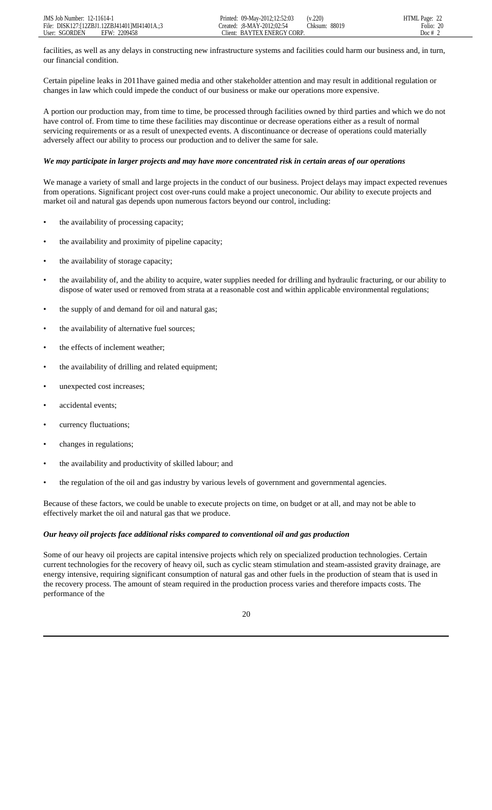facilities, as well as any delays in constructing new infrastructure systems and facilities could harm our business and, in turn, our financial condition.

Certain pipeline leaks in 2011have gained media and other stakeholder attention and may result in additional regulation or changes in law which could impede the conduct of our business or make our operations more expensive.

A portion our production may, from time to time, be processed through facilities owned by third parties and which we do not have control of. From time to time these facilities may discontinue or decrease operations either as a result of normal servicing requirements or as a result of unexpected events. A discontinuance or decrease of operations could materially adversely affect our ability to process our production and to deliver the same for sale.

#### *We may participate in larger projects and may have more concentrated risk in certain areas of our operations*

We manage a variety of small and large projects in the conduct of our business. Project delays may impact expected revenues from operations. Significant project cost over-runs could make a project uneconomic. Our ability to execute projects and market oil and natural gas depends upon numerous factors beyond our control, including:

- the availability of processing capacity;
- the availability and proximity of pipeline capacity;
- the availability of storage capacity;
- the availability of, and the ability to acquire, water supplies needed for drilling and hydraulic fracturing, or our ability to dispose of water used or removed from strata at a reasonable cost and within applicable environmental regulations;
- the supply of and demand for oil and natural gas;
- the availability of alternative fuel sources;
- the effects of inclement weather;
- the availability of drilling and related equipment;
- unexpected cost increases;
- accidental events;
- currency fluctuations;
- changes in regulations;
- the availability and productivity of skilled labour; and
- the regulation of the oil and gas industry by various levels of government and governmental agencies.

Because of these factors, we could be unable to execute projects on time, on budget or at all, and may not be able to effectively market the oil and natural gas that we produce.

#### *Our heavy oil projects face additional risks compared to conventional oil and gas production*

Some of our heavy oil projects are capital intensive projects which rely on specialized production technologies. Certain current technologies for the recovery of heavy oil, such as cyclic steam stimulation and steam-assisted gravity drainage, are energy intensive, requiring significant consumption of natural gas and other fuels in the production of steam that is used in the recovery process. The amount of steam required in the production process varies and therefore impacts costs. The performance of the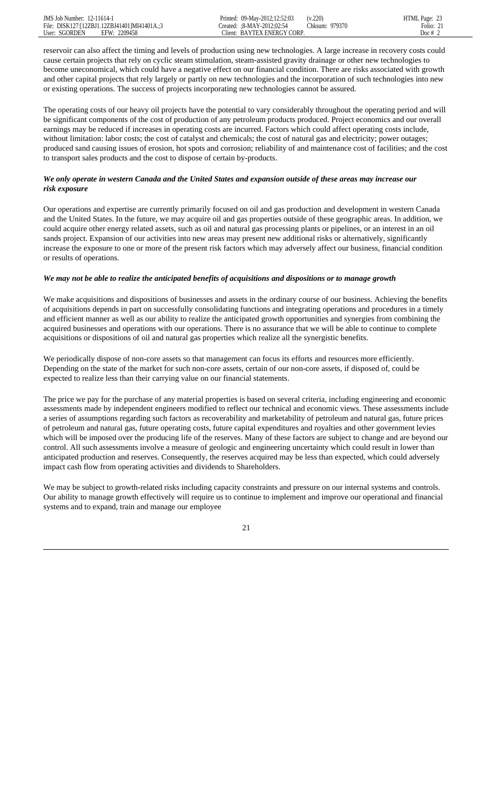reservoir can also affect the timing and levels of production using new technologies. A large increase in recovery costs could cause certain projects that rely on cyclic steam stimulation, steam-assisted gravity drainage or other new technologies to become uneconomical, which could have a negative effect on our financial condition. There are risks associated with growth and other capital projects that rely largely or partly on new technologies and the incorporation of such technologies into new or existing operations. The success of projects incorporating new technologies cannot be assured.

The operating costs of our heavy oil projects have the potential to vary considerably throughout the operating period and will be significant components of the cost of production of any petroleum products produced. Project economics and our overall earnings may be reduced if increases in operating costs are incurred. Factors which could affect operating costs include, without limitation: labor costs; the cost of catalyst and chemicals; the cost of natural gas and electricity; power outages; produced sand causing issues of erosion, hot spots and corrosion; reliability of and maintenance cost of facilities; and the cost to transport sales products and the cost to dispose of certain by-products.

## *We only operate in western Canada and the United States and expansion outside of these areas may increase our risk exposure*

Our operations and expertise are currently primarily focused on oil and gas production and development in western Canada and the United States. In the future, we may acquire oil and gas properties outside of these geographic areas. In addition, we could acquire other energy related assets, such as oil and natural gas processing plants or pipelines, or an interest in an oil sands project. Expansion of our activities into new areas may present new additional risks or alternatively, significantly increase the exposure to one or more of the present risk factors which may adversely affect our business, financial condition or results of operations.

## *We may not be able to realize the anticipated benefits of acquisitions and dispositions or to manage growth*

We make acquisitions and dispositions of businesses and assets in the ordinary course of our business. Achieving the benefits of acquisitions depends in part on successfully consolidating functions and integrating operations and procedures in a timely and efficient manner as well as our ability to realize the anticipated growth opportunities and synergies from combining the acquired businesses and operations with our operations. There is no assurance that we will be able to continue to complete acquisitions or dispositions of oil and natural gas properties which realize all the synergistic benefits.

We periodically dispose of non-core assets so that management can focus its efforts and resources more efficiently. Depending on the state of the market for such non-core assets, certain of our non-core assets, if disposed of, could be expected to realize less than their carrying value on our financial statements.

The price we pay for the purchase of any material properties is based on several criteria, including engineering and economic assessments made by independent engineers modified to reflect our technical and economic views. These assessments include a series of assumptions regarding such factors as recoverability and marketability of petroleum and natural gas, future prices of petroleum and natural gas, future operating costs, future capital expenditures and royalties and other government levies which will be imposed over the producing life of the reserves. Many of these factors are subject to change and are beyond our control. All such assessments involve a measure of geologic and engineering uncertainty which could result in lower than anticipated production and reserves. Consequently, the reserves acquired may be less than expected, which could adversely impact cash flow from operating activities and dividends to Shareholders.

We may be subject to growth-related risks including capacity constraints and pressure on our internal systems and controls. Our ability to manage growth effectively will require us to continue to implement and improve our operational and financial systems and to expand, train and manage our employee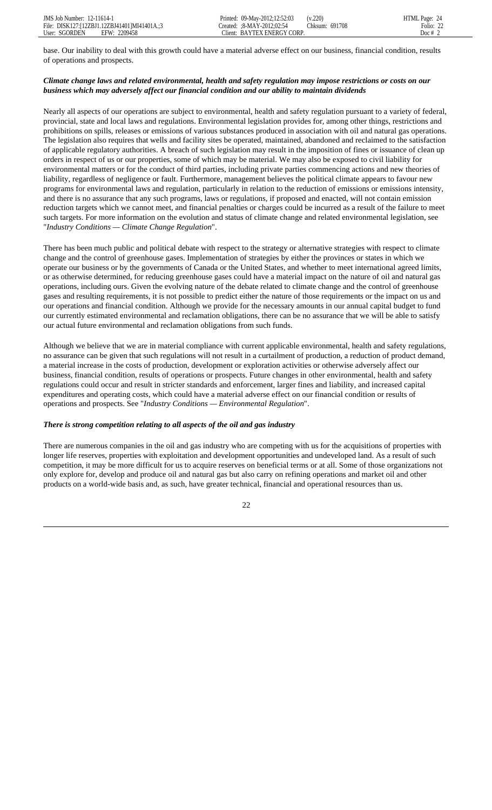base. Our inability to deal with this growth could have a material adverse effect on our business, financial condition, results of operations and prospects.

## *Climate change laws and related environmental, health and safety regulation may impose restrictions or costs on our business which may adversely affect our financial condition and our ability to maintain dividends*

Nearly all aspects of our operations are subject to environmental, health and safety regulation pursuant to a variety of federal, provincial, state and local laws and regulations. Environmental legislation provides for, among other things, restrictions and prohibitions on spills, releases or emissions of various substances produced in association with oil and natural gas operations. The legislation also requires that wells and facility sites be operated, maintained, abandoned and reclaimed to the satisfaction of applicable regulatory authorities. A breach of such legislation may result in the imposition of fines or issuance of clean up orders in respect of us or our properties, some of which may be material. We may also be exposed to civil liability for environmental matters or for the conduct of third parties, including private parties commencing actions and new theories of liability, regardless of negligence or fault. Furthermore, management believes the political climate appears to favour new programs for environmental laws and regulation, particularly in relation to the reduction of emissions or emissions intensity, and there is no assurance that any such programs, laws or regulations, if proposed and enacted, will not contain emission reduction targets which we cannot meet, and financial penalties or charges could be incurred as a result of the failure to meet such targets. For more information on the evolution and status of climate change and related environmental legislation, see "*Industry Conditions — Climate Change Regulation*".

There has been much public and political debate with respect to the strategy or alternative strategies with respect to climate change and the control of greenhouse gases. Implementation of strategies by either the provinces or states in which we operate our business or by the governments of Canada or the United States, and whether to meet international agreed limits, or as otherwise determined, for reducing greenhouse gases could have a material impact on the nature of oil and natural gas operations, including ours. Given the evolving nature of the debate related to climate change and the control of greenhouse gases and resulting requirements, it is not possible to predict either the nature of those requirements or the impact on us and our operations and financial condition. Although we provide for the necessary amounts in our annual capital budget to fund our currently estimated environmental and reclamation obligations, there can be no assurance that we will be able to satisfy our actual future environmental and reclamation obligations from such funds.

Although we believe that we are in material compliance with current applicable environmental, health and safety regulations, no assurance can be given that such regulations will not result in a curtailment of production, a reduction of product demand, a material increase in the costs of production, development or exploration activities or otherwise adversely affect our business, financial condition, results of operations or prospects. Future changes in other environmental, health and safety regulations could occur and result in stricter standards and enforcement, larger fines and liability, and increased capital expenditures and operating costs, which could have a material adverse effect on our financial condition or results of operations and prospects. See "*Industry Conditions — Environmental Regulation*".

#### *There is strong competition relating to all aspects of the oil and gas industry*

There are numerous companies in the oil and gas industry who are competing with us for the acquisitions of properties with longer life reserves, properties with exploitation and development opportunities and undeveloped land. As a result of such competition, it may be more difficult for us to acquire reserves on beneficial terms or at all. Some of those organizations not only explore for, develop and produce oil and natural gas but also carry on refining operations and market oil and other products on a world-wide basis and, as such, have greater technical, financial and operational resources than us.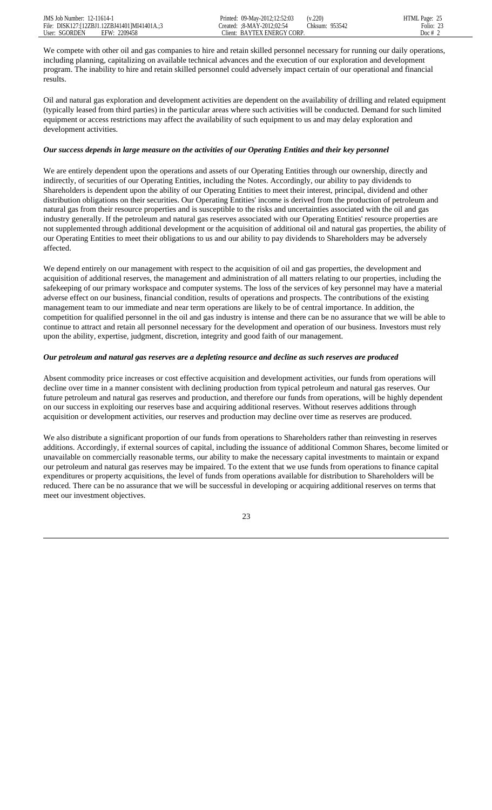We compete with other oil and gas companies to hire and retain skilled personnel necessary for running our daily operations, including planning, capitalizing on available technical advances and the execution of our exploration and development program. The inability to hire and retain skilled personnel could adversely impact certain of our operational and financial results.

Oil and natural gas exploration and development activities are dependent on the availability of drilling and related equipment (typically leased from third parties) in the particular areas where such activities will be conducted. Demand for such limited equipment or access restrictions may affect the availability of such equipment to us and may delay exploration and development activities.

## *Our success depends in large measure on the activities of our Operating Entities and their key personnel*

We are entirely dependent upon the operations and assets of our Operating Entities through our ownership, directly and indirectly, of securities of our Operating Entities, including the Notes. Accordingly, our ability to pay dividends to Shareholders is dependent upon the ability of our Operating Entities to meet their interest, principal, dividend and other distribution obligations on their securities. Our Operating Entities' income is derived from the production of petroleum and natural gas from their resource properties and is susceptible to the risks and uncertainties associated with the oil and gas industry generally. If the petroleum and natural gas reserves associated with our Operating Entities' resource properties are not supplemented through additional development or the acquisition of additional oil and natural gas properties, the ability of our Operating Entities to meet their obligations to us and our ability to pay dividends to Shareholders may be adversely affected.

We depend entirely on our management with respect to the acquisition of oil and gas properties, the development and acquisition of additional reserves, the management and administration of all matters relating to our properties, including the safekeeping of our primary workspace and computer systems. The loss of the services of key personnel may have a material adverse effect on our business, financial condition, results of operations and prospects. The contributions of the existing management team to our immediate and near term operations are likely to be of central importance. In addition, the competition for qualified personnel in the oil and gas industry is intense and there can be no assurance that we will be able to continue to attract and retain all personnel necessary for the development and operation of our business. Investors must rely upon the ability, expertise, judgment, discretion, integrity and good faith of our management.

## *Our petroleum and natural gas reserves are a depleting resource and decline as such reserves are produced*

Absent commodity price increases or cost effective acquisition and development activities, our funds from operations will decline over time in a manner consistent with declining production from typical petroleum and natural gas reserves. Our future petroleum and natural gas reserves and production, and therefore our funds from operations, will be highly dependent on our success in exploiting our reserves base and acquiring additional reserves. Without reserves additions through acquisition or development activities, our reserves and production may decline over time as reserves are produced.

We also distribute a significant proportion of our funds from operations to Shareholders rather than reinvesting in reserves additions. Accordingly, if external sources of capital, including the issuance of additional Common Shares, become limited or unavailable on commercially reasonable terms, our ability to make the necessary capital investments to maintain or expand our petroleum and natural gas reserves may be impaired. To the extent that we use funds from operations to finance capital expenditures or property acquisitions, the level of funds from operations available for distribution to Shareholders will be reduced. There can be no assurance that we will be successful in developing or acquiring additional reserves on terms that meet our investment objectives.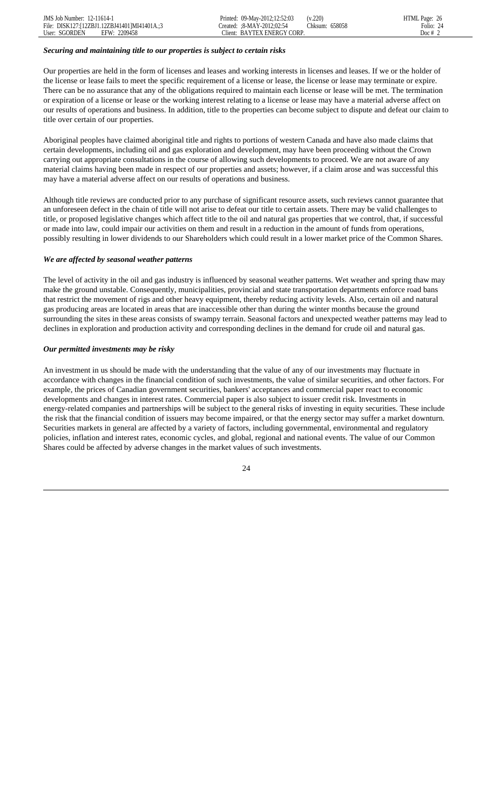#### *Securing and maintaining title to our properties is subject to certain risks*

Our properties are held in the form of licenses and leases and working interests in licenses and leases. If we or the holder of the license or lease fails to meet the specific requirement of a license or lease, the license or lease may terminate or expire. There can be no assurance that any of the obligations required to maintain each license or lease will be met. The termination or expiration of a license or lease or the working interest relating to a license or lease may have a material adverse affect on our results of operations and business. In addition, title to the properties can become subject to dispute and defeat our claim to title over certain of our properties.

Aboriginal peoples have claimed aboriginal title and rights to portions of western Canada and have also made claims that certain developments, including oil and gas exploration and development, may have been proceeding without the Crown carrying out appropriate consultations in the course of allowing such developments to proceed. We are not aware of any material claims having been made in respect of our properties and assets; however, if a claim arose and was successful this may have a material adverse affect on our results of operations and business.

Although title reviews are conducted prior to any purchase of significant resource assets, such reviews cannot guarantee that an unforeseen defect in the chain of title will not arise to defeat our title to certain assets. There may be valid challenges to title, or proposed legislative changes which affect title to the oil and natural gas properties that we control, that, if successful or made into law, could impair our activities on them and result in a reduction in the amount of funds from operations, possibly resulting in lower dividends to our Shareholders which could result in a lower market price of the Common Shares.

#### *We are affected by seasonal weather patterns*

The level of activity in the oil and gas industry is influenced by seasonal weather patterns. Wet weather and spring thaw may make the ground unstable. Consequently, municipalities, provincial and state transportation departments enforce road bans that restrict the movement of rigs and other heavy equipment, thereby reducing activity levels. Also, certain oil and natural gas producing areas are located in areas that are inaccessible other than during the winter months because the ground surrounding the sites in these areas consists of swampy terrain. Seasonal factors and unexpected weather patterns may lead to declines in exploration and production activity and corresponding declines in the demand for crude oil and natural gas.

#### *Our permitted investments may be risky*

An investment in us should be made with the understanding that the value of any of our investments may fluctuate in accordance with changes in the financial condition of such investments, the value of similar securities, and other factors. For example, the prices of Canadian government securities, bankers' acceptances and commercial paper react to economic developments and changes in interest rates. Commercial paper is also subject to issuer credit risk. Investments in energy-related companies and partnerships will be subject to the general risks of investing in equity securities. These include the risk that the financial condition of issuers may become impaired, or that the energy sector may suffer a market downturn. Securities markets in general are affected by a variety of factors, including governmental, environmental and regulatory policies, inflation and interest rates, economic cycles, and global, regional and national events. The value of our Common Shares could be affected by adverse changes in the market values of such investments.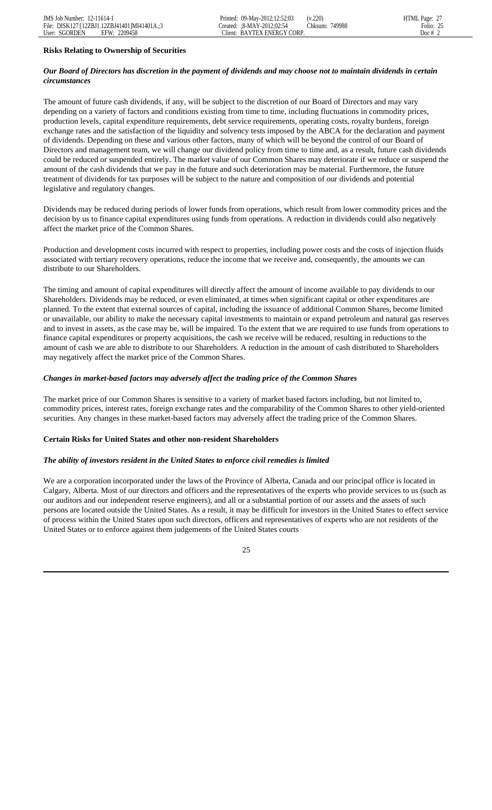#### **Risks Relating to Ownership of Securities**

#### *Our Board of Directors has discretion in the payment of dividends and may choose not to maintain dividends in certain circumstances*

The amount of future cash dividends, if any, will be subject to the discretion of our Board of Directors and may vary depending on a variety of factors and conditions existing from time to time, including fluctuations in commodity prices, production levels, capital expenditure requirements, debt service requirements, operating costs, royalty burdens, foreign exchange rates and the satisfaction of the liquidity and solvency tests imposed by the ABCA for the declaration and payment of dividends. Depending on these and various other factors, many of which will be beyond the control of our Board of Directors and management team, we will change our dividend policy from time to time and, as a result, future cash dividends could be reduced or suspended entirely. The market value of our Common Shares may deteriorate if we reduce or suspend the amount of the cash dividends that we pay in the future and such deterioration may be material. Furthermore, the future treatment of dividends for tax purposes will be subject to the nature and composition of our dividends and potential legislative and regulatory changes.

Dividends may be reduced during periods of lower funds from operations, which result from lower commodity prices and the decision by us to finance capital expenditures using funds from operations. A reduction in dividends could also negatively affect the market price of the Common Shares.

Production and development costs incurred with respect to properties, including power costs and the costs of injection fluids associated with tertiary recovery operations, reduce the income that we receive and, consequently, the amounts we can distribute to our Shareholders.

The timing and amount of capital expenditures will directly affect the amount of income available to pay dividends to our Shareholders. Dividends may be reduced, or even eliminated, at times when significant capital or other expenditures are planned. To the extent that external sources of capital, including the issuance of additional Common Shares, become limited or unavailable, our ability to make the necessary capital investments to maintain or expand petroleum and natural gas reserves and to invest in assets, as the case may be, will be impaired. To the extent that we are required to use funds from operations to finance capital expenditures or property acquisitions, the cash we receive will be reduced, resulting in reductions to the amount of cash we are able to distribute to our Shareholders. A reduction in the amount of cash distributed to Shareholders may negatively affect the market price of the Common Shares.

## *Changes in market-based factors may adversely affect the trading price of the Common Shares*

The market price of our Common Shares is sensitive to a variety of market based factors including, but not limited to, commodity prices, interest rates, foreign exchange rates and the comparability of the Common Shares to other yield-oriented securities. Any changes in these market-based factors may adversely affect the trading price of the Common Shares.

## **Certain Risks for United States and other non-resident Shareholders**

## *The ability of investors resident in the United States to enforce civil remedies is limited*

We are a corporation incorporated under the laws of the Province of Alberta, Canada and our principal office is located in Calgary, Alberta. Most of our directors and officers and the representatives of the experts who provide services to us (such as our auditors and our independent reserve engineers), and all or a substantial portion of our assets and the assets of such persons are located outside the United States. As a result, it may be difficult for investors in the United States to effect service of process within the United States upon such directors, officers and representatives of experts who are not residents of the United States or to enforce against them judgements of the United States courts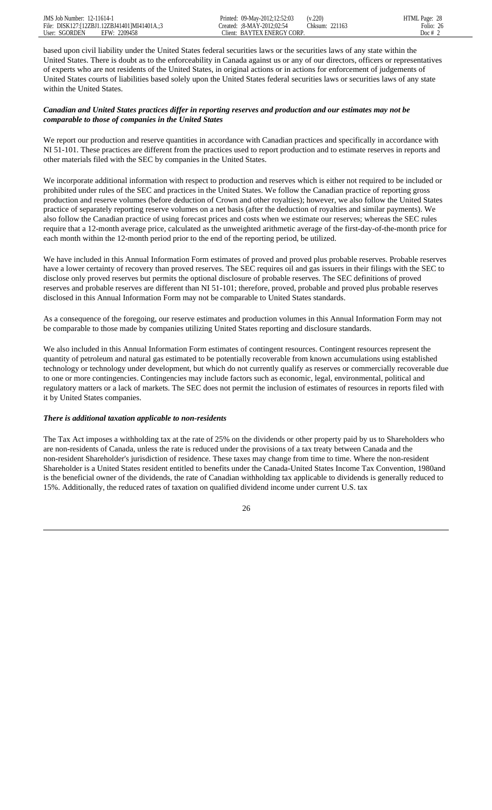based upon civil liability under the United States federal securities laws or the securities laws of any state within the United States. There is doubt as to the enforceability in Canada against us or any of our directors, officers or representatives of experts who are not residents of the United States, in original actions or in actions for enforcement of judgements of United States courts of liabilities based solely upon the United States federal securities laws or securities laws of any state within the United States.

## *Canadian and United States practices differ in reporting reserves and production and our estimates may not be comparable to those of companies in the United States*

We report our production and reserve quantities in accordance with Canadian practices and specifically in accordance with NI 51-101. These practices are different from the practices used to report production and to estimate reserves in reports and other materials filed with the SEC by companies in the United States.

We incorporate additional information with respect to production and reserves which is either not required to be included or prohibited under rules of the SEC and practices in the United States. We follow the Canadian practice of reporting gross production and reserve volumes (before deduction of Crown and other royalties); however, we also follow the United States practice of separately reporting reserve volumes on a net basis (after the deduction of royalties and similar payments). We also follow the Canadian practice of using forecast prices and costs when we estimate our reserves; whereas the SEC rules require that a 12-month average price, calculated as the unweighted arithmetic average of the first-day-of-the-month price for each month within the 12-month period prior to the end of the reporting period, be utilized.

We have included in this Annual Information Form estimates of proved and proved plus probable reserves. Probable reserves have a lower certainty of recovery than proved reserves. The SEC requires oil and gas issuers in their filings with the SEC to disclose only proved reserves but permits the optional disclosure of probable reserves. The SEC definitions of proved reserves and probable reserves are different than NI 51-101; therefore, proved, probable and proved plus probable reserves disclosed in this Annual Information Form may not be comparable to United States standards.

As a consequence of the foregoing, our reserve estimates and production volumes in this Annual Information Form may not be comparable to those made by companies utilizing United States reporting and disclosure standards.

We also included in this Annual Information Form estimates of contingent resources. Contingent resources represent the quantity of petroleum and natural gas estimated to be potentially recoverable from known accumulations using established technology or technology under development, but which do not currently qualify as reserves or commercially recoverable due to one or more contingencies. Contingencies may include factors such as economic, legal, environmental, political and regulatory matters or a lack of markets. The SEC does not permit the inclusion of estimates of resources in reports filed with it by United States companies.

#### *There is additional taxation applicable to non-residents*

The Tax Act imposes a withholding tax at the rate of 25% on the dividends or other property paid by us to Shareholders who are non-residents of Canada, unless the rate is reduced under the provisions of a tax treaty between Canada and the non-resident Shareholder's jurisdiction of residence. These taxes may change from time to time. Where the non-resident Shareholder is a United States resident entitled to benefits under the Canada-United States Income Tax Convention, 1980and is the beneficial owner of the dividends, the rate of Canadian withholding tax applicable to dividends is generally reduced to 15%. Additionally, the reduced rates of taxation on qualified dividend income under current U.S. tax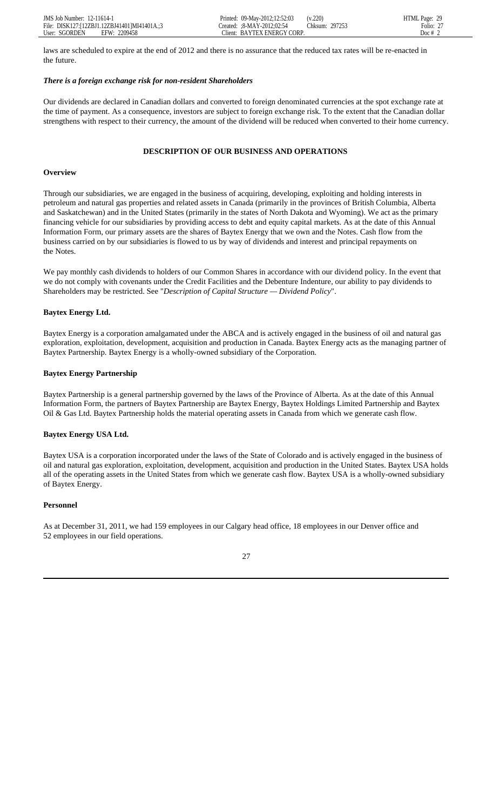laws are scheduled to expire at the end of 2012 and there is no assurance that the reduced tax rates will be re-enacted in the future.

#### *There is a foreign exchange risk for non-resident Shareholders*

Our dividends are declared in Canadian dollars and converted to foreign denominated currencies at the spot exchange rate at the time of payment. As a consequence, investors are subject to foreign exchange risk. To the extent that the Canadian dollar strengthens with respect to their currency, the amount of the dividend will be reduced when converted to their home currency.

# **DESCRIPTION OF OUR BUSINESS AND OPERATIONS**

#### **Overview**

Through our subsidiaries, we are engaged in the business of acquiring, developing, exploiting and holding interests in petroleum and natural gas properties and related assets in Canada (primarily in the provinces of British Columbia, Alberta and Saskatchewan) and in the United States (primarily in the states of North Dakota and Wyoming). We act as the primary financing vehicle for our subsidiaries by providing access to debt and equity capital markets. As at the date of this Annual Information Form, our primary assets are the shares of Baytex Energy that we own and the Notes. Cash flow from the business carried on by our subsidiaries is flowed to us by way of dividends and interest and principal repayments on the Notes.

We pay monthly cash dividends to holders of our Common Shares in accordance with our dividend policy. In the event that we do not comply with covenants under the Credit Facilities and the Debenture Indenture, our ability to pay dividends to Shareholders may be restricted. See "*Description of Capital Structure — Dividend Policy*".

#### **Baytex Energy Ltd.**

Baytex Energy is a corporation amalgamated under the ABCA and is actively engaged in the business of oil and natural gas exploration, exploitation, development, acquisition and production in Canada. Baytex Energy acts as the managing partner of Baytex Partnership. Baytex Energy is a wholly-owned subsidiary of the Corporation.

#### **Baytex Energy Partnership**

Baytex Partnership is a general partnership governed by the laws of the Province of Alberta. As at the date of this Annual Information Form, the partners of Baytex Partnership are Baytex Energy, Baytex Holdings Limited Partnership and Baytex Oil & Gas Ltd. Baytex Partnership holds the material operating assets in Canada from which we generate cash flow.

#### **Baytex Energy USA Ltd.**

Baytex USA is a corporation incorporated under the laws of the State of Colorado and is actively engaged in the business of oil and natural gas exploration, exploitation, development, acquisition and production in the United States. Baytex USA holds all of the operating assets in the United States from which we generate cash flow. Baytex USA is a wholly-owned subsidiary of Baytex Energy.

#### **Personnel**

As at December 31, 2011, we had 159 employees in our Calgary head office, 18 employees in our Denver office and 52 employees in our field operations.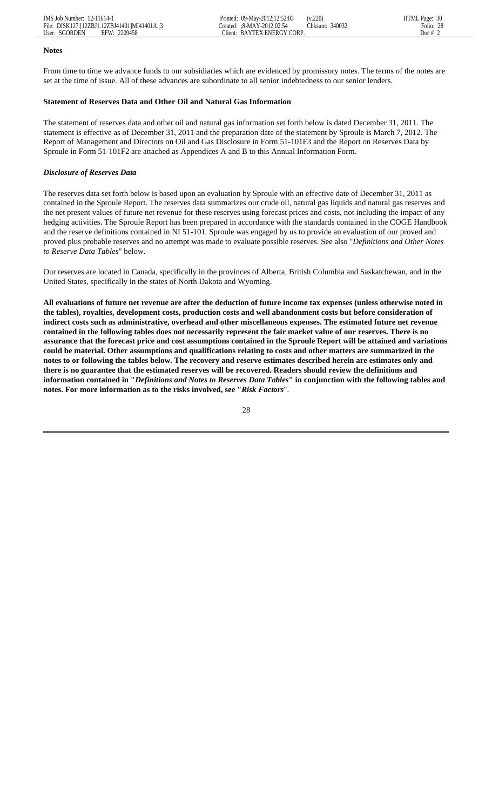#### **Notes**

From time to time we advance funds to our subsidiaries which are evidenced by promissory notes. The terms of the notes are set at the time of issue. All of these advances are subordinate to all senior indebtedness to our senior lenders.

## **Statement of Reserves Data and Other Oil and Natural Gas Information**

The statement of reserves data and other oil and natural gas information set forth below is dated December 31, 2011. The statement is effective as of December 31, 2011 and the preparation date of the statement by Sproule is March 7, 2012. The Report of Management and Directors on Oil and Gas Disclosure in Form 51-101F3 and the Report on Reserves Data by Sproule in Form 51-101F2 are attached as Appendices A and B to this Annual Information Form.

#### *Disclosure of Reserves Data*

The reserves data set forth below is based upon an evaluation by Sproule with an effective date of December 31, 2011 as contained in the Sproule Report. The reserves data summarizes our crude oil, natural gas liquids and natural gas reserves and the net present values of future net revenue for these reserves using forecast prices and costs, not including the impact of any hedging activities. The Sproule Report has been prepared in accordance with the standards contained in the COGE Handbook and the reserve definitions contained in NI 51-101. Sproule was engaged by us to provide an evaluation of our proved and proved plus probable reserves and no attempt was made to evaluate possible reserves. See also "*Definitions and Other Notes to Reserve Data Tables*" below.

Our reserves are located in Canada, specifically in the provinces of Alberta, British Columbia and Saskatchewan, and in the United States, specifically in the states of North Dakota and Wyoming.

**All evaluations of future net revenue are after the deduction of future income tax expenses (unless otherwise noted in the tables), royalties, development costs, production costs and well abandonment costs but before consideration of indirect costs such as administrative, overhead and other miscellaneous expenses. The estimated future net revenue contained in the following tables does not necessarily represent the fair market value of our reserves. There is no assurance that the forecast price and cost assumptions contained in the Sproule Report will be attained and variations could be material. Other assumptions and qualifications relating to costs and other matters are summarized in the notes to or following the tables below. The recovery and reserve estimates described herein are estimates only and there is no guarantee that the estimated reserves will be recovered. Readers should review the definitions and information contained in "***Definitions and Notes to Reserves Data Tables***" in conjunction with the following tables and notes. For more information as to the risks involved, see "***Risk Factors*".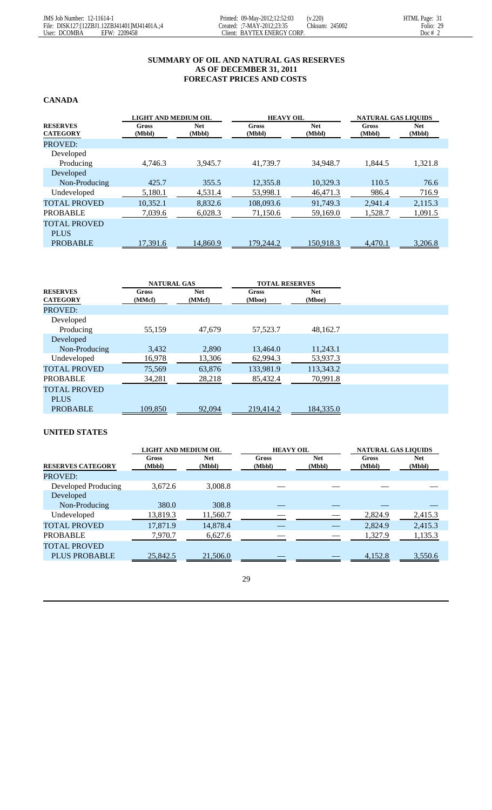#### **SUMMARY OF OIL AND NATURAL GAS RESERVES AS OF DECEMBER 31, 2011 FORECAST PRICES AND COSTS**

# **CANADA**

|                                    | LIGHT AND MEDIUM OIL |               |                 | <b>HEAVY OIL</b>     |                 | <b>NATURAL GAS LIQUIDS</b> |  |
|------------------------------------|----------------------|---------------|-----------------|----------------------|-----------------|----------------------------|--|
| <b>RESERVES</b><br><b>CATEGORY</b> | Gross<br>(Mbbl)      | Net<br>(Mbbl) | Gross<br>(Mbbl) | <b>Net</b><br>(Mbbl) | Gross<br>(Mbbl) | <b>Net</b><br>(Mbbl)       |  |
| <b>PROVED:</b>                     |                      |               |                 |                      |                 |                            |  |
| Developed<br>Producing             | 4.746.3              | 3,945.7       | 41.739.7        | 34,948.7             | 1.844.5         | 1,321.8                    |  |
| Developed<br>Non-Producing         | 425.7                | 355.5         | 12.355.8        | 10.329.3             | 110.5           | 76.6                       |  |
| Undeveloped                        | 5,180.1              | 4,531.4       | 53,998.1        | 46,471.3             | 986.4           | 716.9                      |  |
| <b>TOTAL PROVED</b>                | 10,352.1             | 8,832.6       | 108,093.6       | 91.749.3             | 2.941.4         | 2,115.3                    |  |
| <b>PROBABLE</b>                    | 7,039.6              | 6,028.3       | 71,150.6        | 59,169.0             | 1,528.7         | 1,091.5                    |  |
| <b>TOTAL PROVED</b><br><b>PLUS</b> |                      |               |                 |                      |                 |                            |  |
| <b>PROBABLE</b>                    | 17,391.6             | 14,860.9      | 179,244.2       | 150,918.3            | 4,470.1         | 3,206.8                    |  |

|                     | <b>NATURAL GAS</b> |            | <b>TOTAL RESERVES</b> |            |
|---------------------|--------------------|------------|-----------------------|------------|
| <b>RESERVES</b>     | Gross              | <b>Net</b> | Gross                 | <b>Net</b> |
| <b>CATEGORY</b>     | (MMcf)             | (MMcf)     | (Mboe)                | (Mboe)     |
| <b>PROVED:</b>      |                    |            |                       |            |
| Developed           |                    |            |                       |            |
| Producing           | 55,159             | 47.679     | 57,523.7              | 48,162.7   |
| Developed           |                    |            |                       |            |
| Non-Producing       | 3,432              | 2,890      | 13,464.0              | 11,243.1   |
| Undeveloped         | 16,978             | 13,306     | 62,994.3              | 53,937.3   |
| <b>TOTAL PROVED</b> | 75,569             | 63,876     | 133,981.9             | 113,343.2  |
| <b>PROBABLE</b>     | 34,281             | 28,218     | 85,432.4              | 70,991.8   |
| <b>TOTAL PROVED</b> |                    |            |                       |            |
| <b>PLUS</b>         |                    |            |                       |            |
| <b>PROBABLE</b>     | 109,850            | 92,094     | 219,414.2             | 184,335.0  |

# **UNITED STATES**

|                          | <b>LIGHT AND MEDIUM OIL</b> |                      | <b>HEAVY OIL</b> |                      | <b>NATURAL GAS LIQUIDS</b> |                      |
|--------------------------|-----------------------------|----------------------|------------------|----------------------|----------------------------|----------------------|
| <b>RESERVES CATEGORY</b> | Gross<br>(Mbbl)             | <b>Net</b><br>(Mbbl) | Gross<br>(Mbbl)  | <b>Net</b><br>(Mbbl) | Gross<br>(Mbbl)            | <b>Net</b><br>(Mbbl) |
| <b>PROVED:</b>           |                             |                      |                  |                      |                            |                      |
| Developed Producing      | 3,672.6                     | 3,008.8              |                  |                      |                            |                      |
| Developed                |                             |                      |                  |                      |                            |                      |
| Non-Producing            | 380.0                       | 308.8                |                  |                      |                            |                      |
| Undeveloped              | 13,819.3                    | 11,560.7             |                  |                      | 2,824.9                    | 2,415.3              |
| <b>TOTAL PROVED</b>      | 17,871.9                    | 14,878.4             |                  |                      | 2,824.9                    | 2,415.3              |
| <b>PROBABLE</b>          | 7,970.7                     | 6,627.6              |                  |                      | 1,327.9                    | 1,135.3              |
| <b>TOTAL PROVED</b>      |                             |                      |                  |                      |                            |                      |
| <b>PLUS PROBABLE</b>     | 25,842.5                    | 21,506.0             |                  |                      | 4,152.8                    | 3,550.6              |

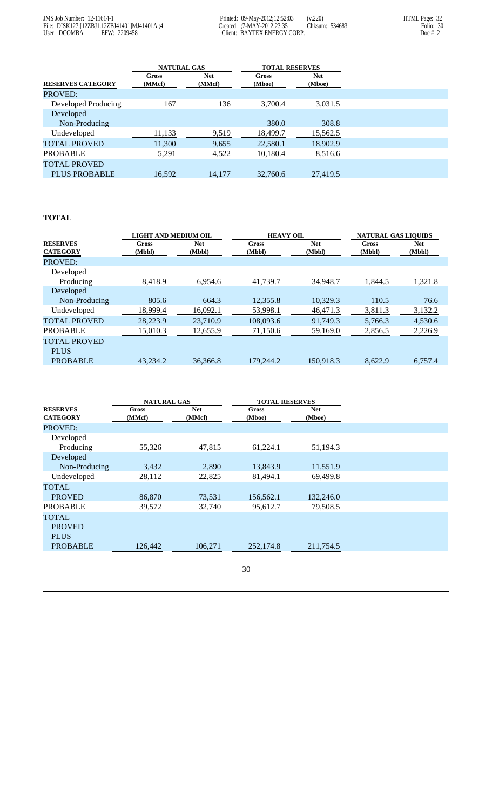|                          | <b>NATURAL GAS</b> |            | <b>TOTAL RESERVES</b> |            |
|--------------------------|--------------------|------------|-----------------------|------------|
|                          | Gross              | <b>Net</b> | Gross                 | <b>Net</b> |
| <b>RESERVES CATEGORY</b> | (MMcf)             | (MMcf)     | (Mboe)                | (Mboe)     |
| <b>PROVED:</b>           |                    |            |                       |            |
| Developed Producing      | 167                | 136        | 3,700.4               | 3,031.5    |
| Developed                |                    |            |                       |            |
| Non-Producing            |                    |            | 380.0                 | 308.8      |
| Undeveloped              | 11,133             | 9,519      | 18,499.7              | 15,562.5   |
| <b>TOTAL PROVED</b>      | 11,300             | 9,655      | 22,580.1              | 18,902.9   |
| <b>PROBABLE</b>          | 5,291              | 4,522      | 10,180.4              | 8,516.6    |
| <b>TOTAL PROVED</b>      |                    |            |                       |            |
| <b>PLUS PROBABLE</b>     | 16,592             | 14,177     | 32,760.6              | 27,419.5   |

# **TOTAL**

|                                    | LIGHT AND MEDIUM OIL   |                      | <b>HEAVY OIL</b>       |                      | <b>NATURAL GAS LIQUIDS</b> |                      |  |
|------------------------------------|------------------------|----------------------|------------------------|----------------------|----------------------------|----------------------|--|
| <b>RESERVES</b><br><b>CATEGORY</b> | <b>Gross</b><br>(Mbbl) | <b>Net</b><br>(Mbbl) | <b>Gross</b><br>(Mbbl) | <b>Net</b><br>(Mbbl) | Gross<br>(Mbbl)            | <b>Net</b><br>(Mbbl) |  |
| <b>PROVED:</b>                     |                        |                      |                        |                      |                            |                      |  |
| Developed<br>Producing             | 8.418.9                | 6.954.6              | 41.739.7               | 34.948.7             | 1.844.5                    | 1,321.8              |  |
| Developed<br>Non-Producing         | 805.6                  | 664.3                | 12.355.8               | 10.329.3             | 110.5                      | 76.6                 |  |
| Undeveloped                        | 18,999.4               | 16,092.1             | 53,998.1               | 46,471.3             | 3,811.3                    | 3,132.2              |  |
| <b>TOTAL PROVED</b>                | 28,223.9               | 23,710.9             | 108,093.6              | 91.749.3             | 5.766.3                    | 4,530.6              |  |
| <b>PROBABLE</b>                    | 15,010.3               | 12,655.9             | 71,150.6               | 59,169.0             | 2,856.5                    | 2,226.9              |  |
| <b>TOTAL PROVED</b><br><b>PLUS</b> |                        |                      |                        |                      |                            |                      |  |
| <b>PROBABLE</b>                    | 43,234.2               | 36,366.8             | 179,244.2              | 150,918.3            | 8,622.9                    | 6,757.4              |  |

|                                    | <b>NATURAL GAS</b> |                      | <b>TOTAL RESERVES</b>  |                      |
|------------------------------------|--------------------|----------------------|------------------------|----------------------|
| <b>RESERVES</b><br><b>CATEGORY</b> | Gross<br>(MMcf)    | <b>Net</b><br>(MMcf) | <b>Gross</b><br>(Mboe) | <b>Net</b><br>(Mboe) |
| <b>PROVED:</b>                     |                    |                      |                        |                      |
| Developed                          |                    |                      |                        |                      |
| Producing                          | 55,326             | 47,815               | 61,224.1               | 51,194.3             |
| Developed                          |                    |                      |                        |                      |
| Non-Producing                      | 3,432              | 2,890                | 13,843.9               | 11,551.9             |
| Undeveloped                        | 28,112             | 22,825               | 81,494.1               | 69,499.8             |
| <b>TOTAL</b>                       |                    |                      |                        |                      |
| <b>PROVED</b>                      | 86,870             | 73,531               | 156,562.1              | 132,246.0            |
| <b>PROBABLE</b>                    | 39,572             | 32,740               | 95,612.7               | 79,508.5             |
| <b>TOTAL</b>                       |                    |                      |                        |                      |
| <b>PROVED</b>                      |                    |                      |                        |                      |
| <b>PLUS</b>                        |                    |                      |                        |                      |
| <b>PROBABLE</b>                    | 126,442            | 106,271              | 252,174.8              | 211,754.5            |
|                                    |                    |                      |                        |                      |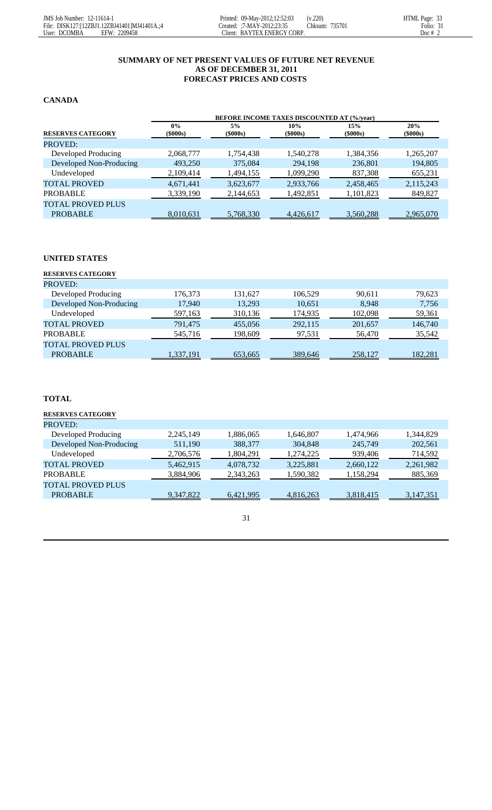#### **SUMMARY OF NET PRESENT VALUES OF FUTURE NET REVENUE AS OF DECEMBER 31, 2011 FORECAST PRICES AND COSTS**

# **CANADA**

| <b>BEFORE INCOME TAXES DISCOUNTED AT (%/year)</b> |                      |                   |                   |                   |  |
|---------------------------------------------------|----------------------|-------------------|-------------------|-------------------|--|
| $0\%$<br>$(\$000s)$                               | 5%<br>$($ \$000s $)$ | 10%<br>$(\$000s)$ | 15%<br>$(\$000s)$ | 20%<br>$(\$000s)$ |  |
|                                                   |                      |                   |                   |                   |  |
| 2,068,777                                         | 1,754,438            | 1,540,278         | 1,384,356         | 1,265,207         |  |
| 493,250                                           | 375,084              | 294.198           | 236,801           | 194,805           |  |
| 2,109,414                                         | 1,494,155            | 1,099,290         | 837,308           | 655,231           |  |
| 4,671,441                                         | 3,623,677            | 2,933,766         | 2,458,465         | 2,115,243         |  |
| 3,339,190                                         | 2,144,653            | 1,492,851         | 1,101,823         | 849,827           |  |
|                                                   |                      |                   |                   |                   |  |
| 8,010,631                                         | 5,768,330            | 4,426,617         | 3,560,288         | 2,965,070         |  |
|                                                   |                      |                   |                   |                   |  |

# **UNITED STATES**

| <b>RESERVES CATEGORY</b> |           |         |         |         |         |
|--------------------------|-----------|---------|---------|---------|---------|
| <b>PROVED:</b>           |           |         |         |         |         |
| Developed Producing      | 176,373   | 131.627 | 106.529 | 90.611  | 79,623  |
| Developed Non-Producing  | 17,940    | 13,293  | 10,651  | 8.948   | 7,756   |
| Undeveloped              | 597,163   | 310,136 | 174,935 | 102,098 | 59,361  |
| <b>TOTAL PROVED</b>      | 791.475   | 455,056 | 292,115 | 201,657 | 146,740 |
| <b>PROBABLE</b>          | 545,716   | 198,609 | 97,531  | 56,470  | 35,542  |
| <b>TOTAL PROVED PLUS</b> |           |         |         |         |         |
| <b>PROBABLE</b>          | 1,337,191 | 653,665 | 389,646 | 258,127 | 182,281 |

# **TOTAL**

| <b>RESERVES CATEGORY</b> |           |           |           |           |             |
|--------------------------|-----------|-----------|-----------|-----------|-------------|
| <b>PROVED:</b>           |           |           |           |           |             |
| Developed Producing      | 2,245,149 | 1,886,065 | 1,646,807 | 1,474,966 | 1,344,829   |
| Developed Non-Producing  | 511,190   | 388,377   | 304,848   | 245,749   | 202,561     |
| Undeveloped              | 2,706,576 | 1,804,291 | 1,274,225 | 939,406   | 714,592     |
| <b>TOTAL PROVED</b>      | 5,462,915 | 4,078,732 | 3,225,881 | 2,660,122 | 2,261,982   |
| <b>PROBABLE</b>          | 3,884,906 | 2,343,263 | 1,590,382 | 1,158,294 | 885,369     |
| <b>TOTAL PROVED PLUS</b> |           |           |           |           |             |
| <b>PROBABLE</b>          | 9,347,822 | 6,421,995 | 4,816,263 | 3,818,415 | 3, 147, 351 |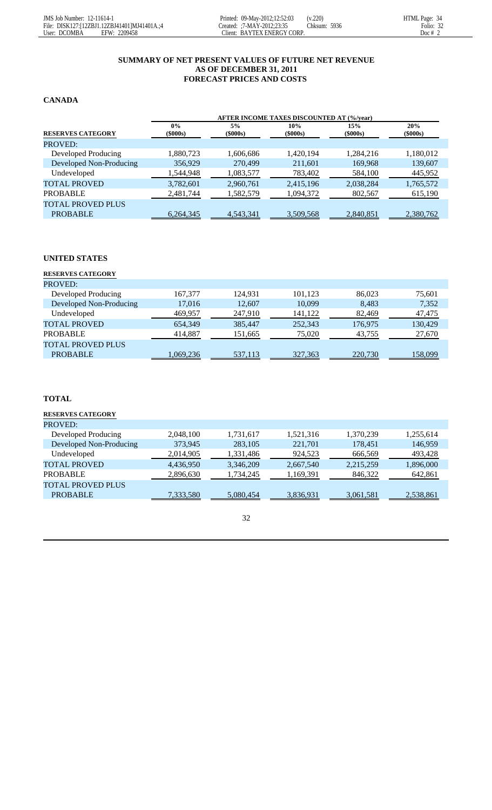#### **SUMMARY OF NET PRESENT VALUES OF FUTURE NET REVENUE AS OF DECEMBER 31, 2011 FORECAST PRICES AND COSTS**

# **CANADA**

| <b>AFTER INCOME TAXES DISCOUNTED AT (%/vear)</b> |                     |                  |                       |                   |                       |
|--------------------------------------------------|---------------------|------------------|-----------------------|-------------------|-----------------------|
| <b>RESERVES CATEGORY</b>                         | $0\%$<br>$(\$000s)$ | 5%<br>$(\$000s)$ | 10%<br>$($ \$000s $)$ | 15%<br>$(\$000s)$ | 20%<br>$($ \$000s $)$ |
| <b>PROVED:</b>                                   |                     |                  |                       |                   |                       |
| Developed Producing                              | 1,880,723           | 1,606,686        | 1,420,194             | 1,284,216         | 1,180,012             |
| Developed Non-Producing                          | 356,929             | 270.499          | 211,601               | 169.968           | 139,607               |
| Undeveloped                                      | 1,544,948           | 1,083,577        | 783,402               | 584,100           | 445,952               |
| <b>TOTAL PROVED</b>                              | 3,782,601           | 2,960,761        | 2,415,196             | 2,038,284         | 1,765,572             |
| <b>PROBABLE</b>                                  | 2,481,744           | 1,582,579        | 1,094,372             | 802,567           | 615,190               |
| <b>TOTAL PROVED PLUS</b>                         |                     |                  |                       |                   |                       |
| <b>PROBABLE</b>                                  | 6,264,345           | 4,543,341        | 3,509,568             | 2,840,851         | 2,380,762             |

# **UNITED STATES**

| <b>RESERVES CATEGORY</b> |          |         |         |         |         |
|--------------------------|----------|---------|---------|---------|---------|
| <b>PROVED:</b>           |          |         |         |         |         |
| Developed Producing      | 167.377  | 124.931 | 101.123 | 86,023  | 75,601  |
| Developed Non-Producing  | 17,016   | 12,607  | 10,099  | 8,483   | 7,352   |
| Undeveloped              | 469,957  | 247,910 | 141,122 | 82,469  | 47,475  |
| <b>TOTAL PROVED</b>      | 654,349  | 385,447 | 252,343 | 176,975 | 130,429 |
| <b>PROBABLE</b>          | 414,887  | 151,665 | 75,020  | 43,755  | 27,670  |
| <b>TOTAL PROVED PLUS</b> |          |         |         |         |         |
| <b>PROBABLE</b>          | .069,236 | 537,113 | 327,363 | 220,730 | 158.099 |

# **TOTAL**

| <b>RESERVES CATEGORY</b> |           |           |           |           |           |
|--------------------------|-----------|-----------|-----------|-----------|-----------|
| <b>PROVED:</b>           |           |           |           |           |           |
| Developed Producing      | 2,048,100 | 1,731,617 | 1.521.316 | 1,370,239 | 1,255,614 |
| Developed Non-Producing  | 373,945   | 283,105   | 221,701   | 178,451   | 146,959   |
| Undeveloped              | 2,014,905 | 1,331,486 | 924,523   | 666,569   | 493,428   |
| <b>TOTAL PROVED</b>      | 4,436,950 | 3,346,209 | 2,667,540 | 2,215,259 | 1,896,000 |
| <b>PROBABLE</b>          | 2,896,630 | 1,734,245 | 1,169,391 | 846,322   | 642,861   |
| <b>TOTAL PROVED PLUS</b> |           |           |           |           |           |
| <b>PROBABLE</b>          | 7,333,580 | 5,080,454 | 3,836,931 | 3,061,581 | 2,538,861 |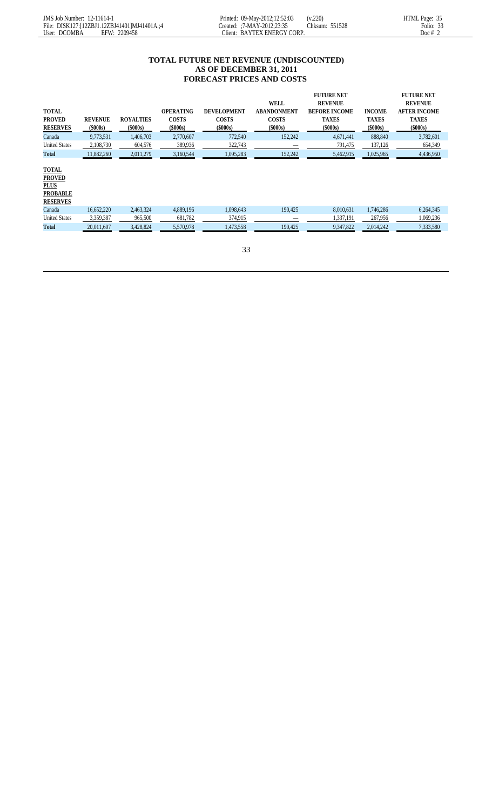## **TOTAL FUTURE NET REVENUE (UNDISCOUNTED) AS OF DECEMBER 31, 2011 FORECAST PRICES AND COSTS**

| TOTAL<br><b>PROVED</b><br><b>RESERVES</b>                                          | <b>REVENUE</b><br>$($ \$000s $)$ | <b>ROYALTIES</b><br>$($ \$000s $)$ | <b>OPERATING</b><br><b>COSTS</b><br>$($ \$000s $)$ | <b>DEVELOPMENT</b><br><b>COSTS</b><br>$($ \$000s $)$ | <b>WELL</b><br><b>ABANDONMENT</b><br><b>COSTS</b><br>(5000s) | <b>FUTURE NET</b><br><b>REVENUE</b><br><b>BEFORE INCOME</b><br><b>TAXES</b><br>(5000s) | <b>INCOME</b><br><b>TAXES</b><br>$($ \$000s $)$ | <b>FUTURE NET</b><br><b>REVENUE</b><br><b>AFTER INCOME</b><br><b>TAXES</b><br>(\$000s) |
|------------------------------------------------------------------------------------|----------------------------------|------------------------------------|----------------------------------------------------|------------------------------------------------------|--------------------------------------------------------------|----------------------------------------------------------------------------------------|-------------------------------------------------|----------------------------------------------------------------------------------------|
| Canada                                                                             | 9,773,531                        | 1,406,703                          | 2,770,607                                          | 772,540                                              | 152,242                                                      | 4,671,441                                                                              | 888,840                                         | 3,782,601                                                                              |
| <b>United States</b>                                                               | 2,108,730                        | 604,576                            | 389,936                                            | 322,743                                              |                                                              | 791,475                                                                                | 137,126                                         | 654,349                                                                                |
| <b>Total</b>                                                                       | 11,882,260                       | 2,011,279                          | 3,160,544                                          | 1,095,283                                            | 152,242                                                      | 5,462,915                                                                              | 1,025,965                                       | 4,436,950                                                                              |
| <b>TOTAL</b><br><b>PROVED</b><br><b>PLUS</b><br><b>PROBABLE</b><br><b>RESERVES</b> |                                  |                                    |                                                    |                                                      |                                                              |                                                                                        |                                                 |                                                                                        |
| Canada                                                                             | 16,652,220                       | 2,463,324                          | 4,889,196                                          | 1,098,643                                            | 190,425                                                      | 8,010,631                                                                              | 1,746,286                                       | 6,264,345                                                                              |
| <b>United States</b>                                                               | 3,359,387                        | 965,500                            | 681,782                                            | 374,915                                              |                                                              | 1,337,191                                                                              | 267,956                                         | 1,069,236                                                                              |
| <b>Total</b>                                                                       | 20,011,607                       | 3,428,824                          | 5,570,978                                          | 1,473,558                                            | 190,425                                                      | 9,347,822                                                                              | 2,014,242                                       | 7,333,580                                                                              |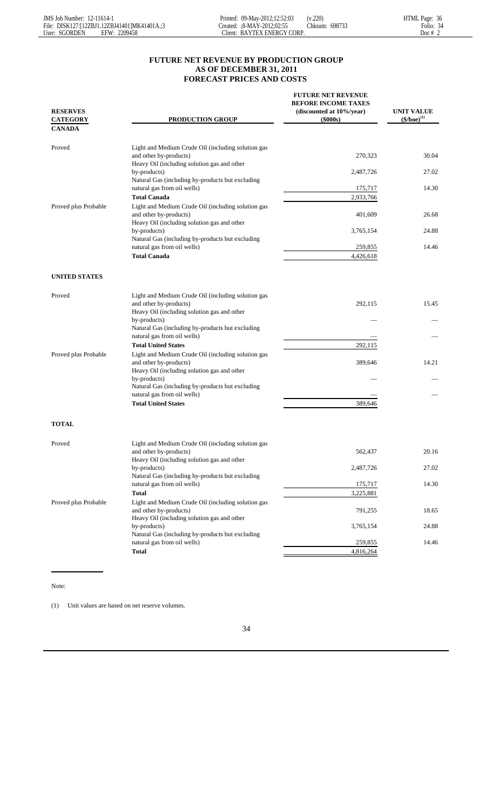## **FUTURE NET REVENUE BY PRODUCTION GROUP AS OF DECEMBER 31, 2011 FORECAST PRICES AND COSTS**

| <b>RESERVES</b><br><b>CATEGORY</b> | <b>PRODUCTION GROUP</b>                                                                                                     | <b>FUTURE NET REVENUE</b><br><b>BEFORE INCOME TAXES</b><br>(discounted at 10%/year)<br>$($ \$000s $)$ | <b>UNIT VALUE</b><br>$($/boe)^{(1)}$ |
|------------------------------------|-----------------------------------------------------------------------------------------------------------------------------|-------------------------------------------------------------------------------------------------------|--------------------------------------|
| <b>CANADA</b>                      |                                                                                                                             |                                                                                                       |                                      |
| Proved                             | Light and Medium Crude Oil (including solution gas<br>and other by-products)<br>Heavy Oil (including solution gas and other | 270,323                                                                                               | 30.04                                |
|                                    | by-products)<br>Natural Gas (including by-products but excluding                                                            | 2,487,726                                                                                             | 27.02                                |
|                                    | natural gas from oil wells)                                                                                                 | 175,717                                                                                               | 14.30                                |
| Proved plus Probable               | <b>Total Canada</b><br>Light and Medium Crude Oil (including solution gas                                                   | 2,933,766                                                                                             |                                      |
|                                    | and other by-products)<br>Heavy Oil (including solution gas and other                                                       | 401,609                                                                                               | 26.68                                |
|                                    | by-products)<br>Natural Gas (including by-products but excluding                                                            | 3,765,154                                                                                             | 24.88                                |
|                                    | natural gas from oil wells)                                                                                                 | 259,855                                                                                               | 14.46                                |
|                                    | <b>Total Canada</b>                                                                                                         | 4,426,618                                                                                             |                                      |
| <b>UNITED STATES</b>               |                                                                                                                             |                                                                                                       |                                      |
| Proved                             | Light and Medium Crude Oil (including solution gas<br>and other by-products)<br>Heavy Oil (including solution gas and other | 292,115                                                                                               | 15.45                                |
|                                    | by-products)<br>Natural Gas (including by-products but excluding                                                            |                                                                                                       |                                      |
|                                    | natural gas from oil wells)                                                                                                 |                                                                                                       |                                      |
| Proved plus Probable               | <b>Total United States</b><br>Light and Medium Crude Oil (including solution gas                                            | 292,115                                                                                               |                                      |
|                                    | and other by-products)<br>Heavy Oil (including solution gas and other                                                       | 389,646                                                                                               | 14.21                                |
|                                    | by-products)<br>Natural Gas (including by-products but excluding                                                            |                                                                                                       |                                      |
|                                    | natural gas from oil wells)<br><b>Total United States</b>                                                                   | 389,646                                                                                               |                                      |
| <b>TOTAL</b>                       |                                                                                                                             |                                                                                                       |                                      |
|                                    |                                                                                                                             |                                                                                                       |                                      |
| Proved                             | Light and Medium Crude Oil (including solution gas<br>and other by-products)                                                | 562,437                                                                                               | 20.16                                |
|                                    | Heavy Oil (including solution gas and other<br>by-products)<br>Natural Gas (including by-products but excluding             | 2,487,726                                                                                             | 27.02                                |
|                                    | natural gas from oil wells)                                                                                                 | 175,717                                                                                               | 14.30                                |
|                                    | <b>Total</b>                                                                                                                | 3,225,881                                                                                             |                                      |
| Proved plus Probable               | Light and Medium Crude Oil (including solution gas<br>and other by-products)<br>Heavy Oil (including solution gas and other | 791,255                                                                                               | 18.65                                |
|                                    | by-products)<br>Natural Gas (including by-products but excluding                                                            | 3,765,154                                                                                             | 24.88                                |
|                                    | natural gas from oil wells)                                                                                                 | 259,855                                                                                               | 14.46                                |
|                                    | <b>Total</b>                                                                                                                | 4,816,264                                                                                             |                                      |

Note:

(1) Unit values are based on net reserve volumes.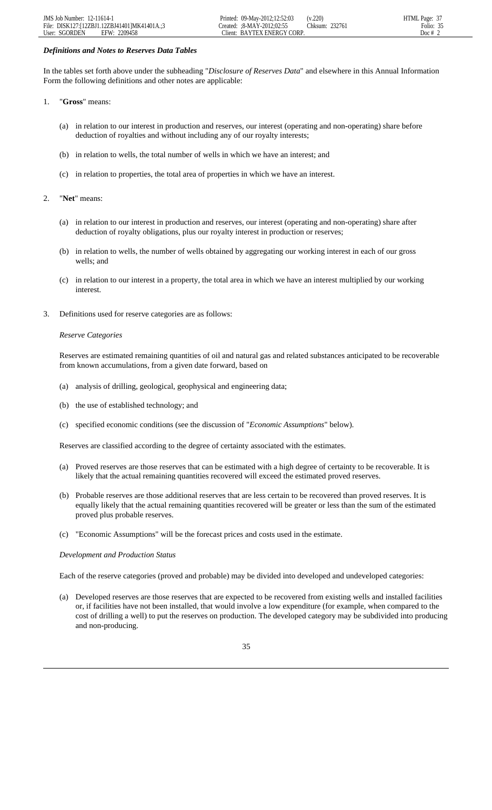#### *Definitions and Notes to Reserves Data Tables*

In the tables set forth above under the subheading "*Disclosure of Reserves Data*" and elsewhere in this Annual Information Form the following definitions and other notes are applicable:

## 1. "**Gross**" means:

- (a) in relation to our interest in production and reserves, our interest (operating and non-operating) share before deduction of royalties and without including any of our royalty interests;
- (b) in relation to wells, the total number of wells in which we have an interest; and
- (c) in relation to properties, the total area of properties in which we have an interest.

#### 2. "**Net**" means:

- (a) in relation to our interest in production and reserves, our interest (operating and non-operating) share after deduction of royalty obligations, plus our royalty interest in production or reserves;
- (b) in relation to wells, the number of wells obtained by aggregating our working interest in each of our gross wells; and
- (c) in relation to our interest in a property, the total area in which we have an interest multiplied by our working interest.
- 3. Definitions used for reserve categories are as follows:

#### *Reserve Categories*

Reserves are estimated remaining quantities of oil and natural gas and related substances anticipated to be recoverable from known accumulations, from a given date forward, based on

- (a) analysis of drilling, geological, geophysical and engineering data;
- (b) the use of established technology; and
- (c) specified economic conditions (see the discussion of "*Economic Assumptions*" below).

Reserves are classified according to the degree of certainty associated with the estimates.

- (a) Proved reserves are those reserves that can be estimated with a high degree of certainty to be recoverable. It is likely that the actual remaining quantities recovered will exceed the estimated proved reserves.
- (b) Probable reserves are those additional reserves that are less certain to be recovered than proved reserves. It is equally likely that the actual remaining quantities recovered will be greater or less than the sum of the estimated proved plus probable reserves.
- (c) "Economic Assumptions" will be the forecast prices and costs used in the estimate.

#### *Development and Production Status*

Each of the reserve categories (proved and probable) may be divided into developed and undeveloped categories:

(a) Developed reserves are those reserves that are expected to be recovered from existing wells and installed facilities or, if facilities have not been installed, that would involve a low expenditure (for example, when compared to the cost of drilling a well) to put the reserves on production. The developed category may be subdivided into producing and non-producing.

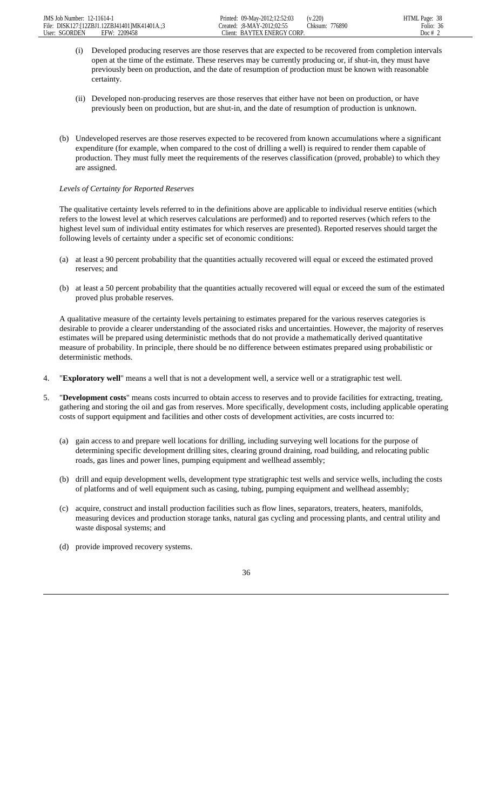- (i) Developed producing reserves are those reserves that are expected to be recovered from completion intervals open at the time of the estimate. These reserves may be currently producing or, if shut-in, they must have previously been on production, and the date of resumption of production must be known with reasonable certainty.
- (ii) Developed non-producing reserves are those reserves that either have not been on production, or have previously been on production, but are shut-in, and the date of resumption of production is unknown.
- (b) Undeveloped reserves are those reserves expected to be recovered from known accumulations where a significant expenditure (for example, when compared to the cost of drilling a well) is required to render them capable of production. They must fully meet the requirements of the reserves classification (proved, probable) to which they are assigned.

#### *Levels of Certainty for Reported Reserves*

The qualitative certainty levels referred to in the definitions above are applicable to individual reserve entities (which refers to the lowest level at which reserves calculations are performed) and to reported reserves (which refers to the highest level sum of individual entity estimates for which reserves are presented). Reported reserves should target the following levels of certainty under a specific set of economic conditions:

- (a) at least a 90 percent probability that the quantities actually recovered will equal or exceed the estimated proved reserves; and
- (b) at least a 50 percent probability that the quantities actually recovered will equal or exceed the sum of the estimated proved plus probable reserves.

A qualitative measure of the certainty levels pertaining to estimates prepared for the various reserves categories is desirable to provide a clearer understanding of the associated risks and uncertainties. However, the majority of reserves estimates will be prepared using deterministic methods that do not provide a mathematically derived quantitative measure of probability. In principle, there should be no difference between estimates prepared using probabilistic or deterministic methods.

- 4. "**Exploratory well**" means a well that is not a development well, a service well or a stratigraphic test well.
- 5. "**Development costs**" means costs incurred to obtain access to reserves and to provide facilities for extracting, treating, gathering and storing the oil and gas from reserves. More specifically, development costs, including applicable operating costs of support equipment and facilities and other costs of development activities, are costs incurred to:
	- (a) gain access to and prepare well locations for drilling, including surveying well locations for the purpose of determining specific development drilling sites, clearing ground draining, road building, and relocating public roads, gas lines and power lines, pumping equipment and wellhead assembly;
	- (b) drill and equip development wells, development type stratigraphic test wells and service wells, including the costs of platforms and of well equipment such as casing, tubing, pumping equipment and wellhead assembly;
	- (c) acquire, construct and install production facilities such as flow lines, separators, treaters, heaters, manifolds, measuring devices and production storage tanks, natural gas cycling and processing plants, and central utility and waste disposal systems; and
	- (d) provide improved recovery systems.

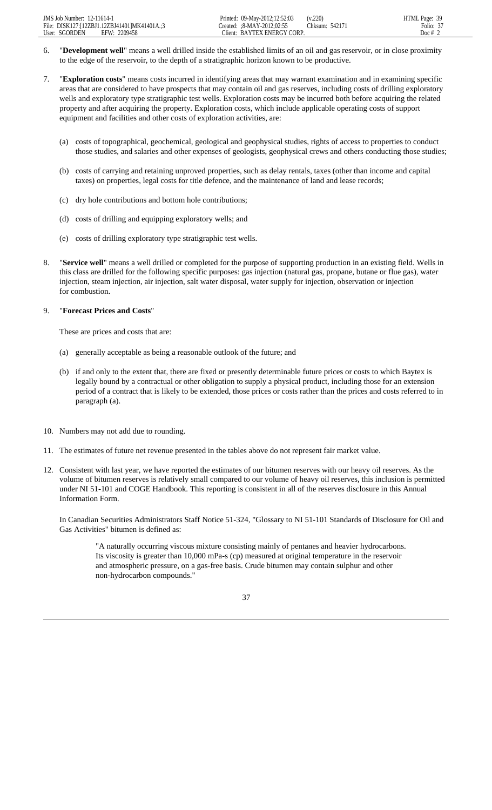- 6. "**Development well**" means a well drilled inside the established limits of an oil and gas reservoir, or in close proximity to the edge of the reservoir, to the depth of a stratigraphic horizon known to be productive.
- 7. "**Exploration costs**" means costs incurred in identifying areas that may warrant examination and in examining specific areas that are considered to have prospects that may contain oil and gas reserves, including costs of drilling exploratory wells and exploratory type stratigraphic test wells. Exploration costs may be incurred both before acquiring the related property and after acquiring the property. Exploration costs, which include applicable operating costs of support equipment and facilities and other costs of exploration activities, are:
	- (a) costs of topographical, geochemical, geological and geophysical studies, rights of access to properties to conduct those studies, and salaries and other expenses of geologists, geophysical crews and others conducting those studies;
	- (b) costs of carrying and retaining unproved properties, such as delay rentals, taxes (other than income and capital taxes) on properties, legal costs for title defence, and the maintenance of land and lease records;
	- (c) dry hole contributions and bottom hole contributions;
	- (d) costs of drilling and equipping exploratory wells; and
	- (e) costs of drilling exploratory type stratigraphic test wells.
- 8. "**Service well**" means a well drilled or completed for the purpose of supporting production in an existing field. Wells in this class are drilled for the following specific purposes: gas injection (natural gas, propane, butane or flue gas), water injection, steam injection, air injection, salt water disposal, water supply for injection, observation or injection for combustion.

## 9. "**Forecast Prices and Costs**"

These are prices and costs that are:

- (a) generally acceptable as being a reasonable outlook of the future; and
- (b) if and only to the extent that, there are fixed or presently determinable future prices or costs to which Baytex is legally bound by a contractual or other obligation to supply a physical product, including those for an extension period of a contract that is likely to be extended, those prices or costs rather than the prices and costs referred to in paragraph (a).
- 10. Numbers may not add due to rounding.
- 11. The estimates of future net revenue presented in the tables above do not represent fair market value.
- 12. Consistent with last year, we have reported the estimates of our bitumen reserves with our heavy oil reserves. As the volume of bitumen reserves is relatively small compared to our volume of heavy oil reserves, this inclusion is permitted under NI 51-101 and COGE Handbook. This reporting is consistent in all of the reserves disclosure in this Annual Information Form.

In Canadian Securities Administrators Staff Notice 51-324, "Glossary to NI 51-101 Standards of Disclosure for Oil and Gas Activities" bitumen is defined as:

"A naturally occurring viscous mixture consisting mainly of pentanes and heavier hydrocarbons. Its viscosity is greater than 10,000 mPa-s (cp) measured at original temperature in the reservoir and atmospheric pressure, on a gas-free basis. Crude bitumen may contain sulphur and other non-hydrocarbon compounds."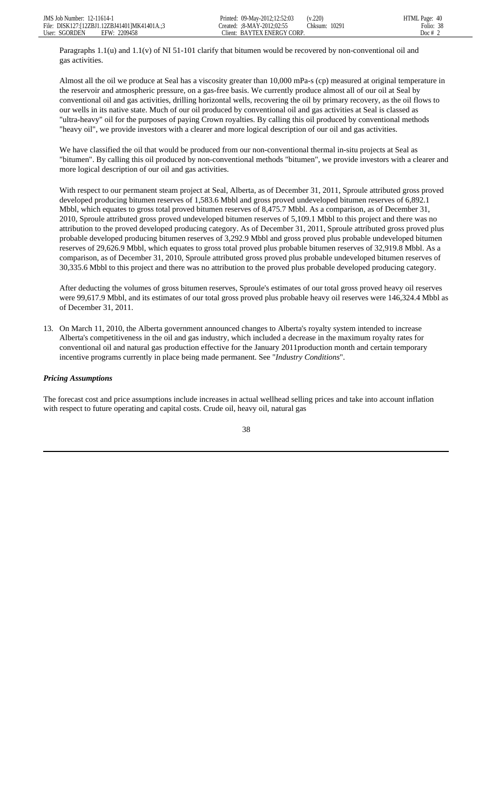Paragraphs 1.1(u) and 1.1(v) of NI 51-101 clarify that bitumen would be recovered by non-conventional oil and gas activities.

Almost all the oil we produce at Seal has a viscosity greater than 10,000 mPa-s (cp) measured at original temperature in the reservoir and atmospheric pressure, on a gas-free basis. We currently produce almost all of our oil at Seal by conventional oil and gas activities, drilling horizontal wells, recovering the oil by primary recovery, as the oil flows to our wells in its native state. Much of our oil produced by conventional oil and gas activities at Seal is classed as "ultra-heavy" oil for the purposes of paying Crown royalties. By calling this oil produced by conventional methods "heavy oil", we provide investors with a clearer and more logical description of our oil and gas activities.

We have classified the oil that would be produced from our non-conventional thermal in-situ projects at Seal as "bitumen". By calling this oil produced by non-conventional methods "bitumen", we provide investors with a clearer and more logical description of our oil and gas activities.

With respect to our permanent steam project at Seal, Alberta, as of December 31, 2011, Sproule attributed gross proved developed producing bitumen reserves of 1,583.6 Mbbl and gross proved undeveloped bitumen reserves of 6,892.1 Mbbl, which equates to gross total proved bitumen reserves of 8,475.7 Mbbl. As a comparison, as of December 31, 2010, Sproule attributed gross proved undeveloped bitumen reserves of 5,109.1 Mbbl to this project and there was no attribution to the proved developed producing category. As of December 31, 2011, Sproule attributed gross proved plus probable developed producing bitumen reserves of 3,292.9 Mbbl and gross proved plus probable undeveloped bitumen reserves of 29,626.9 Mbbl, which equates to gross total proved plus probable bitumen reserves of 32,919.8 Mbbl. As a comparison, as of December 31, 2010, Sproule attributed gross proved plus probable undeveloped bitumen reserves of 30,335.6 Mbbl to this project and there was no attribution to the proved plus probable developed producing category.

After deducting the volumes of gross bitumen reserves, Sproule's estimates of our total gross proved heavy oil reserves were 99,617.9 Mbbl, and its estimates of our total gross proved plus probable heavy oil reserves were 146,324.4 Mbbl as of December 31, 2011.

13. On March 11, 2010, the Alberta government announced changes to Alberta's royalty system intended to increase Alberta's competitiveness in the oil and gas industry, which included a decrease in the maximum royalty rates for conventional oil and natural gas production effective for the January 2011production month and certain temporary incentive programs currently in place being made permanent. See "*Industry Conditions*".

#### *Pricing Assumptions*

The forecast cost and price assumptions include increases in actual wellhead selling prices and take into account inflation with respect to future operating and capital costs. Crude oil, heavy oil, natural gas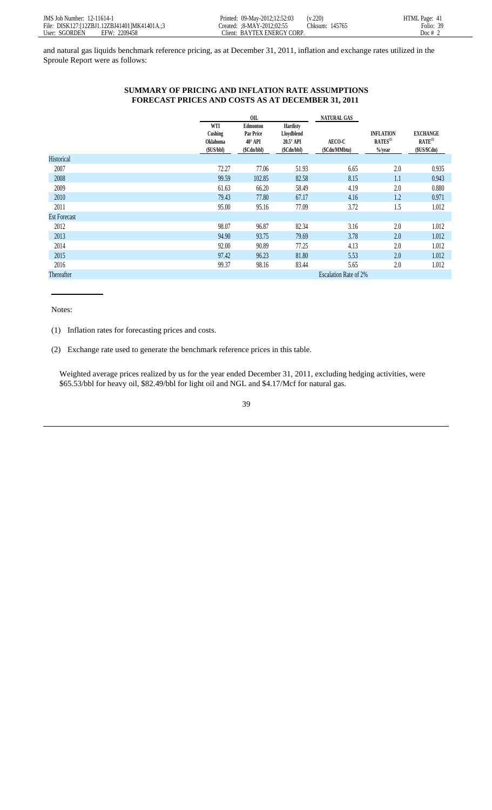and natural gas liquids benchmark reference pricing, as at December 31, 2011, inflation and exchange rates utilized in the Sproule Report were as follows:

## **SUMMARY OF PRICING AND INFLATION RATE ASSUMPTIONS FORECAST PRICES AND COSTS AS AT DECEMBER 31, 2011**

|                     |                                          | OIL                                                   |                                                                  |                              |                                                 |                                               |
|---------------------|------------------------------------------|-------------------------------------------------------|------------------------------------------------------------------|------------------------------|-------------------------------------------------|-----------------------------------------------|
|                     | WTI<br>Cushing<br>Oklahoma<br>(\$US/bbl) | Edmonton<br>Par Price<br>$40^\circ$ API<br>(SCdn/bbl) | <b>Hardisty</b><br>Lloydblend<br>$20.5^\circ$ API<br>(\$Cdn/bbl) | AECO-C<br>(\$Cdn/MMbtu)      | <b>INFLATION</b><br>$RATES^{(1)}$<br>$\%$ /year | <b>EXCHANGE</b><br>$RATE^{(2)}$<br>(SUS/SCdn) |
| <b>Historical</b>   |                                          |                                                       |                                                                  |                              |                                                 |                                               |
| 2007                | 72.27                                    | 77.06                                                 | 51.93                                                            | 6.65                         | 2.0                                             | 0.935                                         |
| 2008                | 99.59                                    | 102.85                                                | 82.58                                                            | 8.15                         | 1.1                                             | 0.943                                         |
| 2009                | 61.63                                    | 66.20                                                 | 58.49                                                            | 4.19                         | 2.0                                             | 0.880                                         |
| 2010                | 79.43                                    | 77.80                                                 | 67.17                                                            | 4.16                         | 1.2                                             | 0.971                                         |
| 2011                | 95.00                                    | 95.16                                                 | 77.09                                                            | 3.72                         | 1.5                                             | 1.012                                         |
| <b>Est Forecast</b> |                                          |                                                       |                                                                  |                              |                                                 |                                               |
| 2012                | 98.07                                    | 96.87                                                 | 82.34                                                            | 3.16                         | 2.0                                             | 1.012                                         |
| 2013                | 94.90                                    | 93.75                                                 | 79.69                                                            | 3.78                         | 2.0                                             | 1.012                                         |
| 2014                | 92.00                                    | 90.89                                                 | 77.25                                                            | 4.13                         | 2.0                                             | 1.012                                         |
| 2015                | 97.42                                    | 96.23                                                 | 81.80                                                            | 5.53                         | 2.0                                             | 1.012                                         |
| 2016                | 99.37                                    | 98.16                                                 | 83.44                                                            | 5.65                         | 2.0                                             | 1.012                                         |
| Thereafter          |                                          |                                                       |                                                                  | <b>Escalation Rate of 2%</b> |                                                 |                                               |

Notes:

(1) Inflation rates for forecasting prices and costs.

(2) Exchange rate used to generate the benchmark reference prices in this table.

Weighted average prices realized by us for the year ended December 31, 2011, excluding hedging activities, were \$65.53/bbl for heavy oil, \$82.49/bbl for light oil and NGL and \$4.17/Mcf for natural gas.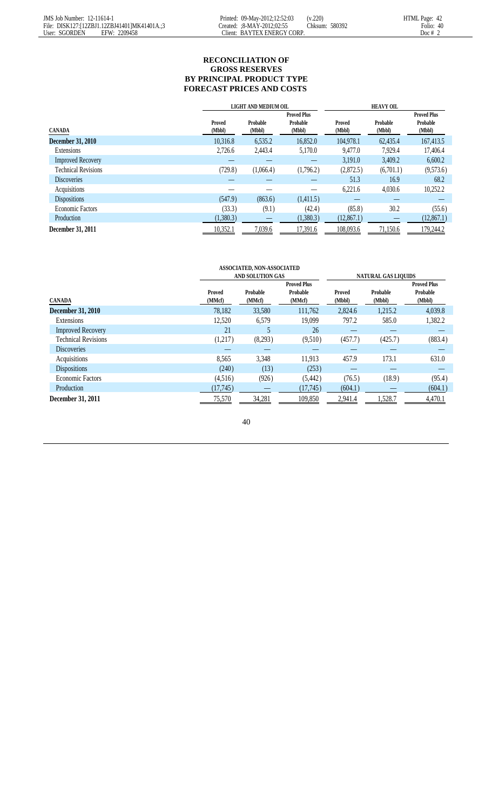## **RECONCILIATION OF GROSS RESERVES BY PRINCIPAL PRODUCT TYPE FORECAST PRICES AND COSTS**

|                            | LIGHT AND MEDIUM OIL |           |           | <b>HEAVY OIL</b> |                    |            |
|----------------------------|----------------------|-----------|-----------|------------------|--------------------|------------|
|                            | <b>Proved Plus</b>   |           |           |                  | <b>Proved Plus</b> |            |
|                            | Proved               | Probable  | Probable  | Proved           | Probable           | Probable   |
| <b>CANADA</b>              | (Mbbl)               | (Mbbl)    | (Mbbl)    | (Mbbl)           | (Mbbl)             | (Mbbl)     |
| <b>December 31, 2010</b>   | 10.316.8             | 6,535.2   | 16.852.0  | 104,978.1        | 62,435.4           | 167,413.5  |
| Extensions                 | 2,726.6              | 2,443.4   | 5,170.0   | 9.477.0          | 7.929.4            | 17,406.4   |
| <b>Improved Recovery</b>   |                      |           |           | 3.191.0          | 3,409.2            | 6,600.2    |
| <b>Technical Revisions</b> | (729.8)              | (1,066.4) | (1,796.2) | (2,872.5)        | (6,701.1)          | (9,573.6)  |
| <b>Discoveries</b>         |                      |           |           | 51.3             | 16.9               | 68.2       |
| Acquisitions               |                      |           |           | 6,221.6          | 4,030.6            | 10,252.2   |
| <b>Dispositions</b>        | (547.9)              | (863.6)   | (1,411.5) |                  |                    |            |
| <b>Economic Factors</b>    | (33.3)               | (9.1)     | (42.4)    | (85.8)           | 30.2               | (55.6)     |
| Production                 | (1,380.3)            |           | (1,380.3) | (12,867.1)       |                    | (12,867.1) |
| December 31, 2011          | 10,352.1             | 7,039.6   | 17,391.6  | 108,093.6        | 71,150.6           | 179,244.2  |

|                            |                         | ASSOCIATED, NON-ASSOCIATED |                                          |                            |                    |                                          |  |
|----------------------------|-------------------------|----------------------------|------------------------------------------|----------------------------|--------------------|------------------------------------------|--|
|                            | <b>AND SOLUTION GAS</b> |                            |                                          | <b>NATURAL GAS LIQUIDS</b> |                    |                                          |  |
| <b>CANADA</b>              | Proved<br>(MMcf)        | Probable<br>(MMcf)         | <b>Proved Plus</b><br>Probable<br>(MMcf) | Proved<br>(Mbbl)           | Probable<br>(Mbbl) | <b>Proved Plus</b><br>Probable<br>(Mbbl) |  |
| <b>December 31, 2010</b>   | 78,182                  | 33,580                     | 111,762                                  | 2,824.6                    | 1,215.2            | 4,039.8                                  |  |
| Extensions                 | 12,520                  | 6,579                      | 19,099                                   | 797.2                      | 585.0              | 1,382.2                                  |  |
| <b>Improved Recovery</b>   | 21                      |                            | 26                                       |                            |                    |                                          |  |
| <b>Technical Revisions</b> | (1,217)                 | (8,293)                    | (9,510)                                  | (457.7)                    | (425.7)            | (883.4)                                  |  |
| <b>Discoveries</b>         |                         |                            |                                          |                            |                    |                                          |  |
| Acquisitions               | 8.565                   | 3.348                      | 11.913                                   | 457.9                      | 173.1              | 631.0                                    |  |
| <b>Dispositions</b>        | (240)                   | (13)                       | (253)                                    |                            |                    |                                          |  |
| <b>Economic Factors</b>    | (4,516)                 | (926)                      | (5,442)                                  | (76.5)                     | (18.9)             | (95.4)                                   |  |
| Production                 | (17,745)                |                            | (17, 745)                                | (604.1)                    |                    | (604.1)                                  |  |
| December 31, 2011          | 75,570                  | 34,281                     | 109,850                                  | 2,941.4                    | 1,528.7            | 4,470.1                                  |  |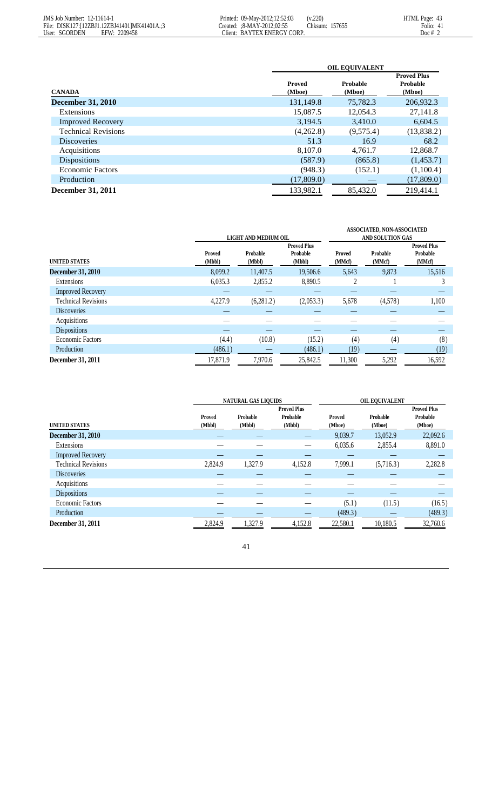|                            | <b>OIL EQUIVALENT</b>   |                    |                                          |  |  |  |
|----------------------------|-------------------------|--------------------|------------------------------------------|--|--|--|
| <b>CANADA</b>              | <b>Proved</b><br>(Mboe) | Probable<br>(Mboe) | <b>Proved Plus</b><br>Probable<br>(Mboe) |  |  |  |
| <b>December 31, 2010</b>   | 131,149.8               | 75,782.3           | 206,932.3                                |  |  |  |
| Extensions                 | 15,087.5                | 12,054.3           | 27,141.8                                 |  |  |  |
| <b>Improved Recovery</b>   | 3,194.5                 | 3,410.0            | 6,604.5                                  |  |  |  |
| <b>Technical Revisions</b> | (4,262.8)               | (9,575.4)          | (13,838.2)                               |  |  |  |
| <b>Discoveries</b>         | 51.3                    | 16.9               | 68.2                                     |  |  |  |
| Acquisitions               | 8,107.0                 | 4,761.7            | 12,868.7                                 |  |  |  |
| <b>Dispositions</b>        | (587.9)                 | (865.8)            | (1,453.7)                                |  |  |  |
| <b>Economic Factors</b>    | (948.3)                 | (152.1)            | (1,100.4)                                |  |  |  |
| Production                 | (17,809.0)              |                    | (17,809.0)                               |  |  |  |
| <b>December 31, 2011</b>   | 133,982.1               | 85,432.0           | 219,414.1                                |  |  |  |

|                            |                      |                    |                                          | ASSOCIATED, NON-ASSOCIATED |                    |                                          |  |
|----------------------------|----------------------|--------------------|------------------------------------------|----------------------------|--------------------|------------------------------------------|--|
|                            | LIGHT AND MEDIUM OIL |                    |                                          | <b>AND SOLUTION GAS</b>    |                    |                                          |  |
| <b>UNITED STATES</b>       | Proved<br>(Mbbl)     | Probable<br>(Mbbl) | <b>Proved Plus</b><br>Probable<br>(Mbbl) | Proved<br>(MMcf)           | Probable<br>(MMcf) | <b>Proved Plus</b><br>Probable<br>(MMcf) |  |
| <b>December 31, 2010</b>   | 8,099.2              | 11,407.5           | 19,506.6                                 | 5,643                      | 9,873              | 15,516                                   |  |
| Extensions                 | 6,035.3              | 2,855.2            | 8,890.5                                  | ኅ                          |                    |                                          |  |
| <b>Improved Recovery</b>   |                      |                    |                                          |                            |                    |                                          |  |
| <b>Technical Revisions</b> | 4,227.9              | (6,281.2)          | (2,053.3)                                | 5,678                      | (4,578)            | 1,100                                    |  |
| <b>Discoveries</b>         |                      |                    |                                          |                            |                    |                                          |  |
| Acquisitions               |                      |                    |                                          |                            |                    |                                          |  |
| <b>Dispositions</b>        |                      |                    |                                          |                            |                    |                                          |  |
| <b>Economic Factors</b>    | (4.4)                | (10.8)             | (15.2)                                   | (4)                        | (4)                | (8)                                      |  |
| Production                 | (486.1)              |                    | (486.1)                                  | (19)                       |                    | (19)                                     |  |
| December 31, 2011          | 17,871.9             | 7,970.6            | 25,842.5                                 | 11,300                     | 5,292              | 16,592                                   |  |

|                            | <b>NATURAL GAS LIQUIDS</b> |                    |                                          | OIL EQUIVALENT   |                    |                                          |  |
|----------------------------|----------------------------|--------------------|------------------------------------------|------------------|--------------------|------------------------------------------|--|
| <b>UNITED STATES</b>       | Proved<br>(Mbbl)           | Probable<br>(Mbbl) | <b>Proved Plus</b><br>Probable<br>(Mbbl) | Proved<br>(Mboe) | Probable<br>(Mboe) | <b>Proved Plus</b><br>Probable<br>(Mboe) |  |
| <b>December 31, 2010</b>   |                            |                    |                                          | 9,039.7          | 13,052.9           | 22,092.6                                 |  |
| Extensions                 |                            |                    |                                          | 6,035.6          | 2,855.4            | 8,891.0                                  |  |
| <b>Improved Recovery</b>   |                            |                    |                                          |                  |                    |                                          |  |
| <b>Technical Revisions</b> | 2.824.9                    | 1,327.9            | 4,152.8                                  | 7,999.1          | (5,716.3)          | 2,282.8                                  |  |
| <b>Discoveries</b>         |                            |                    |                                          |                  |                    |                                          |  |
| Acquisitions               |                            |                    |                                          |                  |                    |                                          |  |
| <b>Dispositions</b>        |                            |                    |                                          |                  |                    |                                          |  |
| <b>Economic Factors</b>    |                            |                    |                                          | (5.1)            | (11.5)             | (16.5)                                   |  |
| Production                 |                            |                    |                                          | (489.3)          |                    | (489.3)                                  |  |
| December 31, 2011          | 2,824.9                    | 1.327.9            | 4,152.8                                  | 22,580.1         | 10,180.5           | 32,760.6                                 |  |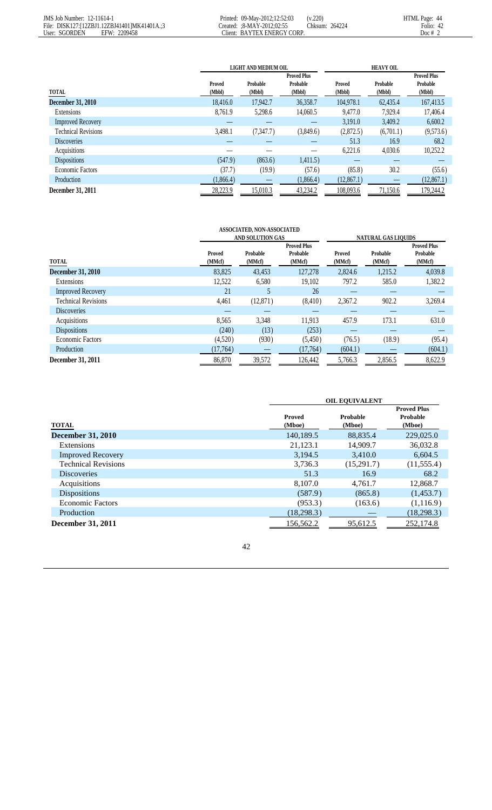|                            |           | LIGHT AND MEDIUM OIL |                    | <b>HEAVY OIL</b> |           |                    |
|----------------------------|-----------|----------------------|--------------------|------------------|-----------|--------------------|
|                            |           |                      | <b>Proved Plus</b> |                  |           | <b>Proved Plus</b> |
|                            | Proved    | Probable             | Probable           | Proved           | Probable  | Probable           |
| <b>TOTAL</b>               | (Mbbl)    | (Mbbl)               | (Mbbl)             | (Mbbl)           | (Mbbl)    | (Mbbl)             |
| <b>December 31, 2010</b>   | 18,416.0  | 17.942.7             | 36,358.7           | 104.978.1        | 62,435.4  | 167,413.5          |
| Extensions                 | 8,761.9   | 5,298.6              | 14,060.5           | 9.477.0          | 7,929.4   | 17,406.4           |
| <b>Improved Recovery</b>   |           |                      |                    | 3.191.0          | 3,409.2   | 6,600.2            |
| <b>Technical Revisions</b> | 3,498.1   | (7, 347.7)           | (3,849.6)          | (2,872.5)        | (6,701.1) | (9,573.6)          |
| <b>Discoveries</b>         |           |                      |                    | 51.3             | 16.9      | 68.2               |
| Acquisitions               |           |                      |                    | 6,221.6          | 4,030.6   | 10,252.2           |
| <b>Dispositions</b>        | (547.9)   | (863.6)              | 1,411.5)           |                  |           |                    |
| <b>Economic Factors</b>    | (37.7)    | (19.9)               | (57.6)             | (85.8)           | 30.2      | (55.6)             |
| Production                 | (1,866.4) |                      | (1,866.4)          | (12,867.1)       |           | (12, 867.1)        |
| December 31, 2011          | 28,223.9  | 15,010.3             | 43,234.2           | 108,093.6        | 71,150.6  | 179,244.2          |

|                            |                         | <b>ASSOCIATED, NON-ASSOCIATED</b> |                                          |                            |                    |                                          |  |
|----------------------------|-------------------------|-----------------------------------|------------------------------------------|----------------------------|--------------------|------------------------------------------|--|
|                            | <b>AND SOLUTION GAS</b> |                                   |                                          | <b>NATURAL GAS LIQUIDS</b> |                    |                                          |  |
| <b>TOTAL</b>               | Proved<br>(MMcf)        | Probable<br>(MMcf)                | <b>Proved Plus</b><br>Probable<br>(MMcf) | Proved<br>(MMcf)           | Probable<br>(MMcf) | <b>Proved Plus</b><br>Probable<br>(MMcf) |  |
| <b>December 31, 2010</b>   | 83,825                  | 43,453                            | 127,278                                  | 2,824.6                    | 1,215.2            | 4,039.8                                  |  |
| Extensions                 | 12,522                  | 6,580                             | 19,102                                   | 797.2                      | 585.0              | 1,382.2                                  |  |
| <b>Improved Recovery</b>   | 21                      |                                   | 26                                       |                            |                    |                                          |  |
| <b>Technical Revisions</b> | 4,461                   | (12, 871)                         | (8, 410)                                 | 2,367.2                    | 902.2              | 3,269.4                                  |  |
| <b>Discoveries</b>         |                         |                                   |                                          |                            |                    |                                          |  |
| Acquisitions               | 8.565                   | 3.348                             | 11.913                                   | 457.9                      | 173.1              | 631.0                                    |  |
| <b>Dispositions</b>        | (240)                   | (13)                              | (253)                                    |                            |                    |                                          |  |
| <b>Economic Factors</b>    | (4,520)                 | (930)                             | (5,450)                                  | (76.5)                     | (18.9)             | (95.4)                                   |  |
| Production                 | (17,764)                |                                   | (17,764)                                 | (604.1)                    |                    | (604.1)                                  |  |
| December 31, 2011          | 86,870                  | 39,572                            | 126,442                                  | 5,766.3                    | 2,856.5            | 8,622.9                                  |  |

|                            | <b>OIL EQUIVALENT</b>   |                    |                                          |  |  |  |
|----------------------------|-------------------------|--------------------|------------------------------------------|--|--|--|
| <b>TOTAL</b>               | <b>Proved</b><br>(Mboe) | Probable<br>(Mboe) | <b>Proved Plus</b><br>Probable<br>(Mboe) |  |  |  |
| <b>December 31, 2010</b>   | 140,189.5               | 88.835.4           | 229,025.0                                |  |  |  |
| Extensions                 | 21,123.1                | 14,909.7           | 36,032.8                                 |  |  |  |
| <b>Improved Recovery</b>   | 3,194.5                 | 3,410.0            | 6.604.5                                  |  |  |  |
| <b>Technical Revisions</b> | 3,736.3                 | (15,291.7)         | (11, 555.4)                              |  |  |  |
| <b>Discoveries</b>         | 51.3                    | 16.9               | 68.2                                     |  |  |  |
| Acquisitions               | 8,107.0                 | 4,761.7            | 12,868.7                                 |  |  |  |
| <b>Dispositions</b>        | (587.9)                 | (865.8)            | (1,453.7)                                |  |  |  |
| <b>Economic Factors</b>    | (953.3)                 | (163.6)            | (1,116.9)                                |  |  |  |
| Production                 | (18, 298.3)             |                    | (18, 298.3)                              |  |  |  |
| <b>December 31, 2011</b>   | 156,562.2               | 95,612.5           | 252,174.8                                |  |  |  |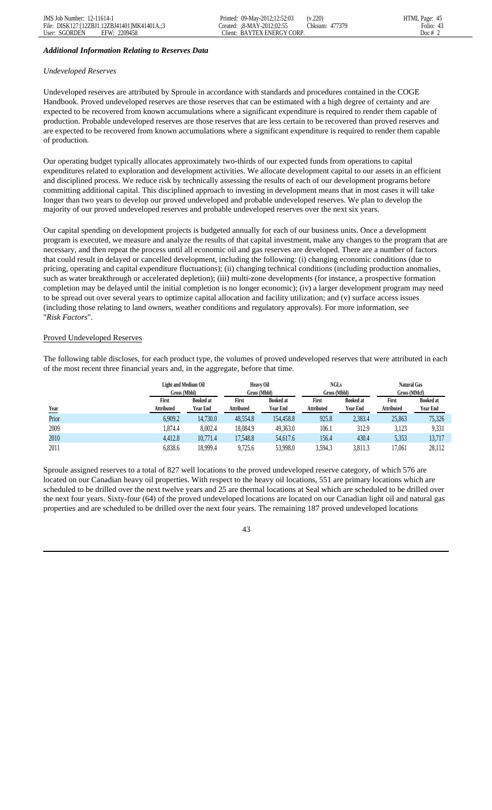## *Additional Information Relating to Reserves Data*

## *Undeveloped Reserves*

Undeveloped reserves are attributed by Sproule in accordance with standards and procedures contained in the COGE Handbook. Proved undeveloped reserves are those reserves that can be estimated with a high degree of certainty and are expected to be recovered from known accumulations where a significant expenditure is required to render them capable of production. Probable undeveloped reserves are those reserves that are less certain to be recovered than proved reserves and are expected to be recovered from known accumulations where a significant expenditure is required to render them capable of production.

Our operating budget typically allocates approximately two-thirds of our expected funds from operations to capital expenditures related to exploration and development activities. We allocate development capital to our assets in an efficient and disciplined process. We reduce risk by technically assessing the results of each of our development programs before committing additional capital. This disciplined approach to investing in development means that in most cases it will take longer than two years to develop our proved undeveloped and probable undeveloped reserves. We plan to develop the majority of our proved undeveloped reserves and probable undeveloped reserves over the next six years.

Our capital spending on development projects is budgeted annually for each of our business units. Once a development program is executed, we measure and analyze the results of that capital investment, make any changes to the program that are necessary, and then repeat the process until all economic oil and gas reserves are developed. There are a number of factors that could result in delayed or cancelled development, including the following: (i) changing economic conditions (due to pricing, operating and capital expenditure fluctuations); (ii) changing technical conditions (including production anomalies, such as water breakthrough or accelerated depletion); (iii) multi-zone developments (for instance, a prospective formation completion may be delayed until the initial completion is no longer economic); (iv) a larger development program may need to be spread out over several years to optimize capital allocation and facility utilization; and (v) surface access issues (including those relating to land owners, weather conditions and regulatory approvals). For more information, see "*Risk Factors*".

#### Proved Undeveloped Reserves

The following table discloses, for each product type, the volumes of proved undeveloped reserves that were attributed in each of the most recent three financial years and, in the aggregate, before that time.

|       | <b>Light and Medium Oil</b><br>Gross (Mbbl) |                              | <b>Heavy Oil</b><br>Gross (Mbbl) |                              | <b>NGLs</b><br><b>Gross</b> (Mbbl) |                              | <b>Natural Gas</b><br>Gross (MMcf) |                              |
|-------|---------------------------------------------|------------------------------|----------------------------------|------------------------------|------------------------------------|------------------------------|------------------------------------|------------------------------|
| Year  | First<br>Attributed                         | <b>Booked at</b><br>Year End | First<br><b>Attributed</b>       | <b>Booked at</b><br>Year End | First<br><b>Attributed</b>         | <b>Booked at</b><br>Year End | First<br>Attributed                | <b>Booked</b> at<br>Year End |
| Prior | 6.909.2                                     | 14,730.0                     | 48.554.8                         | 154,458.8                    | 925.8                              | 2,383.4                      | 25,863                             | 75,326                       |
| 2009  | 1,874.4                                     | 8.002.4                      | 18.084.9                         | 49.363.0                     | 106.1                              | 312.9                        | 3,123                              | 9,331                        |
| 2010  | 4,412.8                                     | 10.771.4                     | 17.548.8                         | 54,617.6                     | 156.4                              | 430.4                        | 5,353                              | 13,717                       |
| 2011  | 6,838.6                                     | 18,999.4                     | 9,725.6                          | 53,998.0                     | 3,594.3                            | 3,811.3                      | 17.061                             | 28,112                       |

Sproule assigned reserves to a total of 827 well locations to the proved undeveloped reserve category, of which 576 are located on our Canadian heavy oil properties. With respect to the heavy oil locations, 551 are primary locations which are scheduled to be drilled over the next twelve years and 25 are thermal locations at Seal which are scheduled to be drilled over the next four years. Sixty-four (64) of the proved undeveloped locations are located on our Canadian light oil and natural gas properties and are scheduled to be drilled over the next four years. The remaining 187 proved undeveloped locations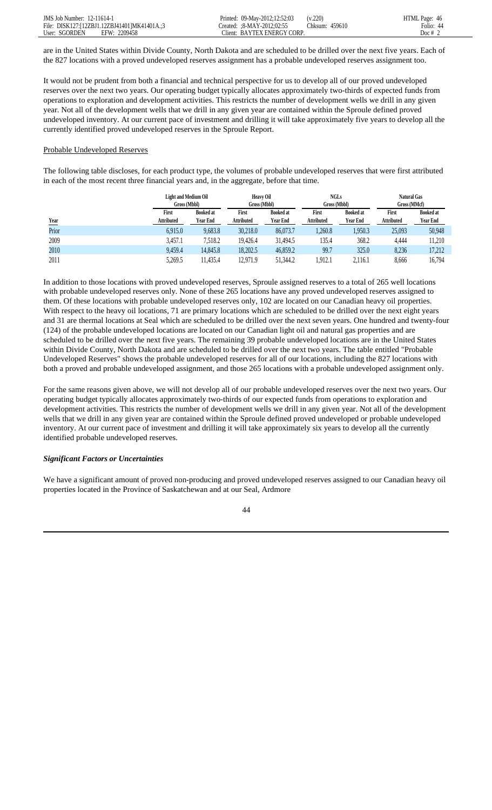are in the United States within Divide County, North Dakota and are scheduled to be drilled over the next five years. Each of the 827 locations with a proved undeveloped reserves assignment has a probable undeveloped reserves assignment too.

It would not be prudent from both a financial and technical perspective for us to develop all of our proved undeveloped reserves over the next two years. Our operating budget typically allocates approximately two-thirds of expected funds from operations to exploration and development activities. This restricts the number of development wells we drill in any given year. Not all of the development wells that we drill in any given year are contained within the Sproule defined proved undeveloped inventory. At our current pace of investment and drilling it will take approximately five years to develop all the currently identified proved undeveloped reserves in the Sproule Report.

## Probable Undeveloped Reserves

The following table discloses, for each product type, the volumes of probable undeveloped reserves that were first attributed in each of the most recent three financial years and, in the aggregate, before that time.

|             | <b>Light and Medium Oil</b><br>Gross (Mbbl) |                              | <b>Heavy Oil</b><br>Gross (Mbbl) |                              | <b>NGLs</b><br>Gross (Mbbl) |                              | <b>Natural Gas</b><br>Gross (MMcf) |                              |
|-------------|---------------------------------------------|------------------------------|----------------------------------|------------------------------|-----------------------------|------------------------------|------------------------------------|------------------------------|
| <b>Year</b> | First<br>Attributed                         | <b>Booked at</b><br>Year End | First<br><b>Attributed</b>       | <b>Booked at</b><br>Year End | First<br>Attributed         | <b>Booked at</b><br>Year End | First<br>Attributed                | <b>Booked at</b><br>Year End |
| Prior       | 6.915.0                                     | 9,683.8                      | 30,218.0                         | 86,073.7                     | ,260.8                      | 1.950.3                      | 25,093                             | 50,948                       |
| 2009        | 3.457.1                                     | 7.518.2                      | 19.426.4                         | 31,494.5                     | 135.4                       | 368.2                        | 4,444                              | 11,210                       |
| 2010        | 9.459.4                                     | 14.845.8                     | 18.202.5                         | 46,859.2                     | 99.7                        | 325.0                        | 8,236                              | 17.212                       |
| 2011        | 5.269.5                                     | 11.435.4                     | 12,971.9                         | 51,344.2                     | .912.1                      | 2.116.1                      | 8,666                              | 16,794                       |

In addition to those locations with proved undeveloped reserves, Sproule assigned reserves to a total of 265 well locations with probable undeveloped reserves only. None of these 265 locations have any proved undeveloped reserves assigned to them. Of these locations with probable undeveloped reserves only, 102 are located on our Canadian heavy oil properties. With respect to the heavy oil locations, 71 are primary locations which are scheduled to be drilled over the next eight years and 31 are thermal locations at Seal which are scheduled to be drilled over the next seven years. One hundred and twenty-four (124) of the probable undeveloped locations are located on our Canadian light oil and natural gas properties and are scheduled to be drilled over the next five years. The remaining 39 probable undeveloped locations are in the United States within Divide County, North Dakota and are scheduled to be drilled over the next two years. The table entitled "Probable Undeveloped Reserves" shows the probable undeveloped reserves for all of our locations, including the 827 locations with both a proved and probable undeveloped assignment, and those 265 locations with a probable undeveloped assignment only.

For the same reasons given above, we will not develop all of our probable undeveloped reserves over the next two years. Our operating budget typically allocates approximately two-thirds of our expected funds from operations to exploration and development activities. This restricts the number of development wells we drill in any given year. Not all of the development wells that we drill in any given year are contained within the Sproule defined proved undeveloped or probable undeveloped inventory. At our current pace of investment and drilling it will take approximately six years to develop all the currently identified probable undeveloped reserves.

#### *Significant Factors or Uncertainties*

We have a significant amount of proved non-producing and proved undeveloped reserves assigned to our Canadian heavy oil properties located in the Province of Saskatchewan and at our Seal, Ardmore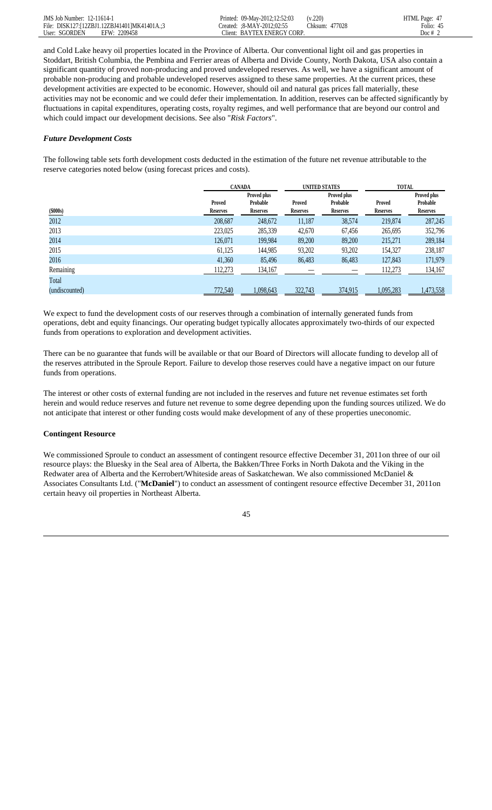and Cold Lake heavy oil properties located in the Province of Alberta. Our conventional light oil and gas properties in Stoddart, British Columbia, the Pembina and Ferrier areas of Alberta and Divide County, North Dakota, USA also contain a significant quantity of proved non-producing and proved undeveloped reserves. As well, we have a significant amount of probable non-producing and probable undeveloped reserves assigned to these same properties. At the current prices, these development activities are expected to be economic. However, should oil and natural gas prices fall materially, these activities may not be economic and we could defer their implementation. In addition, reserves can be affected significantly by fluctuations in capital expenditures, operating costs, royalty regimes, and well performance that are beyond our control and which could impact our development decisions. See also "*Risk Factors*".

#### *Future Development Costs*

The following table sets forth development costs deducted in the estimation of the future net revenue attributable to the reserve categories noted below (using forecast prices and costs).

|                | <b>CANADA</b>      |                 |                 | <b>UNITED STATES</b> |                 | <b>TOTAL</b>       |
|----------------|--------------------|-----------------|-----------------|----------------------|-----------------|--------------------|
|                | <b>Proved plus</b> |                 |                 | Proved plus          |                 | <b>Proved plus</b> |
|                | Proved             | Probable        | Proved          | Probable             | Proved          | Probable           |
| $($ \$000s)    | <b>Reserves</b>    | <b>Reserves</b> | <b>Reserves</b> | <b>Reserves</b>      | <b>Reserves</b> | <b>Reserves</b>    |
| 2012           | 208,687            | 248,672         | 11,187          | 38,574               | 219,874         | 287,245            |
| 2013           | 223,025            | 285,339         | 42,670          | 67,456               | 265,695         | 352,796            |
| 2014           | 126,071            | 199,984         | 89,200          | 89,200               | 215,271         | 289,184            |
| 2015           | 61,125             | 144,985         | 93,202          | 93,202               | 154,327         | 238,187            |
| 2016           | 41,360             | 85,496          | 86,483          | 86,483               | 127,843         | 171,979            |
| Remaining      | 112,273            | 134,167         |                 |                      | 112,273         | 134,167            |
| Total          |                    |                 |                 |                      |                 |                    |
| (undiscounted) | 772,540            | 1,098,643       | 322,743         | 374,915              | 1,095,283       | 1,473,558          |

We expect to fund the development costs of our reserves through a combination of internally generated funds from operations, debt and equity financings. Our operating budget typically allocates approximately two-thirds of our expected funds from operations to exploration and development activities.

There can be no guarantee that funds will be available or that our Board of Directors will allocate funding to develop all of the reserves attributed in the Sproule Report. Failure to develop those reserves could have a negative impact on our future funds from operations.

The interest or other costs of external funding are not included in the reserves and future net revenue estimates set forth herein and would reduce reserves and future net revenue to some degree depending upon the funding sources utilized. We do not anticipate that interest or other funding costs would make development of any of these properties uneconomic.

#### **Contingent Resource**

We commissioned Sproule to conduct an assessment of contingent resource effective December 31, 2011on three of our oil resource plays: the Bluesky in the Seal area of Alberta, the Bakken/Three Forks in North Dakota and the Viking in the Redwater area of Alberta and the Kerrobert/Whiteside areas of Saskatchewan. We also commissioned McDaniel & Associates Consultants Ltd. ("**McDaniel**") to conduct an assessment of contingent resource effective December 31, 2011on certain heavy oil properties in Northeast Alberta.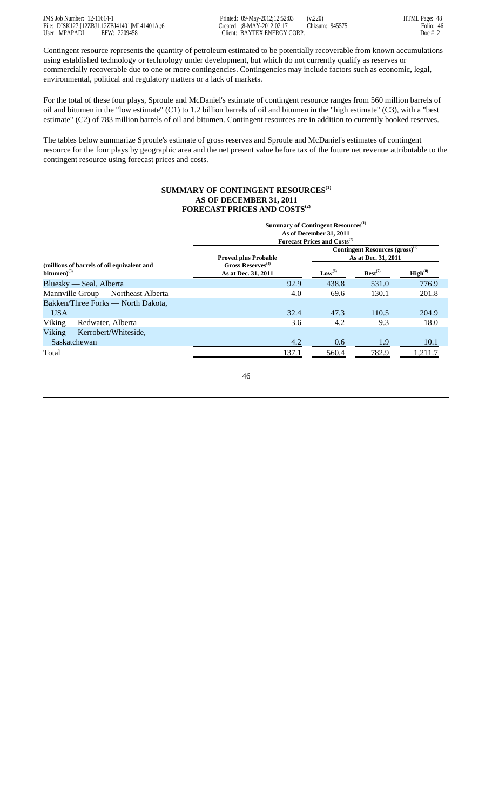Contingent resource represents the quantity of petroleum estimated to be potentially recoverable from known accumulations using established technology or technology under development, but which do not currently qualify as reserves or commercially recoverable due to one or more contingencies. Contingencies may include factors such as economic, legal, environmental, political and regulatory matters or a lack of markets.

For the total of these four plays, Sproule and McDaniel's estimate of contingent resource ranges from 560 million barrels of oil and bitumen in the "low estimate" (C1) to 1.2 billion barrels of oil and bitumen in the "high estimate" (C3), with a "best estimate" (C2) of 783 million barrels of oil and bitumen. Contingent resources are in addition to currently booked reserves.

The tables below summarize Sproule's estimate of gross reserves and Sproule and McDaniel's estimates of contingent resource for the four plays by geographic area and the net present value before tax of the future net revenue attributable to the contingent resource using forecast prices and costs.

## **SUMMARY OF CONTINGENT RESOURCES<sup>(1)</sup> AS OF DECEMBER 31, 2011 FORECAST PRICES AND COSTS(2)**

|                                                                 | <b>Summary of Contingent Resources</b> <sup>(1)</sup> |                                                 |                                             |                     |  |  |  |  |
|-----------------------------------------------------------------|-------------------------------------------------------|-------------------------------------------------|---------------------------------------------|---------------------|--|--|--|--|
|                                                                 | As of December 31, 2011                               |                                                 |                                             |                     |  |  |  |  |
|                                                                 |                                                       | <b>Forecast Prices and Costs</b> <sup>(2)</sup> |                                             |                     |  |  |  |  |
|                                                                 |                                                       |                                                 | Contingent Resources (gross) <sup>(5)</sup> |                     |  |  |  |  |
|                                                                 | <b>Proved plus Probable</b>                           |                                                 | As at Dec. 31, 2011                         |                     |  |  |  |  |
| (millions of barrels of oil equivalent and<br>bitumen $)^{(3)}$ | Gross Reserves <sup>(4)</sup><br>As at Dec. 31, 2011  | Low <sup>(6)</sup>                              | $Best^{(7)}$                                | $\text{High}^{(8)}$ |  |  |  |  |
| Bluesky — Seal, Alberta                                         | 92.9                                                  | 438.8                                           | 531.0                                       | 776.9               |  |  |  |  |
| Mannville Group — Northeast Alberta                             | 4.0                                                   | 69.6                                            | 130.1                                       | 201.8               |  |  |  |  |
| Bakken/Three Forks — North Dakota,                              |                                                       |                                                 |                                             |                     |  |  |  |  |
| <b>USA</b>                                                      | 32.4                                                  | 47.3                                            | 110.5                                       | 204.9               |  |  |  |  |
| Viking — Redwater, Alberta                                      | 3.6                                                   | 4.2                                             | 9.3                                         | 18.0                |  |  |  |  |
| Viking — Kerrobert/Whiteside,                                   |                                                       |                                                 |                                             |                     |  |  |  |  |
| Saskatchewan                                                    | 4.2                                                   | 0.6                                             | 1.9                                         | 10.1                |  |  |  |  |
| Total                                                           | 137.1                                                 | 560.4                                           | 782.9                                       | .211.7              |  |  |  |  |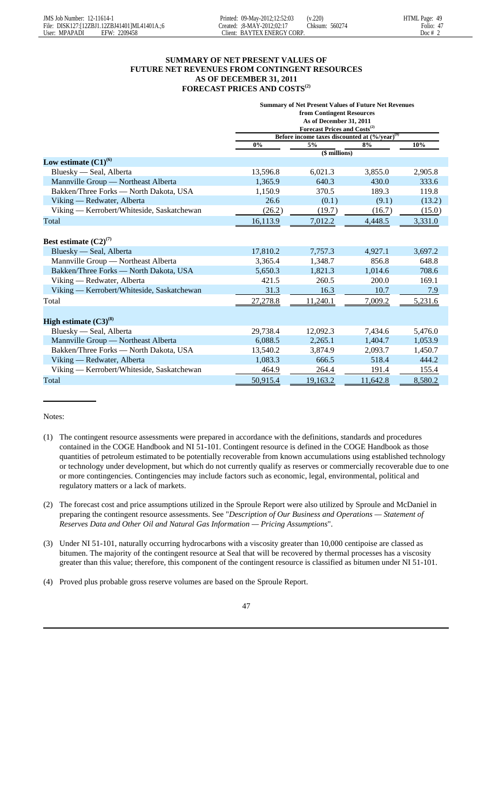## **SUMMARY OF NET PRESENT VALUES OF FUTURE NET REVENUES FROM CONTINGENT RESOURCES AS OF DECEMBER 31, 2011 FORECAST PRICES AND COSTS(2)**

|                                            | <b>Summary of Net Present Values of Future Net Revenues</b> |                                                                        |          |         |  |  |
|--------------------------------------------|-------------------------------------------------------------|------------------------------------------------------------------------|----------|---------|--|--|
|                                            | from Contingent Resources                                   |                                                                        |          |         |  |  |
|                                            | As of December 31, 2011                                     |                                                                        |          |         |  |  |
|                                            |                                                             | Forecast Prices and Costs <sup>(2)</sup>                               |          |         |  |  |
|                                            |                                                             | Before income taxes discounted at $(\frac{9}{6}$ /year) <sup>(9)</sup> |          |         |  |  |
|                                            | 0%                                                          | 5%                                                                     | 8%       | 10%     |  |  |
|                                            |                                                             | (\$ millions)                                                          |          |         |  |  |
| Low estimate $(C1)^{(6)}$                  |                                                             |                                                                        |          |         |  |  |
| Bluesky — Seal, Alberta                    | 13,596.8                                                    | 6,021.3                                                                | 3,855.0  | 2,905.8 |  |  |
| Mannville Group — Northeast Alberta        | 1,365.9                                                     | 640.3                                                                  | 430.0    | 333.6   |  |  |
| Bakken/Three Forks — North Dakota, USA     | 1,150.9                                                     | 370.5                                                                  | 189.3    | 119.8   |  |  |
| Viking — Redwater, Alberta                 | 26.6                                                        | (0.1)                                                                  | (9.1)    | (13.2)  |  |  |
| Viking — Kerrobert/Whiteside, Saskatchewan | (26.2)                                                      | (19.7)                                                                 | (16.7)   | (15.0)  |  |  |
| Total                                      | 16,113.9                                                    | 7,012.2                                                                | 4,448.5  | 3,331.0 |  |  |
|                                            |                                                             |                                                                        |          |         |  |  |
| Best estimate $(C2)^{(7)}$                 |                                                             |                                                                        |          |         |  |  |
| Bluesky — Seal, Alberta                    | 17,810.2                                                    | 7,757.3                                                                | 4,927.1  | 3,697.2 |  |  |
| Mannville Group - Northeast Alberta        | 3,365.4                                                     | 1,348.7                                                                | 856.8    | 648.8   |  |  |
| Bakken/Three Forks — North Dakota, USA     | 5,650.3                                                     | 1,821.3                                                                | 1,014.6  | 708.6   |  |  |
| Viking — Redwater, Alberta                 | 421.5                                                       | 260.5                                                                  | 200.0    | 169.1   |  |  |
| Viking — Kerrobert/Whiteside, Saskatchewan | 31.3                                                        | 16.3                                                                   | 10.7     | 7.9     |  |  |
| Total                                      | 27,278.8                                                    | 11,240.1                                                               | 7,009.2  | 5,231.6 |  |  |
|                                            |                                                             |                                                                        |          |         |  |  |
| High estimate $(C3)^{(8)}$                 |                                                             |                                                                        |          |         |  |  |
| Bluesky — Seal, Alberta                    | 29,738.4                                                    | 12,092.3                                                               | 7,434.6  | 5,476.0 |  |  |
| Mannville Group - Northeast Alberta        | 6,088.5                                                     | 2,265.1                                                                | 1,404.7  | 1,053.9 |  |  |
| Bakken/Three Forks - North Dakota, USA     | 13,540.2                                                    | 3,874.9                                                                | 2,093.7  | 1,450.7 |  |  |
| Viking — Redwater, Alberta                 | 1,083.3                                                     | 666.5                                                                  | 518.4    | 444.2   |  |  |
| Viking — Kerrobert/Whiteside, Saskatchewan | 464.9                                                       | 264.4                                                                  | 191.4    | 155.4   |  |  |
| Total                                      | 50,915.4                                                    | 19,163.2                                                               | 11,642.8 | 8,580.2 |  |  |

Notes:

- (1) The contingent resource assessments were prepared in accordance with the definitions, standards and procedures contained in the COGE Handbook and NI 51-101. Contingent resource is defined in the COGE Handbook as those quantities of petroleum estimated to be potentially recoverable from known accumulations using established technology or technology under development, but which do not currently qualify as reserves or commercially recoverable due to one or more contingencies. Contingencies may include factors such as economic, legal, environmental, political and regulatory matters or a lack of markets.
- (2) The forecast cost and price assumptions utilized in the Sproule Report were also utilized by Sproule and McDaniel in preparing the contingent resource assessments. See "*Description of Our Business and Operations — Statement of Reserves Data and Other Oil and Natural Gas Information — Pricing Assumptions*".
- (3) Under NI 51-101, naturally occurring hydrocarbons with a viscosity greater than 10,000 centipoise are classed as bitumen. The majority of the contingent resource at Seal that will be recovered by thermal processes has a viscosity greater than this value; therefore, this component of the contingent resource is classified as bitumen under NI 51-101.

(4) Proved plus probable gross reserve volumes are based on the Sproule Report.

<sup>47</sup>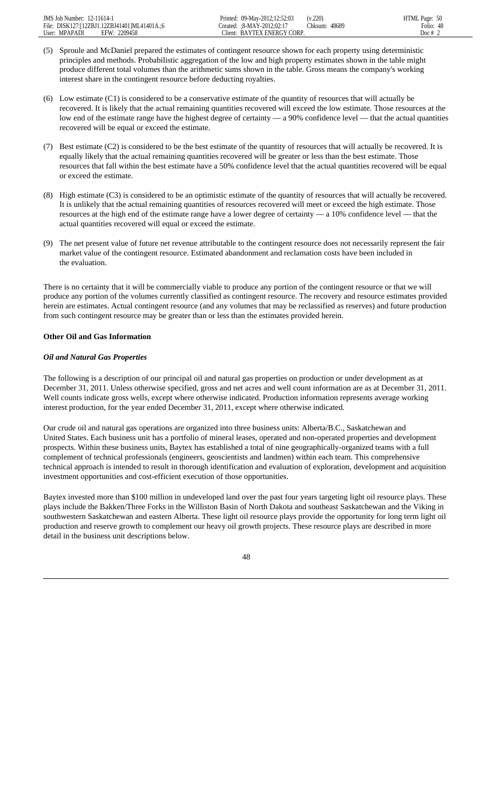- (5) Sproule and McDaniel prepared the estimates of contingent resource shown for each property using deterministic principles and methods. Probabilistic aggregation of the low and high property estimates shown in the table might produce different total volumes than the arithmetic sums shown in the table. Gross means the company's working interest share in the contingent resource before deducting royalties.
- (6) Low estimate (C1) is considered to be a conservative estimate of the quantity of resources that will actually be recovered. It is likely that the actual remaining quantities recovered will exceed the low estimate. Those resources at the low end of the estimate range have the highest degree of certainty — a 90% confidence level — that the actual quantities recovered will be equal or exceed the estimate.
- (7) Best estimate (C2) is considered to be the best estimate of the quantity of resources that will actually be recovered. It is equally likely that the actual remaining quantities recovered will be greater or less than the best estimate. Those resources that fall within the best estimate have a 50% confidence level that the actual quantities recovered will be equal or exceed the estimate.
- (8) High estimate (C3) is considered to be an optimistic estimate of the quantity of resources that will actually be recovered. It is unlikely that the actual remaining quantities of resources recovered will meet or exceed the high estimate. Those resources at the high end of the estimate range have a lower degree of certainty — a 10% confidence level — that the actual quantities recovered will equal or exceed the estimate.
- (9) The net present value of future net revenue attributable to the contingent resource does not necessarily represent the fair market value of the contingent resource. Estimated abandonment and reclamation costs have been included in the evaluation.

There is no certainty that it will be commercially viable to produce any portion of the contingent resource or that we will produce any portion of the volumes currently classified as contingent resource. The recovery and resource estimates provided herein are estimates. Actual contingent resource (and any volumes that may be reclassified as reserves) and future production from such contingent resource may be greater than or less than the estimates provided herein.

## **Other Oil and Gas Information**

#### *Oil and Natural Gas Properties*

The following is a description of our principal oil and natural gas properties on production or under development as at December 31, 2011. Unless otherwise specified, gross and net acres and well count information are as at December 31, 2011. Well counts indicate gross wells, except where otherwise indicated. Production information represents average working interest production, for the year ended December 31, 2011, except where otherwise indicated.

Our crude oil and natural gas operations are organized into three business units: Alberta/B.C., Saskatchewan and United States. Each business unit has a portfolio of mineral leases, operated and non-operated properties and development prospects. Within these business units, Baytex has established a total of nine geographically-organized teams with a full complement of technical professionals (engineers, geoscientists and landmen) within each team. This comprehensive technical approach is intended to result in thorough identification and evaluation of exploration, development and acquisition investment opportunities and cost-efficient execution of those opportunities.

Baytex invested more than \$100 million in undeveloped land over the past four years targeting light oil resource plays. These plays include the Bakken/Three Forks in the Williston Basin of North Dakota and southeast Saskatchewan and the Viking in southwestern Saskatchewan and eastern Alberta. These light oil resource plays provide the opportunity for long term light oil production and reserve growth to complement our heavy oil growth projects. These resource plays are described in more detail in the business unit descriptions below.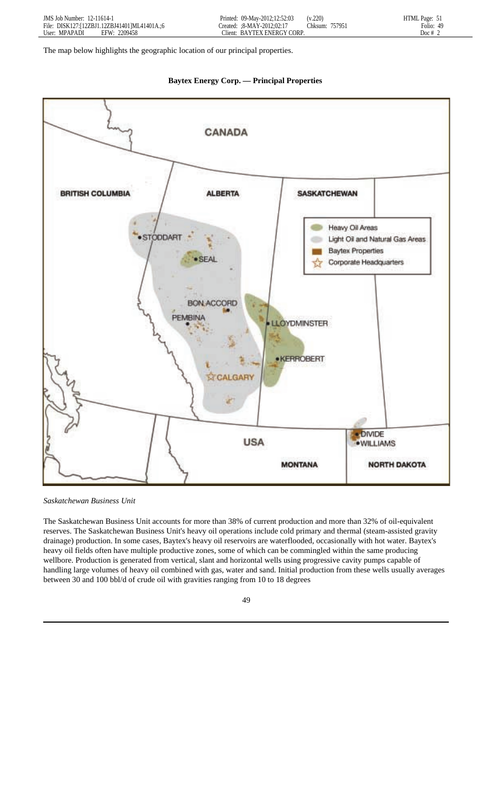The map below highlights the geographic location of our principal properties.

**Baytex Energy Corp. — Principal Properties** 



*Saskatchewan Business Unit*

The Saskatchewan Business Unit accounts for more than 38% of current production and more than 32% of oil-equivalent reserves. The Saskatchewan Business Unit's heavy oil operations include cold primary and thermal (steam-assisted gravity drainage) production. In some cases, Baytex's heavy oil reservoirs are waterflooded, occasionally with hot water. Baytex's heavy oil fields often have multiple productive zones, some of which can be commingled within the same producing wellbore. Production is generated from vertical, slant and horizontal wells using progressive cavity pumps capable of handling large volumes of heavy oil combined with gas, water and sand. Initial production from these wells usually averages between 30 and 100 bbl/d of crude oil with gravities ranging from 10 to 18 degrees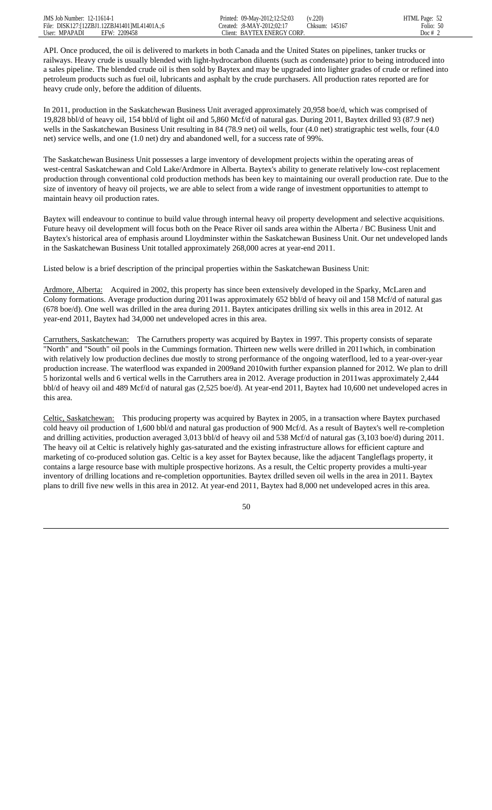API. Once produced, the oil is delivered to markets in both Canada and the United States on pipelines, tanker trucks or railways. Heavy crude is usually blended with light-hydrocarbon diluents (such as condensate) prior to being introduced into a sales pipeline. The blended crude oil is then sold by Baytex and may be upgraded into lighter grades of crude or refined into petroleum products such as fuel oil, lubricants and asphalt by the crude purchasers. All production rates reported are for heavy crude only, before the addition of diluents.

In 2011, production in the Saskatchewan Business Unit averaged approximately 20,958 boe/d, which was comprised of 19,828 bbl/d of heavy oil, 154 bbl/d of light oil and 5,860 Mcf/d of natural gas. During 2011, Baytex drilled 93 (87.9 net) wells in the Saskatchewan Business Unit resulting in 84 (78.9 net) oil wells, four (4.0 net) stratigraphic test wells, four (4.0 net) service wells, and one (1.0 net) dry and abandoned well, for a success rate of 99%.

The Saskatchewan Business Unit possesses a large inventory of development projects within the operating areas of west-central Saskatchewan and Cold Lake/Ardmore in Alberta. Baytex's ability to generate relatively low-cost replacement production through conventional cold production methods has been key to maintaining our overall production rate. Due to the size of inventory of heavy oil projects, we are able to select from a wide range of investment opportunities to attempt to maintain heavy oil production rates.

Baytex will endeavour to continue to build value through internal heavy oil property development and selective acquisitions. Future heavy oil development will focus both on the Peace River oil sands area within the Alberta / BC Business Unit and Baytex's historical area of emphasis around Lloydminster within the Saskatchewan Business Unit. Our net undeveloped lands in the Saskatchewan Business Unit totalled approximately 268,000 acres at year-end 2011.

Listed below is a brief description of the principal properties within the Saskatchewan Business Unit:

Ardmore, Alberta: Acquired in 2002, this property has since been extensively developed in the Sparky, McLaren and Colony formations. Average production during 2011was approximately 652 bbl/d of heavy oil and 158 Mcf/d of natural gas (678 boe/d). One well was drilled in the area during 2011. Baytex anticipates drilling six wells in this area in 2012. At year-end 2011, Baytex had 34,000 net undeveloped acres in this area.

Carruthers, Saskatchewan: The Carruthers property was acquired by Baytex in 1997. This property consists of separate "North" and "South" oil pools in the Cummings formation. Thirteen new wells were drilled in 2011which, in combination with relatively low production declines due mostly to strong performance of the ongoing waterflood, led to a year-over-year production increase. The waterflood was expanded in 2009and 2010with further expansion planned for 2012. We plan to drill 5 horizontal wells and 6 vertical wells in the Carruthers area in 2012. Average production in 2011was approximately 2,444 bbl/d of heavy oil and 489 Mcf/d of natural gas (2,525 boe/d). At year-end 2011, Baytex had 10,600 net undeveloped acres in this area.

Celtic, Saskatchewan: This producing property was acquired by Baytex in 2005, in a transaction where Baytex purchased cold heavy oil production of 1,600 bbl/d and natural gas production of 900 Mcf/d. As a result of Baytex's well re-completion and drilling activities, production averaged 3,013 bbl/d of heavy oil and 538 Mcf/d of natural gas (3,103 boe/d) during 2011. The heavy oil at Celtic is relatively highly gas-saturated and the existing infrastructure allows for efficient capture and marketing of co-produced solution gas. Celtic is a key asset for Baytex because, like the adjacent Tangleflags property, it contains a large resource base with multiple prospective horizons. As a result, the Celtic property provides a multi-year inventory of drilling locations and re-completion opportunities. Baytex drilled seven oil wells in the area in 2011. Baytex plans to drill five new wells in this area in 2012. At year-end 2011, Baytex had 8,000 net undeveloped acres in this area.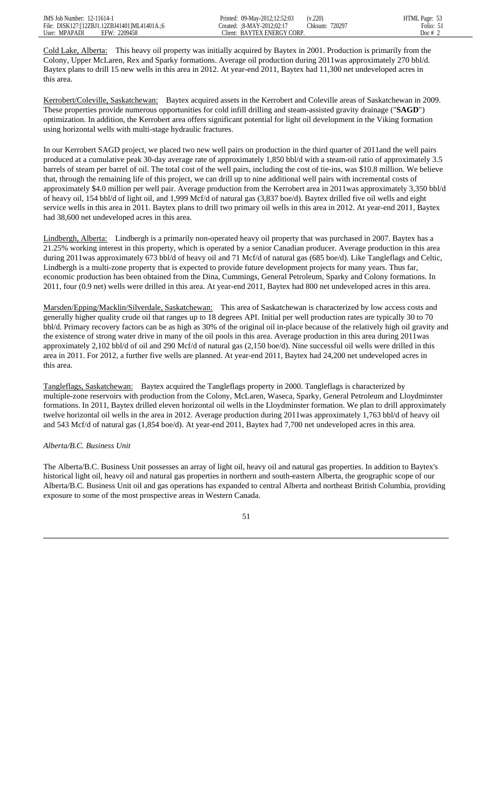Cold Lake, Alberta: This heavy oil property was initially acquired by Baytex in 2001. Production is primarily from the Colony, Upper McLaren, Rex and Sparky formations. Average oil production during 2011was approximately 270 bbl/d. Baytex plans to drill 15 new wells in this area in 2012. At year-end 2011, Baytex had 11,300 net undeveloped acres in this area.

Kerrobert/Coleville, Saskatchewan: Baytex acquired assets in the Kerrobert and Coleville areas of Saskatchewan in 2009. These properties provide numerous opportunities for cold infill drilling and steam-assisted gravity drainage ("**SAGD**") optimization. In addition, the Kerrobert area offers significant potential for light oil development in the Viking formation using horizontal wells with multi-stage hydraulic fractures.

In our Kerrobert SAGD project, we placed two new well pairs on production in the third quarter of 2011and the well pairs produced at a cumulative peak 30-day average rate of approximately 1,850 bbl/d with a steam-oil ratio of approximately 3.5 barrels of steam per barrel of oil. The total cost of the well pairs, including the cost of tie-ins, was \$10.8 million. We believe that, through the remaining life of this project, we can drill up to nine additional well pairs with incremental costs of approximately \$4.0 million per well pair. Average production from the Kerrobert area in 2011was approximately 3,350 bbl/d of heavy oil, 154 bbl/d of light oil, and 1,999 Mcf/d of natural gas (3,837 boe/d). Baytex drilled five oil wells and eight service wells in this area in 2011. Baytex plans to drill two primary oil wells in this area in 2012. At year-end 2011, Baytex had 38,600 net undeveloped acres in this area.

Lindbergh, Alberta: Lindbergh is a primarily non-operated heavy oil property that was purchased in 2007. Baytex has a 21.25% working interest in this property, which is operated by a senior Canadian producer. Average production in this area during 2011was approximately 673 bbl/d of heavy oil and 71 Mcf/d of natural gas (685 boe/d). Like Tangleflags and Celtic, Lindbergh is a multi-zone property that is expected to provide future development projects for many years. Thus far, economic production has been obtained from the Dina, Cummings, General Petroleum, Sparky and Colony formations. In 2011, four (0.9 net) wells were drilled in this area. At year-end 2011, Baytex had 800 net undeveloped acres in this area.

Marsden/Epping/Macklin/Silverdale, Saskatchewan: This area of Saskatchewan is characterized by low access costs and generally higher quality crude oil that ranges up to 18 degrees API. Initial per well production rates are typically 30 to 70 bbl/d. Primary recovery factors can be as high as 30% of the original oil in-place because of the relatively high oil gravity and the existence of strong water drive in many of the oil pools in this area. Average production in this area during 2011was approximately 2,102 bbl/d of oil and 290 Mcf/d of natural gas (2,150 boe/d). Nine successful oil wells were drilled in this area in 2011. For 2012, a further five wells are planned. At year-end 2011, Baytex had 24,200 net undeveloped acres in this area.

Tangleflags, Saskatchewan: Baytex acquired the Tangleflags property in 2000. Tangleflags is characterized by multiple-zone reservoirs with production from the Colony, McLaren, Waseca, Sparky, General Petroleum and Lloydminster formations. In 2011, Baytex drilled eleven horizontal oil wells in the Lloydminster formation. We plan to drill approximately twelve horizontal oil wells in the area in 2012. Average production during 2011was approximately 1,763 bbl/d of heavy oil and 543 Mcf/d of natural gas (1,854 boe/d). At year-end 2011, Baytex had 7,700 net undeveloped acres in this area.

#### *Alberta/B.C. Business Unit*

The Alberta/B.C. Business Unit possesses an array of light oil, heavy oil and natural gas properties. In addition to Baytex's historical light oil, heavy oil and natural gas properties in northern and south-eastern Alberta, the geographic scope of our Alberta/B.C. Business Unit oil and gas operations has expanded to central Alberta and northeast British Columbia, providing exposure to some of the most prospective areas in Western Canada.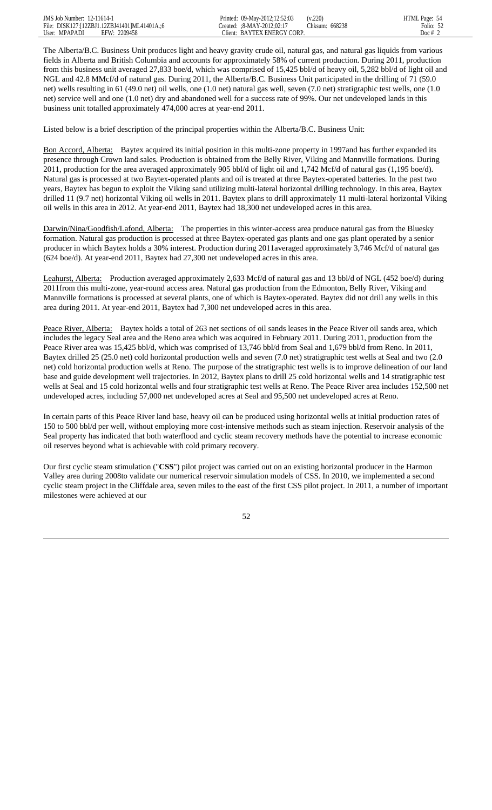The Alberta/B.C. Business Unit produces light and heavy gravity crude oil, natural gas, and natural gas liquids from various fields in Alberta and British Columbia and accounts for approximately 58% of current production. During 2011, production from this business unit averaged 27,833 boe/d, which was comprised of 15,425 bbl/d of heavy oil, 5,282 bbl/d of light oil and NGL and 42.8 MMcf/d of natural gas. During 2011, the Alberta/B.C. Business Unit participated in the drilling of 71 (59.0 net) wells resulting in 61 (49.0 net) oil wells, one (1.0 net) natural gas well, seven (7.0 net) stratigraphic test wells, one (1.0 net) service well and one (1.0 net) dry and abandoned well for a success rate of 99%. Our net undeveloped lands in this business unit totalled approximately 474,000 acres at year-end 2011.

Listed below is a brief description of the principal properties within the Alberta/B.C. Business Unit:

Bon Accord, Alberta: Baytex acquired its initial position in this multi-zone property in 1997and has further expanded its presence through Crown land sales. Production is obtained from the Belly River, Viking and Mannville formations. During 2011, production for the area averaged approximately 905 bbl/d of light oil and 1,742 Mcf/d of natural gas (1,195 boe/d). Natural gas is processed at two Baytex-operated plants and oil is treated at three Baytex-operated batteries. In the past two years, Baytex has begun to exploit the Viking sand utilizing multi-lateral horizontal drilling technology. In this area, Baytex drilled 11 (9.7 net) horizontal Viking oil wells in 2011. Baytex plans to drill approximately 11 multi-lateral horizontal Viking oil wells in this area in 2012. At year-end 2011, Baytex had 18,300 net undeveloped acres in this area.

Darwin/Nina/Goodfish/Lafond, Alberta: The properties in this winter-access area produce natural gas from the Bluesky formation. Natural gas production is processed at three Baytex-operated gas plants and one gas plant operated by a senior producer in which Baytex holds a 30% interest. Production during 2011averaged approximately 3,746 Mcf/d of natural gas (624 boe/d). At year-end 2011, Baytex had 27,300 net undeveloped acres in this area.

Leahurst, Alberta: Production averaged approximately 2,633 Mcf/d of natural gas and 13 bbl/d of NGL (452 boe/d) during 2011from this multi-zone, year-round access area. Natural gas production from the Edmonton, Belly River, Viking and Mannville formations is processed at several plants, one of which is Baytex-operated. Baytex did not drill any wells in this area during 2011. At year-end 2011, Baytex had 7,300 net undeveloped acres in this area.

Peace River, Alberta: Baytex holds a total of 263 net sections of oil sands leases in the Peace River oil sands area, which includes the legacy Seal area and the Reno area which was acquired in February 2011. During 2011, production from the Peace River area was 15,425 bbl/d, which was comprised of 13,746 bbl/d from Seal and 1,679 bbl/d from Reno. In 2011, Baytex drilled 25 (25.0 net) cold horizontal production wells and seven (7.0 net) stratigraphic test wells at Seal and two (2.0 net) cold horizontal production wells at Reno. The purpose of the stratigraphic test wells is to improve delineation of our land base and guide development well trajectories. In 2012, Baytex plans to drill 25 cold horizontal wells and 14 stratigraphic test wells at Seal and 15 cold horizontal wells and four stratigraphic test wells at Reno. The Peace River area includes 152,500 net undeveloped acres, including 57,000 net undeveloped acres at Seal and 95,500 net undeveloped acres at Reno.

In certain parts of this Peace River land base, heavy oil can be produced using horizontal wells at initial production rates of 150 to 500 bbl/d per well, without employing more cost-intensive methods such as steam injection. Reservoir analysis of the Seal property has indicated that both waterflood and cyclic steam recovery methods have the potential to increase economic oil reserves beyond what is achievable with cold primary recovery.

Our first cyclic steam stimulation ("**CSS**") pilot project was carried out on an existing horizontal producer in the Harmon Valley area during 2008to validate our numerical reservoir simulation models of CSS. In 2010, we implemented a second cyclic steam project in the Cliffdale area, seven miles to the east of the first CSS pilot project. In 2011, a number of important milestones were achieved at our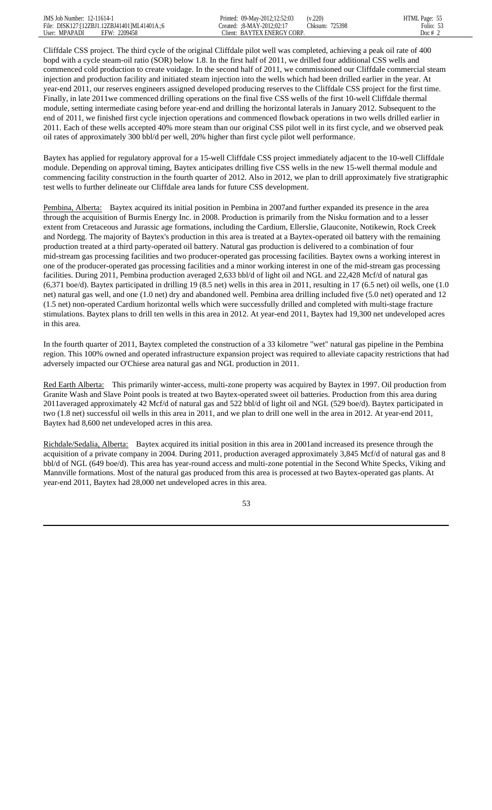Cliffdale CSS project. The third cycle of the original Cliffdale pilot well was completed, achieving a peak oil rate of 400 bopd with a cycle steam-oil ratio (SOR) below 1.8. In the first half of 2011, we drilled four additional CSS wells and commenced cold production to create voidage. In the second half of 2011, we commissioned our Cliffdale commercial steam injection and production facility and initiated steam injection into the wells which had been drilled earlier in the year. At year-end 2011, our reserves engineers assigned developed producing reserves to the Cliffdale CSS project for the first time. Finally, in late 2011we commenced drilling operations on the final five CSS wells of the first 10-well Cliffdale thermal module, setting intermediate casing before year-end and drilling the horizontal laterals in January 2012. Subsequent to the end of 2011, we finished first cycle injection operations and commenced flowback operations in two wells drilled earlier in 2011. Each of these wells accepted 40% more steam than our original CSS pilot well in its first cycle, and we observed peak oil rates of approximately 300 bbl/d per well, 20% higher than first cycle pilot well performance.

Baytex has applied for regulatory approval for a 15-well Cliffdale CSS project immediately adjacent to the 10-well Cliffdale module. Depending on approval timing, Baytex anticipates drilling five CSS wells in the new 15-well thermal module and commencing facility construction in the fourth quarter of 2012. Also in 2012, we plan to drill approximately five stratigraphic test wells to further delineate our Cliffdale area lands for future CSS development.

Pembina, Alberta: Baytex acquired its initial position in Pembina in 2007and further expanded its presence in the area through the acquisition of Burmis Energy Inc. in 2008. Production is primarily from the Nisku formation and to a lesser extent from Cretaceous and Jurassic age formations, including the Cardium, Ellerslie, Glauconite, Notikewin, Rock Creek and Nordegg. The majority of Baytex's production in this area is treated at a Baytex-operated oil battery with the remaining production treated at a third party-operated oil battery. Natural gas production is delivered to a combination of four mid-stream gas processing facilities and two producer-operated gas processing facilities. Baytex owns a working interest in one of the producer-operated gas processing facilities and a minor working interest in one of the mid-stream gas processing facilities. During 2011, Pembina production averaged 2,633 bbl/d of light oil and NGL and 22,428 Mcf/d of natural gas (6,371 boe/d). Baytex participated in drilling 19 (8.5 net) wells in this area in 2011, resulting in 17 (6.5 net) oil wells, one (1.0 net) natural gas well, and one (1.0 net) dry and abandoned well. Pembina area drilling included five (5.0 net) operated and 12 (1.5 net) non-operated Cardium horizontal wells which were successfully drilled and completed with multi-stage fracture stimulations. Baytex plans to drill ten wells in this area in 2012. At year-end 2011, Baytex had 19,300 net undeveloped acres in this area.

In the fourth quarter of 2011, Baytex completed the construction of a 33 kilometre "wet" natural gas pipeline in the Pembina region. This 100% owned and operated infrastructure expansion project was required to alleviate capacity restrictions that had adversely impacted our O'Chiese area natural gas and NGL production in 2011.

Red Earth Alberta: This primarily winter-access, multi-zone property was acquired by Baytex in 1997. Oil production from Granite Wash and Slave Point pools is treated at two Baytex-operated sweet oil batteries. Production from this area during 2011averaged approximately 42 Mcf/d of natural gas and 522 bbl/d of light oil and NGL (529 boe/d). Baytex participated in two (1.8 net) successful oil wells in this area in 2011, and we plan to drill one well in the area in 2012. At year-end 2011, Baytex had 8,600 net undeveloped acres in this area.

Richdale/Sedalia, Alberta: Baytex acquired its initial position in this area in 2001and increased its presence through the acquisition of a private company in 2004. During 2011, production averaged approximately 3,845 Mcf/d of natural gas and 8 bbl/d of NGL (649 boe/d). This area has year-round access and multi-zone potential in the Second White Specks, Viking and Mannville formations. Most of the natural gas produced from this area is processed at two Baytex-operated gas plants. At year-end 2011, Baytex had 28,000 net undeveloped acres in this area.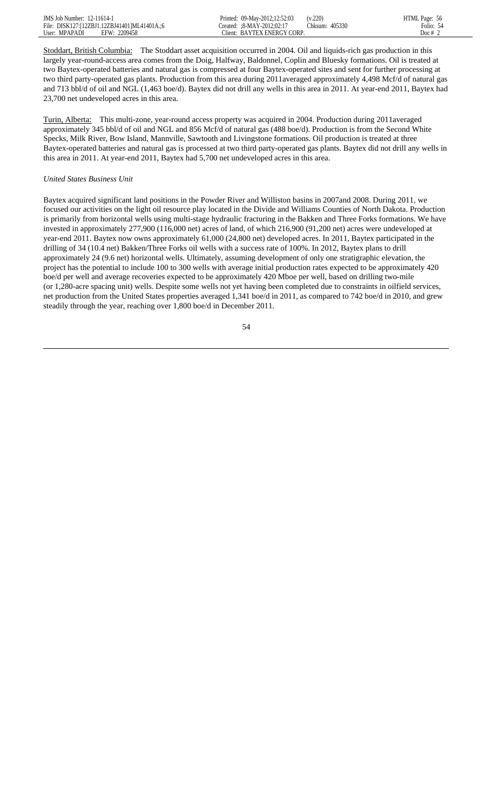Stoddart, British Columbia: The Stoddart asset acquisition occurred in 2004. Oil and liquids-rich gas production in this largely year-round-access area comes from the Doig, Halfway, Baldonnel, Coplin and Bluesky formations. Oil is treated at two Baytex-operated batteries and natural gas is compressed at four Baytex-operated sites and sent for further processing at two third party-operated gas plants. Production from this area during 2011averaged approximately 4,498 Mcf/d of natural gas and 713 bbl/d of oil and NGL (1,463 boe/d). Baytex did not drill any wells in this area in 2011. At year-end 2011, Baytex had 23,700 net undeveloped acres in this area.

Turin, Alberta: This multi-zone, year-round access property was acquired in 2004. Production during 2011averaged approximately 345 bbl/d of oil and NGL and 856 Mcf/d of natural gas (488 boe/d). Production is from the Second White Specks, Milk River, Bow Island, Mannville, Sawtooth and Livingstone formations. Oil production is treated at three Baytex-operated batteries and natural gas is processed at two third party-operated gas plants. Baytex did not drill any wells in this area in 2011. At year-end 2011, Baytex had 5,700 net undeveloped acres in this area.

#### *United States Business Unit*

Baytex acquired significant land positions in the Powder River and Williston basins in 2007and 2008. During 2011, we focused our activities on the light oil resource play located in the Divide and Williams Counties of North Dakota. Production is primarily from horizontal wells using multi-stage hydraulic fracturing in the Bakken and Three Forks formations. We have invested in approximately 277,900 (116,000 net) acres of land, of which 216,900 (91,200 net) acres were undeveloped at year-end 2011. Baytex now owns approximately 61,000 (24,800 net) developed acres. In 2011, Baytex participated in the drilling of 34 (10.4 net) Bakken/Three Forks oil wells with a success rate of 100%. In 2012, Baytex plans to drill approximately 24 (9.6 net) horizontal wells. Ultimately, assuming development of only one stratigraphic elevation, the project has the potential to include 100 to 300 wells with average initial production rates expected to be approximately 420 boe/d per well and average recoveries expected to be approximately 420 Mboe per well, based on drilling two-mile (or 1,280-acre spacing unit) wells. Despite some wells not yet having been completed due to constraints in oilfield services, net production from the United States properties averaged 1,341 boe/d in 2011, as compared to 742 boe/d in 2010, and grew steadily through the year, reaching over 1,800 boe/d in December 2011.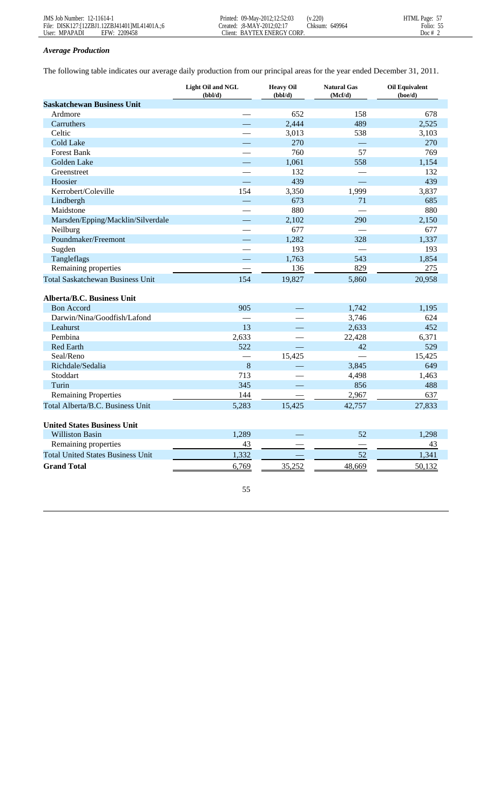# *Average Production*

The following table indicates our average daily production from our principal areas for the year ended December 31, 2011.

|                                          | <b>Light Oil and NGL</b><br>(bbl/d) | <b>Heavy Oil</b><br>(bbl/d) | <b>Natural Gas</b><br>(Mcf/d) | <b>Oil Equivalent</b><br>(boe/d) |
|------------------------------------------|-------------------------------------|-----------------------------|-------------------------------|----------------------------------|
| <b>Saskatchewan Business Unit</b>        |                                     |                             |                               |                                  |
| Ardmore                                  |                                     | 652                         | 158                           | 678                              |
| Carruthers                               | $\equiv$                            | 2,444                       | 489                           | 2,525                            |
| Celtic                                   |                                     | 3,013                       | 538                           | 3,103                            |
| <b>Cold Lake</b>                         |                                     | 270                         |                               | 270                              |
| <b>Forest Bank</b>                       |                                     | 760                         | 57                            | 769                              |
| Golden Lake                              |                                     | 1,061                       | 558                           | 1,154                            |
| Greenstreet                              |                                     | 132                         |                               | 132                              |
| Hoosier                                  | <u>e a</u>                          | 439                         | L,                            | 439                              |
| Kerrobert/Coleville                      | 154                                 | 3,350                       | 1,999                         | 3,837                            |
| Lindbergh                                |                                     | 673                         | 71                            | 685                              |
| Maidstone                                |                                     | 880                         |                               | 880                              |
| Marsden/Epping/Macklin/Silverdale        |                                     | 2,102                       | 290                           | 2,150                            |
| Neilburg                                 |                                     | 677                         |                               | 677                              |
| Poundmaker/Freemont                      |                                     | 1,282                       | 328                           | 1,337                            |
| Sugden                                   |                                     | 193                         |                               | 193                              |
| Tangleflags                              |                                     | 1,763                       | 543                           | 1,854                            |
| Remaining properties                     |                                     | 136                         | 829                           | 275                              |
| <b>Total Saskatchewan Business Unit</b>  | 154                                 | 19,827                      | 5,860                         | 20,958                           |
| <b>Alberta/B.C. Business Unit</b>        |                                     |                             |                               |                                  |
| <b>Bon Accord</b>                        | 905                                 |                             | 1,742                         | 1,195                            |
| Darwin/Nina/Goodfish/Lafond              |                                     |                             | 3,746                         | 624                              |
| Leahurst                                 | 13                                  |                             | 2,633                         | 452                              |
| Pembina                                  | 2,633                               |                             | 22,428                        | 6,371                            |
| <b>Red Earth</b>                         | 522                                 |                             | 42                            | 529                              |
| Seal/Reno                                |                                     | 15,425                      |                               | 15,425                           |
| Richdale/Sedalia                         | 8                                   |                             | 3,845                         | 649                              |
| Stoddart                                 | 713                                 |                             | 4,498                         | 1,463                            |
| Turin                                    | 345                                 |                             | 856                           | 488                              |
| <b>Remaining Properties</b>              | 144                                 |                             | 2,967                         | 637                              |
| Total Alberta/B.C. Business Unit         | 5,283                               | 15,425                      | 42,757                        | 27,833                           |
|                                          |                                     |                             |                               |                                  |
| <b>United States Business Unit</b>       |                                     |                             |                               |                                  |
| <b>Williston Basin</b>                   | 1,289                               |                             | 52                            | 1.298                            |
| Remaining properties                     | 43                                  |                             |                               | 43                               |
| <b>Total United States Business Unit</b> | 1,332                               |                             | 52                            | 1,341                            |
| <b>Grand Total</b>                       | 6,769                               | 35,252                      | 48,669                        | 50,132                           |
|                                          |                                     |                             |                               |                                  |
|                                          |                                     |                             |                               |                                  |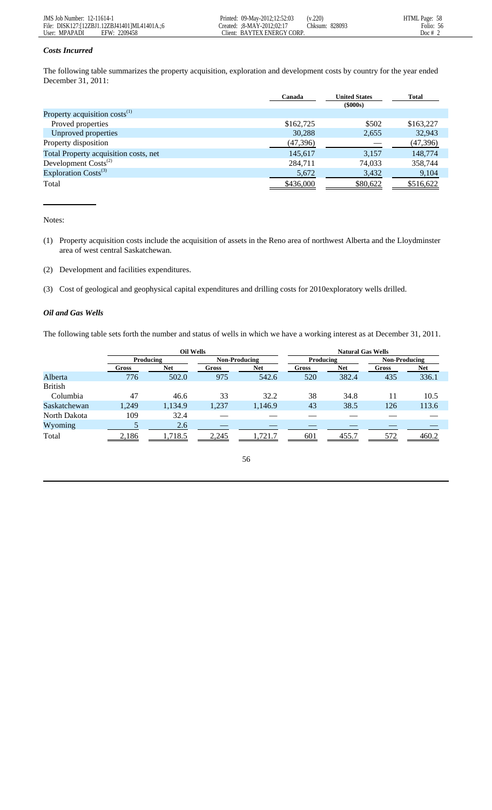## *Costs Incurred*

The following table summarizes the property acquisition, exploration and development costs by country for the year ended December 31, 2011:

|                                       | Canada    | <b>United States</b> | Total     |
|---------------------------------------|-----------|----------------------|-----------|
|                                       |           | $(\$000s)$           |           |
| Property acquisition $costs^{(1)}$    |           |                      |           |
| Proved properties                     | \$162,725 | \$502                | \$163,227 |
| Unproved properties                   | 30,288    | 2,655                | 32,943    |
| Property disposition                  | (47,396)  |                      | (47, 396) |
| Total Property acquisition costs, net | 145,617   | 3,157                | 148,774   |
| Development Costs <sup>(2)</sup>      | 284,711   | 74,033               | 358,744   |
| Exploration Costs <sup>(3)</sup>      | 5,672     | 3,432                | 9,104     |
| Total                                 | \$436,000 | \$80,622             | \$516,622 |

Notes:

- (1) Property acquisition costs include the acquisition of assets in the Reno area of northwest Alberta and the Lloydminster area of west central Saskatchewan.
- (2) Development and facilities expenditures.
- (3) Cost of geological and geophysical capital expenditures and drilling costs for 2010exploratory wells drilled.

## *Oil and Gas Wells*

The following table sets forth the number and status of wells in which we have a working interest as at December 31, 2011.

|                | <b>Oil Wells</b> |            |       |                      | <b>Natural Gas Wells</b> |            |       |                      |
|----------------|------------------|------------|-------|----------------------|--------------------------|------------|-------|----------------------|
|                |                  | Producing  |       | <b>Non-Producing</b> |                          | Producing  |       | <b>Non-Producing</b> |
|                | Gross            | <b>Net</b> | Gross | <b>Net</b>           | Gross                    | <b>Net</b> | Gross | <b>Net</b>           |
| Alberta        | 776              | 502.0      | 975   | 542.6                | 520                      | 382.4      | 435   | 336.1                |
| <b>British</b> |                  |            |       |                      |                          |            |       |                      |
| Columbia       | 47               | 46.6       | 33    | 32.2                 | 38                       | 34.8       | 11    | 10.5                 |
| Saskatchewan   | 1,249            | 1,134.9    | 1,237 | 1,146.9              | 43                       | 38.5       | 126   | 113.6                |
| North Dakota   | 109              | 32.4       |       |                      |                          |            |       |                      |
| Wyoming        |                  | 2.6        |       |                      |                          |            |       |                      |
| Total          | 2,186            | ,718.5     | 2,245 | ,721.7               | 601                      | 455.7      | 572   | 460.2                |

| ٠<br>e v<br>٦<br>- 1<br>۰.<br>ı<br>I<br>۰.<br>٠<br>×<br>٠<br>× |
|----------------------------------------------------------------|
|----------------------------------------------------------------|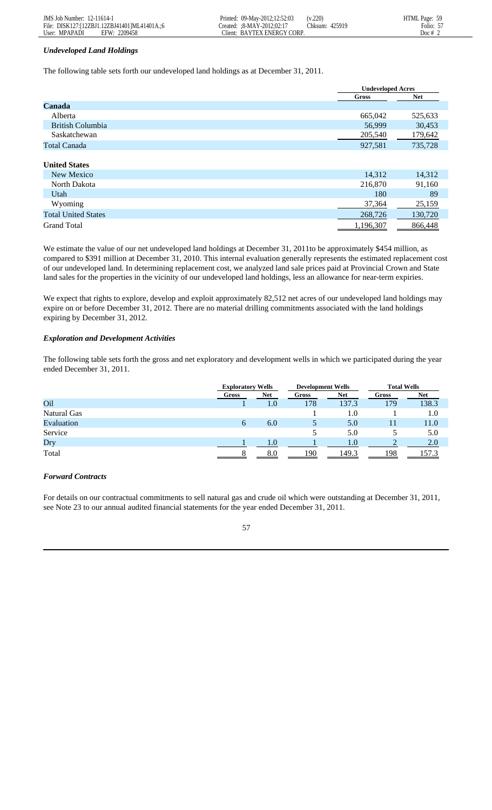## *Undeveloped Land Holdings*

The following table sets forth our undeveloped land holdings as at December 31, 2011.

|                      | <b>Undeveloped Acres</b> |            |
|----------------------|--------------------------|------------|
|                      | Gross                    | <b>Net</b> |
| <b>Canada</b>        |                          |            |
| Alberta              | 665,042                  | 525,633    |
| British Columbia     | 56,999                   | 30,453     |
| Saskatchewan         | 205,540                  | 179,642    |
| <b>Total Canada</b>  | 927,581                  | 735,728    |
|                      |                          |            |
| <b>United States</b> |                          |            |
| New Mexico           | 14,312                   | 14,312     |
| North Dakota         | 216,870                  | 91,160     |
| Utah                 | 180                      | 89         |
| Wyoming              | 37,364                   | 25,159     |

Total United States 268,726 130,720 Grand Total 1,196,307 866,448 We estimate the value of our net undeveloped land holdings at December 31, 2011to be approximately \$454 million, as

compared to \$391 million at December 31, 2010. This internal evaluation generally represents the estimated replacement cost of our undeveloped land. In determining replacement cost, we analyzed land sale prices paid at Provincial Crown and State land sales for the properties in the vicinity of our undeveloped land holdings, less an allowance for near-term expiries.

We expect that rights to explore, develop and exploit approximately 82,512 net acres of our undeveloped land holdings may expire on or before December 31, 2012. There are no material drilling commitments associated with the land holdings expiring by December 31, 2012.

## *Exploration and Development Activities*

The following table sets forth the gross and net exploratory and development wells in which we participated during the year ended December 31, 2011.

|             | <b>Exploratory Wells</b> |            | <b>Development Wells</b> |            | <b>Total Wells</b> |            |
|-------------|--------------------------|------------|--------------------------|------------|--------------------|------------|
|             | Gross                    | <b>Net</b> | Gross                    | <b>Net</b> | Gross              | <b>Net</b> |
| Oil         |                          | 1.0        | 178                      | 137.3      | 179                | 138.3      |
| Natural Gas |                          |            |                          | 1.0        |                    | 1.0        |
| Evaluation  | <sub>0</sub>             | 6.0        |                          | 5.0        |                    | 11.0       |
| Service     |                          |            |                          | 5.0        |                    | 5.0        |
| Dry         |                          | 1.0        |                          | 1.0        |                    | 2.0        |
| Total       |                          | 80         | 190                      | 149.3      | 198                | .57.2      |

## *Forward Contracts*

For details on our contractual commitments to sell natural gas and crude oil which were outstanding at December 31, 2011, see Note 23 to our annual audited financial statements for the year ended December 31, 2011.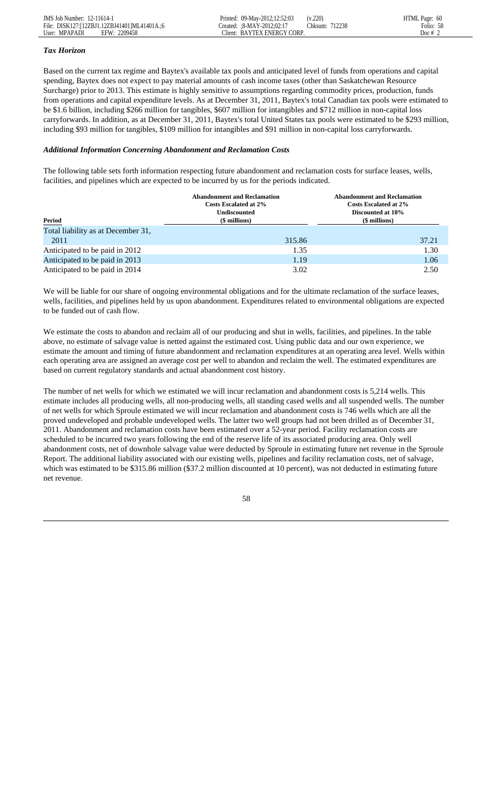## *Tax Horizon*

Based on the current tax regime and Baytex's available tax pools and anticipated level of funds from operations and capital spending, Baytex does not expect to pay material amounts of cash income taxes (other than Saskatchewan Resource Surcharge) prior to 2013. This estimate is highly sensitive to assumptions regarding commodity prices, production, funds from operations and capital expenditure levels. As at December 31, 2011, Baytex's total Canadian tax pools were estimated to be \$1.6 billion, including \$266 million for tangibles, \$607 million for intangibles and \$712 million in non-capital loss carryforwards. In addition, as at December 31, 2011, Baytex's total United States tax pools were estimated to be \$293 million, including \$93 million for tangibles, \$109 million for intangibles and \$91 million in non-capital loss carryforwards.

#### *Additional Information Concerning Abandonment and Reclamation Costs*

The following table sets forth information respecting future abandonment and reclamation costs for surface leases, wells, facilities, and pipelines which are expected to be incurred by us for the periods indicated.

| <b>Period</b>                      | <b>Abandonment and Reclamation</b><br><b>Costs Escalated at 2%</b><br>Undiscounted<br>(\$ millions) | <b>Abandonment and Reclamation</b><br><b>Costs Escalated at 2%</b><br>Discounted at 10%<br>(\$ millions) |
|------------------------------------|-----------------------------------------------------------------------------------------------------|----------------------------------------------------------------------------------------------------------|
| Total liability as at December 31, |                                                                                                     |                                                                                                          |
| 2011                               | 315.86                                                                                              | 37.21                                                                                                    |
| Anticipated to be paid in 2012     | 1.35                                                                                                | 1.30                                                                                                     |
| Anticipated to be paid in 2013     | 1.19                                                                                                | 1.06                                                                                                     |
| Anticipated to be paid in 2014     | 3.02                                                                                                | 2.50                                                                                                     |

We will be liable for our share of ongoing environmental obligations and for the ultimate reclamation of the surface leases, wells, facilities, and pipelines held by us upon abandonment. Expenditures related to environmental obligations are expected to be funded out of cash flow.

We estimate the costs to abandon and reclaim all of our producing and shut in wells, facilities, and pipelines. In the table above, no estimate of salvage value is netted against the estimated cost. Using public data and our own experience, we estimate the amount and timing of future abandonment and reclamation expenditures at an operating area level. Wells within each operating area are assigned an average cost per well to abandon and reclaim the well. The estimated expenditures are based on current regulatory standards and actual abandonment cost history.

The number of net wells for which we estimated we will incur reclamation and abandonment costs is 5,214 wells. This estimate includes all producing wells, all non-producing wells, all standing cased wells and all suspended wells. The number of net wells for which Sproule estimated we will incur reclamation and abandonment costs is 746 wells which are all the proved undeveloped and probable undeveloped wells. The latter two well groups had not been drilled as of December 31, 2011. Abandonment and reclamation costs have been estimated over a 52-year period. Facility reclamation costs are scheduled to be incurred two years following the end of the reserve life of its associated producing area. Only well abandonment costs, net of downhole salvage value were deducted by Sproule in estimating future net revenue in the Sproule Report. The additional liability associated with our existing wells, pipelines and facility reclamation costs, net of salvage, which was estimated to be \$315.86 million (\$37.2 million discounted at 10 percent), was not deducted in estimating future net revenue.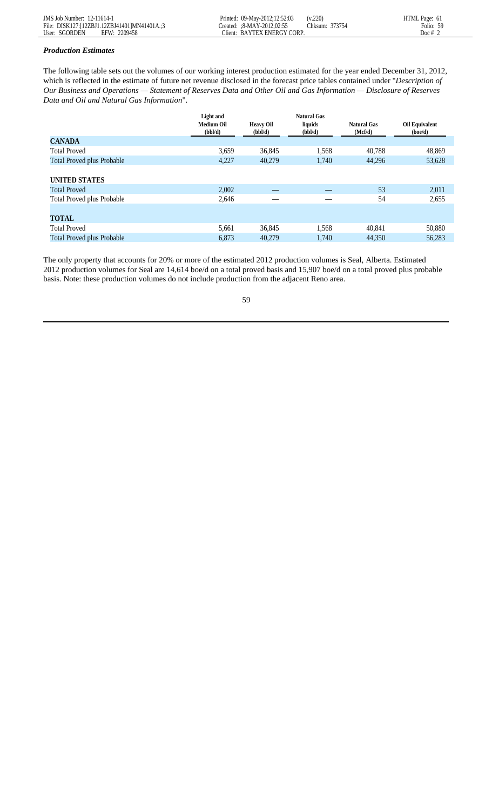## *Production Estimates*

The following table sets out the volumes of our working interest production estimated for the year ended December 31, 2012, which is reflected in the estimate of future net revenue disclosed in the forecast price tables contained under "*Description of Our Business and Operations — Statement of Reserves Data and Other Oil and Gas Information — Disclosure of Reserves Data and Oil and Natural Gas Information*".

|                                   | Light and<br><b>Medium Oil</b><br>(bbl/d) | <b>Heavy Oil</b><br>(bbl/d) | <b>Natural Gas</b><br>liquids<br>(bbl/d) | <b>Natural Gas</b><br>(Mcf/d) | <b>Oil Equivalent</b><br>(boe/d) |
|-----------------------------------|-------------------------------------------|-----------------------------|------------------------------------------|-------------------------------|----------------------------------|
| <b>CANADA</b>                     |                                           |                             |                                          |                               |                                  |
| <b>Total Proved</b>               | 3,659                                     | 36,845                      | 1,568                                    | 40,788                        | 48,869                           |
| <b>Total Proved plus Probable</b> | 4,227                                     | 40,279                      | 1,740                                    | 44,296                        | 53,628                           |
| <b>UNITED STATES</b>              |                                           |                             |                                          |                               |                                  |
| <b>Total Proved</b>               | 2,002                                     |                             |                                          | 53                            | 2,011                            |
| Total Proved plus Probable        | 2,646                                     |                             |                                          | 54                            | 2,655                            |
| <b>TOTAL</b>                      |                                           |                             |                                          |                               |                                  |
| <b>Total Proved</b>               | 5,661                                     | 36,845                      | 1,568                                    | 40.841                        | 50,880                           |
| <b>Total Proved plus Probable</b> | 6,873                                     | 40,279                      | 1,740                                    | 44,350                        | 56,283                           |

The only property that accounts for 20% or more of the estimated 2012 production volumes is Seal, Alberta. Estimated 2012 production volumes for Seal are 14,614 boe/d on a total proved basis and 15,907 boe/d on a total proved plus probable basis. Note: these production volumes do not include production from the adjacent Reno area.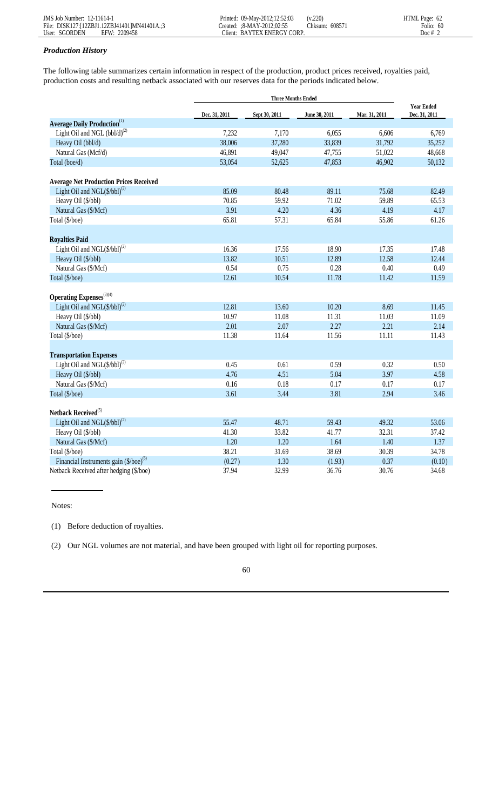#### *Production History*

The following table summarizes certain information in respect of the production, product prices received, royalties paid, production costs and resulting netback associated with our reserves data for the periods indicated below.

|                                                           | <b>Three Months Ended</b> |               |                 |               |                                    |
|-----------------------------------------------------------|---------------------------|---------------|-----------------|---------------|------------------------------------|
|                                                           | Dec. 31, 2011             | Sept 30, 2011 | June 30, 2011   | Mar. 31, 2011 | <b>Year Ended</b><br>Dec. 31, 2011 |
| <b>Average Daily Production</b> <sup>(1)</sup>            |                           |               |                 |               |                                    |
| Light Oil and NGL (bbl/d) <sup>(2)</sup>                  | 7,232                     | 7,170         | 6,055           | 6,606         | 6,769                              |
| Heavy Oil (bbl/d)                                         | 38,006                    | 37,280        | 33,839          | 31,792        | 35,252                             |
| Natural Gas (Mcf/d)                                       | 46,891                    | 49,047        | 47,755          | 51,022        | 48,668                             |
| Total (boe/d)                                             | 53,054                    | 52,625        | 47,853          | 46,902        | 50,132                             |
| <b>Average Net Production Prices Received</b>             |                           |               |                 |               |                                    |
| Light Oil and NGL(\$/bbl) <sup>(2)</sup>                  | 85.09                     | 80.48         | 89.11           | 75.68         | 82.49                              |
| Heavy Oil (\$/bbl)                                        | 70.85                     | 59.92         | 71.02           | 59.89         | 65.53                              |
| Natural Gas (\$/Mcf)                                      | 3.91                      | 4.20          | 4.36            | 4.19          | 4.17                               |
| Total (\$/boe)                                            | 65.81                     | 57.31         | 65.84           | 55.86         | 61.26                              |
|                                                           |                           |               |                 |               |                                    |
| <b>Royalties Paid</b>                                     |                           |               |                 |               |                                    |
| Light Oil and NGL(\$/bbl) <sup>(2)</sup>                  | 16.36                     | 17.56         | 18.90           | 17.35         | 17.48                              |
| Heavy Oil (\$/bbl)                                        | 13.82                     | 10.51         | 12.89           | 12.58         | 12.44                              |
| Natural Gas (\$/Mcf)                                      | 0.54                      | 0.75          | 0.28            | 0.40          | 0.49                               |
| Total (\$/boe)                                            | 12.61                     | 10.54         | 11.78           | 11.42         | 11.59                              |
| Operating Expenses $^{(3)(4)}$                            |                           |               |                 |               |                                    |
| Light Oil and NGL(\$/bbl) <sup>(2)</sup>                  | 12.81                     | 13.60         | 10.20           | 8.69          | 11.45                              |
| Heavy Oil (\$/bbl)                                        | 10.97                     | 11.08         | 11.31           | 11.03         | 11.09                              |
| Natural Gas (\$/Mcf)                                      | 2.01                      | 2.07          | 2.27            | 2.21          | 2.14                               |
| Total (\$/boe)                                            | 11.38                     | 11.64         | 11.56           | 11.11         | 11.43                              |
|                                                           |                           |               |                 |               |                                    |
| <b>Transportation Expenses</b>                            |                           |               |                 |               |                                    |
| Light Oil and $NGL(S/bbl)^{(2)}$                          | 0.45                      | 0.61          | 0.59            | 0.32          | 0.50                               |
| Heavy Oil (\$/bbl)                                        | 4.76                      | 4.51          | 5.04            | 3.97          | 4.58                               |
| Natural Gas (\$/Mcf)                                      | 0.16                      | 0.18          | 0.17            | 0.17          | 0.17                               |
| Total (\$/boe)                                            | 3.61                      | 3.44          | 3.81            | 2.94          | 3.46                               |
|                                                           |                           |               |                 |               |                                    |
| Netback Received <sup>(5)</sup>                           |                           |               |                 |               |                                    |
| Light Oil and $NGL(\frac{6}{bbl})^{(2)}$                  | 55.47                     | 48.71         | 59.43           | 49.32         | 53.06                              |
| Heavy Oil (\$/bbl)                                        | 41.30<br>1.20             | 33.82         | 41.77<br>1.64   | 32.31         | 37.42<br>1.37                      |
| Natural Gas (\$/Mcf)<br>Total (\$/boe)                    | 38.21                     | 1.20<br>31.69 | 38.69           | 1.40<br>30.39 | 34.78                              |
| Financial Instruments gain $(\frac{6}{b} \cdot 6e)^{(6)}$ | (0.27)                    | 1.30          |                 | 0.37          | (0.10)                             |
|                                                           | 37.94                     | 32.99         | (1.93)<br>36.76 | 30.76         | 34.68                              |
| Netback Received after hedging (\$/boe)                   |                           |               |                 |               |                                    |

Notes:

(1) Before deduction of royalties.

(2) Our NGL volumes are not material, and have been grouped with light oil for reporting purposes.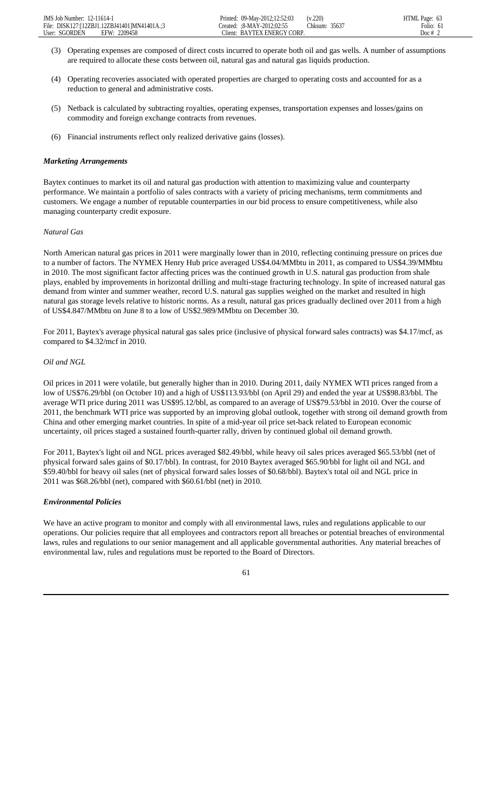- (3) Operating expenses are composed of direct costs incurred to operate both oil and gas wells. A number of assumptions are required to allocate these costs between oil, natural gas and natural gas liquids production.
- (4) Operating recoveries associated with operated properties are charged to operating costs and accounted for as a reduction to general and administrative costs.
- (5) Netback is calculated by subtracting royalties, operating expenses, transportation expenses and losses/gains on commodity and foreign exchange contracts from revenues.
- (6) Financial instruments reflect only realized derivative gains (losses).

#### *Marketing Arrangements*

Baytex continues to market its oil and natural gas production with attention to maximizing value and counterparty performance. We maintain a portfolio of sales contracts with a variety of pricing mechanisms, term commitments and customers. We engage a number of reputable counterparties in our bid process to ensure competitiveness, while also managing counterparty credit exposure.

#### *Natural Gas*

North American natural gas prices in 2011 were marginally lower than in 2010, reflecting continuing pressure on prices due to a number of factors. The NYMEX Henry Hub price averaged US\$4.04/MMbtu in 2011, as compared to US\$4.39/MMbtu in 2010. The most significant factor affecting prices was the continued growth in U.S. natural gas production from shale plays, enabled by improvements in horizontal drilling and multi-stage fracturing technology. In spite of increased natural gas demand from winter and summer weather, record U.S. natural gas supplies weighed on the market and resulted in high natural gas storage levels relative to historic norms. As a result, natural gas prices gradually declined over 2011 from a high of US\$4.847/MMbtu on June 8 to a low of US\$2.989/MMbtu on December 30.

For 2011, Baytex's average physical natural gas sales price (inclusive of physical forward sales contracts) was \$4.17/mcf, as compared to \$4.32/mcf in 2010.

#### *Oil and NGL*

Oil prices in 2011 were volatile, but generally higher than in 2010. During 2011, daily NYMEX WTI prices ranged from a low of US\$76.29/bbl (on October 10) and a high of US\$113.93/bbl (on April 29) and ended the year at US\$98.83/bbl. The average WTI price during 2011 was US\$95.12/bbl, as compared to an average of US\$79.53/bbl in 2010. Over the course of 2011, the benchmark WTI price was supported by an improving global outlook, together with strong oil demand growth from China and other emerging market countries. In spite of a mid-year oil price set-back related to European economic uncertainty, oil prices staged a sustained fourth-quarter rally, driven by continued global oil demand growth.

For 2011, Baytex's light oil and NGL prices averaged \$82.49/bbl, while heavy oil sales prices averaged \$65.53/bbl (net of physical forward sales gains of \$0.17/bbl). In contrast, for 2010 Baytex averaged \$65.90/bbl for light oil and NGL and \$59.40/bbl for heavy oil sales (net of physical forward sales losses of \$0.68/bbl). Baytex's total oil and NGL price in 2011 was \$68.26/bbl (net), compared with \$60.61/bbl (net) in 2010.

#### *Environmental Policies*

We have an active program to monitor and comply with all environmental laws, rules and regulations applicable to our operations. Our policies require that all employees and contractors report all breaches or potential breaches of environmental laws, rules and regulations to our senior management and all applicable governmental authorities. Any material breaches of environmental law, rules and regulations must be reported to the Board of Directors.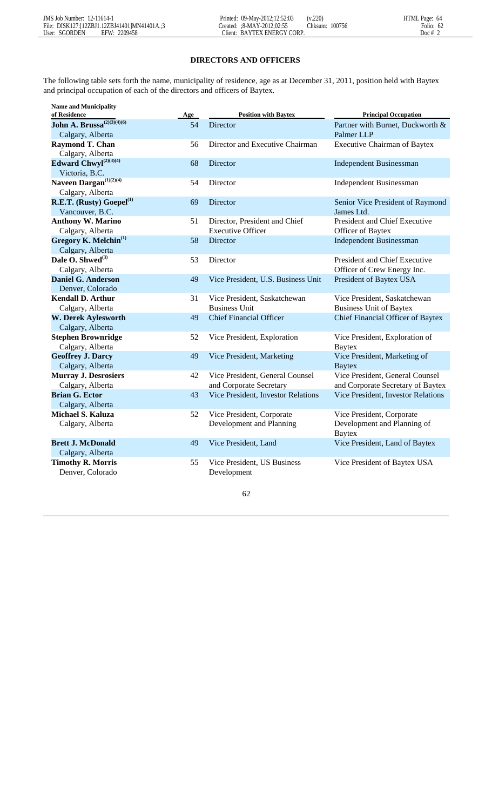# **DIRECTORS AND OFFICERS**

The following table sets forth the name, municipality of residence, age as at December 31, 2011, position held with Baytex and principal occupation of each of the directors and officers of Baytex.

| <b>Name and Municipality</b>                        |     |                                                      |                                       |
|-----------------------------------------------------|-----|------------------------------------------------------|---------------------------------------|
| of Residence                                        | Age | <b>Position with Baytex</b>                          | <b>Principal Occupation</b>           |
| John A. Brussa <sup><math>(2)(3)(4)(6)</math></sup> | 54  | Director                                             | Partner with Burnet, Duckworth &      |
| Calgary, Alberta                                    |     |                                                      | Palmer LLP                            |
| Raymond T. Chan                                     | 56  | Director and Executive Chairman                      | <b>Executive Chairman of Baytex</b>   |
| Calgary, Alberta                                    |     |                                                      |                                       |
| Edward Chwyl <sup>(2)(3)(4)</sup>                   | 68  | Director                                             | <b>Independent Businessman</b>        |
| Victoria, B.C.                                      |     |                                                      |                                       |
| Naveen Dargan <sup>(1)(2)(4)</sup>                  | 54  | Director                                             | <b>Independent Businessman</b>        |
| Calgary, Alberta                                    |     |                                                      |                                       |
| R.E.T. (Rusty) $Goepel^{(1)}$                       | 69  | Director                                             | Senior Vice President of Raymond      |
| Vancouver, B.C.                                     |     |                                                      | James Ltd.                            |
| <b>Anthony W. Marino</b>                            | 51  | Director, President and Chief                        | President and Chief Executive         |
| Calgary, Alberta                                    |     | <b>Executive Officer</b>                             | Officer of Baytex                     |
| Gregory K. Melchin $(1)$                            | 58  | <b>Director</b>                                      | <b>Independent Businessman</b>        |
| Calgary, Alberta<br>Dale O. Shwed <sup>(3)</sup>    |     |                                                      |                                       |
|                                                     | 53  | Director                                             | President and Chief Executive         |
| Calgary, Alberta                                    |     |                                                      | Officer of Crew Energy Inc.           |
| <b>Daniel G. Anderson</b>                           | 49  | Vice President, U.S. Business Unit                   | President of Baytex USA               |
| Denver, Colorado<br><b>Kendall D. Arthur</b>        |     |                                                      | Vice President, Saskatchewan          |
|                                                     | 31  | Vice President, Saskatchewan<br><b>Business Unit</b> | <b>Business Unit of Baytex</b>        |
| Calgary, Alberta                                    | 49  | <b>Chief Financial Officer</b>                       | Chief Financial Officer of Baytex     |
| W. Derek Aylesworth<br>Calgary, Alberta             |     |                                                      |                                       |
| <b>Stephen Brownridge</b>                           | 52  | Vice President, Exploration                          | Vice President, Exploration of        |
| Calgary, Alberta                                    |     |                                                      | <b>Baytex</b>                         |
| <b>Geoffrey J. Darcy</b>                            | 49  | Vice President, Marketing                            | Vice President, Marketing of          |
| Calgary, Alberta                                    |     |                                                      | <b>Baytex</b>                         |
| <b>Murray J. Desrosiers</b>                         | 42  | Vice President, General Counsel                      | Vice President, General Counsel       |
| Calgary, Alberta                                    |     | and Corporate Secretary                              | and Corporate Secretary of Baytex     |
| <b>Brian G. Ector</b>                               | 43  | Vice President, Investor Relations                   | Vice President, Investor Relations    |
| Calgary, Alberta                                    |     |                                                      |                                       |
| <b>Michael S. Kaluza</b>                            | 52  | Vice President, Corporate                            | Vice President, Corporate             |
| Calgary, Alberta                                    |     | Development and Planning                             | Development and Planning of<br>Baytex |
| <b>Brett J. McDonald</b>                            | 49  | Vice President, Land                                 | Vice President, Land of Baytex        |
| Calgary, Alberta                                    |     |                                                      |                                       |
| <b>Timothy R. Morris</b>                            | 55  | Vice President, US Business                          | Vice President of Baytex USA          |
| Denver, Colorado                                    |     | Development                                          |                                       |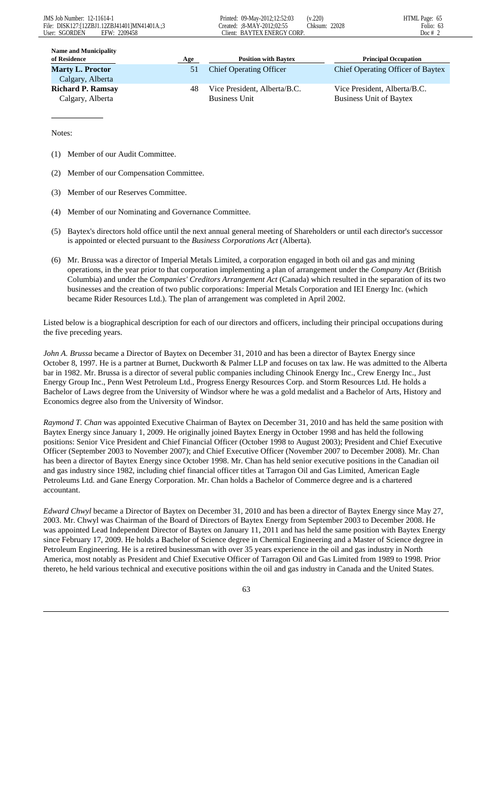| <b>Name and Municipality</b><br>of Residence | Age | <b>Position with Baytex</b>                          | <b>Principal Occupation</b>                                    |
|----------------------------------------------|-----|------------------------------------------------------|----------------------------------------------------------------|
| <b>Marty L. Proctor</b><br>Calgary, Alberta  |     | <b>Chief Operating Officer</b>                       | Chief Operating Officer of Baytex                              |
| <b>Richard P. Ramsay</b><br>Calgary, Alberta | 48  | Vice President, Alberta/B.C.<br><b>Business Unit</b> | Vice President, Alberta/B.C.<br><b>Business Unit of Baytex</b> |

Notes:

- (1) Member of our Audit Committee.
- (2) Member of our Compensation Committee.
- (3) Member of our Reserves Committee.
- (4) Member of our Nominating and Governance Committee.
- (5) Baytex's directors hold office until the next annual general meeting of Shareholders or until each director's successor is appointed or elected pursuant to the *Business Corporations Act* (Alberta).
- (6) Mr. Brussa was a director of Imperial Metals Limited, a corporation engaged in both oil and gas and mining operations, in the year prior to that corporation implementing a plan of arrangement under the *Company Act* (British Columbia) and under the *Companies' Creditors Arrangement Act* (Canada) which resulted in the separation of its two businesses and the creation of two public corporations: Imperial Metals Corporation and IEI Energy Inc. (which became Rider Resources Ltd.). The plan of arrangement was completed in April 2002.

Listed below is a biographical description for each of our directors and officers, including their principal occupations during the five preceding years.

*John A. Brussa* became a Director of Baytex on December 31, 2010 and has been a director of Baytex Energy since October 8, 1997. He is a partner at Burnet, Duckworth & Palmer LLP and focuses on tax law. He was admitted to the Alberta bar in 1982. Mr. Brussa is a director of several public companies including Chinook Energy Inc., Crew Energy Inc., Just Energy Group Inc., Penn West Petroleum Ltd., Progress Energy Resources Corp. and Storm Resources Ltd. He holds a Bachelor of Laws degree from the University of Windsor where he was a gold medalist and a Bachelor of Arts, History and Economics degree also from the University of Windsor.

*Raymond T. Chan* was appointed Executive Chairman of Baytex on December 31, 2010 and has held the same position with Baytex Energy since January 1, 2009. He originally joined Baytex Energy in October 1998 and has held the following positions: Senior Vice President and Chief Financial Officer (October 1998 to August 2003); President and Chief Executive Officer (September 2003 to November 2007); and Chief Executive Officer (November 2007 to December 2008). Mr. Chan has been a director of Baytex Energy since October 1998. Mr. Chan has held senior executive positions in the Canadian oil and gas industry since 1982, including chief financial officer titles at Tarragon Oil and Gas Limited, American Eagle Petroleums Ltd. and Gane Energy Corporation. Mr. Chan holds a Bachelor of Commerce degree and is a chartered accountant.

*Edward Chwyl* became a Director of Baytex on December 31, 2010 and has been a director of Baytex Energy since May 27, 2003. Mr. Chwyl was Chairman of the Board of Directors of Baytex Energy from September 2003 to December 2008. He was appointed Lead Independent Director of Baytex on January 11, 2011 and has held the same position with Baytex Energy since February 17, 2009. He holds a Bachelor of Science degree in Chemical Engineering and a Master of Science degree in Petroleum Engineering. He is a retired businessman with over 35 years experience in the oil and gas industry in North America, most notably as President and Chief Executive Officer of Tarragon Oil and Gas Limited from 1989 to 1998. Prior thereto, he held various technical and executive positions within the oil and gas industry in Canada and the United States.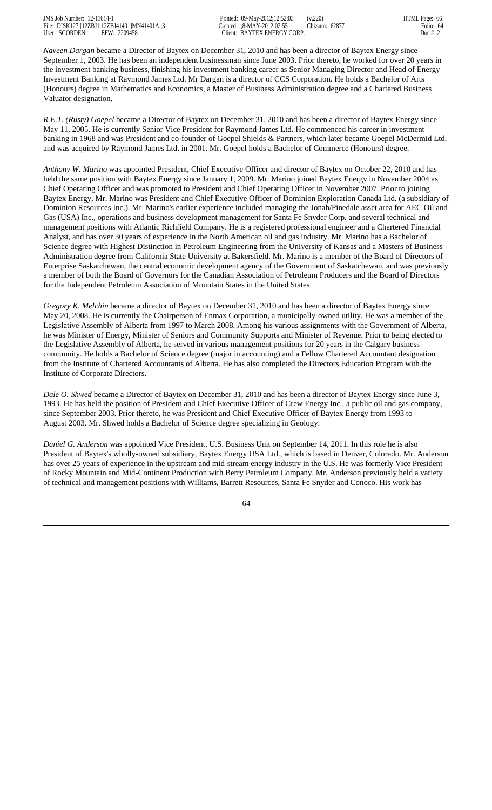*Naveen Dargan* became a Director of Baytex on December 31, 2010 and has been a director of Baytex Energy since September 1, 2003. He has been an independent businessman since June 2003. Prior thereto, he worked for over 20 years in the investment banking business, finishing his investment banking career as Senior Managing Director and Head of Energy Investment Banking at Raymond James Ltd. Mr Dargan is a director of CCS Corporation. He holds a Bachelor of Arts (Honours) degree in Mathematics and Economics, a Master of Business Administration degree and a Chartered Business Valuator designation.

*R.E.T. (Rusty) Goepel* became a Director of Baytex on December 31, 2010 and has been a director of Baytex Energy since May 11, 2005. He is currently Senior Vice President for Raymond James Ltd. He commenced his career in investment banking in 1968 and was President and co-founder of Goepel Shields & Partners, which later became Goepel McDermid Ltd. and was acquired by Raymond James Ltd. in 2001. Mr. Goepel holds a Bachelor of Commerce (Honours) degree.

*Anthony W. Marino* was appointed President, Chief Executive Officer and director of Baytex on October 22, 2010 and has held the same position with Baytex Energy since January 1, 2009. Mr. Marino joined Baytex Energy in November 2004 as Chief Operating Officer and was promoted to President and Chief Operating Officer in November 2007. Prior to joining Baytex Energy, Mr. Marino was President and Chief Executive Officer of Dominion Exploration Canada Ltd. (a subsidiary of Dominion Resources Inc.). Mr. Marino's earlier experience included managing the Jonah/Pinedale asset area for AEC Oil and Gas (USA) Inc., operations and business development management for Santa Fe Snyder Corp. and several technical and management positions with Atlantic Richfield Company. He is a registered professional engineer and a Chartered Financial Analyst, and has over 30 years of experience in the North American oil and gas industry. Mr. Marino has a Bachelor of Science degree with Highest Distinction in Petroleum Engineering from the University of Kansas and a Masters of Business Administration degree from California State University at Bakersfield. Mr. Marino is a member of the Board of Directors of Enterprise Saskatchewan, the central economic development agency of the Government of Saskatchewan, and was previously a member of both the Board of Governors for the Canadian Association of Petroleum Producers and the Board of Directors for the Independent Petroleum Association of Mountain States in the United States.

*Gregory K. Melchin* became a director of Baytex on December 31, 2010 and has been a director of Baytex Energy since May 20, 2008. He is currently the Chairperson of Enmax Corporation, a municipally-owned utility. He was a member of the Legislative Assembly of Alberta from 1997 to March 2008. Among his various assignments with the Government of Alberta, he was Minister of Energy, Minister of Seniors and Community Supports and Minister of Revenue. Prior to being elected to the Legislative Assembly of Alberta, he served in various management positions for 20 years in the Calgary business community. He holds a Bachelor of Science degree (major in accounting) and a Fellow Chartered Accountant designation from the Institute of Chartered Accountants of Alberta. He has also completed the Directors Education Program with the Institute of Corporate Directors.

*Dale O. Shwed* became a Director of Baytex on December 31, 2010 and has been a director of Baytex Energy since June 3, 1993. He has held the position of President and Chief Executive Officer of Crew Energy Inc., a public oil and gas company, since September 2003. Prior thereto, he was President and Chief Executive Officer of Baytex Energy from 1993 to August 2003. Mr. Shwed holds a Bachelor of Science degree specializing in Geology.

*Daniel G. Anderson* was appointed Vice President, U.S. Business Unit on September 14, 2011. In this role he is also President of Baytex's wholly-owned subsidiary, Baytex Energy USA Ltd., which is based in Denver, Colorado. Mr. Anderson has over 25 years of experience in the upstream and mid-stream energy industry in the U.S. He was formerly Vice President of Rocky Mountain and Mid-Continent Production with Berry Petroleum Company. Mr. Anderson previously held a variety of technical and management positions with Williams, Barrett Resources, Santa Fe Snyder and Conoco. His work has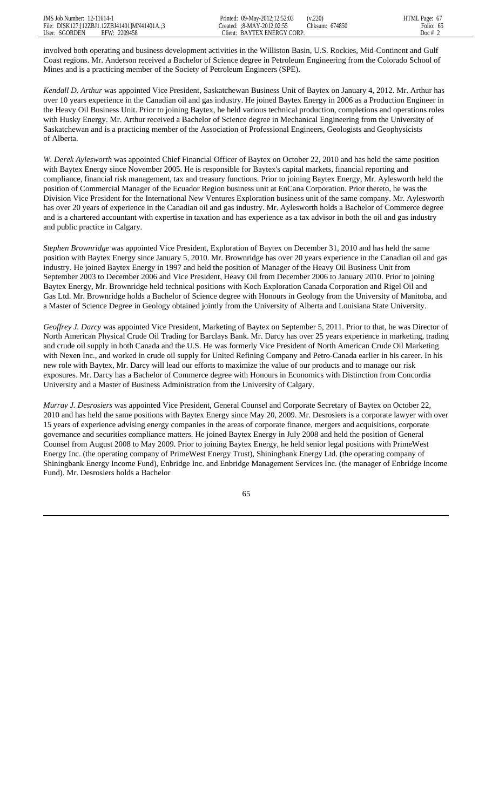involved both operating and business development activities in the Williston Basin, U.S. Rockies, Mid-Continent and Gulf Coast regions. Mr. Anderson received a Bachelor of Science degree in Petroleum Engineering from the Colorado School of Mines and is a practicing member of the Society of Petroleum Engineers (SPE).

*Kendall D. Arthur* was appointed Vice President, Saskatchewan Business Unit of Baytex on January 4, 2012. Mr. Arthur has over 10 years experience in the Canadian oil and gas industry. He joined Baytex Energy in 2006 as a Production Engineer in the Heavy Oil Business Unit. Prior to joining Baytex, he held various technical production, completions and operations roles with Husky Energy. Mr. Arthur received a Bachelor of Science degree in Mechanical Engineering from the University of Saskatchewan and is a practicing member of the Association of Professional Engineers, Geologists and Geophysicists of Alberta.

*W. Derek Aylesworth* was appointed Chief Financial Officer of Baytex on October 22, 2010 and has held the same position with Baytex Energy since November 2005. He is responsible for Baytex's capital markets, financial reporting and compliance, financial risk management, tax and treasury functions. Prior to joining Baytex Energy, Mr. Aylesworth held the position of Commercial Manager of the Ecuador Region business unit at EnCana Corporation. Prior thereto, he was the Division Vice President for the International New Ventures Exploration business unit of the same company. Mr. Aylesworth has over 20 years of experience in the Canadian oil and gas industry. Mr. Aylesworth holds a Bachelor of Commerce degree and is a chartered accountant with expertise in taxation and has experience as a tax advisor in both the oil and gas industry and public practice in Calgary.

*Stephen Brownridge* was appointed Vice President, Exploration of Baytex on December 31, 2010 and has held the same position with Baytex Energy since January 5, 2010. Mr. Brownridge has over 20 years experience in the Canadian oil and gas industry. He joined Baytex Energy in 1997 and held the position of Manager of the Heavy Oil Business Unit from September 2003 to December 2006 and Vice President, Heavy Oil from December 2006 to January 2010. Prior to joining Baytex Energy, Mr. Brownridge held technical positions with Koch Exploration Canada Corporation and Rigel Oil and Gas Ltd. Mr. Brownridge holds a Bachelor of Science degree with Honours in Geology from the University of Manitoba, and a Master of Science Degree in Geology obtained jointly from the University of Alberta and Louisiana State University.

*Geoffrey J. Darcy* was appointed Vice President, Marketing of Baytex on September 5, 2011. Prior to that, he was Director of North American Physical Crude Oil Trading for Barclays Bank. Mr. Darcy has over 25 years experience in marketing, trading and crude oil supply in both Canada and the U.S. He was formerly Vice President of North American Crude Oil Marketing with Nexen Inc., and worked in crude oil supply for United Refining Company and Petro-Canada earlier in his career. In his new role with Baytex, Mr. Darcy will lead our efforts to maximize the value of our products and to manage our risk exposures. Mr. Darcy has a Bachelor of Commerce degree with Honours in Economics with Distinction from Concordia University and a Master of Business Administration from the University of Calgary.

*Murray J. Desrosiers* was appointed Vice President, General Counsel and Corporate Secretary of Baytex on October 22, 2010 and has held the same positions with Baytex Energy since May 20, 2009. Mr. Desrosiers is a corporate lawyer with over 15 years of experience advising energy companies in the areas of corporate finance, mergers and acquisitions, corporate governance and securities compliance matters. He joined Baytex Energy in July 2008 and held the position of General Counsel from August 2008 to May 2009. Prior to joining Baytex Energy, he held senior legal positions with PrimeWest Energy Inc. (the operating company of PrimeWest Energy Trust), Shiningbank Energy Ltd. (the operating company of Shiningbank Energy Income Fund), Enbridge Inc. and Enbridge Management Services Inc. (the manager of Enbridge Income Fund). Mr. Desrosiers holds a Bachelor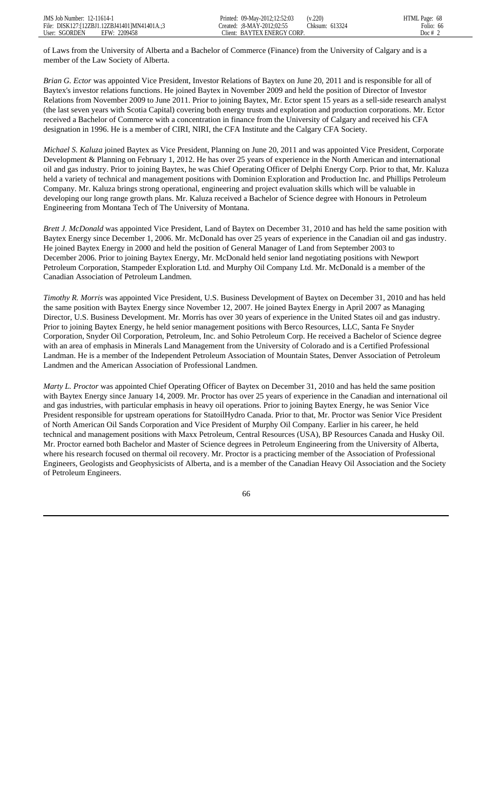of Laws from the University of Alberta and a Bachelor of Commerce (Finance) from the University of Calgary and is a member of the Law Society of Alberta.

*Brian G. Ector* was appointed Vice President, Investor Relations of Baytex on June 20, 2011 and is responsible for all of Baytex's investor relations functions. He joined Baytex in November 2009 and held the position of Director of Investor Relations from November 2009 to June 2011. Prior to joining Baytex, Mr. Ector spent 15 years as a sell-side research analyst (the last seven years with Scotia Capital) covering both energy trusts and exploration and production corporations. Mr. Ector received a Bachelor of Commerce with a concentration in finance from the University of Calgary and received his CFA designation in 1996. He is a member of CIRI, NIRI, the CFA Institute and the Calgary CFA Society.

*Michael S. Kaluza* joined Baytex as Vice President, Planning on June 20, 2011 and was appointed Vice President, Corporate Development & Planning on February 1, 2012. He has over 25 years of experience in the North American and international oil and gas industry. Prior to joining Baytex, he was Chief Operating Officer of Delphi Energy Corp. Prior to that, Mr. Kaluza held a variety of technical and management positions with Dominion Exploration and Production Inc. and Phillips Petroleum Company. Mr. Kaluza brings strong operational, engineering and project evaluation skills which will be valuable in developing our long range growth plans. Mr. Kaluza received a Bachelor of Science degree with Honours in Petroleum Engineering from Montana Tech of The University of Montana.

*Brett J. McDonald* was appointed Vice President, Land of Baytex on December 31, 2010 and has held the same position with Baytex Energy since December 1, 2006. Mr. McDonald has over 25 years of experience in the Canadian oil and gas industry. He joined Baytex Energy in 2000 and held the position of General Manager of Land from September 2003 to December 2006. Prior to joining Baytex Energy, Mr. McDonald held senior land negotiating positions with Newport Petroleum Corporation, Stampeder Exploration Ltd. and Murphy Oil Company Ltd. Mr. McDonald is a member of the Canadian Association of Petroleum Landmen.

*Timothy R. Morris* was appointed Vice President, U.S. Business Development of Baytex on December 31, 2010 and has held the same position with Baytex Energy since November 12, 2007. He joined Baytex Energy in April 2007 as Managing Director, U.S. Business Development. Mr. Morris has over 30 years of experience in the United States oil and gas industry. Prior to joining Baytex Energy, he held senior management positions with Berco Resources, LLC, Santa Fe Snyder Corporation, Snyder Oil Corporation, Petroleum, Inc. and Sohio Petroleum Corp. He received a Bachelor of Science degree with an area of emphasis in Minerals Land Management from the University of Colorado and is a Certified Professional Landman. He is a member of the Independent Petroleum Association of Mountain States, Denver Association of Petroleum Landmen and the American Association of Professional Landmen.

*Marty L. Proctor* was appointed Chief Operating Officer of Baytex on December 31, 2010 and has held the same position with Baytex Energy since January 14, 2009. Mr. Proctor has over 25 years of experience in the Canadian and international oil and gas industries, with particular emphasis in heavy oil operations. Prior to joining Baytex Energy, he was Senior Vice President responsible for upstream operations for StatoilHydro Canada. Prior to that, Mr. Proctor was Senior Vice President of North American Oil Sands Corporation and Vice President of Murphy Oil Company. Earlier in his career, he held technical and management positions with Maxx Petroleum, Central Resources (USA), BP Resources Canada and Husky Oil. Mr. Proctor earned both Bachelor and Master of Science degrees in Petroleum Engineering from the University of Alberta, where his research focused on thermal oil recovery. Mr. Proctor is a practicing member of the Association of Professional Engineers, Geologists and Geophysicists of Alberta, and is a member of the Canadian Heavy Oil Association and the Society of Petroleum Engineers.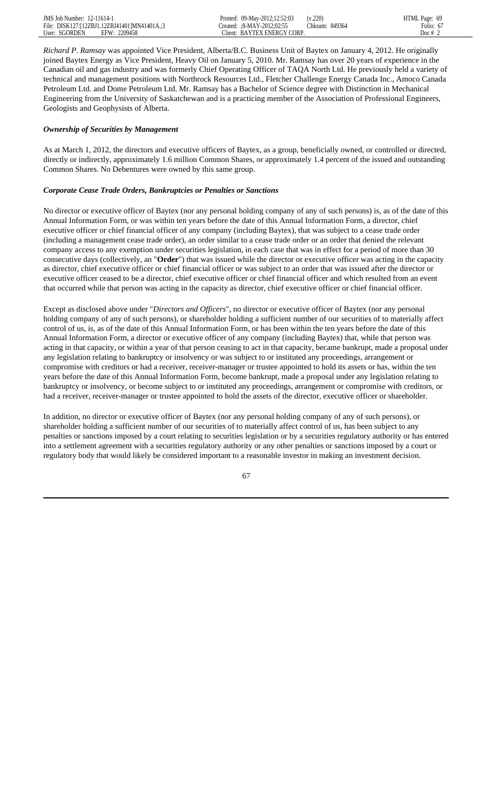*Richard P. Ramsay* was appointed Vice President, Alberta/B.C. Business Unit of Baytex on January 4, 2012. He originally joined Baytex Energy as Vice President, Heavy Oil on January 5, 2010. Mr. Ramsay has over 20 years of experience in the Canadian oil and gas industry and was formerly Chief Operating Officer of TAQA North Ltd. He previously held a variety of technical and management positions with Northrock Resources Ltd., Fletcher Challenge Energy Canada Inc., Amoco Canada Petroleum Ltd. and Dome Petroleum Ltd. Mr. Ramsay has a Bachelor of Science degree with Distinction in Mechanical Engineering from the University of Saskatchewan and is a practicing member of the Association of Professional Engineers, Geologists and Geophysists of Alberta.

## *Ownership of Securities by Management*

As at March 1, 2012, the directors and executive officers of Baytex, as a group, beneficially owned, or controlled or directed, directly or indirectly, approximately 1.6 million Common Shares, or approximately 1.4 percent of the issued and outstanding Common Shares. No Debentures were owned by this same group.

### *Corporate Cease Trade Orders, Bankruptcies or Penalties or Sanctions*

No director or executive officer of Baytex (nor any personal holding company of any of such persons) is, as of the date of this Annual Information Form, or was within ten years before the date of this Annual Information Form, a director, chief executive officer or chief financial officer of any company (including Baytex), that was subject to a cease trade order (including a management cease trade order), an order similar to a cease trade order or an order that denied the relevant company access to any exemption under securities legislation, in each case that was in effect for a period of more than 30 consecutive days (collectively, an "**Order**") that was issued while the director or executive officer was acting in the capacity as director, chief executive officer or chief financial officer or was subject to an order that was issued after the director or executive officer ceased to be a director, chief executive officer or chief financial officer and which resulted from an event that occurred while that person was acting in the capacity as director, chief executive officer or chief financial officer.

Except as disclosed above under "*Directors and Officers*", no director or executive officer of Baytex (nor any personal holding company of any of such persons), or shareholder holding a sufficient number of our securities of to materially affect control of us, is, as of the date of this Annual Information Form, or has been within the ten years before the date of this Annual Information Form, a director or executive officer of any company (including Baytex) that, while that person was acting in that capacity, or within a year of that person ceasing to act in that capacity, became bankrupt, made a proposal under any legislation relating to bankruptcy or insolvency or was subject to or instituted any proceedings, arrangement or compromise with creditors or had a receiver, receiver-manager or trustee appointed to hold its assets or has, within the ten years before the date of this Annual Information Form, become bankrupt, made a proposal under any legislation relating to bankruptcy or insolvency, or become subject to or instituted any proceedings, arrangement or compromise with creditors, or had a receiver, receiver-manager or trustee appointed to hold the assets of the director, executive officer or shareholder.

In addition, no director or executive officer of Baytex (nor any personal holding company of any of such persons), or shareholder holding a sufficient number of our securities of to materially affect control of us, has been subject to any penalties or sanctions imposed by a court relating to securities legislation or by a securities regulatory authority or has entered into a settlement agreement with a securities regulatory authority or any other penalties or sanctions imposed by a court or regulatory body that would likely be considered important to a reasonable investor in making an investment decision.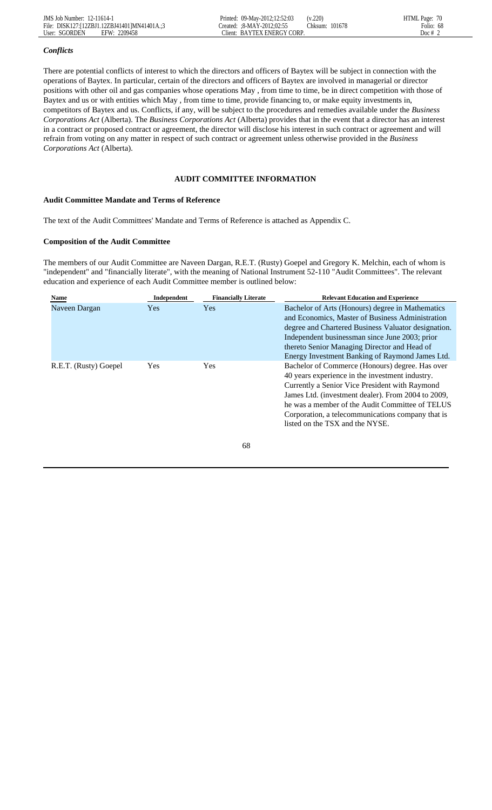# *Conflicts*

There are potential conflicts of interest to which the directors and officers of Baytex will be subject in connection with the operations of Baytex. In particular, certain of the directors and officers of Baytex are involved in managerial or director positions with other oil and gas companies whose operations May , from time to time, be in direct competition with those of Baytex and us or with entities which May , from time to time, provide financing to, or make equity investments in, competitors of Baytex and us. Conflicts, if any, will be subject to the procedures and remedies available under the *Business Corporations Act* (Alberta). The *Business Corporations Act* (Alberta) provides that in the event that a director has an interest in a contract or proposed contract or agreement, the director will disclose his interest in such contract or agreement and will refrain from voting on any matter in respect of such contract or agreement unless otherwise provided in the *Business Corporations Act* (Alberta).

# **AUDIT COMMITTEE INFORMATION**

### **Audit Committee Mandate and Terms of Reference**

The text of the Audit Committees' Mandate and Terms of Reference is attached as Appendix C.

## **Composition of the Audit Committee**

The members of our Audit Committee are Naveen Dargan, R.E.T. (Rusty) Goepel and Gregory K. Melchin, each of whom is "independent" and "financially literate", with the meaning of National Instrument 52-110 "Audit Committees". The relevant education and experience of each Audit Committee member is outlined below:

| Name                  | Independent | <b>Financially Literate</b> | <b>Relevant Education and Experience</b>                                                                                                                                                                                                                                                                                                              |
|-----------------------|-------------|-----------------------------|-------------------------------------------------------------------------------------------------------------------------------------------------------------------------------------------------------------------------------------------------------------------------------------------------------------------------------------------------------|
| Naveen Dargan         | <b>Yes</b>  | <b>Yes</b>                  | Bachelor of Arts (Honours) degree in Mathematics<br>and Economics, Master of Business Administration<br>degree and Chartered Business Valuator designation.<br>Independent businessman since June 2003; prior<br>thereto Senior Managing Director and Head of<br>Energy Investment Banking of Raymond James Ltd.                                      |
| R.E.T. (Rusty) Goepel | Yes         | Yes                         | Bachelor of Commerce (Honours) degree. Has over<br>40 years experience in the investment industry.<br>Currently a Senior Vice President with Raymond<br>James Ltd. (investment dealer). From 2004 to 2009,<br>he was a member of the Audit Committee of TELUS<br>Corporation, a telecommunications company that is<br>listed on the TSX and the NYSE. |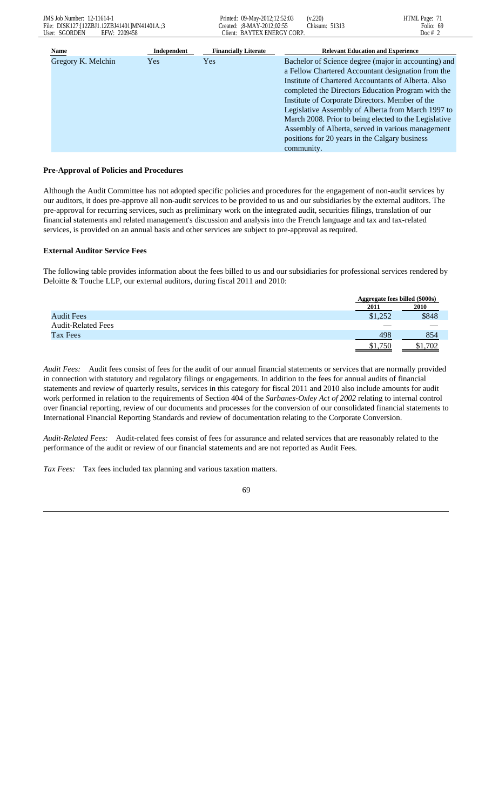| <b>Name</b>        | Independent | <b>Financially Literate</b> | <b>Relevant Education and Experience</b>                                                                                                                                                                                                                                                                                                                                                                                                                                                                       |
|--------------------|-------------|-----------------------------|----------------------------------------------------------------------------------------------------------------------------------------------------------------------------------------------------------------------------------------------------------------------------------------------------------------------------------------------------------------------------------------------------------------------------------------------------------------------------------------------------------------|
| Gregory K. Melchin | Yes         | <b>Yes</b>                  | Bachelor of Science degree (major in accounting) and<br>a Fellow Chartered Accountant designation from the<br>Institute of Chartered Accountants of Alberta, Also<br>completed the Directors Education Program with the<br>Institute of Corporate Directors. Member of the<br>Legislative Assembly of Alberta from March 1997 to<br>March 2008. Prior to being elected to the Legislative<br>Assembly of Alberta, served in various management<br>positions for 20 years in the Calgary business<br>community. |
|                    |             |                             |                                                                                                                                                                                                                                                                                                                                                                                                                                                                                                                |

### **Pre-Approval of Policies and Procedures**

Although the Audit Committee has not adopted specific policies and procedures for the engagement of non-audit services by our auditors, it does pre-approve all non-audit services to be provided to us and our subsidiaries by the external auditors. The pre-approval for recurring services, such as preliminary work on the integrated audit, securities filings, translation of our financial statements and related management's discussion and analysis into the French language and tax and tax-related services, is provided on an annual basis and other services are subject to pre-approval as required.

# **External Auditor Service Fees**

The following table provides information about the fees billed to us and our subsidiaries for professional services rendered by Deloitte & Touche LLP, our external auditors, during fiscal 2011 and 2010:

|                           | Aggregate fees billed (\$000s) |       |
|---------------------------|--------------------------------|-------|
|                           | 2011                           | 2010  |
| <b>Audit Fees</b>         | \$1,252                        | \$848 |
| <b>Audit-Related Fees</b> |                                |       |
| Tax Fees                  | 498                            | 854   |
|                           | 750                            |       |

*Audit Fees:* Audit fees consist of fees for the audit of our annual financial statements or services that are normally provided in connection with statutory and regulatory filings or engagements. In addition to the fees for annual audits of financial statements and review of quarterly results, services in this category for fiscal 2011 and 2010 also include amounts for audit work performed in relation to the requirements of Section 404 of the *Sarbanes-Oxley Act of 2002* relating to internal control over financial reporting, review of our documents and processes for the conversion of our consolidated financial statements to International Financial Reporting Standards and review of documentation relating to the Corporate Conversion.

*Audit-Related Fees:* Audit-related fees consist of fees for assurance and related services that are reasonably related to the performance of the audit or review of our financial statements and are not reported as Audit Fees.

*Tax Fees:* Tax fees included tax planning and various taxation matters.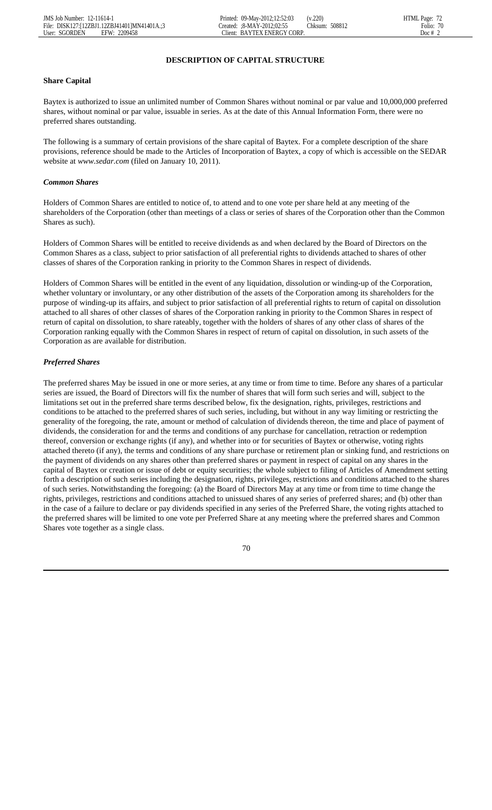## **DESCRIPTION OF CAPITAL STRUCTURE**

#### **Share Capital**

Baytex is authorized to issue an unlimited number of Common Shares without nominal or par value and 10,000,000 preferred shares, without nominal or par value, issuable in series. As at the date of this Annual Information Form, there were no preferred shares outstanding.

The following is a summary of certain provisions of the share capital of Baytex. For a complete description of the share provisions, reference should be made to the Articles of Incorporation of Baytex, a copy of which is accessible on the SEDAR website at *www.sedar.com* (filed on January 10, 2011).

#### *Common Shares*

Holders of Common Shares are entitled to notice of, to attend and to one vote per share held at any meeting of the shareholders of the Corporation (other than meetings of a class or series of shares of the Corporation other than the Common Shares as such).

Holders of Common Shares will be entitled to receive dividends as and when declared by the Board of Directors on the Common Shares as a class, subject to prior satisfaction of all preferential rights to dividends attached to shares of other classes of shares of the Corporation ranking in priority to the Common Shares in respect of dividends.

Holders of Common Shares will be entitled in the event of any liquidation, dissolution or winding-up of the Corporation, whether voluntary or involuntary, or any other distribution of the assets of the Corporation among its shareholders for the purpose of winding-up its affairs, and subject to prior satisfaction of all preferential rights to return of capital on dissolution attached to all shares of other classes of shares of the Corporation ranking in priority to the Common Shares in respect of return of capital on dissolution, to share rateably, together with the holders of shares of any other class of shares of the Corporation ranking equally with the Common Shares in respect of return of capital on dissolution, in such assets of the Corporation as are available for distribution.

#### *Preferred Shares*

The preferred shares May be issued in one or more series, at any time or from time to time. Before any shares of a particular series are issued, the Board of Directors will fix the number of shares that will form such series and will, subject to the limitations set out in the preferred share terms described below, fix the designation, rights, privileges, restrictions and conditions to be attached to the preferred shares of such series, including, but without in any way limiting or restricting the generality of the foregoing, the rate, amount or method of calculation of dividends thereon, the time and place of payment of dividends, the consideration for and the terms and conditions of any purchase for cancellation, retraction or redemption thereof, conversion or exchange rights (if any), and whether into or for securities of Baytex or otherwise, voting rights attached thereto (if any), the terms and conditions of any share purchase or retirement plan or sinking fund, and restrictions on the payment of dividends on any shares other than preferred shares or payment in respect of capital on any shares in the capital of Baytex or creation or issue of debt or equity securities; the whole subject to filing of Articles of Amendment setting forth a description of such series including the designation, rights, privileges, restrictions and conditions attached to the shares of such series. Notwithstanding the foregoing: (a) the Board of Directors May at any time or from time to time change the rights, privileges, restrictions and conditions attached to unissued shares of any series of preferred shares; and (b) other than in the case of a failure to declare or pay dividends specified in any series of the Preferred Share, the voting rights attached to the preferred shares will be limited to one vote per Preferred Share at any meeting where the preferred shares and Common Shares vote together as a single class.

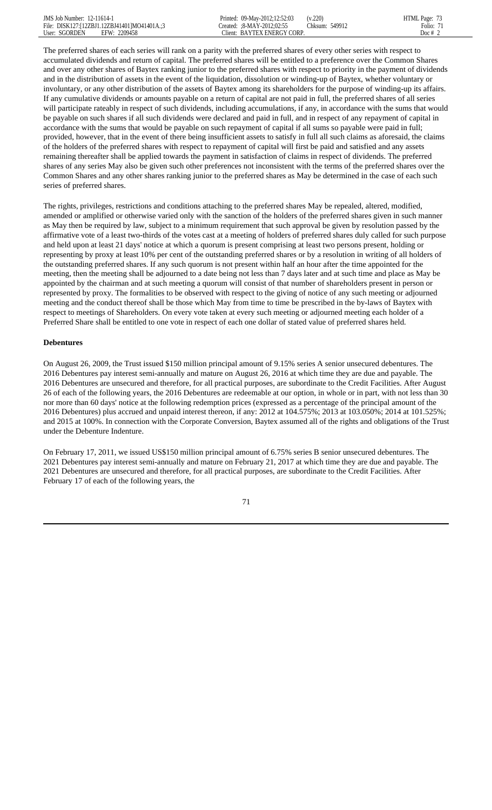The preferred shares of each series will rank on a parity with the preferred shares of every other series with respect to accumulated dividends and return of capital. The preferred shares will be entitled to a preference over the Common Shares and over any other shares of Baytex ranking junior to the preferred shares with respect to priority in the payment of dividends and in the distribution of assets in the event of the liquidation, dissolution or winding-up of Baytex, whether voluntary or involuntary, or any other distribution of the assets of Baytex among its shareholders for the purpose of winding-up its affairs. If any cumulative dividends or amounts payable on a return of capital are not paid in full, the preferred shares of all series will participate rateably in respect of such dividends, including accumulations, if any, in accordance with the sums that would be payable on such shares if all such dividends were declared and paid in full, and in respect of any repayment of capital in accordance with the sums that would be payable on such repayment of capital if all sums so payable were paid in full; provided, however, that in the event of there being insufficient assets to satisfy in full all such claims as aforesaid, the claims of the holders of the preferred shares with respect to repayment of capital will first be paid and satisfied and any assets remaining thereafter shall be applied towards the payment in satisfaction of claims in respect of dividends. The preferred shares of any series May also be given such other preferences not inconsistent with the terms of the preferred shares over the Common Shares and any other shares ranking junior to the preferred shares as May be determined in the case of each such series of preferred shares.

The rights, privileges, restrictions and conditions attaching to the preferred shares May be repealed, altered, modified, amended or amplified or otherwise varied only with the sanction of the holders of the preferred shares given in such manner as May then be required by law, subject to a minimum requirement that such approval be given by resolution passed by the affirmative vote of a least two-thirds of the votes cast at a meeting of holders of preferred shares duly called for such purpose and held upon at least 21 days' notice at which a quorum is present comprising at least two persons present, holding or representing by proxy at least 10% per cent of the outstanding preferred shares or by a resolution in writing of all holders of the outstanding preferred shares. If any such quorum is not present within half an hour after the time appointed for the meeting, then the meeting shall be adjourned to a date being not less than 7 days later and at such time and place as May be appointed by the chairman and at such meeting a quorum will consist of that number of shareholders present in person or represented by proxy. The formalities to be observed with respect to the giving of notice of any such meeting or adjourned meeting and the conduct thereof shall be those which May from time to time be prescribed in the by-laws of Baytex with respect to meetings of Shareholders. On every vote taken at every such meeting or adjourned meeting each holder of a Preferred Share shall be entitled to one vote in respect of each one dollar of stated value of preferred shares held.

### **Debentures**

On August 26, 2009, the Trust issued \$150 million principal amount of 9.15% series A senior unsecured debentures. The 2016 Debentures pay interest semi-annually and mature on August 26, 2016 at which time they are due and payable. The 2016 Debentures are unsecured and therefore, for all practical purposes, are subordinate to the Credit Facilities. After August 26 of each of the following years, the 2016 Debentures are redeemable at our option, in whole or in part, with not less than 30 nor more than 60 days' notice at the following redemption prices (expressed as a percentage of the principal amount of the 2016 Debentures) plus accrued and unpaid interest thereon, if any: 2012 at 104.575%; 2013 at 103.050%; 2014 at 101.525%; and 2015 at 100%. In connection with the Corporate Conversion, Baytex assumed all of the rights and obligations of the Trust under the Debenture Indenture.

On February 17, 2011, we issued US\$150 million principal amount of 6.75% series B senior unsecured debentures. The 2021 Debentures pay interest semi-annually and mature on February 21, 2017 at which time they are due and payable. The 2021 Debentures are unsecured and therefore, for all practical purposes, are subordinate to the Credit Facilities. After February 17 of each of the following years, the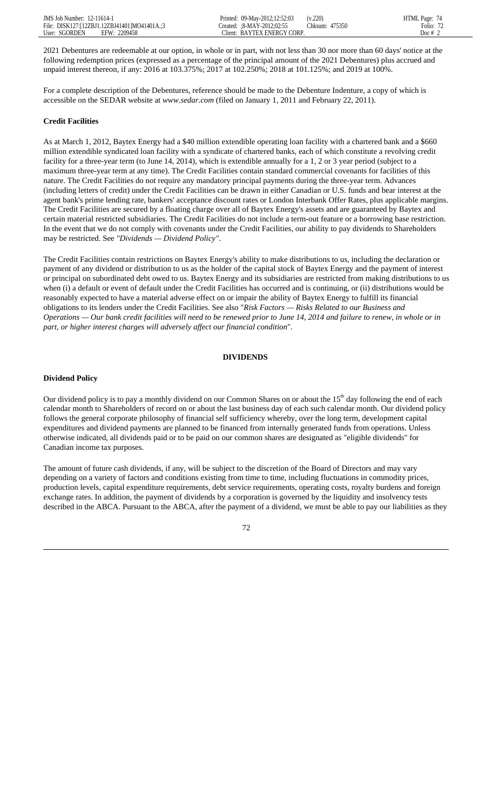2021 Debentures are redeemable at our option, in whole or in part, with not less than 30 nor more than 60 days' notice at the following redemption prices (expressed as a percentage of the principal amount of the 2021 Debentures) plus accrued and unpaid interest thereon, if any: 2016 at 103.375%; 2017 at 102.250%; 2018 at 101.125%; and 2019 at 100%.

For a complete description of the Debentures, reference should be made to the Debenture Indenture, a copy of which is accessible on the SEDAR website at *www.sedar.com* (filed on January 1, 2011 and February 22, 2011).

### **Credit Facilities**

As at March 1, 2012, Baytex Energy had a \$40 million extendible operating loan facility with a chartered bank and a \$660 million extendible syndicated loan facility with a syndicate of chartered banks, each of which constitute a revolving credit facility for a three-year term (to June 14, 2014), which is extendible annually for a 1, 2 or 3 year period (subject to a maximum three-year term at any time). The Credit Facilities contain standard commercial covenants for facilities of this nature. The Credit Facilities do not require any mandatory principal payments during the three-year term. Advances (including letters of credit) under the Credit Facilities can be drawn in either Canadian or U.S. funds and bear interest at the agent bank's prime lending rate, bankers' acceptance discount rates or London Interbank Offer Rates, plus applicable margins. The Credit Facilities are secured by a floating charge over all of Baytex Energy's assets and are guaranteed by Baytex and certain material restricted subsidiaries. The Credit Facilities do not include a term-out feature or a borrowing base restriction. In the event that we do not comply with covenants under the Credit Facilities, our ability to pay dividends to Shareholders may be restricted. See *"Dividends — Dividend Policy"*.

The Credit Facilities contain restrictions on Baytex Energy's ability to make distributions to us, including the declaration or payment of any dividend or distribution to us as the holder of the capital stock of Baytex Energy and the payment of interest or principal on subordinated debt owed to us. Baytex Energy and its subsidiaries are restricted from making distributions to us when (i) a default or event of default under the Credit Facilities has occurred and is continuing, or (ii) distributions would be reasonably expected to have a material adverse effect on or impair the ability of Baytex Energy to fulfill its financial obligations to its lenders under the Credit Facilities. See also "*Risk Factors — Risks Related to our Business and Operations — Our bank credit facilities will need to be renewed prior to June 14, 2014 and failure to renew, in whole or in part, or higher interest charges will adversely affect our financial condition*".

### **DIVIDENDS**

#### **Dividend Policy**

Our dividend policy is to pay a monthly dividend on our Common Shares on or about the 15<sup>th</sup> day following the end of each calendar month to Shareholders of record on or about the last business day of each such calendar month. Our dividend policy follows the general corporate philosophy of financial self sufficiency whereby, over the long term, development capital expenditures and dividend payments are planned to be financed from internally generated funds from operations. Unless otherwise indicated, all dividends paid or to be paid on our common shares are designated as "eligible dividends" for Canadian income tax purposes.

The amount of future cash dividends, if any, will be subject to the discretion of the Board of Directors and may vary depending on a variety of factors and conditions existing from time to time, including fluctuations in commodity prices, production levels, capital expenditure requirements, debt service requirements, operating costs, royalty burdens and foreign exchange rates. In addition, the payment of dividends by a corporation is governed by the liquidity and insolvency tests described in the ABCA. Pursuant to the ABCA, after the payment of a dividend, we must be able to pay our liabilities as they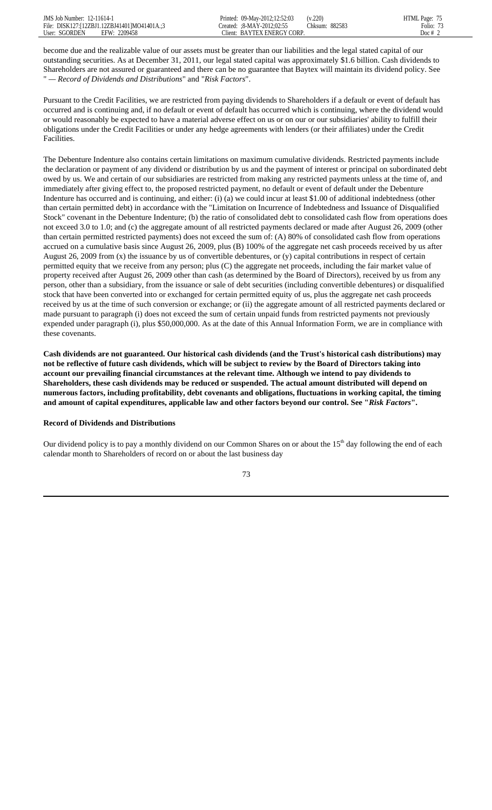become due and the realizable value of our assets must be greater than our liabilities and the legal stated capital of our outstanding securities. As at December 31, 2011, our legal stated capital was approximately \$1.6 billion. Cash dividends to Shareholders are not assured or guaranteed and there can be no guarantee that Baytex will maintain its dividend policy. See " *— Record of Dividends and Distributions*" and "*Risk Factors*".

Pursuant to the Credit Facilities, we are restricted from paying dividends to Shareholders if a default or event of default has occurred and is continuing and, if no default or event of default has occurred which is continuing, where the dividend would or would reasonably be expected to have a material adverse effect on us or on our or our subsidiaries' ability to fulfill their obligations under the Credit Facilities or under any hedge agreements with lenders (or their affiliates) under the Credit Facilities.

The Debenture Indenture also contains certain limitations on maximum cumulative dividends. Restricted payments include the declaration or payment of any dividend or distribution by us and the payment of interest or principal on subordinated debt owed by us. We and certain of our subsidiaries are restricted from making any restricted payments unless at the time of, and immediately after giving effect to, the proposed restricted payment, no default or event of default under the Debenture Indenture has occurred and is continuing, and either: (i) (a) we could incur at least \$1.00 of additional indebtedness (other than certain permitted debt) in accordance with the "Limitation on Incurrence of Indebtedness and Issuance of Disqualified Stock" covenant in the Debenture Indenture; (b) the ratio of consolidated debt to consolidated cash flow from operations does not exceed 3.0 to 1.0; and (c) the aggregate amount of all restricted payments declared or made after August 26, 2009 (other than certain permitted restricted payments) does not exceed the sum of: (A) 80% of consolidated cash flow from operations accrued on a cumulative basis since August 26, 2009, plus (B) 100% of the aggregate net cash proceeds received by us after August 26, 2009 from (x) the issuance by us of convertible debentures, or (y) capital contributions in respect of certain permitted equity that we receive from any person; plus (C) the aggregate net proceeds, including the fair market value of property received after August 26, 2009 other than cash (as determined by the Board of Directors), received by us from any person, other than a subsidiary, from the issuance or sale of debt securities (including convertible debentures) or disqualified stock that have been converted into or exchanged for certain permitted equity of us, plus the aggregate net cash proceeds received by us at the time of such conversion or exchange; or (ii) the aggregate amount of all restricted payments declared or made pursuant to paragraph (i) does not exceed the sum of certain unpaid funds from restricted payments not previously expended under paragraph (i), plus \$50,000,000. As at the date of this Annual Information Form, we are in compliance with these covenants.

**Cash dividends are not guaranteed. Our historical cash dividends (and the Trust's historical cash distributions) may not be reflective of future cash dividends, which will be subject to review by the Board of Directors taking into account our prevailing financial circumstances at the relevant time. Although we intend to pay dividends to Shareholders, these cash dividends may be reduced or suspended. The actual amount distributed will depend on numerous factors, including profitability, debt covenants and obligations, fluctuations in working capital, the timing and amount of capital expenditures, applicable law and other factors beyond our control. See "***Risk Factors***".**

#### **Record of Dividends and Distributions**

Our dividend policy is to pay a monthly dividend on our Common Shares on or about the  $15<sup>th</sup>$  day following the end of each calendar month to Shareholders of record on or about the last business day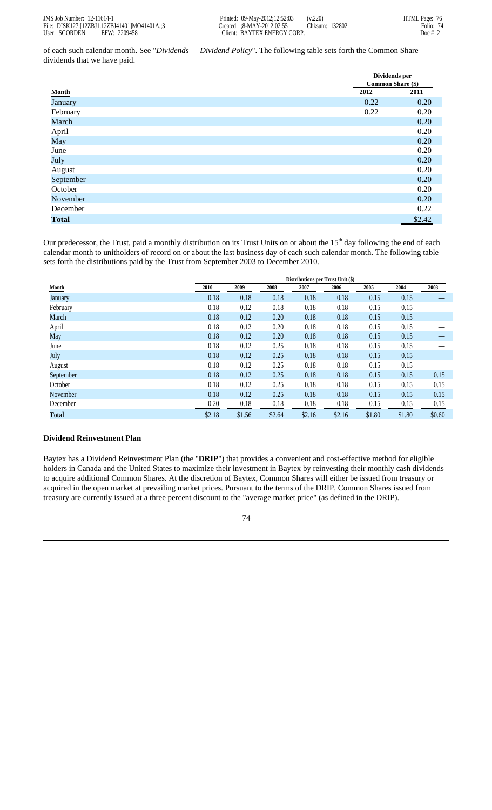of each such calendar month. See "*Dividends — Dividend Policy*". The following table sets forth the Common Share dividends that we have paid.

|              | Dividends per            |        |
|--------------|--------------------------|--------|
|              | <b>Common Share (\$)</b> |        |
| <b>Month</b> | 2012                     | 2011   |
| January      | 0.22                     | 0.20   |
| February     | 0.22                     | 0.20   |
| March        |                          | 0.20   |
| April        |                          | 0.20   |
| May          |                          | 0.20   |
| June         |                          | 0.20   |
| July         |                          | 0.20   |
| August       |                          | 0.20   |
| September    |                          | 0.20   |
| October      |                          | 0.20   |
| November     |                          | 0.20   |
| December     |                          | 0.22   |
| <b>Total</b> |                          | \$2.42 |

Our predecessor, the Trust, paid a monthly distribution on its Trust Units on or about the  $15<sup>th</sup>$  day following the end of each calendar month to unitholders of record on or about the last business day of each such calendar month. The following table sets forth the distributions paid by the Trust from September 2003 to December 2010.

|              | Distributions per Trust Unit (\$) |        |        |        |        |        |        |        |
|--------------|-----------------------------------|--------|--------|--------|--------|--------|--------|--------|
| Month        | <b>2010</b>                       | 2009   | 2008   | 2007   | 2006   | 2005   | 2004   | 2003   |
| January      | 0.18                              | 0.18   | 0.18   | 0.18   | 0.18   | 0.15   | 0.15   |        |
| February     | 0.18                              | 0.12   | 0.18   | 0.18   | 0.18   | 0.15   | 0.15   |        |
| March        | 0.18                              | 0.12   | 0.20   | 0.18   | 0.18   | 0.15   | 0.15   |        |
| April        | 0.18                              | 0.12   | 0.20   | 0.18   | 0.18   | 0.15   | 0.15   |        |
| May          | 0.18                              | 0.12   | 0.20   | 0.18   | 0.18   | 0.15   | 0.15   |        |
| June         | 0.18                              | 0.12   | 0.25   | 0.18   | 0.18   | 0.15   | 0.15   |        |
| July         | 0.18                              | 0.12   | 0.25   | 0.18   | 0.18   | 0.15   | 0.15   |        |
| August       | 0.18                              | 0.12   | 0.25   | 0.18   | 0.18   | 0.15   | 0.15   |        |
| September    | 0.18                              | 0.12   | 0.25   | 0.18   | 0.18   | 0.15   | 0.15   | 0.15   |
| October      | 0.18                              | 0.12   | 0.25   | 0.18   | 0.18   | 0.15   | 0.15   | 0.15   |
| November     | 0.18                              | 0.12   | 0.25   | 0.18   | 0.18   | 0.15   | 0.15   | 0.15   |
| December     | 0.20                              | 0.18   | 0.18   | 0.18   | 0.18   | 0.15   | 0.15   | 0.15   |
| <b>Total</b> | \$2.18                            | \$1.56 | \$2.64 | \$2.16 | \$2.16 | \$1.80 | \$1.80 | \$0.60 |

### **Dividend Reinvestment Plan**

Baytex has a Dividend Reinvestment Plan (the "**DRIP**") that provides a convenient and cost-effective method for eligible holders in Canada and the United States to maximize their investment in Baytex by reinvesting their monthly cash dividends to acquire additional Common Shares. At the discretion of Baytex, Common Shares will either be issued from treasury or acquired in the open market at prevailing market prices. Pursuant to the terms of the DRIP, Common Shares issued from treasury are currently issued at a three percent discount to the "average market price" (as defined in the DRIP).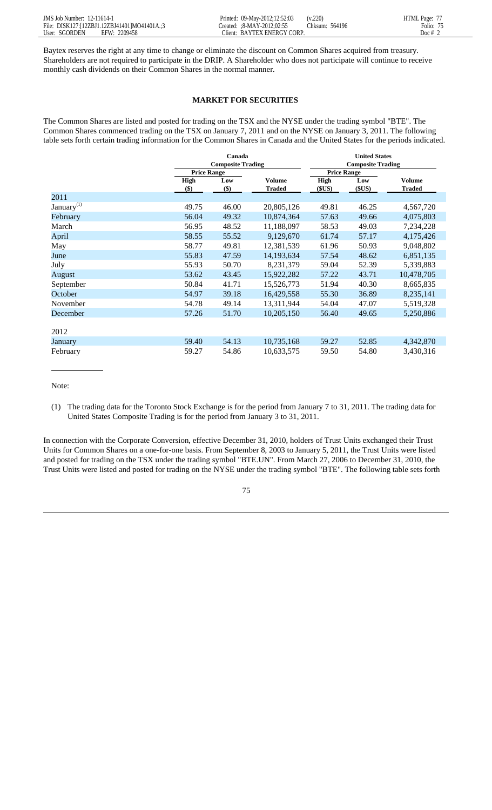Baytex reserves the right at any time to change or eliminate the discount on Common Shares acquired from treasury. Shareholders are not required to participate in the DRIP. A Shareholder who does not participate will continue to receive monthly cash dividends on their Common Shares in the normal manner.

### **MARKET FOR SECURITIES**

The Common Shares are listed and posted for trading on the TSX and the NYSE under the trading symbol "BTE". The Common Shares commenced trading on the TSX on January 7, 2011 and on the NYSE on January 3, 2011. The following table sets forth certain trading information for the Common Shares in Canada and the United States for the periods indicated.

|                        | Canada<br><b>Composite Trading</b> |            |                                |                    | <b>United States</b><br><b>Composite Trading</b> |                         |
|------------------------|------------------------------------|------------|--------------------------------|--------------------|--------------------------------------------------|-------------------------|
|                        | <b>Price Range</b>                 |            |                                | <b>Price Range</b> |                                                  |                         |
|                        | High<br>\$)                        | Low<br>\$) | <b>Volume</b><br><b>Traded</b> | High<br>(SUS)      | Low<br>(SUS)                                     | Volume<br><b>Traded</b> |
| 2011                   |                                    |            |                                |                    |                                                  |                         |
| January <sup>(1)</sup> | 49.75                              | 46.00      | 20,805,126                     | 49.81              | 46.25                                            | 4,567,720               |
| February               | 56.04                              | 49.32      | 10,874,364                     | 57.63              | 49.66                                            | 4,075,803               |
| March                  | 56.95                              | 48.52      | 11,188,097                     | 58.53              | 49.03                                            | 7,234,228               |
| April                  | 58.55                              | 55.52      | 9.129.670                      | 61.74              | 57.17                                            | 4,175,426               |
| May                    | 58.77                              | 49.81      | 12,381,539                     | 61.96              | 50.93                                            | 9,048,802               |
| June                   | 55.83                              | 47.59      | 14,193,634                     | 57.54              | 48.62                                            | 6,851,135               |
| July                   | 55.93                              | 50.70      | 8,231,379                      | 59.04              | 52.39                                            | 5,339,883               |
| August                 | 53.62                              | 43.45      | 15,922,282                     | 57.22              | 43.71                                            | 10,478,705              |
| September              | 50.84                              | 41.71      | 15,526,773                     | 51.94              | 40.30                                            | 8,665,835               |
| October                | 54.97                              | 39.18      | 16,429,558                     | 55.30              | 36.89                                            | 8,235,141               |
| November               | 54.78                              | 49.14      | 13,311,944                     | 54.04              | 47.07                                            | 5,519,328               |
| December               | 57.26                              | 51.70      | 10,205,150                     | 56.40              | 49.65                                            | 5,250,886               |
| 2012                   |                                    |            |                                |                    |                                                  |                         |
| January                | 59.40                              | 54.13      | 10,735,168                     | 59.27              | 52.85                                            | 4,342,870               |
| February               | 59.27                              | 54.86      | 10,633,575                     | 59.50              | 54.80                                            | 3,430,316               |

Note:

(1) The trading data for the Toronto Stock Exchange is for the period from January 7 to 31, 2011. The trading data for United States Composite Trading is for the period from January 3 to 31, 2011.

In connection with the Corporate Conversion, effective December 31, 2010, holders of Trust Units exchanged their Trust Units for Common Shares on a one-for-one basis. From September 8, 2003 to January 5, 2011, the Trust Units were listed and posted for trading on the TSX under the trading symbol "BTE.UN". From March 27, 2006 to December 31, 2010, the Trust Units were listed and posted for trading on the NYSE under the trading symbol "BTE". The following table sets forth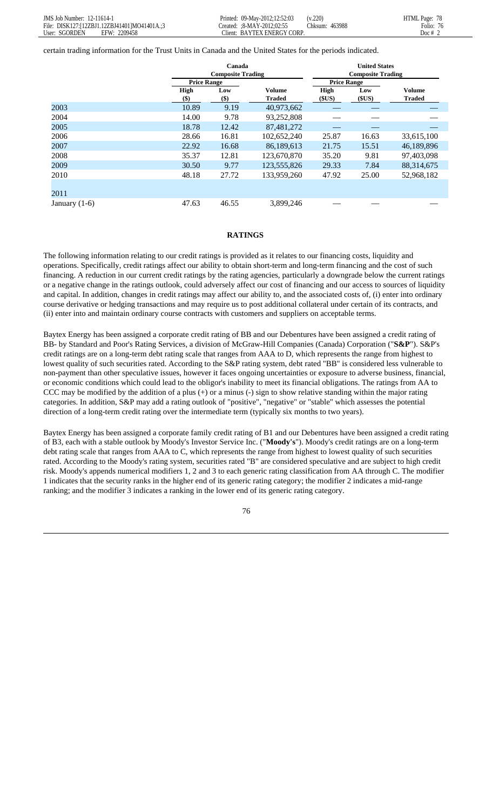certain trading information for the Trust Units in Canada and the United States for the periods indicated.

|                 |                                           | Canada<br><b>Composite Trading</b> |                  | <b>United States</b><br><b>Composite Trading</b> |              |                                |  |
|-----------------|-------------------------------------------|------------------------------------|------------------|--------------------------------------------------|--------------|--------------------------------|--|
|                 | <b>Price Range</b>                        |                                    |                  | <b>Price Range</b>                               |              |                                |  |
|                 | <b>High</b><br>$\left( \mathbb{S}\right)$ | Low<br>$($ \$                      | Volume<br>Traded | <b>High</b><br>(SUS)                             | Low<br>(SUS) | <b>Volume</b><br><b>Traded</b> |  |
| 2003            | 10.89                                     | 9.19                               | 40,973,662       |                                                  |              |                                |  |
| 2004            | 14.00                                     | 9.78                               | 93,252,808       |                                                  |              |                                |  |
| 2005            | 18.78                                     | 12.42                              | 87,481,272       |                                                  |              |                                |  |
| 2006            | 28.66                                     | 16.81                              | 102,652,240      | 25.87                                            | 16.63        | 33,615,100                     |  |
| 2007            | 22.92                                     | 16.68                              | 86,189,613       | 21.75                                            | 15.51        | 46,189,896                     |  |
| 2008            | 35.37                                     | 12.81                              | 123,670,870      | 35.20                                            | 9.81         | 97,403,098                     |  |
| 2009            | 30.50                                     | 9.77                               | 123,555,826      | 29.33                                            | 7.84         | 88, 314, 675                   |  |
| 2010            | 48.18                                     | 27.72                              | 133,959,260      | 47.92                                            | 25.00        | 52,968,182                     |  |
| 2011            |                                           |                                    |                  |                                                  |              |                                |  |
| January $(1-6)$ | 47.63                                     | 46.55                              | 3,899,246        |                                                  |              |                                |  |

## **RATINGS**

The following information relating to our credit ratings is provided as it relates to our financing costs, liquidity and operations. Specifically, credit ratings affect our ability to obtain short-term and long-term financing and the cost of such financing. A reduction in our current credit ratings by the rating agencies, particularly a downgrade below the current ratings or a negative change in the ratings outlook, could adversely affect our cost of financing and our access to sources of liquidity and capital. In addition, changes in credit ratings may affect our ability to, and the associated costs of, (i) enter into ordinary course derivative or hedging transactions and may require us to post additional collateral under certain of its contracts, and (ii) enter into and maintain ordinary course contracts with customers and suppliers on acceptable terms.

Baytex Energy has been assigned a corporate credit rating of BB and our Debentures have been assigned a credit rating of BB- by Standard and Poor's Rating Services, a division of McGraw-Hill Companies (Canada) Corporation ("**S&P**"). S&P's credit ratings are on a long-term debt rating scale that ranges from AAA to D, which represents the range from highest to lowest quality of such securities rated. According to the S&P rating system, debt rated "BB" is considered less vulnerable to non-payment than other speculative issues, however it faces ongoing uncertainties or exposure to adverse business, financial, or economic conditions which could lead to the obligor's inability to meet its financial obligations. The ratings from AA to CCC may be modified by the addition of a plus (+) or a minus (-) sign to show relative standing within the major rating categories. In addition, S&P may add a rating outlook of "positive", "negative" or "stable" which assesses the potential direction of a long-term credit rating over the intermediate term (typically six months to two years).

Baytex Energy has been assigned a corporate family credit rating of B1 and our Debentures have been assigned a credit rating of B3, each with a stable outlook by Moody's Investor Service Inc. ("**Moody's**"). Moody's credit ratings are on a long-term debt rating scale that ranges from AAA to C, which represents the range from highest to lowest quality of such securities rated. According to the Moody's rating system, securities rated "B" are considered speculative and are subject to high credit risk. Moody's appends numerical modifiers 1, 2 and 3 to each generic rating classification from AA through C. The modifier 1 indicates that the security ranks in the higher end of its generic rating category; the modifier 2 indicates a mid-range ranking; and the modifier 3 indicates a ranking in the lower end of its generic rating category.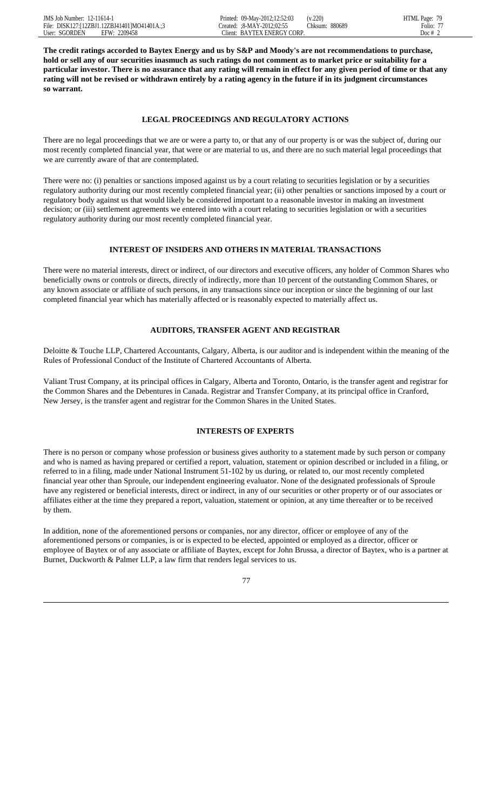**The credit ratings accorded to Baytex Energy and us by S&P and Moody's are not recommendations to purchase, hold or sell any of our securities inasmuch as such ratings do not comment as to market price or suitability for a particular investor. There is no assurance that any rating will remain in effect for any given period of time or that any rating will not be revised or withdrawn entirely by a rating agency in the future if in its judgment circumstances so warrant.**

## **LEGAL PROCEEDINGS AND REGULATORY ACTIONS**

There are no legal proceedings that we are or were a party to, or that any of our property is or was the subject of, during our most recently completed financial year, that were or are material to us, and there are no such material legal proceedings that we are currently aware of that are contemplated.

There were no: (i) penalties or sanctions imposed against us by a court relating to securities legislation or by a securities regulatory authority during our most recently completed financial year; (ii) other penalties or sanctions imposed by a court or regulatory body against us that would likely be considered important to a reasonable investor in making an investment decision; or (iii) settlement agreements we entered into with a court relating to securities legislation or with a securities regulatory authority during our most recently completed financial year.

## **INTEREST OF INSIDERS AND OTHERS IN MATERIAL TRANSACTIONS**

There were no material interests, direct or indirect, of our directors and executive officers, any holder of Common Shares who beneficially owns or controls or directs, directly of indirectly, more than 10 percent of the outstanding Common Shares, or any known associate or affiliate of such persons, in any transactions since our inception or since the beginning of our last completed financial year which has materially affected or is reasonably expected to materially affect us.

### **AUDITORS, TRANSFER AGENT AND REGISTRAR**

Deloitte & Touche LLP, Chartered Accountants, Calgary, Alberta, is our auditor and is independent within the meaning of the Rules of Professional Conduct of the Institute of Chartered Accountants of Alberta.

Valiant Trust Company, at its principal offices in Calgary, Alberta and Toronto, Ontario, is the transfer agent and registrar for the Common Shares and the Debentures in Canada. Registrar and Transfer Company, at its principal office in Cranford, New Jersey, is the transfer agent and registrar for the Common Shares in the United States.

# **INTERESTS OF EXPERTS**

There is no person or company whose profession or business gives authority to a statement made by such person or company and who is named as having prepared or certified a report, valuation, statement or opinion described or included in a filing, or referred to in a filing, made under National Instrument 51-102 by us during, or related to, our most recently completed financial year other than Sproule, our independent engineering evaluator. None of the designated professionals of Sproule have any registered or beneficial interests, direct or indirect, in any of our securities or other property or of our associates or affiliates either at the time they prepared a report, valuation, statement or opinion, at any time thereafter or to be received by them.

In addition, none of the aforementioned persons or companies, nor any director, officer or employee of any of the aforementioned persons or companies, is or is expected to be elected, appointed or employed as a director, officer or employee of Baytex or of any associate or affiliate of Baytex, except for John Brussa, a director of Baytex, who is a partner at Burnet, Duckworth & Palmer LLP, a law firm that renders legal services to us.

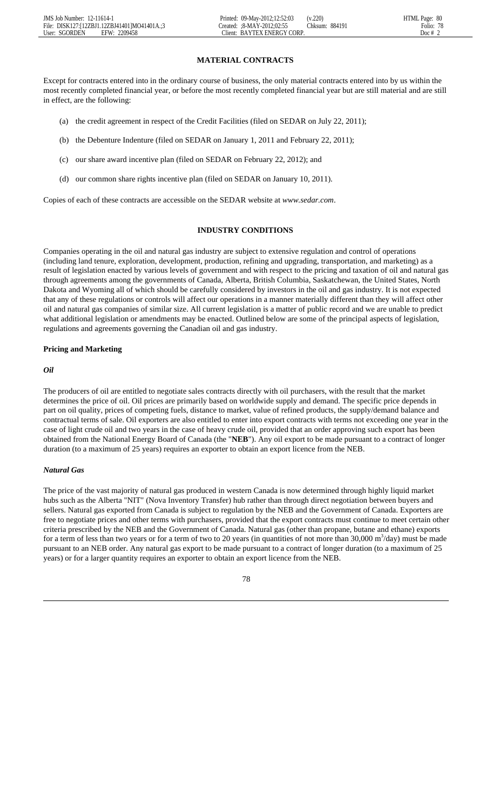### **MATERIAL CONTRACTS**

Except for contracts entered into in the ordinary course of business, the only material contracts entered into by us within the most recently completed financial year, or before the most recently completed financial year but are still material and are still in effect, are the following:

- (a) the credit agreement in respect of the Credit Facilities (filed on SEDAR on July 22, 2011);
- (b) the Debenture Indenture (filed on SEDAR on January 1, 2011 and February 22, 2011);
- (c) our share award incentive plan (filed on SEDAR on February 22, 2012); and
- (d) our common share rights incentive plan (filed on SEDAR on January 10, 2011).

Copies of each of these contracts are accessible on the SEDAR website at *www.sedar.com*.

## **INDUSTRY CONDITIONS**

Companies operating in the oil and natural gas industry are subject to extensive regulation and control of operations (including land tenure, exploration, development, production, refining and upgrading, transportation, and marketing) as a result of legislation enacted by various levels of government and with respect to the pricing and taxation of oil and natural gas through agreements among the governments of Canada, Alberta, British Columbia, Saskatchewan, the United States, North Dakota and Wyoming all of which should be carefully considered by investors in the oil and gas industry. It is not expected that any of these regulations or controls will affect our operations in a manner materially different than they will affect other oil and natural gas companies of similar size. All current legislation is a matter of public record and we are unable to predict what additional legislation or amendments may be enacted. Outlined below are some of the principal aspects of legislation, regulations and agreements governing the Canadian oil and gas industry.

### **Pricing and Marketing**

#### *Oil*

The producers of oil are entitled to negotiate sales contracts directly with oil purchasers, with the result that the market determines the price of oil. Oil prices are primarily based on worldwide supply and demand. The specific price depends in part on oil quality, prices of competing fuels, distance to market, value of refined products, the supply/demand balance and contractual terms of sale. Oil exporters are also entitled to enter into export contracts with terms not exceeding one year in the case of light crude oil and two years in the case of heavy crude oil, provided that an order approving such export has been obtained from the National Energy Board of Canada (the "**NEB**"). Any oil export to be made pursuant to a contract of longer duration (to a maximum of 25 years) requires an exporter to obtain an export licence from the NEB.

### *Natural Gas*

The price of the vast majority of natural gas produced in western Canada is now determined through highly liquid market hubs such as the Alberta "NIT" (Nova Inventory Transfer) hub rather than through direct negotiation between buyers and sellers. Natural gas exported from Canada is subject to regulation by the NEB and the Government of Canada. Exporters are free to negotiate prices and other terms with purchasers, provided that the export contracts must continue to meet certain other criteria prescribed by the NEB and the Government of Canada. Natural gas (other than propane, butane and ethane) exports for a term of less than two years or for a term of two to 20 years (in quantities of not more than  $30,000 \text{ m}^3/\text{day}$ ) must be made pursuant to an NEB order. Any natural gas export to be made pursuant to a contract of longer duration (to a maximum of 25 years) or for a larger quantity requires an exporter to obtain an export licence from the NEB.

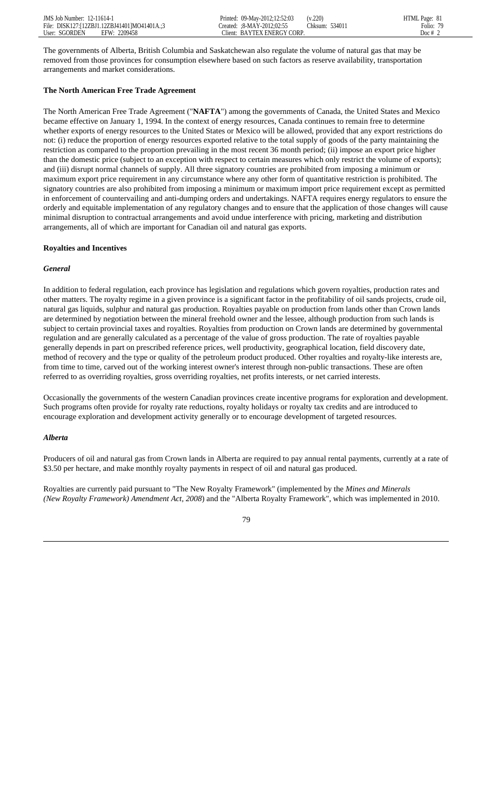The governments of Alberta, British Columbia and Saskatchewan also regulate the volume of natural gas that may be removed from those provinces for consumption elsewhere based on such factors as reserve availability, transportation arrangements and market considerations.

### **The North American Free Trade Agreement**

The North American Free Trade Agreement ("**NAFTA**") among the governments of Canada, the United States and Mexico became effective on January 1, 1994. In the context of energy resources, Canada continues to remain free to determine whether exports of energy resources to the United States or Mexico will be allowed, provided that any export restrictions do not: (i) reduce the proportion of energy resources exported relative to the total supply of goods of the party maintaining the restriction as compared to the proportion prevailing in the most recent 36 month period; (ii) impose an export price higher than the domestic price (subject to an exception with respect to certain measures which only restrict the volume of exports); and (iii) disrupt normal channels of supply. All three signatory countries are prohibited from imposing a minimum or maximum export price requirement in any circumstance where any other form of quantitative restriction is prohibited. The signatory countries are also prohibited from imposing a minimum or maximum import price requirement except as permitted in enforcement of countervailing and anti-dumping orders and undertakings. NAFTA requires energy regulators to ensure the orderly and equitable implementation of any regulatory changes and to ensure that the application of those changes will cause minimal disruption to contractual arrangements and avoid undue interference with pricing, marketing and distribution arrangements, all of which are important for Canadian oil and natural gas exports.

### **Royalties and Incentives**

### *General*

In addition to federal regulation, each province has legislation and regulations which govern royalties, production rates and other matters. The royalty regime in a given province is a significant factor in the profitability of oil sands projects, crude oil, natural gas liquids, sulphur and natural gas production. Royalties payable on production from lands other than Crown lands are determined by negotiation between the mineral freehold owner and the lessee, although production from such lands is subject to certain provincial taxes and royalties. Royalties from production on Crown lands are determined by governmental regulation and are generally calculated as a percentage of the value of gross production. The rate of royalties payable generally depends in part on prescribed reference prices, well productivity, geographical location, field discovery date, method of recovery and the type or quality of the petroleum product produced. Other royalties and royalty-like interests are, from time to time, carved out of the working interest owner's interest through non-public transactions. These are often referred to as overriding royalties, gross overriding royalties, net profits interests, or net carried interests.

Occasionally the governments of the western Canadian provinces create incentive programs for exploration and development. Such programs often provide for royalty rate reductions, royalty holidays or royalty tax credits and are introduced to encourage exploration and development activity generally or to encourage development of targeted resources.

### *Alberta*

Producers of oil and natural gas from Crown lands in Alberta are required to pay annual rental payments, currently at a rate of \$3.50 per hectare, and make monthly royalty payments in respect of oil and natural gas produced.

Royalties are currently paid pursuant to "The New Royalty Framework" (implemented by the *Mines and Minerals (New Royalty Framework) Amendment Act, 2008*) and the "Alberta Royalty Framework", which was implemented in 2010.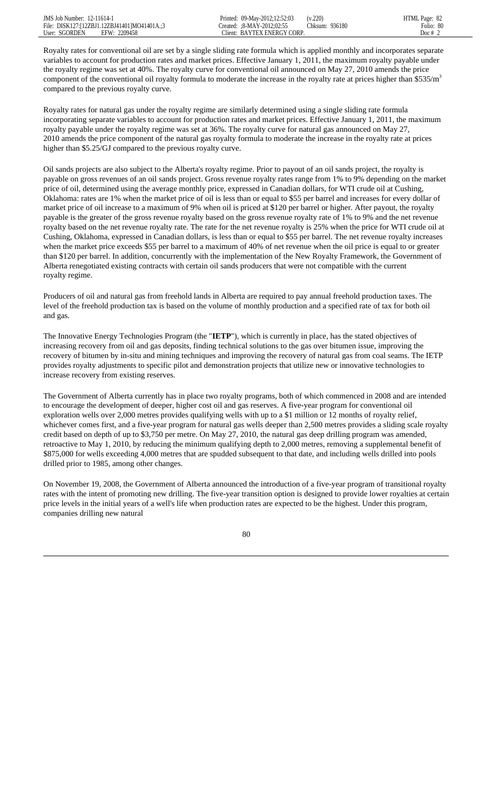Royalty rates for conventional oil are set by a single sliding rate formula which is applied monthly and incorporates separate variables to account for production rates and market prices. Effective January 1, 2011, the maximum royalty payable under the royalty regime was set at 40%. The royalty curve for conventional oil announced on May 27, 2010 amends the price component of the conventional oil royalty formula to moderate the increase in the royalty rate at prices higher than \$535/m<sup>3</sup> compared to the previous royalty curve.

Royalty rates for natural gas under the royalty regime are similarly determined using a single sliding rate formula incorporating separate variables to account for production rates and market prices. Effective January 1, 2011, the maximum royalty payable under the royalty regime was set at 36%. The royalty curve for natural gas announced on May 27, 2010 amends the price component of the natural gas royalty formula to moderate the increase in the royalty rate at prices higher than \$5.25/GJ compared to the previous royalty curve.

Oil sands projects are also subject to the Alberta's royalty regime. Prior to payout of an oil sands project, the royalty is payable on gross revenues of an oil sands project. Gross revenue royalty rates range from 1% to 9% depending on the market price of oil, determined using the average monthly price, expressed in Canadian dollars, for WTI crude oil at Cushing, Oklahoma: rates are 1% when the market price of oil is less than or equal to \$55 per barrel and increases for every dollar of market price of oil increase to a maximum of 9% when oil is priced at \$120 per barrel or higher. After payout, the royalty payable is the greater of the gross revenue royalty based on the gross revenue royalty rate of 1% to 9% and the net revenue royalty based on the net revenue royalty rate. The rate for the net revenue royalty is 25% when the price for WTI crude oil at Cushing, Oklahoma, expressed in Canadian dollars, is less than or equal to \$55 per barrel. The net revenue royalty increases when the market price exceeds \$55 per barrel to a maximum of 40% of net revenue when the oil price is equal to or greater than \$120 per barrel. In addition, concurrently with the implementation of the New Royalty Framework, the Government of Alberta renegotiated existing contracts with certain oil sands producers that were not compatible with the current royalty regime.

Producers of oil and natural gas from freehold lands in Alberta are required to pay annual freehold production taxes. The level of the freehold production tax is based on the volume of monthly production and a specified rate of tax for both oil and gas.

The Innovative Energy Technologies Program (the "**IETP**"), which is currently in place, has the stated objectives of increasing recovery from oil and gas deposits, finding technical solutions to the gas over bitumen issue, improving the recovery of bitumen by in-situ and mining techniques and improving the recovery of natural gas from coal seams. The IETP provides royalty adjustments to specific pilot and demonstration projects that utilize new or innovative technologies to increase recovery from existing reserves.

The Government of Alberta currently has in place two royalty programs, both of which commenced in 2008 and are intended to encourage the development of deeper, higher cost oil and gas reserves. A five-year program for conventional oil exploration wells over 2,000 metres provides qualifying wells with up to a \$1 million or 12 months of royalty relief, whichever comes first, and a five-year program for natural gas wells deeper than 2,500 metres provides a sliding scale royalty credit based on depth of up to \$3,750 per metre. On May 27, 2010, the natural gas deep drilling program was amended, retroactive to May 1, 2010, by reducing the minimum qualifying depth to 2,000 metres, removing a supplemental benefit of \$875,000 for wells exceeding 4,000 metres that are spudded subsequent to that date, and including wells drilled into pools drilled prior to 1985, among other changes.

On November 19, 2008, the Government of Alberta announced the introduction of a five-year program of transitional royalty rates with the intent of promoting new drilling. The five-year transition option is designed to provide lower royalties at certain price levels in the initial years of a well's life when production rates are expected to be the highest. Under this program, companies drilling new natural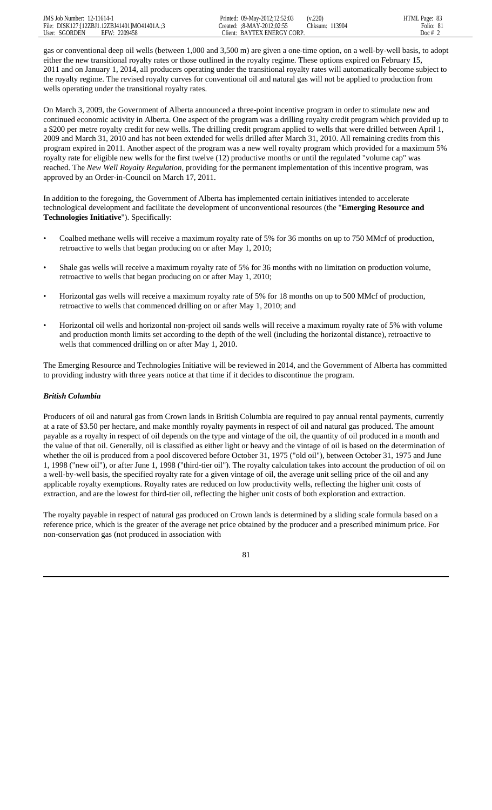gas or conventional deep oil wells (between 1,000 and 3,500 m) are given a one-time option, on a well-by-well basis, to adopt either the new transitional royalty rates or those outlined in the royalty regime. These options expired on February 15, 2011 and on January 1, 2014, all producers operating under the transitional royalty rates will automatically become subject to the royalty regime. The revised royalty curves for conventional oil and natural gas will not be applied to production from wells operating under the transitional royalty rates.

On March 3, 2009, the Government of Alberta announced a three-point incentive program in order to stimulate new and continued economic activity in Alberta. One aspect of the program was a drilling royalty credit program which provided up to a \$200 per metre royalty credit for new wells. The drilling credit program applied to wells that were drilled between April 1, 2009 and March 31, 2010 and has not been extended for wells drilled after March 31, 2010. All remaining credits from this program expired in 2011. Another aspect of the program was a new well royalty program which provided for a maximum 5% royalty rate for eligible new wells for the first twelve (12) productive months or until the regulated "volume cap" was reached. The *New Well Royalty Regulation*, providing for the permanent implementation of this incentive program, was approved by an Order-in-Council on March 17, 2011.

In addition to the foregoing, the Government of Alberta has implemented certain initiatives intended to accelerate technological development and facilitate the development of unconventional resources (the "**Emerging Resource and Technologies Initiative**"). Specifically:

- Coalbed methane wells will receive a maximum royalty rate of 5% for 36 months on up to 750 MMcf of production, retroactive to wells that began producing on or after May 1, 2010;
- Shale gas wells will receive a maximum royalty rate of 5% for 36 months with no limitation on production volume, retroactive to wells that began producing on or after May 1, 2010;
- Horizontal gas wells will receive a maximum royalty rate of 5% for 18 months on up to 500 MMcf of production, retroactive to wells that commenced drilling on or after May 1, 2010; and
- Horizontal oil wells and horizontal non-project oil sands wells will receive a maximum royalty rate of 5% with volume and production month limits set according to the depth of the well (including the horizontal distance), retroactive to wells that commenced drilling on or after May 1, 2010.

The Emerging Resource and Technologies Initiative will be reviewed in 2014, and the Government of Alberta has committed to providing industry with three years notice at that time if it decides to discontinue the program.

### *British Columbia*

Producers of oil and natural gas from Crown lands in British Columbia are required to pay annual rental payments, currently at a rate of \$3.50 per hectare, and make monthly royalty payments in respect of oil and natural gas produced. The amount payable as a royalty in respect of oil depends on the type and vintage of the oil, the quantity of oil produced in a month and the value of that oil. Generally, oil is classified as either light or heavy and the vintage of oil is based on the determination of whether the oil is produced from a pool discovered before October 31, 1975 ("old oil"), between October 31, 1975 and June 1, 1998 ("new oil"), or after June 1, 1998 ("third-tier oil"). The royalty calculation takes into account the production of oil on a well-by-well basis, the specified royalty rate for a given vintage of oil, the average unit selling price of the oil and any applicable royalty exemptions. Royalty rates are reduced on low productivity wells, reflecting the higher unit costs of extraction, and are the lowest for third-tier oil, reflecting the higher unit costs of both exploration and extraction.

The royalty payable in respect of natural gas produced on Crown lands is determined by a sliding scale formula based on a reference price, which is the greater of the average net price obtained by the producer and a prescribed minimum price. For non-conservation gas (not produced in association with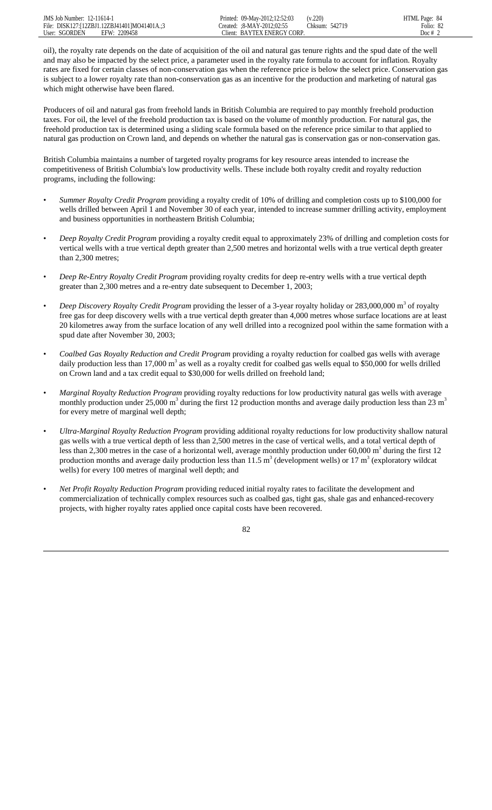oil), the royalty rate depends on the date of acquisition of the oil and natural gas tenure rights and the spud date of the well and may also be impacted by the select price, a parameter used in the royalty rate formula to account for inflation. Royalty rates are fixed for certain classes of non-conservation gas when the reference price is below the select price. Conservation gas is subject to a lower royalty rate than non-conservation gas as an incentive for the production and marketing of natural gas which might otherwise have been flared.

Producers of oil and natural gas from freehold lands in British Columbia are required to pay monthly freehold production taxes. For oil, the level of the freehold production tax is based on the volume of monthly production. For natural gas, the freehold production tax is determined using a sliding scale formula based on the reference price similar to that applied to natural gas production on Crown land, and depends on whether the natural gas is conservation gas or non-conservation gas.

British Columbia maintains a number of targeted royalty programs for key resource areas intended to increase the competitiveness of British Columbia's low productivity wells. These include both royalty credit and royalty reduction programs, including the following:

- *Summer Royalty Credit Program* providing a royalty credit of 10% of drilling and completion costs up to \$100,000 for wells drilled between April 1 and November 30 of each year, intended to increase summer drilling activity, employment and business opportunities in northeastern British Columbia;
- *Deep Royalty Credit Program* providing a royalty credit equal to approximately 23% of drilling and completion costs for vertical wells with a true vertical depth greater than 2,500 metres and horizontal wells with a true vertical depth greater than 2,300 metres;
- *Deep Re-Entry Royalty Credit Program* providing royalty credits for deep re-entry wells with a true vertical depth greater than 2,300 metres and a re-entry date subsequent to December 1, 2003;
- *Deep Discovery Royalty Credit Program* providing the lesser of a 3-year royalty holiday or 283,000,000 m<sup>3</sup> of royalty free gas for deep discovery wells with a true vertical depth greater than 4,000 metres whose surface locations are at least 20 kilometres away from the surface location of any well drilled into a recognized pool within the same formation with a spud date after November 30, 2003;
- *Coalbed Gas Royalty Reduction and Credit Program* providing a royalty reduction for coalbed gas wells with average daily production less than 17,000 m<sup>3</sup> as well as a royalty credit for coalbed gas wells equal to \$50,000 for wells drilled on Crown land and a tax credit equal to \$30,000 for wells drilled on freehold land;
- *Marginal Royalty Reduction Program* providing royalty reductions for low productivity natural gas wells with average monthly production under 25,000 m<sup>3</sup> during the first 12 production months and average daily production less than 23 m<sup>3</sup> for every metre of marginal well depth;
- *Ultra-Marginal Royalty Reduction Program* providing additional royalty reductions for low productivity shallow natural gas wells with a true vertical depth of less than 2,500 metres in the case of vertical wells, and a total vertical depth of less than 2,300 metres in the case of a horizontal well, average monthly production under 60,000 m<sup>3</sup> during the first 12 production months and average daily production less than 11.5 m<sup>3</sup> (development wells) or 17 m<sup>3</sup> (exploratory wildcat wells) for every 100 metres of marginal well depth; and
- *Net Profit Royalty Reduction Program* providing reduced initial royalty rates to facilitate the development and commercialization of technically complex resources such as coalbed gas, tight gas, shale gas and enhanced-recovery projects, with higher royalty rates applied once capital costs have been recovered.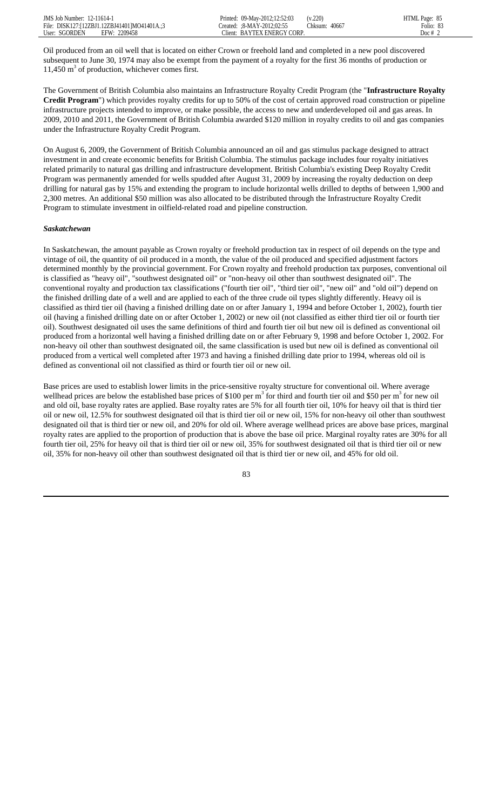Oil produced from an oil well that is located on either Crown or freehold land and completed in a new pool discovered subsequent to June 30, 1974 may also be exempt from the payment of a royalty for the first 36 months of production or  $11,450 \text{ m}^3$  of production, whichever comes first.

The Government of British Columbia also maintains an Infrastructure Royalty Credit Program (the "**Infrastructure Royalty Credit Program**") which provides royalty credits for up to 50% of the cost of certain approved road construction or pipeline infrastructure projects intended to improve, or make possible, the access to new and underdeveloped oil and gas areas. In 2009, 2010 and 2011, the Government of British Columbia awarded \$120 million in royalty credits to oil and gas companies under the Infrastructure Royalty Credit Program.

On August 6, 2009, the Government of British Columbia announced an oil and gas stimulus package designed to attract investment in and create economic benefits for British Columbia. The stimulus package includes four royalty initiatives related primarily to natural gas drilling and infrastructure development. British Columbia's existing Deep Royalty Credit Program was permanently amended for wells spudded after August 31, 2009 by increasing the royalty deduction on deep drilling for natural gas by 15% and extending the program to include horizontal wells drilled to depths of between 1,900 and 2,300 metres. An additional \$50 million was also allocated to be distributed through the Infrastructure Royalty Credit Program to stimulate investment in oilfield-related road and pipeline construction.

### *Saskatchewan*

In Saskatchewan, the amount payable as Crown royalty or freehold production tax in respect of oil depends on the type and vintage of oil, the quantity of oil produced in a month, the value of the oil produced and specified adjustment factors determined monthly by the provincial government. For Crown royalty and freehold production tax purposes, conventional oil is classified as "heavy oil", "southwest designated oil" or "non-heavy oil other than southwest designated oil". The conventional royalty and production tax classifications ("fourth tier oil", "third tier oil", "new oil" and "old oil") depend on the finished drilling date of a well and are applied to each of the three crude oil types slightly differently. Heavy oil is classified as third tier oil (having a finished drilling date on or after January 1, 1994 and before October 1, 2002), fourth tier oil (having a finished drilling date on or after October 1, 2002) or new oil (not classified as either third tier oil or fourth tier oil). Southwest designated oil uses the same definitions of third and fourth tier oil but new oil is defined as conventional oil produced from a horizontal well having a finished drilling date on or after February 9, 1998 and before October 1, 2002. For non-heavy oil other than southwest designated oil, the same classification is used but new oil is defined as conventional oil produced from a vertical well completed after 1973 and having a finished drilling date prior to 1994, whereas old oil is defined as conventional oil not classified as third or fourth tier oil or new oil.

Base prices are used to establish lower limits in the price-sensitive royalty structure for conventional oil. Where average wellhead prices are below the established base prices of \$100 per  $m^3$  for third and fourth tier oil and \$50 per  $m^3$  for new oil and old oil, base royalty rates are applied. Base royalty rates are 5% for all fourth tier oil, 10% for heavy oil that is third tier oil or new oil, 12.5% for southwest designated oil that is third tier oil or new oil, 15% for non-heavy oil other than southwest designated oil that is third tier or new oil, and 20% for old oil. Where average wellhead prices are above base prices, marginal royalty rates are applied to the proportion of production that is above the base oil price. Marginal royalty rates are 30% for all fourth tier oil, 25% for heavy oil that is third tier oil or new oil, 35% for southwest designated oil that is third tier oil or new oil, 35% for non-heavy oil other than southwest designated oil that is third tier or new oil, and 45% for old oil.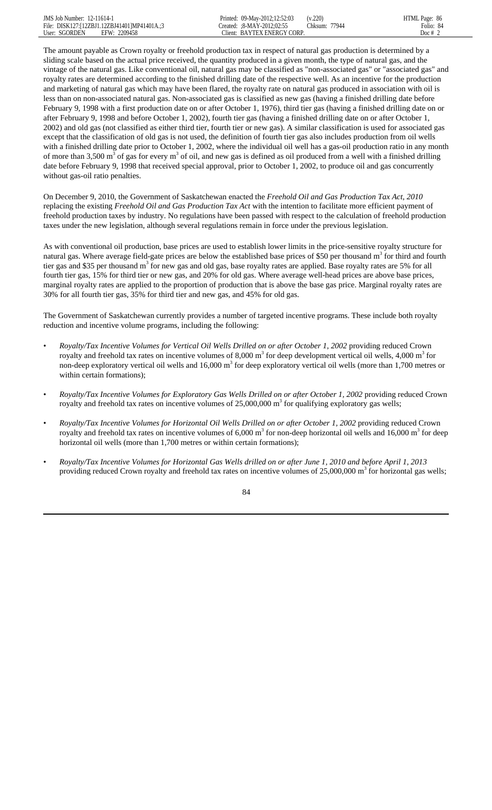The amount payable as Crown royalty or freehold production tax in respect of natural gas production is determined by a sliding scale based on the actual price received, the quantity produced in a given month, the type of natural gas, and the vintage of the natural gas. Like conventional oil, natural gas may be classified as "non-associated gas" or "associated gas" and royalty rates are determined according to the finished drilling date of the respective well. As an incentive for the production and marketing of natural gas which may have been flared, the royalty rate on natural gas produced in association with oil is less than on non-associated natural gas. Non-associated gas is classified as new gas (having a finished drilling date before February 9, 1998 with a first production date on or after October 1, 1976), third tier gas (having a finished drilling date on or after February 9, 1998 and before October 1, 2002), fourth tier gas (having a finished drilling date on or after October 1, 2002) and old gas (not classified as either third tier, fourth tier or new gas). A similar classification is used for associated gas except that the classification of old gas is not used, the definition of fourth tier gas also includes production from oil wells with a finished drilling date prior to October 1, 2002, where the individual oil well has a gas-oil production ratio in any month of more than 3,500 m<sup>3</sup> of gas for every m<sup>3</sup> of oil, and new gas is defined as oil produced from a well with a finished drilling date before February 9, 1998 that received special approval, prior to October 1, 2002, to produce oil and gas concurrently without gas-oil ratio penalties.

On December 9, 2010, the Government of Saskatchewan enacted the *Freehold Oil and Gas Production Tax Act, 2010* replacing the existing *Freehold Oil and Gas Production Tax Act* with the intention to facilitate more efficient payment of freehold production taxes by industry. No regulations have been passed with respect to the calculation of freehold production taxes under the new legislation, although several regulations remain in force under the previous legislation.

As with conventional oil production, base prices are used to establish lower limits in the price-sensitive royalty structure for natural gas. Where average field-gate prices are below the established base prices of \$50 per thousand  $m^3$  for third and fourth tier gas and \$35 per thousand m<sup>3</sup> for new gas and old gas, base royalty rates are applied. Base royalty rates are 5% for all fourth tier gas, 15% for third tier or new gas, and 20% for old gas. Where average well-head prices are above base prices, marginal royalty rates are applied to the proportion of production that is above the base gas price. Marginal royalty rates are 30% for all fourth tier gas, 35% for third tier and new gas, and 45% for old gas.

The Government of Saskatchewan currently provides a number of targeted incentive programs. These include both royalty reduction and incentive volume programs, including the following:

- *Royalty/Tax Incentive Volumes for Vertical Oil Wells Drilled on or after October 1, 2002* providing reduced Crown royalty and freehold tax rates on incentive volumes of 8,000 m<sup>3</sup> for deep development vertical oil wells, 4,000 m<sup>3</sup> for non-deep exploratory vertical oil wells and 16,000 m<sup>3</sup> for deep exploratory vertical oil wells (more than 1,700 metres or within certain formations);
- *Royalty/Tax Incentive Volumes for Exploratory Gas Wells Drilled on or after October 1, 2002* providing reduced Crown royalty and freehold tax rates on incentive volumes of  $25,000,000$  m<sup>3</sup> for qualifying exploratory gas wells;
- *Royalty/Tax Incentive Volumes for Horizontal Oil Wells Drilled on or after October 1, 2002* providing reduced Crown royalty and freehold tax rates on incentive volumes of 6,000 m<sup>3</sup> for non-deep horizontal oil wells and 16,000 m<sup>3</sup> for deep horizontal oil wells (more than 1,700 metres or within certain formations);
- *Royalty/Tax Incentive Volumes for Horizontal Gas Wells drilled on or after June 1, 2010 and before April 1, 2013* providing reduced Crown royalty and freehold tax rates on incentive volumes of  $25,000,000$  m<sup>3</sup> for horizontal gas wells;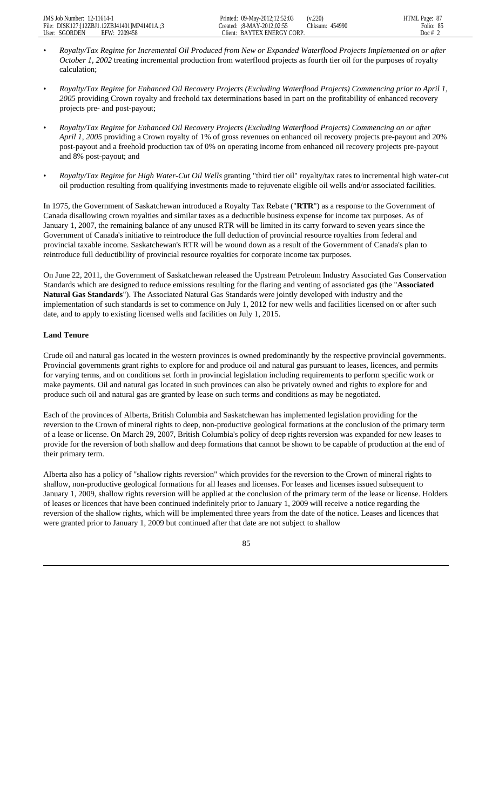- *Royalty/Tax Regime for Incremental Oil Produced from New or Expanded Waterflood Projects Implemented on or after October 1, 2002* treating incremental production from waterflood projects as fourth tier oil for the purposes of royalty calculation;
- *Royalty/Tax Regime for Enhanced Oil Recovery Projects (Excluding Waterflood Projects) Commencing prior to April 1, 2005* providing Crown royalty and freehold tax determinations based in part on the profitability of enhanced recovery projects pre- and post-payout;
- *Royalty/Tax Regime for Enhanced Oil Recovery Projects (Excluding Waterflood Projects) Commencing on or after April 1, 2005* providing a Crown royalty of 1% of gross revenues on enhanced oil recovery projects pre-payout and 20% post-payout and a freehold production tax of 0% on operating income from enhanced oil recovery projects pre-payout and 8% post-payout; and
- *Royalty/Tax Regime for High Water-Cut Oil Wells* granting "third tier oil" royalty/tax rates to incremental high water-cut oil production resulting from qualifying investments made to rejuvenate eligible oil wells and/or associated facilities.

In 1975, the Government of Saskatchewan introduced a Royalty Tax Rebate ("**RTR**") as a response to the Government of Canada disallowing crown royalties and similar taxes as a deductible business expense for income tax purposes. As of January 1, 2007, the remaining balance of any unused RTR will be limited in its carry forward to seven years since the Government of Canada's initiative to reintroduce the full deduction of provincial resource royalties from federal and provincial taxable income. Saskatchewan's RTR will be wound down as a result of the Government of Canada's plan to reintroduce full deductibility of provincial resource royalties for corporate income tax purposes.

On June 22, 2011, the Government of Saskatchewan released the Upstream Petroleum Industry Associated Gas Conservation Standards which are designed to reduce emissions resulting for the flaring and venting of associated gas (the "**Associated Natural Gas Standards**"). The Associated Natural Gas Standards were jointly developed with industry and the implementation of such standards is set to commence on July 1, 2012 for new wells and facilities licensed on or after such date, and to apply to existing licensed wells and facilities on July 1, 2015.

### **Land Tenure**

Crude oil and natural gas located in the western provinces is owned predominantly by the respective provincial governments. Provincial governments grant rights to explore for and produce oil and natural gas pursuant to leases, licences, and permits for varying terms, and on conditions set forth in provincial legislation including requirements to perform specific work or make payments. Oil and natural gas located in such provinces can also be privately owned and rights to explore for and produce such oil and natural gas are granted by lease on such terms and conditions as may be negotiated.

Each of the provinces of Alberta, British Columbia and Saskatchewan has implemented legislation providing for the reversion to the Crown of mineral rights to deep, non-productive geological formations at the conclusion of the primary term of a lease or license. On March 29, 2007, British Columbia's policy of deep rights reversion was expanded for new leases to provide for the reversion of both shallow and deep formations that cannot be shown to be capable of production at the end of their primary term.

Alberta also has a policy of "shallow rights reversion" which provides for the reversion to the Crown of mineral rights to shallow, non-productive geological formations for all leases and licenses. For leases and licenses issued subsequent to January 1, 2009, shallow rights reversion will be applied at the conclusion of the primary term of the lease or license. Holders of leases or licences that have been continued indefinitely prior to January 1, 2009 will receive a notice regarding the reversion of the shallow rights, which will be implemented three years from the date of the notice. Leases and licences that were granted prior to January 1, 2009 but continued after that date are not subject to shallow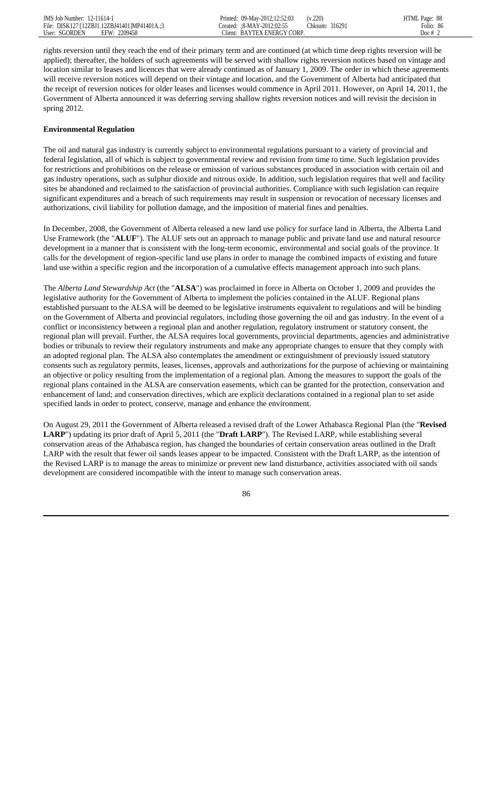rights reversion until they reach the end of their primary term and are continued (at which time deep rights reversion will be applied); thereafter, the holders of such agreements will be served with shallow rights reversion notices based on vintage and location similar to leases and licences that were already continued as of January 1, 2009. The order in which these agreements will receive reversion notices will depend on their vintage and location, and the Government of Alberta had anticipated that the receipt of reversion notices for older leases and licenses would commence in April 2011. However, on April 14, 2011, the Government of Alberta announced it was deferring serving shallow rights reversion notices and will revisit the decision in spring 2012.

## **Environmental Regulation**

The oil and natural gas industry is currently subject to environmental regulations pursuant to a variety of provincial and federal legislation, all of which is subject to governmental review and revision from time to time. Such legislation provides for restrictions and prohibitions on the release or emission of various substances produced in association with certain oil and gas industry operations, such as sulphur dioxide and nitrous oxide. In addition, such legislation requires that well and facility sites be abandoned and reclaimed to the satisfaction of provincial authorities. Compliance with such legislation can require significant expenditures and a breach of such requirements may result in suspension or revocation of necessary licenses and authorizations, civil liability for pollution damage, and the imposition of material fines and penalties.

In December, 2008, the Government of Alberta released a new land use policy for surface land in Alberta, the Alberta Land Use Framework (the "**ALUF**"). The ALUF sets out an approach to manage public and private land use and natural resource development in a manner that is consistent with the long-term economic, environmental and social goals of the province. It calls for the development of region-specific land use plans in order to manage the combined impacts of existing and future land use within a specific region and the incorporation of a cumulative effects management approach into such plans.

The *Alberta Land Stewardship Act* (the "**ALSA**") was proclaimed in force in Alberta on October 1, 2009 and provides the legislative authority for the Government of Alberta to implement the policies contained in the ALUF. Regional plans established pursuant to the ALSA will be deemed to be legislative instruments equivalent to regulations and will be binding on the Government of Alberta and provincial regulators, including those governing the oil and gas industry. In the event of a conflict or inconsistency between a regional plan and another regulation, regulatory instrument or statutory consent, the regional plan will prevail. Further, the ALSA requires local governments, provincial departments, agencies and administrative bodies or tribunals to review their regulatory instruments and make any appropriate changes to ensure that they comply with an adopted regional plan. The ALSA also contemplates the amendment or extinguishment of previously issued statutory consents such as regulatory permits, leases, licenses, approvals and authorizations for the purpose of achieving or maintaining an objective or policy resulting from the implementation of a regional plan. Among the measures to support the goals of the regional plans contained in the ALSA are conservation easements, which can be granted for the protection, conservation and enhancement of land; and conservation directives, which are explicit declarations contained in a regional plan to set aside specified lands in order to protect, conserve, manage and enhance the environment.

On August 29, 2011 the Government of Alberta released a revised draft of the Lower Athabasca Regional Plan (the "**Revised LARP**") updating its prior draft of April 5, 2011 (the "**Draft LARP**"). The Revised LARP, while establishing several conservation areas of the Athabasca region, has changed the boundaries of certain conservation areas outlined in the Draft LARP with the result that fewer oil sands leases appear to be impacted. Consistent with the Draft LARP, as the intention of the Revised LARP is to manage the areas to minimize or prevent new land disturbance, activities associated with oil sands development are considered incompatible with the intent to manage such conservation areas.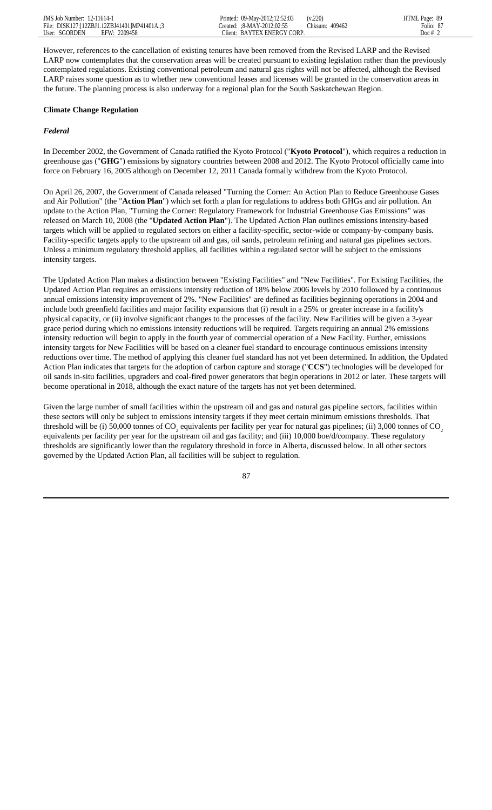However, references to the cancellation of existing tenures have been removed from the Revised LARP and the Revised LARP now contemplates that the conservation areas will be created pursuant to existing legislation rather than the previously contemplated regulations. Existing conventional petroleum and natural gas rights will not be affected, although the Revised LARP raises some question as to whether new conventional leases and licenses will be granted in the conservation areas in the future. The planning process is also underway for a regional plan for the South Saskatchewan Region.

## **Climate Change Regulation**

### *Federal*

In December 2002, the Government of Canada ratified the Kyoto Protocol ("**Kyoto Protocol**"), which requires a reduction in greenhouse gas ("**GHG**") emissions by signatory countries between 2008 and 2012. The Kyoto Protocol officially came into force on February 16, 2005 although on December 12, 2011 Canada formally withdrew from the Kyoto Protocol.

On April 26, 2007, the Government of Canada released "Turning the Corner: An Action Plan to Reduce Greenhouse Gases and Air Pollution" (the "**Action Plan**") which set forth a plan for regulations to address both GHGs and air pollution. An update to the Action Plan, "Turning the Corner: Regulatory Framework for Industrial Greenhouse Gas Emissions" was released on March 10, 2008 (the "**Updated Action Plan**"). The Updated Action Plan outlines emissions intensity-based targets which will be applied to regulated sectors on either a facility-specific, sector-wide or company-by-company basis. Facility-specific targets apply to the upstream oil and gas, oil sands, petroleum refining and natural gas pipelines sectors. Unless a minimum regulatory threshold applies, all facilities within a regulated sector will be subject to the emissions intensity targets.

The Updated Action Plan makes a distinction between "Existing Facilities" and "New Facilities". For Existing Facilities, the Updated Action Plan requires an emissions intensity reduction of 18% below 2006 levels by 2010 followed by a continuous annual emissions intensity improvement of 2%. "New Facilities" are defined as facilities beginning operations in 2004 and include both greenfield facilities and major facility expansions that (i) result in a 25% or greater increase in a facility's physical capacity, or (ii) involve significant changes to the processes of the facility. New Facilities will be given a 3-year grace period during which no emissions intensity reductions will be required. Targets requiring an annual 2% emissions intensity reduction will begin to apply in the fourth year of commercial operation of a New Facility. Further, emissions intensity targets for New Facilities will be based on a cleaner fuel standard to encourage continuous emissions intensity reductions over time. The method of applying this cleaner fuel standard has not yet been determined. In addition, the Updated Action Plan indicates that targets for the adoption of carbon capture and storage ("**CCS**") technologies will be developed for oil sands in-situ facilities, upgraders and coal-fired power generators that begin operations in 2012 or later. These targets will become operational in 2018, although the exact nature of the targets has not yet been determined.

Given the large number of small facilities within the upstream oil and gas and natural gas pipeline sectors, facilities within these sectors will only be subject to emissions intensity targets if they meet certain minimum emissions thresholds. That threshold will be (i) 50,000 tonnes of  $\mathrm{CO}_2$  equivalents per facility per year for natural gas pipelines; (ii) 3,000 tonnes of  $\mathrm{CO}_2$ equivalents per facility per year for the upstream oil and gas facility; and (iii) 10,000 boe/d/company. These regulatory thresholds are significantly lower than the regulatory threshold in force in Alberta, discussed below. In all other sectors governed by the Updated Action Plan, all facilities will be subject to regulation.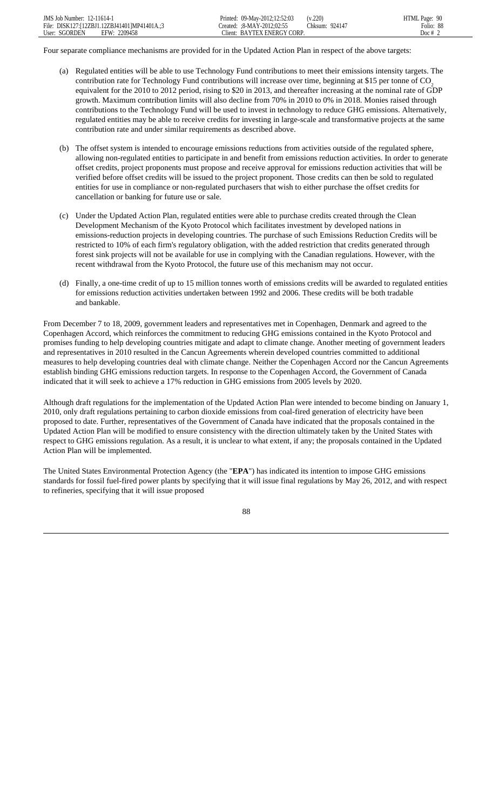Four separate compliance mechanisms are provided for in the Updated Action Plan in respect of the above targets:

- (a) Regulated entities will be able to use Technology Fund contributions to meet their emissions intensity targets. The contribution rate for Technology Fund contributions will increase over time, beginning at \$15 per tonne of CO<sub>2</sub> equivalent for the 2010 to 2012 period, rising to \$20 in 2013, and thereafter increasing at the nominal rate of GDP growth. Maximum contribution limits will also decline from 70% in 2010 to 0% in 2018. Monies raised through contributions to the Technology Fund will be used to invest in technology to reduce GHG emissions. Alternatively, regulated entities may be able to receive credits for investing in large-scale and transformative projects at the same contribution rate and under similar requirements as described above.
- (b) The offset system is intended to encourage emissions reductions from activities outside of the regulated sphere, allowing non-regulated entities to participate in and benefit from emissions reduction activities. In order to generate offset credits, project proponents must propose and receive approval for emissions reduction activities that will be verified before offset credits will be issued to the project proponent. Those credits can then be sold to regulated entities for use in compliance or non-regulated purchasers that wish to either purchase the offset credits for cancellation or banking for future use or sale.
- (c) Under the Updated Action Plan, regulated entities were able to purchase credits created through the Clean Development Mechanism of the Kyoto Protocol which facilitates investment by developed nations in emissions-reduction projects in developing countries. The purchase of such Emissions Reduction Credits will be restricted to 10% of each firm's regulatory obligation, with the added restriction that credits generated through forest sink projects will not be available for use in complying with the Canadian regulations. However, with the recent withdrawal from the Kyoto Protocol, the future use of this mechanism may not occur.
- (d) Finally, a one-time credit of up to 15 million tonnes worth of emissions credits will be awarded to regulated entities for emissions reduction activities undertaken between 1992 and 2006. These credits will be both tradable and bankable.

From December 7 to 18, 2009, government leaders and representatives met in Copenhagen, Denmark and agreed to the Copenhagen Accord, which reinforces the commitment to reducing GHG emissions contained in the Kyoto Protocol and promises funding to help developing countries mitigate and adapt to climate change. Another meeting of government leaders and representatives in 2010 resulted in the Cancun Agreements wherein developed countries committed to additional measures to help developing countries deal with climate change. Neither the Copenhagen Accord nor the Cancun Agreements establish binding GHG emissions reduction targets. In response to the Copenhagen Accord, the Government of Canada indicated that it will seek to achieve a 17% reduction in GHG emissions from 2005 levels by 2020.

Although draft regulations for the implementation of the Updated Action Plan were intended to become binding on January 1, 2010, only draft regulations pertaining to carbon dioxide emissions from coal-fired generation of electricity have been proposed to date. Further, representatives of the Government of Canada have indicated that the proposals contained in the Updated Action Plan will be modified to ensure consistency with the direction ultimately taken by the United States with respect to GHG emissions regulation. As a result, it is unclear to what extent, if any; the proposals contained in the Updated Action Plan will be implemented.

The United States Environmental Protection Agency (the "**EPA**") has indicated its intention to impose GHG emissions standards for fossil fuel-fired power plants by specifying that it will issue final regulations by May 26, 2012, and with respect to refineries, specifying that it will issue proposed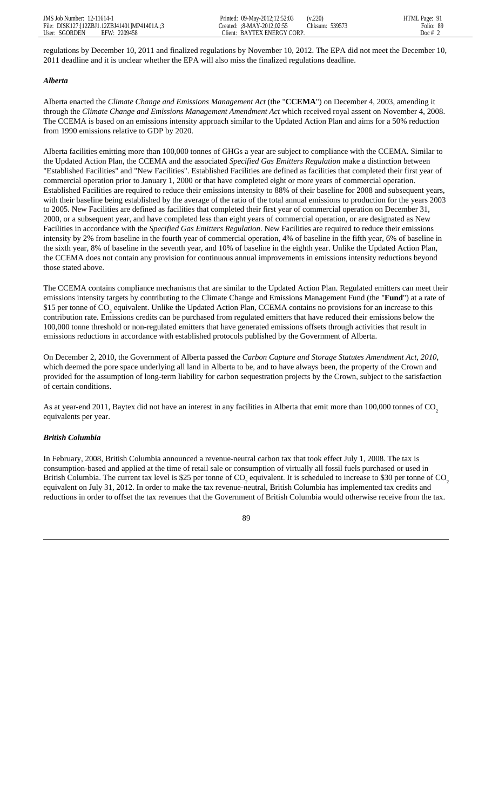regulations by December 10, 2011 and finalized regulations by November 10, 2012. The EPA did not meet the December 10, 2011 deadline and it is unclear whether the EPA will also miss the finalized regulations deadline.

### *Alberta*

Alberta enacted the *Climate Change and Emissions Management Act* (the "**CCEMA**") on December 4, 2003, amending it through the *Climate Change and Emissions Management Amendment Act* which received royal assent on November 4, 2008. The CCEMA is based on an emissions intensity approach similar to the Updated Action Plan and aims for a 50% reduction from 1990 emissions relative to GDP by 2020.

Alberta facilities emitting more than 100,000 tonnes of GHGs a year are subject to compliance with the CCEMA. Similar to the Updated Action Plan, the CCEMA and the associated *Specified Gas Emitters Regulation* make a distinction between "Established Facilities" and "New Facilities". Established Facilities are defined as facilities that completed their first year of commercial operation prior to January 1, 2000 or that have completed eight or more years of commercial operation. Established Facilities are required to reduce their emissions intensity to 88% of their baseline for 2008 and subsequent years, with their baseline being established by the average of the ratio of the total annual emissions to production for the years 2003 to 2005. New Facilities are defined as facilities that completed their first year of commercial operation on December 31, 2000, or a subsequent year, and have completed less than eight years of commercial operation, or are designated as New Facilities in accordance with the *Specified Gas Emitters Regulation*. New Facilities are required to reduce their emissions intensity by 2% from baseline in the fourth year of commercial operation, 4% of baseline in the fifth year, 6% of baseline in the sixth year, 8% of baseline in the seventh year, and 10% of baseline in the eighth year. Unlike the Updated Action Plan, the CCEMA does not contain any provision for continuous annual improvements in emissions intensity reductions beyond those stated above.

The CCEMA contains compliance mechanisms that are similar to the Updated Action Plan. Regulated emitters can meet their emissions intensity targets by contributing to the Climate Change and Emissions Management Fund (the "**Fund**") at a rate of \$15 per tonne of  $CO_2$  equivalent. Unlike the Updated Action Plan, CCEMA contains no provisions for an increase to this contribution rate. Emissions credits can be purchased from regulated emitters that have reduced their emissions below the 100,000 tonne threshold or non-regulated emitters that have generated emissions offsets through activities that result in emissions reductions in accordance with established protocols published by the Government of Alberta.

On December 2, 2010, the Government of Alberta passed the *Carbon Capture and Storage Statutes Amendment Act, 2010*, which deemed the pore space underlying all land in Alberta to be, and to have always been, the property of the Crown and provided for the assumption of long-term liability for carbon sequestration projects by the Crown, subject to the satisfaction of certain conditions.

As at year-end 2011, Baytex did not have an interest in any facilities in Alberta that emit more than 100,000 tonnes of CO<sub>2</sub> equivalents per year.

#### *British Columbia*

In February, 2008, British Columbia announced a revenue-neutral carbon tax that took effect July 1, 2008. The tax is consumption-based and applied at the time of retail sale or consumption of virtually all fossil fuels purchased or used in British Columbia. The current tax level is \$25 per tonne of  $CO_2$  equivalent. It is scheduled to increase to \$30 per tonne of  $CO_2$ equivalent on July 31, 2012. In order to make the tax revenue-neutral, British Columbia has implemented tax credits and reductions in order to offset the tax revenues that the Government of British Columbia would otherwise receive from the tax.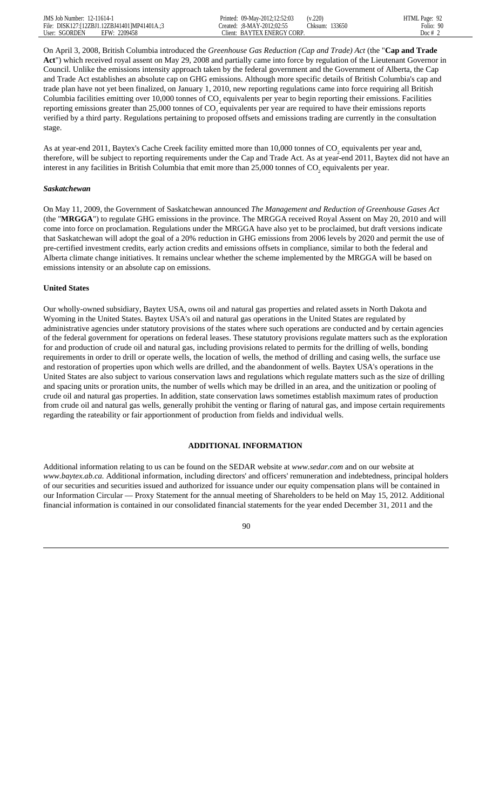On April 3, 2008, British Columbia introduced the *Greenhouse Gas Reduction (Cap and Trade) Act* (the "**Cap and Trade Act**") which received royal assent on May 29, 2008 and partially came into force by regulation of the Lieutenant Governor in Council. Unlike the emissions intensity approach taken by the federal government and the Government of Alberta, the Cap and Trade Act establishes an absolute cap on GHG emissions. Although more specific details of British Columbia's cap and trade plan have not yet been finalized, on January 1, 2010, new reporting regulations came into force requiring all British Columbia facilities emitting over 10,000 tonnes of  $\rm{CO}_{2}$  equivalents per year to begin reporting their emissions. Facilities reporting emissions greater than 25,000 tonnes of  $CO_2$  equivalents per year are required to have their emissions reports verified by a third party. Regulations pertaining to proposed offsets and emissions trading are currently in the consultation stage.

As at year-end 2011, Baytex's Cache Creek facility emitted more than 10,000 tonnes of  $CO_2$  equivalents per year and, therefore, will be subject to reporting requirements under the Cap and Trade Act. As at year-end 2011, Baytex did not have an interest in any facilities in British Columbia that emit more than  $25,000$  tonnes of  $CO_{2}$  equivalents per year.

### *Saskatchewan*

On May 11, 2009, the Government of Saskatchewan announced *The Management and Reduction of Greenhouse Gases Act* (the "**MRGGA**") to regulate GHG emissions in the province. The MRGGA received Royal Assent on May 20, 2010 and will come into force on proclamation. Regulations under the MRGGA have also yet to be proclaimed, but draft versions indicate that Saskatchewan will adopt the goal of a 20% reduction in GHG emissions from 2006 levels by 2020 and permit the use of pre-certified investment credits, early action credits and emissions offsets in compliance, similar to both the federal and Alberta climate change initiatives. It remains unclear whether the scheme implemented by the MRGGA will be based on emissions intensity or an absolute cap on emissions.

#### **United States**

Our wholly-owned subsidiary, Baytex USA, owns oil and natural gas properties and related assets in North Dakota and Wyoming in the United States. Baytex USA's oil and natural gas operations in the United States are regulated by administrative agencies under statutory provisions of the states where such operations are conducted and by certain agencies of the federal government for operations on federal leases. These statutory provisions regulate matters such as the exploration for and production of crude oil and natural gas, including provisions related to permits for the drilling of wells, bonding requirements in order to drill or operate wells, the location of wells, the method of drilling and casing wells, the surface use and restoration of properties upon which wells are drilled, and the abandonment of wells. Baytex USA's operations in the United States are also subject to various conservation laws and regulations which regulate matters such as the size of drilling and spacing units or proration units, the number of wells which may be drilled in an area, and the unitization or pooling of crude oil and natural gas properties. In addition, state conservation laws sometimes establish maximum rates of production from crude oil and natural gas wells, generally prohibit the venting or flaring of natural gas, and impose certain requirements regarding the rateability or fair apportionment of production from fields and individual wells.

#### **ADDITIONAL INFORMATION**

Additional information relating to us can be found on the SEDAR website at *www.sedar.com* and on our website at *www.baytex.ab.ca.* Additional information, including directors' and officers' remuneration and indebtedness, principal holders of our securities and securities issued and authorized for issuance under our equity compensation plans will be contained in our Information Circular — Proxy Statement for the annual meeting of Shareholders to be held on May 15, 2012. Additional financial information is contained in our consolidated financial statements for the year ended December 31, 2011 and the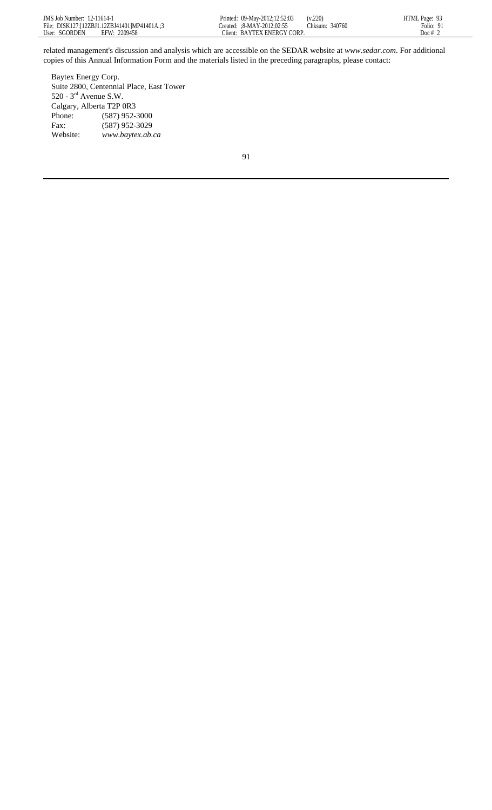related management's discussion and analysis which are accessible on the SEDAR website at *www.sedar.com*. For additional copies of this Annual Information Form and the materials listed in the preceding paragraphs, please contact:

Baytex Energy Corp. Suite 2800, Centennial Place, East Tower 520 -  $3^{\text{rd}}$  Avenue S.W. Calgary, Alberta T2P 0R3 Phone: (587) 952-3000<br>Fax: (587) 952-3029 Fax: (587) 952-3029<br>Website: *www.baytex.ab.* Website: *www.baytex.ab.ca*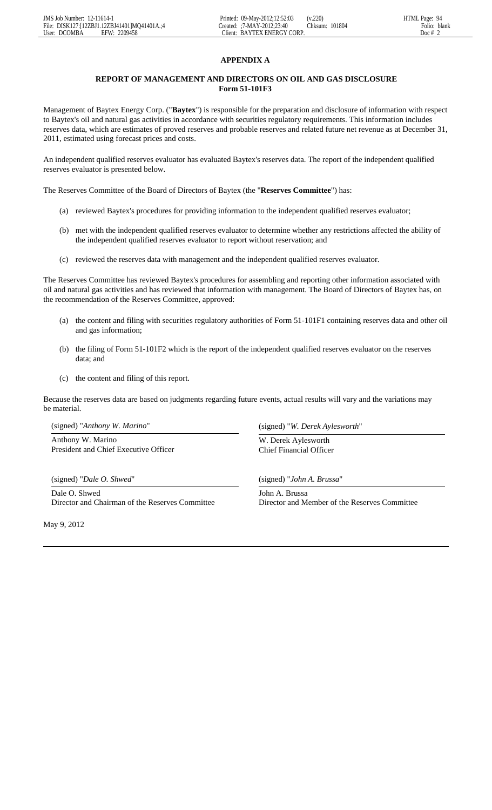### **APPENDIX A**

### **REPORT OF MANAGEMENT AND DIRECTORS ON OIL AND GAS DISCLOSURE Form 51-101F3**

Management of Baytex Energy Corp. ("**Baytex**") is responsible for the preparation and disclosure of information with respect to Baytex's oil and natural gas activities in accordance with securities regulatory requirements. This information includes reserves data, which are estimates of proved reserves and probable reserves and related future net revenue as at December 31, 2011, estimated using forecast prices and costs.

An independent qualified reserves evaluator has evaluated Baytex's reserves data. The report of the independent qualified reserves evaluator is presented below.

The Reserves Committee of the Board of Directors of Baytex (the "**Reserves Committee**") has:

- (a) reviewed Baytex's procedures for providing information to the independent qualified reserves evaluator;
- (b) met with the independent qualified reserves evaluator to determine whether any restrictions affected the ability of the independent qualified reserves evaluator to report without reservation; and
- (c) reviewed the reserves data with management and the independent qualified reserves evaluator.

The Reserves Committee has reviewed Baytex's procedures for assembling and reporting other information associated with oil and natural gas activities and has reviewed that information with management. The Board of Directors of Baytex has, on the recommendation of the Reserves Committee, approved:

- (a) the content and filing with securities regulatory authorities of Form 51-101F1 containing reserves data and other oil and gas information;
- (b) the filing of Form 51-101F2 which is the report of the independent qualified reserves evaluator on the reserves data; and
- (c) the content and filing of this report.

Because the reserves data are based on judgments regarding future events, actual results will vary and the variations may be material.

(signed) "*Anthony W. Marino*"

Anthony W. Marino President and Chief Executive Officer

(signed) "*Dale O. Shwed*"

Dale O. Shwed Director and Chairman of the Reserves Committee

May 9, 2012

(signed) "*W. Derek Aylesworth*"

W. Derek Aylesworth Chief Financial Officer

(signed) "*John A. Brussa*"

John A. Brussa Director and Member of the Reserves Committee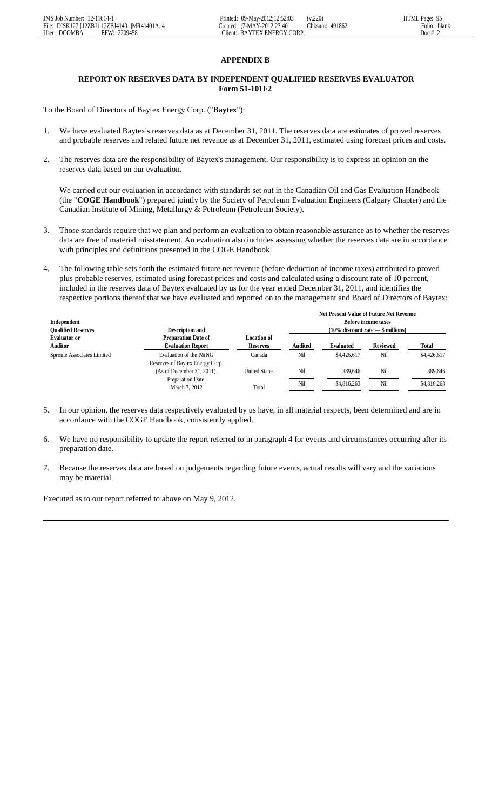### **APPENDIX B**

## **REPORT ON RESERVES DATA BY INDEPENDENT QUALIFIED RESERVES EVALUATOR Form 51-101F2**

To the Board of Directors of Baytex Energy Corp. ("**Baytex**"):

- 1. We have evaluated Baytex's reserves data as at December 31, 2011. The reserves data are estimates of proved reserves and probable reserves and related future net revenue as at December 31, 2011, estimated using forecast prices and costs.
- 2. The reserves data are the responsibility of Baytex's management. Our responsibility is to express an opinion on the reserves data based on our evaluation.

We carried out our evaluation in accordance with standards set out in the Canadian Oil and Gas Evaluation Handbook (the "**COGE Handbook**") prepared jointly by the Society of Petroleum Evaluation Engineers (Calgary Chapter) and the Canadian Institute of Mining, Metallurgy & Petroleum (Petroleum Society).

- 3. Those standards require that we plan and perform an evaluation to obtain reasonable assurance as to whether the reserves data are free of material misstatement. An evaluation also includes assessing whether the reserves data are in accordance with principles and definitions presented in the COGE Handbook.
- 4. The following table sets forth the estimated future net revenue (before deduction of income taxes) attributed to proved plus probable reserves, estimated using forecast prices and costs and calculated using a discount rate of 10 percent, included in the reserves data of Baytex evaluated by us for the year ended December 31, 2011, and identifies the respective portions thereof that we have evaluated and reported on to the management and Board of Directors of Baytex:

| Independent<br><b>Oualified Reserves</b> | <b>Description and</b>                                    |                                       |         |                  | <b>Net Present Value of Future Net Revenue</b><br><b>Before income taxes</b><br>$(10\%$ discount rate $-$ \$ millions) |              |  |  |
|------------------------------------------|-----------------------------------------------------------|---------------------------------------|---------|------------------|------------------------------------------------------------------------------------------------------------------------|--------------|--|--|
| <b>Evaluator or</b><br>Auditor           | <b>Preparation Date of</b><br><b>Evaluation Report</b>    | <b>Location of</b><br><b>Reserves</b> | Audited | <b>Evaluated</b> | <b>Reviewed</b>                                                                                                        | <b>Total</b> |  |  |
| Sproule Associates Limited               | Evaluation of the P&NG<br>Reserves of Baytex Energy Corp. | Canada                                | Nil     | \$4,426,617      | Nil                                                                                                                    | \$4,426,617  |  |  |
|                                          | (As of December 31, 2011).                                | <b>United States</b>                  | Nil     | 389.646          | Nil                                                                                                                    | 389,646      |  |  |
|                                          | Preparation Date:<br>March 7, 2012                        | Total                                 | Nil     | \$4,816,263      | Nil                                                                                                                    | \$4,816,263  |  |  |

- 5. In our opinion, the reserves data respectively evaluated by us have, in all material respects, been determined and are in accordance with the COGE Handbook, consistently applied.
- 6. We have no responsibility to update the report referred to in paragraph 4 for events and circumstances occurring after its preparation date.
- 7. Because the reserves data are based on judgements regarding future events, actual results will vary and the variations may be material.

Executed as to our report referred to above on May 9, 2012.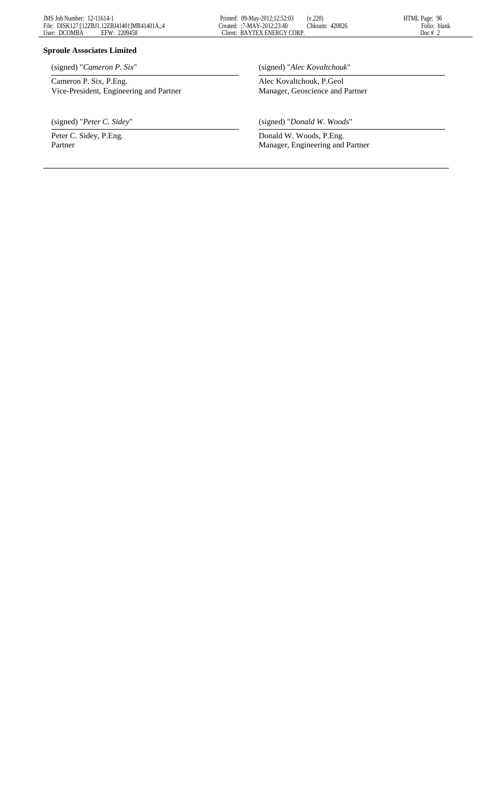# **Sproule Associates Limited**

(signed) "*Cameron P. Six*"

Cameron P. Six, P.Eng. Vice-President, Engineering and Partner

(signed) "*Peter C. Sidey*"

Peter C. Sidey, P.Eng. Partner

(signed) "*Alec Kovaltchouk*"

Alec Kovaltchouk, P.Geol Manager, Geoscience and Partner

(signed) "*Donald W. Woods*"

Donald W. Woods, P.Eng. Manager, Engineering and Partner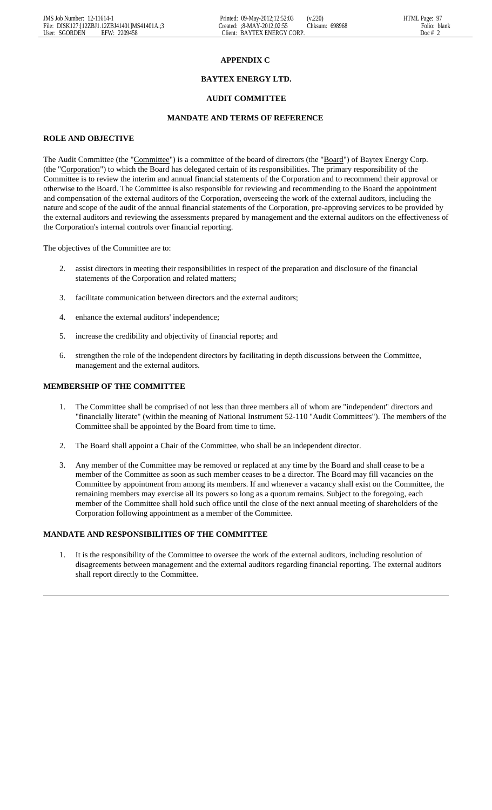### **APPENDIX C**

### **BAYTEX ENERGY LTD.**

## **AUDIT COMMITTEE**

# **MANDATE AND TERMS OF REFERENCE**

## **ROLE AND OBJECTIVE**

The Audit Committee (the "Committee") is a committee of the board of directors (the "Board") of Baytex Energy Corp. (the "Corporation") to which the Board has delegated certain of its responsibilities. The primary responsibility of the Committee is to review the interim and annual financial statements of the Corporation and to recommend their approval or otherwise to the Board. The Committee is also responsible for reviewing and recommending to the Board the appointment and compensation of the external auditors of the Corporation, overseeing the work of the external auditors, including the nature and scope of the audit of the annual financial statements of the Corporation, pre-approving services to be provided by the external auditors and reviewing the assessments prepared by management and the external auditors on the effectiveness of the Corporation's internal controls over financial reporting.

The objectives of the Committee are to:

- 2. assist directors in meeting their responsibilities in respect of the preparation and disclosure of the financial statements of the Corporation and related matters;
- 3. facilitate communication between directors and the external auditors;
- 4. enhance the external auditors' independence;
- 5. increase the credibility and objectivity of financial reports; and
- 6. strengthen the role of the independent directors by facilitating in depth discussions between the Committee, management and the external auditors.

# **MEMBERSHIP OF THE COMMITTEE**

- 1. The Committee shall be comprised of not less than three members all of whom are "independent" directors and "financially literate" (within the meaning of National Instrument 52-110 "Audit Committees"). The members of the Committee shall be appointed by the Board from time to time.
- 2. The Board shall appoint a Chair of the Committee, who shall be an independent director.
- 3. Any member of the Committee may be removed or replaced at any time by the Board and shall cease to be a member of the Committee as soon as such member ceases to be a director. The Board may fill vacancies on the Committee by appointment from among its members. If and whenever a vacancy shall exist on the Committee, the remaining members may exercise all its powers so long as a quorum remains. Subject to the foregoing, each member of the Committee shall hold such office until the close of the next annual meeting of shareholders of the Corporation following appointment as a member of the Committee.

# **MANDATE AND RESPONSIBILITIES OF THE COMMITTEE**

1. It is the responsibility of the Committee to oversee the work of the external auditors, including resolution of disagreements between management and the external auditors regarding financial reporting. The external auditors shall report directly to the Committee.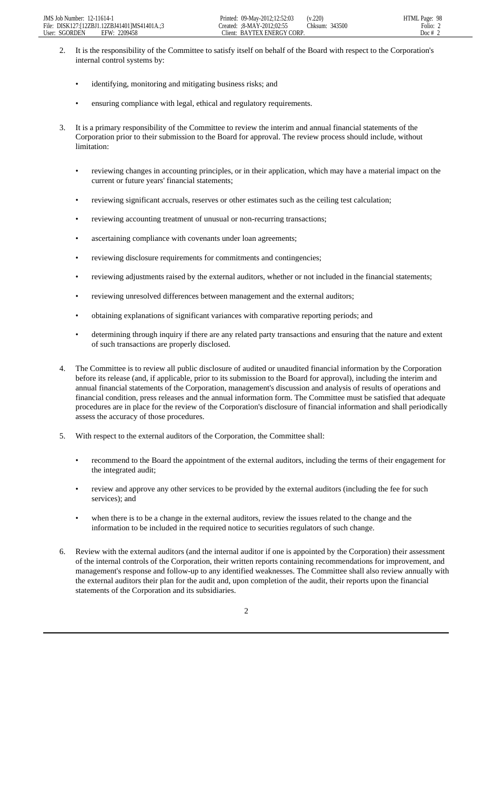- 2. It is the responsibility of the Committee to satisfy itself on behalf of the Board with respect to the Corporation's internal control systems by:
	- identifying, monitoring and mitigating business risks; and
	- ensuring compliance with legal, ethical and regulatory requirements.
- 3. It is a primary responsibility of the Committee to review the interim and annual financial statements of the Corporation prior to their submission to the Board for approval. The review process should include, without limitation:
	- reviewing changes in accounting principles, or in their application, which may have a material impact on the current or future years' financial statements;
	- reviewing significant accruals, reserves or other estimates such as the ceiling test calculation;
	- reviewing accounting treatment of unusual or non-recurring transactions;
	- ascertaining compliance with covenants under loan agreements;
	- reviewing disclosure requirements for commitments and contingencies;
	- reviewing adjustments raised by the external auditors, whether or not included in the financial statements;
	- reviewing unresolved differences between management and the external auditors;
	- obtaining explanations of significant variances with comparative reporting periods; and
	- determining through inquiry if there are any related party transactions and ensuring that the nature and extent of such transactions are properly disclosed.
- 4. The Committee is to review all public disclosure of audited or unaudited financial information by the Corporation before its release (and, if applicable, prior to its submission to the Board for approval), including the interim and annual financial statements of the Corporation, management's discussion and analysis of results of operations and financial condition, press releases and the annual information form. The Committee must be satisfied that adequate procedures are in place for the review of the Corporation's disclosure of financial information and shall periodically assess the accuracy of those procedures.
- 5. With respect to the external auditors of the Corporation, the Committee shall:
	- recommend to the Board the appointment of the external auditors, including the terms of their engagement for the integrated audit;
	- review and approve any other services to be provided by the external auditors (including the fee for such services); and
	- when there is to be a change in the external auditors, review the issues related to the change and the information to be included in the required notice to securities regulators of such change.
- 6. Review with the external auditors (and the internal auditor if one is appointed by the Corporation) their assessment of the internal controls of the Corporation, their written reports containing recommendations for improvement, and management's response and follow-up to any identified weaknesses. The Committee shall also review annually with the external auditors their plan for the audit and, upon completion of the audit, their reports upon the financial statements of the Corporation and its subsidiaries.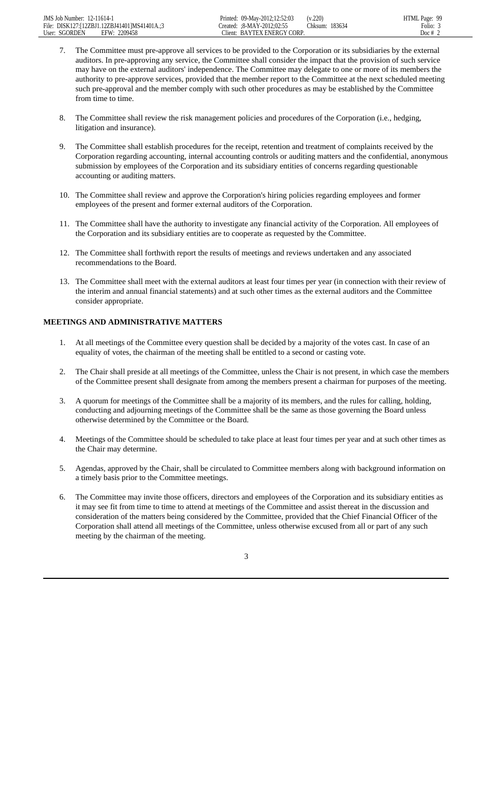- 7. The Committee must pre-approve all services to be provided to the Corporation or its subsidiaries by the external auditors. In pre-approving any service, the Committee shall consider the impact that the provision of such service may have on the external auditors' independence. The Committee may delegate to one or more of its members the authority to pre-approve services, provided that the member report to the Committee at the next scheduled meeting such pre-approval and the member comply with such other procedures as may be established by the Committee from time to time.
- 8. The Committee shall review the risk management policies and procedures of the Corporation (i.e., hedging, litigation and insurance).
- 9. The Committee shall establish procedures for the receipt, retention and treatment of complaints received by the Corporation regarding accounting, internal accounting controls or auditing matters and the confidential, anonymous submission by employees of the Corporation and its subsidiary entities of concerns regarding questionable accounting or auditing matters.
- 10. The Committee shall review and approve the Corporation's hiring policies regarding employees and former employees of the present and former external auditors of the Corporation.
- 11. The Committee shall have the authority to investigate any financial activity of the Corporation. All employees of the Corporation and its subsidiary entities are to cooperate as requested by the Committee.
- 12. The Committee shall forthwith report the results of meetings and reviews undertaken and any associated recommendations to the Board.
- 13. The Committee shall meet with the external auditors at least four times per year (in connection with their review of the interim and annual financial statements) and at such other times as the external auditors and the Committee consider appropriate.

# **MEETINGS AND ADMINISTRATIVE MATTERS**

- 1. At all meetings of the Committee every question shall be decided by a majority of the votes cast. In case of an equality of votes, the chairman of the meeting shall be entitled to a second or casting vote.
- 2. The Chair shall preside at all meetings of the Committee, unless the Chair is not present, in which case the members of the Committee present shall designate from among the members present a chairman for purposes of the meeting.
- 3. A quorum for meetings of the Committee shall be a majority of its members, and the rules for calling, holding, conducting and adjourning meetings of the Committee shall be the same as those governing the Board unless otherwise determined by the Committee or the Board.
- 4. Meetings of the Committee should be scheduled to take place at least four times per year and at such other times as the Chair may determine.
- 5. Agendas, approved by the Chair, shall be circulated to Committee members along with background information on a timely basis prior to the Committee meetings.
- 6. The Committee may invite those officers, directors and employees of the Corporation and its subsidiary entities as it may see fit from time to time to attend at meetings of the Committee and assist thereat in the discussion and consideration of the matters being considered by the Committee, provided that the Chief Financial Officer of the Corporation shall attend all meetings of the Committee, unless otherwise excused from all or part of any such meeting by the chairman of the meeting.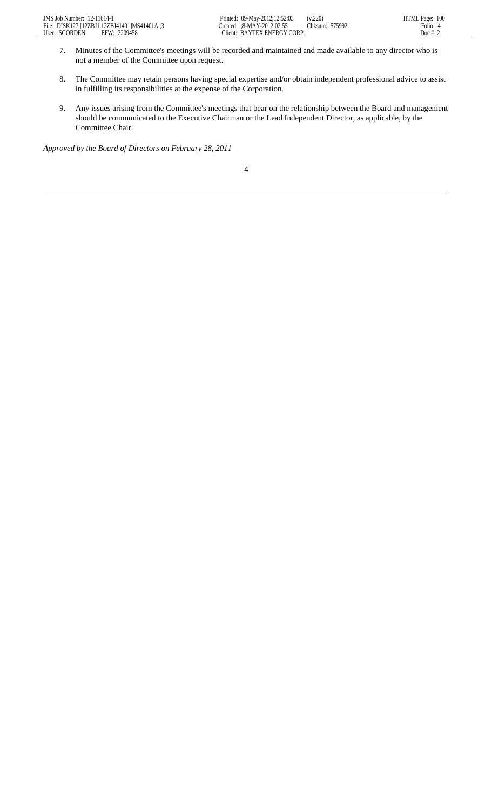- 7. Minutes of the Committee's meetings will be recorded and maintained and made available to any director who is not a member of the Committee upon request.
- 8. The Committee may retain persons having special expertise and/or obtain independent professional advice to assist in fulfilling its responsibilities at the expense of the Corporation.
- 9. Any issues arising from the Committee's meetings that bear on the relationship between the Board and management should be communicated to the Executive Chairman or the Lead Independent Director, as applicable, by the Committee Chair.

*Approved by the Board of Directors on February 28, 2011*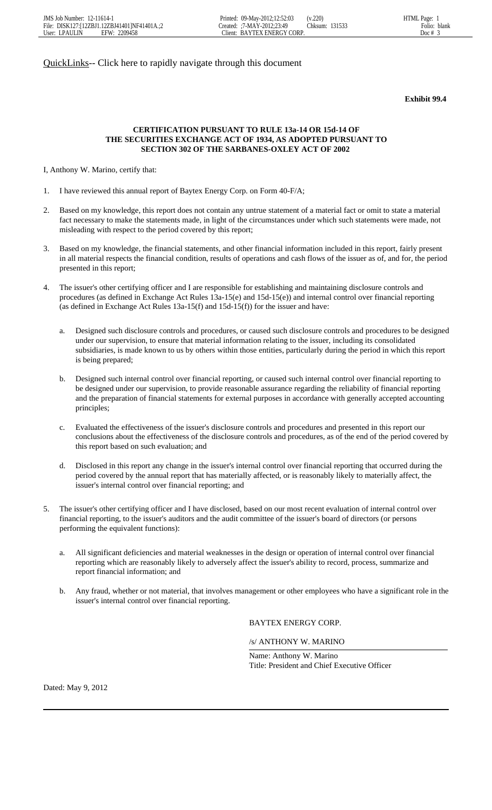### **Exhibit 99.4**

# **CERTIFICATION PURSUANT TO RULE 13a-14 OR 15d-14 OF THE SECURITIES EXCHANGE ACT OF 1934, AS ADOPTED PURSUANT TO SECTION 302 OF THE SARBANES-OXLEY ACT OF 2002**

I, Anthony W. Marino, certify that:

- 1. I have reviewed this annual report of Baytex Energy Corp. on Form 40-F/A;
- 2. Based on my knowledge, this report does not contain any untrue statement of a material fact or omit to state a material fact necessary to make the statements made, in light of the circumstances under which such statements were made, not misleading with respect to the period covered by this report;
- 3. Based on my knowledge, the financial statements, and other financial information included in this report, fairly present in all material respects the financial condition, results of operations and cash flows of the issuer as of, and for, the period presented in this report;
- 4. The issuer's other certifying officer and I are responsible for establishing and maintaining disclosure controls and procedures (as defined in Exchange Act Rules 13a-15(e) and 15d-15(e)) and internal control over financial reporting (as defined in Exchange Act Rules 13a-15(f) and 15d-15(f)) for the issuer and have:
	- a. Designed such disclosure controls and procedures, or caused such disclosure controls and procedures to be designed under our supervision, to ensure that material information relating to the issuer, including its consolidated subsidiaries, is made known to us by others within those entities, particularly during the period in which this report is being prepared;
	- b. Designed such internal control over financial reporting, or caused such internal control over financial reporting to be designed under our supervision, to provide reasonable assurance regarding the reliability of financial reporting and the preparation of financial statements for external purposes in accordance with generally accepted accounting principles;
	- c. Evaluated the effectiveness of the issuer's disclosure controls and procedures and presented in this report our conclusions about the effectiveness of the disclosure controls and procedures, as of the end of the period covered by this report based on such evaluation; and
	- d. Disclosed in this report any change in the issuer's internal control over financial reporting that occurred during the period covered by the annual report that has materially affected, or is reasonably likely to materially affect, the issuer's internal control over financial reporting; and
- 5. The issuer's other certifying officer and I have disclosed, based on our most recent evaluation of internal control over financial reporting, to the issuer's auditors and the audit committee of the issuer's board of directors (or persons performing the equivalent functions):
	- a. All significant deficiencies and material weaknesses in the design or operation of internal control over financial reporting which are reasonably likely to adversely affect the issuer's ability to record, process, summarize and report financial information; and
	- b. Any fraud, whether or not material, that involves management or other employees who have a significant role in the issuer's internal control over financial reporting.

BAYTEX ENERGY CORP.

/s/ ANTHONY W. MARINO

Name: Anthony W. Marino Title: President and Chief Executive Officer

Dated: May 9, 2012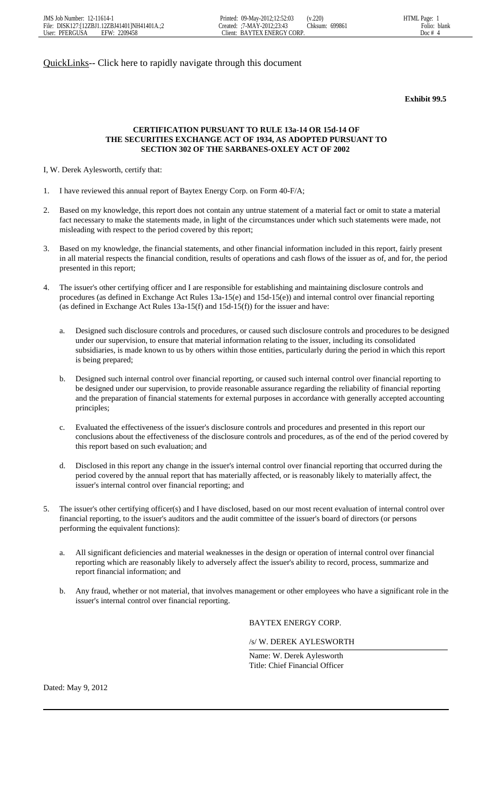# **CERTIFICATION PURSUANT TO RULE 13a-14 OR 15d-14 OF THE SECURITIES EXCHANGE ACT OF 1934, AS ADOPTED PURSUANT TO SECTION 302 OF THE SARBANES-OXLEY ACT OF 2002**

I, W. Derek Aylesworth, certify that:

- 1. I have reviewed this annual report of Baytex Energy Corp. on Form 40-F/A;
- 2. Based on my knowledge, this report does not contain any untrue statement of a material fact or omit to state a material fact necessary to make the statements made, in light of the circumstances under which such statements were made, not misleading with respect to the period covered by this report;
- 3. Based on my knowledge, the financial statements, and other financial information included in this report, fairly present in all material respects the financial condition, results of operations and cash flows of the issuer as of, and for, the period presented in this report;
- 4. The issuer's other certifying officer and I are responsible for establishing and maintaining disclosure controls and procedures (as defined in Exchange Act Rules 13a-15(e) and 15d-15(e)) and internal control over financial reporting (as defined in Exchange Act Rules 13a-15(f) and 15d-15(f)) for the issuer and have:
	- a. Designed such disclosure controls and procedures, or caused such disclosure controls and procedures to be designed under our supervision, to ensure that material information relating to the issuer, including its consolidated subsidiaries, is made known to us by others within those entities, particularly during the period in which this report is being prepared;
	- b. Designed such internal control over financial reporting, or caused such internal control over financial reporting to be designed under our supervision, to provide reasonable assurance regarding the reliability of financial reporting and the preparation of financial statements for external purposes in accordance with generally accepted accounting principles;
	- c. Evaluated the effectiveness of the issuer's disclosure controls and procedures and presented in this report our conclusions about the effectiveness of the disclosure controls and procedures, as of the end of the period covered by this report based on such evaluation; and
	- d. Disclosed in this report any change in the issuer's internal control over financial reporting that occurred during the period covered by the annual report that has materially affected, or is reasonably likely to materially affect, the issuer's internal control over financial reporting; and
- 5. The issuer's other certifying officer(s) and I have disclosed, based on our most recent evaluation of internal control over financial reporting, to the issuer's auditors and the audit committee of the issuer's board of directors (or persons performing the equivalent functions):
	- a. All significant deficiencies and material weaknesses in the design or operation of internal control over financial reporting which are reasonably likely to adversely affect the issuer's ability to record, process, summarize and report financial information; and
	- b. Any fraud, whether or not material, that involves management or other employees who have a significant role in the issuer's internal control over financial reporting.

# BAYTEX ENERGY CORP.

### /s/ W. DEREK AYLESWORTH

Name: W. Derek Aylesworth Title: Chief Financial Officer

Dated: May 9, 2012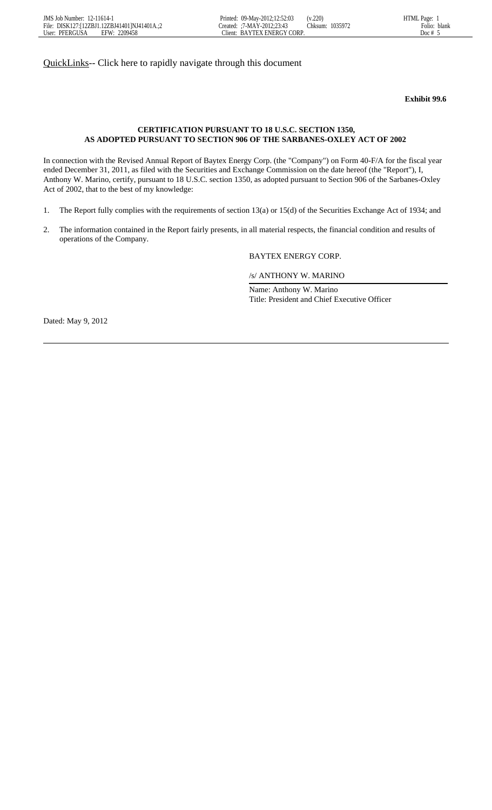## **CERTIFICATION PURSUANT TO 18 U.S.C. SECTION 1350, AS ADOPTED PURSUANT TO SECTION 906 OF THE SARBANES-OXLEY ACT OF 2002**

In connection with the Revised Annual Report of Baytex Energy Corp. (the "Company") on Form 40-F/A for the fiscal year ended December 31, 2011, as filed with the Securities and Exchange Commission on the date hereof (the "Report"), I, Anthony W. Marino, certify, pursuant to 18 U.S.C. section 1350, as adopted pursuant to Section 906 of the Sarbanes-Oxley Act of 2002, that to the best of my knowledge:

- 1. The Report fully complies with the requirements of section 13(a) or 15(d) of the Securities Exchange Act of 1934; and
- 2. The information contained in the Report fairly presents, in all material respects, the financial condition and results of operations of the Company.

BAYTEX ENERGY CORP.

/s/ ANTHONY W. MARINO

Name: Anthony W. Marino Title: President and Chief Executive Officer

Dated: May 9, 2012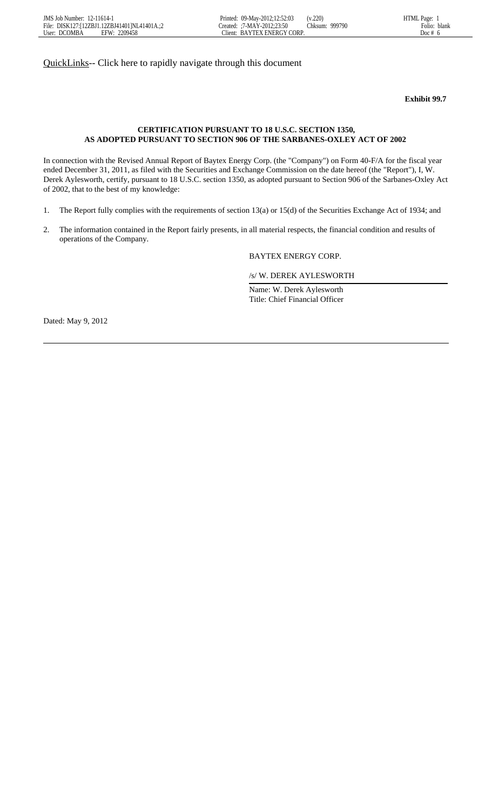## **CERTIFICATION PURSUANT TO 18 U.S.C. SECTION 1350, AS ADOPTED PURSUANT TO SECTION 906 OF THE SARBANES-OXLEY ACT OF 2002**

In connection with the Revised Annual Report of Baytex Energy Corp. (the "Company") on Form 40-F/A for the fiscal year ended December 31, 2011, as filed with the Securities and Exchange Commission on the date hereof (the "Report"), I, W. Derek Aylesworth, certify, pursuant to 18 U.S.C. section 1350, as adopted pursuant to Section 906 of the Sarbanes-Oxley Act of 2002, that to the best of my knowledge:

- 1. The Report fully complies with the requirements of section 13(a) or 15(d) of the Securities Exchange Act of 1934; and
- 2. The information contained in the Report fairly presents, in all material respects, the financial condition and results of operations of the Company.

BAYTEX ENERGY CORP.

/s/ W. DEREK AYLESWORTH

Name: W. Derek Aylesworth Title: Chief Financial Officer

Dated: May 9, 2012